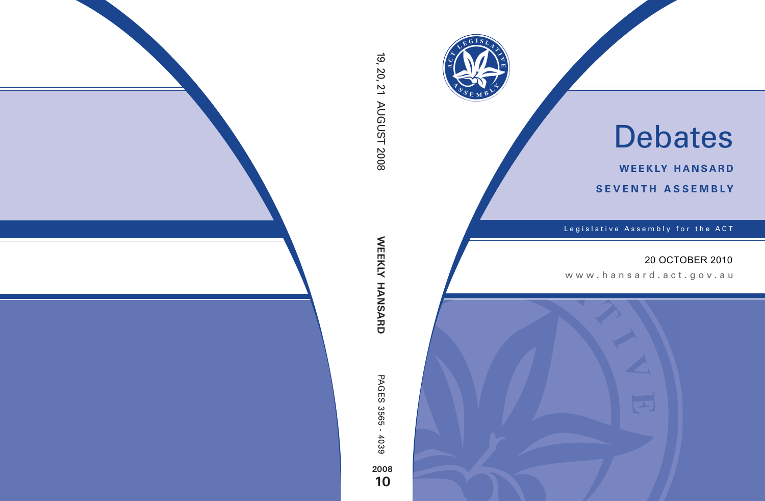

# Debates

**weekly hansard seventh asseMBly**

Legislative Assembly for the ACT

## 20 OCTOBER 2010

www.hansard.act.gov.au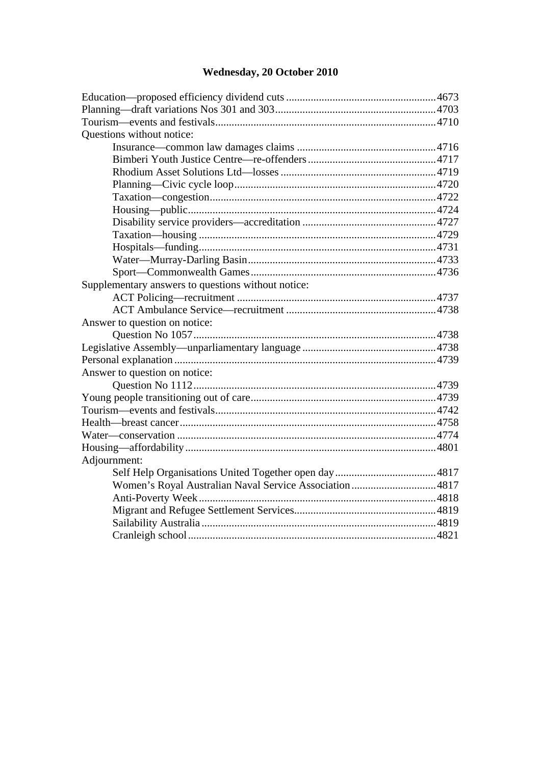## **[Wednesday, 20 October 2010](#page-2-0)**

| Questions without notice:                          |  |
|----------------------------------------------------|--|
|                                                    |  |
|                                                    |  |
|                                                    |  |
|                                                    |  |
|                                                    |  |
|                                                    |  |
|                                                    |  |
|                                                    |  |
|                                                    |  |
|                                                    |  |
|                                                    |  |
| Supplementary answers to questions without notice: |  |
|                                                    |  |
|                                                    |  |
| Answer to question on notice:                      |  |
|                                                    |  |
|                                                    |  |
|                                                    |  |
| Answer to question on notice:                      |  |
|                                                    |  |
|                                                    |  |
|                                                    |  |
|                                                    |  |
|                                                    |  |
|                                                    |  |
| Adjournment:                                       |  |
|                                                    |  |
|                                                    |  |
|                                                    |  |
|                                                    |  |
|                                                    |  |
|                                                    |  |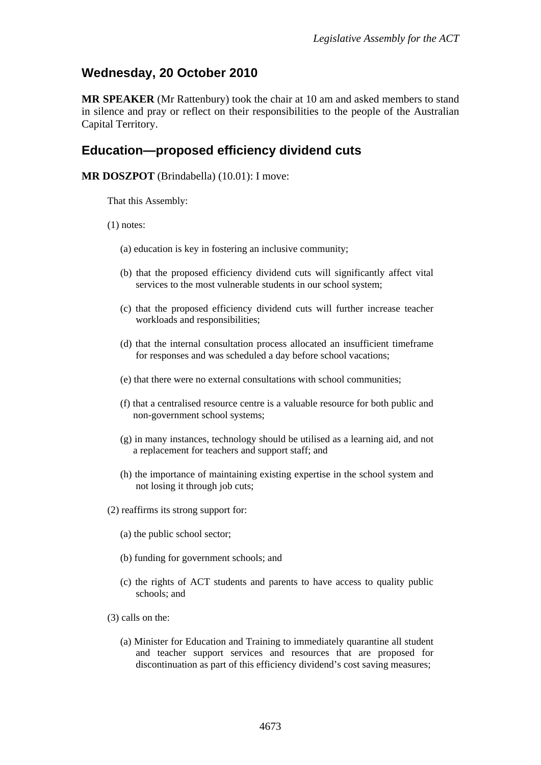## <span id="page-2-0"></span>**Wednesday, 20 October 2010**

**MR SPEAKER** (Mr Rattenbury) took the chair at 10 am and asked members to stand in silence and pray or reflect on their responsibilities to the people of the Australian Capital Territory.

### <span id="page-2-1"></span>**Education—proposed efficiency dividend cuts**

**MR DOSZPOT** (Brindabella) (10.01): I move:

That this Assembly:

(1) notes:

- (a) education is key in fostering an inclusive community;
- (b) that the proposed efficiency dividend cuts will significantly affect vital services to the most vulnerable students in our school system;
- (c) that the proposed efficiency dividend cuts will further increase teacher workloads and responsibilities;
- (d) that the internal consultation process allocated an insufficient timeframe for responses and was scheduled a day before school vacations;
- (e) that there were no external consultations with school communities;
- (f) that a centralised resource centre is a valuable resource for both public and non-government school systems;
- (g) in many instances, technology should be utilised as a learning aid, and not a replacement for teachers and support staff; and
- (h) the importance of maintaining existing expertise in the school system and not losing it through job cuts;
- (2) reaffirms its strong support for:
	- (a) the public school sector;
	- (b) funding for government schools; and
	- (c) the rights of ACT students and parents to have access to quality public schools; and
- (3) calls on the:
	- (a) Minister for Education and Training to immediately quarantine all student and teacher support services and resources that are proposed for discontinuation as part of this efficiency dividend's cost saving measures;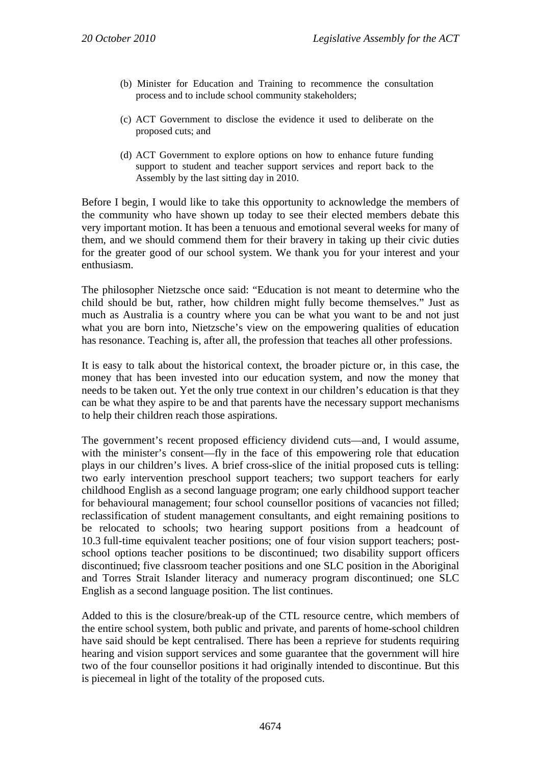- (b) Minister for Education and Training to recommence the consultation process and to include school community stakeholders;
- (c) ACT Government to disclose the evidence it used to deliberate on the proposed cuts; and
- (d) ACT Government to explore options on how to enhance future funding support to student and teacher support services and report back to the Assembly by the last sitting day in 2010.

Before I begin, I would like to take this opportunity to acknowledge the members of the community who have shown up today to see their elected members debate this very important motion. It has been a tenuous and emotional several weeks for many of them, and we should commend them for their bravery in taking up their civic duties for the greater good of our school system. We thank you for your interest and your enthusiasm.

The philosopher Nietzsche once said: "Education is not meant to determine who the child should be but, rather, how children might fully become themselves." Just as much as Australia is a country where you can be what you want to be and not just what you are born into, Nietzsche's view on the empowering qualities of education has resonance. Teaching is, after all, the profession that teaches all other professions.

It is easy to talk about the historical context, the broader picture or, in this case, the money that has been invested into our education system, and now the money that needs to be taken out. Yet the only true context in our children's education is that they can be what they aspire to be and that parents have the necessary support mechanisms to help their children reach those aspirations.

The government's recent proposed efficiency dividend cuts—and, I would assume, with the minister's consent—fly in the face of this empowering role that education plays in our children's lives. A brief cross-slice of the initial proposed cuts is telling: two early intervention preschool support teachers; two support teachers for early childhood English as a second language program; one early childhood support teacher for behavioural management; four school counsellor positions of vacancies not filled; reclassification of student management consultants, and eight remaining positions to be relocated to schools; two hearing support positions from a headcount of 10.3 full-time equivalent teacher positions; one of four vision support teachers; postschool options teacher positions to be discontinued; two disability support officers discontinued; five classroom teacher positions and one SLC position in the Aboriginal and Torres Strait Islander literacy and numeracy program discontinued; one SLC English as a second language position. The list continues.

Added to this is the closure/break-up of the CTL resource centre, which members of the entire school system, both public and private, and parents of home-school children have said should be kept centralised. There has been a reprieve for students requiring hearing and vision support services and some guarantee that the government will hire two of the four counsellor positions it had originally intended to discontinue. But this is piecemeal in light of the totality of the proposed cuts.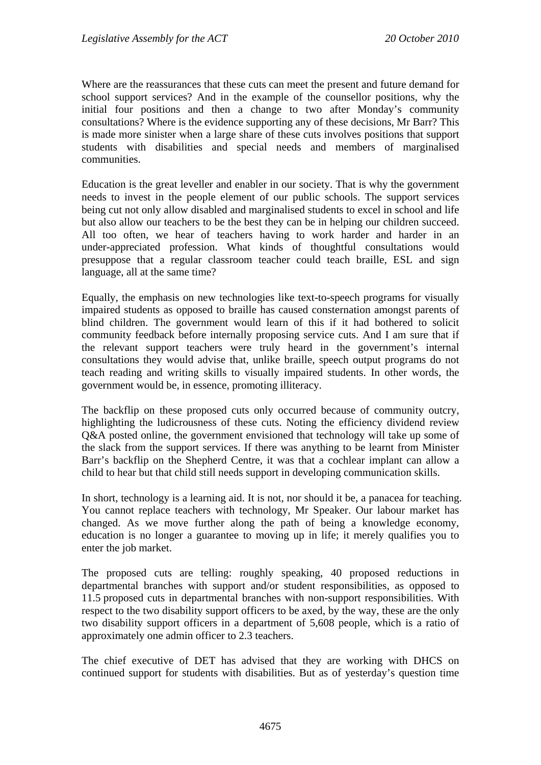Where are the reassurances that these cuts can meet the present and future demand for school support services? And in the example of the counsellor positions, why the initial four positions and then a change to two after Monday's community consultations? Where is the evidence supporting any of these decisions, Mr Barr? This is made more sinister when a large share of these cuts involves positions that support students with disabilities and special needs and members of marginalised communities.

Education is the great leveller and enabler in our society. That is why the government needs to invest in the people element of our public schools. The support services being cut not only allow disabled and marginalised students to excel in school and life but also allow our teachers to be the best they can be in helping our children succeed. All too often, we hear of teachers having to work harder and harder in an under-appreciated profession. What kinds of thoughtful consultations would presuppose that a regular classroom teacher could teach braille, ESL and sign language, all at the same time?

Equally, the emphasis on new technologies like text-to-speech programs for visually impaired students as opposed to braille has caused consternation amongst parents of blind children. The government would learn of this if it had bothered to solicit community feedback before internally proposing service cuts. And I am sure that if the relevant support teachers were truly heard in the government's internal consultations they would advise that, unlike braille, speech output programs do not teach reading and writing skills to visually impaired students. In other words, the government would be, in essence, promoting illiteracy.

The backflip on these proposed cuts only occurred because of community outcry, highlighting the ludicrousness of these cuts. Noting the efficiency dividend review Q&A posted online, the government envisioned that technology will take up some of the slack from the support services. If there was anything to be learnt from Minister Barr's backflip on the Shepherd Centre, it was that a cochlear implant can allow a child to hear but that child still needs support in developing communication skills.

In short, technology is a learning aid. It is not, nor should it be, a panacea for teaching. You cannot replace teachers with technology, Mr Speaker. Our labour market has changed. As we move further along the path of being a knowledge economy, education is no longer a guarantee to moving up in life; it merely qualifies you to enter the job market.

The proposed cuts are telling: roughly speaking, 40 proposed reductions in departmental branches with support and/or student responsibilities, as opposed to 11.5 proposed cuts in departmental branches with non-support responsibilities. With respect to the two disability support officers to be axed, by the way, these are the only two disability support officers in a department of 5,608 people, which is a ratio of approximately one admin officer to 2.3 teachers.

The chief executive of DET has advised that they are working with DHCS on continued support for students with disabilities. But as of yesterday's question time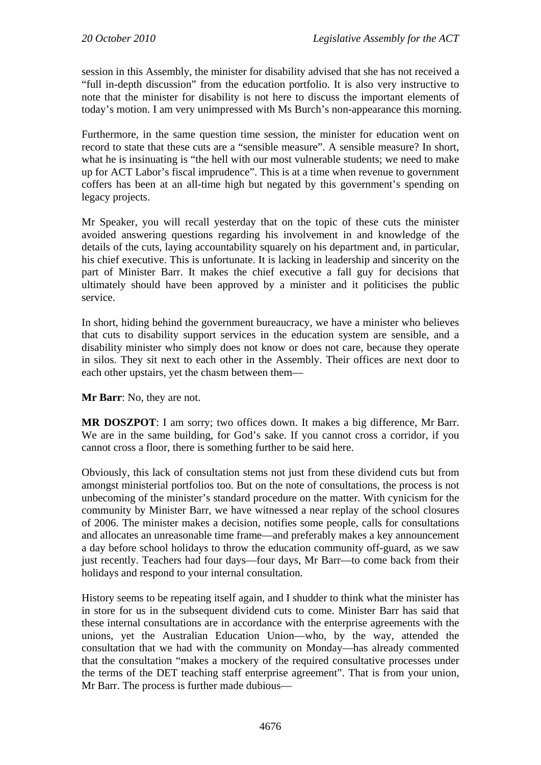session in this Assembly, the minister for disability advised that she has not received a "full in-depth discussion" from the education portfolio. It is also very instructive to note that the minister for disability is not here to discuss the important elements of today's motion. I am very unimpressed with Ms Burch's non-appearance this morning.

Furthermore, in the same question time session, the minister for education went on record to state that these cuts are a "sensible measure". A sensible measure? In short, what he is insinuating is "the hell with our most vulnerable students; we need to make up for ACT Labor's fiscal imprudence". This is at a time when revenue to government coffers has been at an all-time high but negated by this government's spending on legacy projects.

Mr Speaker, you will recall yesterday that on the topic of these cuts the minister avoided answering questions regarding his involvement in and knowledge of the details of the cuts, laying accountability squarely on his department and, in particular, his chief executive. This is unfortunate. It is lacking in leadership and sincerity on the part of Minister Barr. It makes the chief executive a fall guy for decisions that ultimately should have been approved by a minister and it politicises the public service.

In short, hiding behind the government bureaucracy, we have a minister who believes that cuts to disability support services in the education system are sensible, and a disability minister who simply does not know or does not care, because they operate in silos. They sit next to each other in the Assembly. Their offices are next door to each other upstairs, yet the chasm between them—

**Mr Barr**: No, they are not.

**MR DOSZPOT**: I am sorry; two offices down. It makes a big difference, Mr Barr. We are in the same building, for God's sake. If you cannot cross a corridor, if you cannot cross a floor, there is something further to be said here.

Obviously, this lack of consultation stems not just from these dividend cuts but from amongst ministerial portfolios too. But on the note of consultations, the process is not unbecoming of the minister's standard procedure on the matter. With cynicism for the community by Minister Barr, we have witnessed a near replay of the school closures of 2006. The minister makes a decision, notifies some people, calls for consultations and allocates an unreasonable time frame—and preferably makes a key announcement a day before school holidays to throw the education community off-guard, as we saw just recently. Teachers had four days—four days, Mr Barr—to come back from their holidays and respond to your internal consultation.

History seems to be repeating itself again, and I shudder to think what the minister has in store for us in the subsequent dividend cuts to come. Minister Barr has said that these internal consultations are in accordance with the enterprise agreements with the unions, yet the Australian Education Union—who, by the way, attended the consultation that we had with the community on Monday—has already commented that the consultation "makes a mockery of the required consultative processes under the terms of the DET teaching staff enterprise agreement". That is from your union, Mr Barr. The process is further made dubious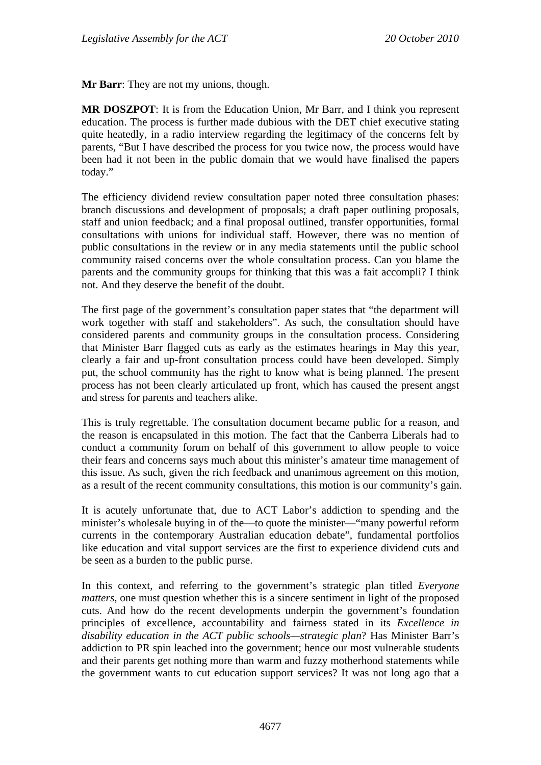**Mr Barr**: They are not my unions, though.

**MR DOSZPOT**: It is from the Education Union, Mr Barr, and I think you represent education. The process is further made dubious with the DET chief executive stating quite heatedly, in a radio interview regarding the legitimacy of the concerns felt by parents, "But I have described the process for you twice now, the process would have been had it not been in the public domain that we would have finalised the papers today."

The efficiency dividend review consultation paper noted three consultation phases: branch discussions and development of proposals; a draft paper outlining proposals, staff and union feedback; and a final proposal outlined, transfer opportunities, formal consultations with unions for individual staff. However, there was no mention of public consultations in the review or in any media statements until the public school community raised concerns over the whole consultation process. Can you blame the parents and the community groups for thinking that this was a fait accompli? I think not. And they deserve the benefit of the doubt.

The first page of the government's consultation paper states that "the department will work together with staff and stakeholders". As such, the consultation should have considered parents and community groups in the consultation process. Considering that Minister Barr flagged cuts as early as the estimates hearings in May this year, clearly a fair and up-front consultation process could have been developed. Simply put, the school community has the right to know what is being planned. The present process has not been clearly articulated up front, which has caused the present angst and stress for parents and teachers alike.

This is truly regrettable. The consultation document became public for a reason, and the reason is encapsulated in this motion. The fact that the Canberra Liberals had to conduct a community forum on behalf of this government to allow people to voice their fears and concerns says much about this minister's amateur time management of this issue. As such, given the rich feedback and unanimous agreement on this motion, as a result of the recent community consultations, this motion is our community's gain.

It is acutely unfortunate that, due to ACT Labor's addiction to spending and the minister's wholesale buying in of the—to quote the minister—"many powerful reform currents in the contemporary Australian education debate", fundamental portfolios like education and vital support services are the first to experience dividend cuts and be seen as a burden to the public purse.

In this context, and referring to the government's strategic plan titled *Everyone matters*, one must question whether this is a sincere sentiment in light of the proposed cuts. And how do the recent developments underpin the government's foundation principles of excellence, accountability and fairness stated in its *Excellence in disability education in the ACT public schools—strategic plan*? Has Minister Barr's addiction to PR spin leached into the government; hence our most vulnerable students and their parents get nothing more than warm and fuzzy motherhood statements while the government wants to cut education support services? It was not long ago that a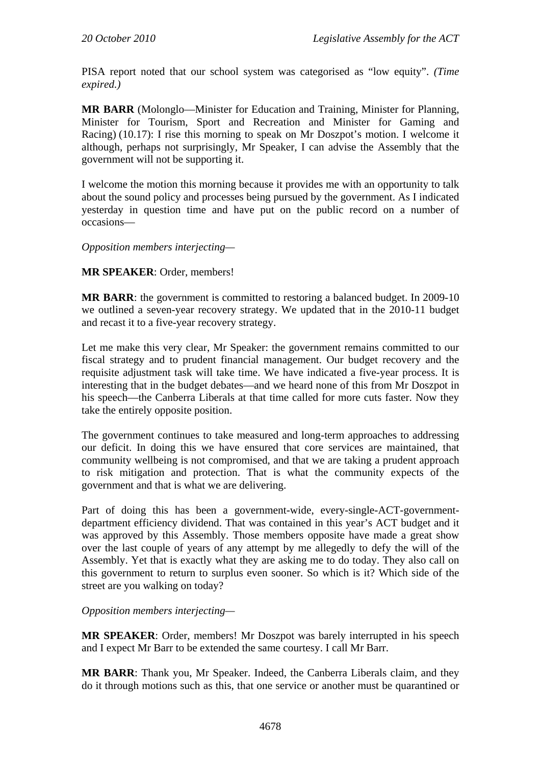PISA report noted that our school system was categorised as "low equity". *(Time expired.)* 

**MR BARR** (Molonglo—Minister for Education and Training, Minister for Planning, Minister for Tourism, Sport and Recreation and Minister for Gaming and Racing) (10.17): I rise this morning to speak on Mr Doszpot's motion. I welcome it although, perhaps not surprisingly, Mr Speaker, I can advise the Assembly that the government will not be supporting it.

I welcome the motion this morning because it provides me with an opportunity to talk about the sound policy and processes being pursued by the government. As I indicated yesterday in question time and have put on the public record on a number of occasions—

*Opposition members interjecting—* 

**MR SPEAKER**: Order, members!

**MR BARR**: the government is committed to restoring a balanced budget. In 2009-10 we outlined a seven-year recovery strategy. We updated that in the 2010-11 budget and recast it to a five-year recovery strategy.

Let me make this very clear, Mr Speaker: the government remains committed to our fiscal strategy and to prudent financial management. Our budget recovery and the requisite adjustment task will take time. We have indicated a five-year process. It is interesting that in the budget debates—and we heard none of this from Mr Doszpot in his speech—the Canberra Liberals at that time called for more cuts faster. Now they take the entirely opposite position.

The government continues to take measured and long-term approaches to addressing our deficit. In doing this we have ensured that core services are maintained, that community wellbeing is not compromised, and that we are taking a prudent approach to risk mitigation and protection. That is what the community expects of the government and that is what we are delivering.

Part of doing this has been a government-wide, every-single-ACT-governmentdepartment efficiency dividend. That was contained in this year's ACT budget and it was approved by this Assembly. Those members opposite have made a great show over the last couple of years of any attempt by me allegedly to defy the will of the Assembly. Yet that is exactly what they are asking me to do today. They also call on this government to return to surplus even sooner. So which is it? Which side of the street are you walking on today?

*Opposition members interjecting—* 

**MR SPEAKER**: Order, members! Mr Doszpot was barely interrupted in his speech and I expect Mr Barr to be extended the same courtesy. I call Mr Barr.

**MR BARR**: Thank you, Mr Speaker. Indeed, the Canberra Liberals claim, and they do it through motions such as this, that one service or another must be quarantined or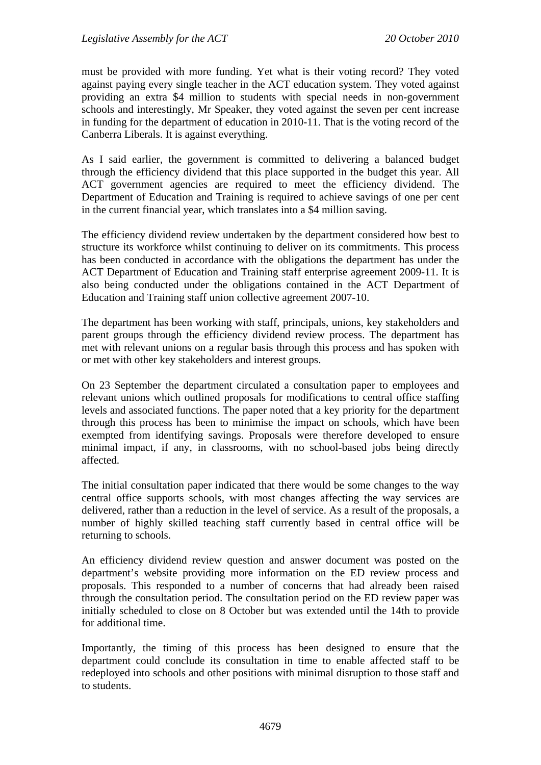must be provided with more funding. Yet what is their voting record? They voted against paying every single teacher in the ACT education system. They voted against providing an extra \$4 million to students with special needs in non-government schools and interestingly, Mr Speaker, they voted against the seven per cent increase in funding for the department of education in 2010-11. That is the voting record of the Canberra Liberals. It is against everything.

As I said earlier, the government is committed to delivering a balanced budget through the efficiency dividend that this place supported in the budget this year. All ACT government agencies are required to meet the efficiency dividend. The Department of Education and Training is required to achieve savings of one per cent in the current financial year, which translates into a \$4 million saving.

The efficiency dividend review undertaken by the department considered how best to structure its workforce whilst continuing to deliver on its commitments. This process has been conducted in accordance with the obligations the department has under the ACT Department of Education and Training staff enterprise agreement 2009-11. It is also being conducted under the obligations contained in the ACT Department of Education and Training staff union collective agreement 2007-10.

The department has been working with staff, principals, unions, key stakeholders and parent groups through the efficiency dividend review process. The department has met with relevant unions on a regular basis through this process and has spoken with or met with other key stakeholders and interest groups.

On 23 September the department circulated a consultation paper to employees and relevant unions which outlined proposals for modifications to central office staffing levels and associated functions. The paper noted that a key priority for the department through this process has been to minimise the impact on schools, which have been exempted from identifying savings. Proposals were therefore developed to ensure minimal impact, if any, in classrooms, with no school-based jobs being directly affected.

The initial consultation paper indicated that there would be some changes to the way central office supports schools, with most changes affecting the way services are delivered, rather than a reduction in the level of service. As a result of the proposals, a number of highly skilled teaching staff currently based in central office will be returning to schools.

An efficiency dividend review question and answer document was posted on the department's website providing more information on the ED review process and proposals. This responded to a number of concerns that had already been raised through the consultation period. The consultation period on the ED review paper was initially scheduled to close on 8 October but was extended until the 14th to provide for additional time.

Importantly, the timing of this process has been designed to ensure that the department could conclude its consultation in time to enable affected staff to be redeployed into schools and other positions with minimal disruption to those staff and to students.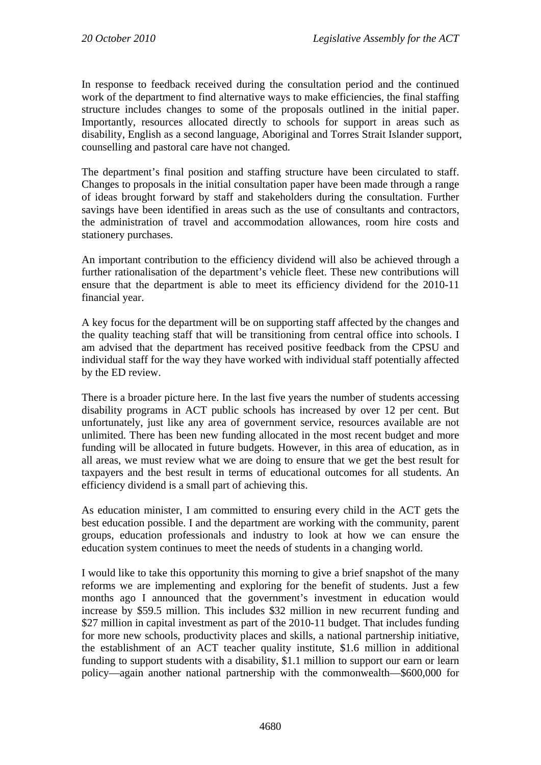In response to feedback received during the consultation period and the continued work of the department to find alternative ways to make efficiencies, the final staffing structure includes changes to some of the proposals outlined in the initial paper. Importantly, resources allocated directly to schools for support in areas such as disability, English as a second language, Aboriginal and Torres Strait Islander support, counselling and pastoral care have not changed.

The department's final position and staffing structure have been circulated to staff. Changes to proposals in the initial consultation paper have been made through a range of ideas brought forward by staff and stakeholders during the consultation. Further savings have been identified in areas such as the use of consultants and contractors, the administration of travel and accommodation allowances, room hire costs and stationery purchases.

An important contribution to the efficiency dividend will also be achieved through a further rationalisation of the department's vehicle fleet. These new contributions will ensure that the department is able to meet its efficiency dividend for the 2010-11 financial year.

A key focus for the department will be on supporting staff affected by the changes and the quality teaching staff that will be transitioning from central office into schools. I am advised that the department has received positive feedback from the CPSU and individual staff for the way they have worked with individual staff potentially affected by the ED review.

There is a broader picture here. In the last five years the number of students accessing disability programs in ACT public schools has increased by over 12 per cent. But unfortunately, just like any area of government service, resources available are not unlimited. There has been new funding allocated in the most recent budget and more funding will be allocated in future budgets. However, in this area of education, as in all areas, we must review what we are doing to ensure that we get the best result for taxpayers and the best result in terms of educational outcomes for all students. An efficiency dividend is a small part of achieving this.

As education minister, I am committed to ensuring every child in the ACT gets the best education possible. I and the department are working with the community, parent groups, education professionals and industry to look at how we can ensure the education system continues to meet the needs of students in a changing world.

I would like to take this opportunity this morning to give a brief snapshot of the many reforms we are implementing and exploring for the benefit of students. Just a few months ago I announced that the government's investment in education would increase by \$59.5 million. This includes \$32 million in new recurrent funding and \$27 million in capital investment as part of the 2010-11 budget. That includes funding for more new schools, productivity places and skills, a national partnership initiative, the establishment of an ACT teacher quality institute, \$1.6 million in additional funding to support students with a disability, \$1.1 million to support our earn or learn policy—again another national partnership with the commonwealth—\$600,000 for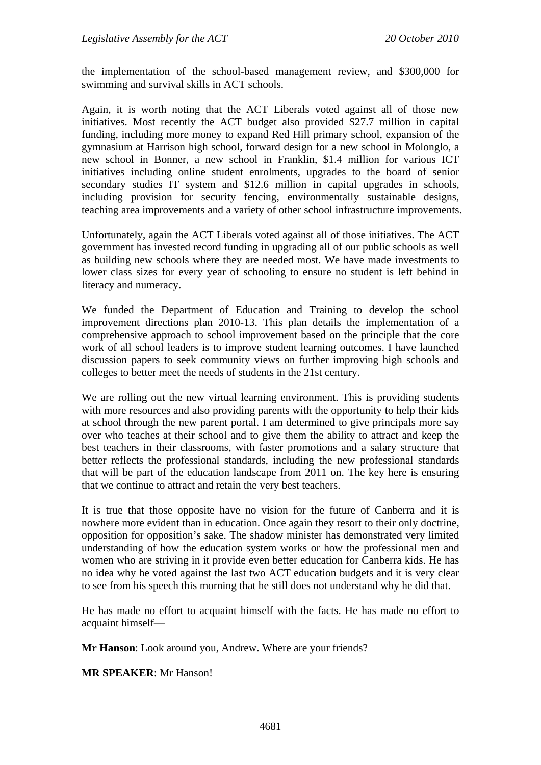the implementation of the school-based management review, and \$300,000 for swimming and survival skills in ACT schools.

Again, it is worth noting that the ACT Liberals voted against all of those new initiatives. Most recently the ACT budget also provided \$27.7 million in capital funding, including more money to expand Red Hill primary school, expansion of the gymnasium at Harrison high school, forward design for a new school in Molonglo, a new school in Bonner, a new school in Franklin, \$1.4 million for various ICT initiatives including online student enrolments, upgrades to the board of senior secondary studies IT system and \$12.6 million in capital upgrades in schools, including provision for security fencing, environmentally sustainable designs, teaching area improvements and a variety of other school infrastructure improvements.

Unfortunately, again the ACT Liberals voted against all of those initiatives. The ACT government has invested record funding in upgrading all of our public schools as well as building new schools where they are needed most. We have made investments to lower class sizes for every year of schooling to ensure no student is left behind in literacy and numeracy.

We funded the Department of Education and Training to develop the school improvement directions plan 2010-13. This plan details the implementation of a comprehensive approach to school improvement based on the principle that the core work of all school leaders is to improve student learning outcomes. I have launched discussion papers to seek community views on further improving high schools and colleges to better meet the needs of students in the 21st century.

We are rolling out the new virtual learning environment. This is providing students with more resources and also providing parents with the opportunity to help their kids at school through the new parent portal. I am determined to give principals more say over who teaches at their school and to give them the ability to attract and keep the best teachers in their classrooms, with faster promotions and a salary structure that better reflects the professional standards, including the new professional standards that will be part of the education landscape from 2011 on. The key here is ensuring that we continue to attract and retain the very best teachers.

It is true that those opposite have no vision for the future of Canberra and it is nowhere more evident than in education. Once again they resort to their only doctrine, opposition for opposition's sake. The shadow minister has demonstrated very limited understanding of how the education system works or how the professional men and women who are striving in it provide even better education for Canberra kids. He has no idea why he voted against the last two ACT education budgets and it is very clear to see from his speech this morning that he still does not understand why he did that.

He has made no effort to acquaint himself with the facts. He has made no effort to acquaint himself—

**Mr Hanson**: Look around you, Andrew. Where are your friends?

**MR SPEAKER**: Mr Hanson!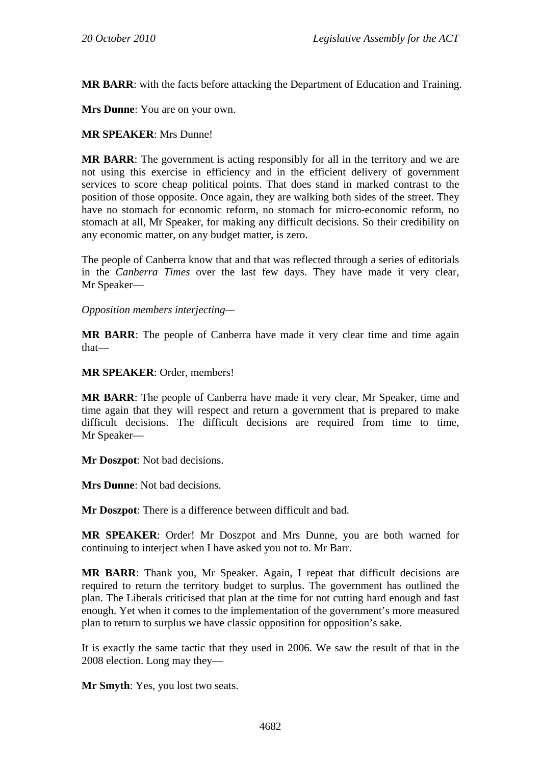**MR BARR**: with the facts before attacking the Department of Education and Training.

**Mrs Dunne**: You are on your own.

#### **MR SPEAKER**: Mrs Dunne!

**MR BARR**: The government is acting responsibly for all in the territory and we are not using this exercise in efficiency and in the efficient delivery of government services to score cheap political points. That does stand in marked contrast to the position of those opposite. Once again, they are walking both sides of the street. They have no stomach for economic reform, no stomach for micro-economic reform, no stomach at all, Mr Speaker, for making any difficult decisions. So their credibility on any economic matter, on any budget matter, is zero.

The people of Canberra know that and that was reflected through a series of editorials in the *Canberra Times* over the last few days. They have made it very clear, Mr Speaker—

*Opposition members interjecting—* 

**MR BARR**: The people of Canberra have made it very clear time and time again that—

**MR SPEAKER**: Order, members!

**MR BARR**: The people of Canberra have made it very clear, Mr Speaker, time and time again that they will respect and return a government that is prepared to make difficult decisions. The difficult decisions are required from time to time, Mr Speaker—

**Mr Doszpot**: Not bad decisions.

**Mrs Dunne**: Not bad decisions.

**Mr Doszpot**: There is a difference between difficult and bad.

**MR SPEAKER**: Order! Mr Doszpot and Mrs Dunne, you are both warned for continuing to interject when I have asked you not to. Mr Barr.

**MR BARR**: Thank you, Mr Speaker. Again, I repeat that difficult decisions are required to return the territory budget to surplus. The government has outlined the plan. The Liberals criticised that plan at the time for not cutting hard enough and fast enough. Yet when it comes to the implementation of the government's more measured plan to return to surplus we have classic opposition for opposition's sake.

It is exactly the same tactic that they used in 2006. We saw the result of that in the 2008 election. Long may they—

**Mr Smyth**: Yes, you lost two seats.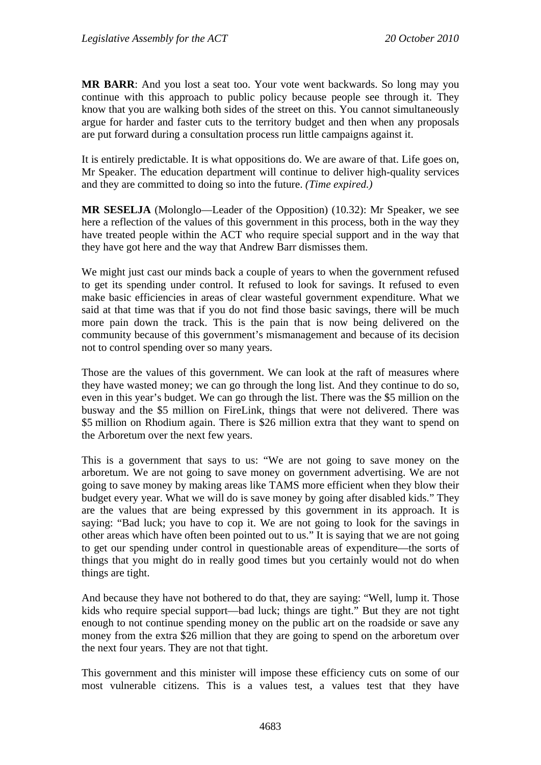**MR BARR**: And you lost a seat too. Your vote went backwards. So long may you continue with this approach to public policy because people see through it. They know that you are walking both sides of the street on this. You cannot simultaneously argue for harder and faster cuts to the territory budget and then when any proposals are put forward during a consultation process run little campaigns against it.

It is entirely predictable. It is what oppositions do. We are aware of that. Life goes on, Mr Speaker. The education department will continue to deliver high-quality services and they are committed to doing so into the future. *(Time expired.)*

**MR SESELJA** (Molonglo—Leader of the Opposition) (10.32): Mr Speaker, we see here a reflection of the values of this government in this process, both in the way they have treated people within the ACT who require special support and in the way that they have got here and the way that Andrew Barr dismisses them.

We might just cast our minds back a couple of years to when the government refused to get its spending under control. It refused to look for savings. It refused to even make basic efficiencies in areas of clear wasteful government expenditure. What we said at that time was that if you do not find those basic savings, there will be much more pain down the track. This is the pain that is now being delivered on the community because of this government's mismanagement and because of its decision not to control spending over so many years.

Those are the values of this government. We can look at the raft of measures where they have wasted money; we can go through the long list. And they continue to do so, even in this year's budget. We can go through the list. There was the \$5 million on the busway and the \$5 million on FireLink, things that were not delivered. There was \$5 million on Rhodium again. There is \$26 million extra that they want to spend on the Arboretum over the next few years.

This is a government that says to us: "We are not going to save money on the arboretum. We are not going to save money on government advertising. We are not going to save money by making areas like TAMS more efficient when they blow their budget every year. What we will do is save money by going after disabled kids." They are the values that are being expressed by this government in its approach. It is saying: "Bad luck; you have to cop it. We are not going to look for the savings in other areas which have often been pointed out to us." It is saying that we are not going to get our spending under control in questionable areas of expenditure—the sorts of things that you might do in really good times but you certainly would not do when things are tight.

And because they have not bothered to do that, they are saying: "Well, lump it. Those kids who require special support—bad luck; things are tight." But they are not tight enough to not continue spending money on the public art on the roadside or save any money from the extra \$26 million that they are going to spend on the arboretum over the next four years. They are not that tight.

This government and this minister will impose these efficiency cuts on some of our most vulnerable citizens. This is a values test, a values test that they have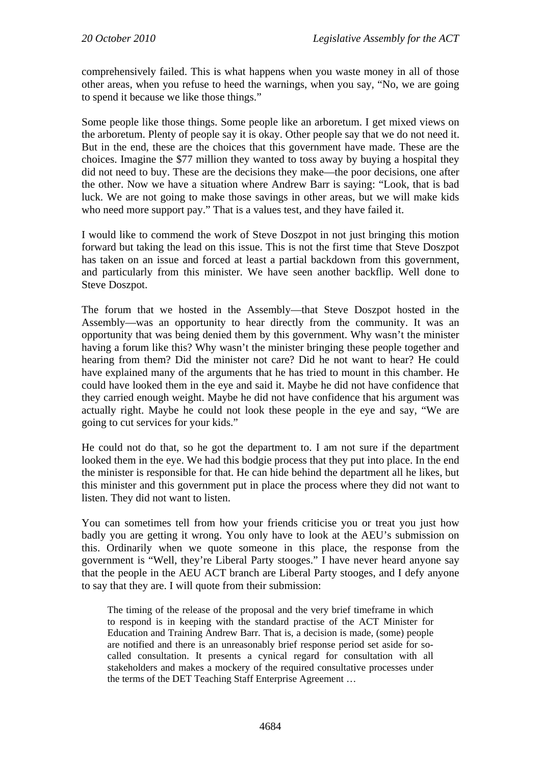comprehensively failed. This is what happens when you waste money in all of those other areas, when you refuse to heed the warnings, when you say, "No, we are going to spend it because we like those things."

Some people like those things. Some people like an arboretum. I get mixed views on the arboretum. Plenty of people say it is okay. Other people say that we do not need it. But in the end, these are the choices that this government have made. These are the choices. Imagine the \$77 million they wanted to toss away by buying a hospital they did not need to buy. These are the decisions they make—the poor decisions, one after the other. Now we have a situation where Andrew Barr is saying: "Look, that is bad luck. We are not going to make those savings in other areas, but we will make kids who need more support pay." That is a values test, and they have failed it.

I would like to commend the work of Steve Doszpot in not just bringing this motion forward but taking the lead on this issue. This is not the first time that Steve Doszpot has taken on an issue and forced at least a partial backdown from this government, and particularly from this minister. We have seen another backflip. Well done to Steve Doszpot.

The forum that we hosted in the Assembly—that Steve Doszpot hosted in the Assembly—was an opportunity to hear directly from the community. It was an opportunity that was being denied them by this government. Why wasn't the minister having a forum like this? Why wasn't the minister bringing these people together and hearing from them? Did the minister not care? Did he not want to hear? He could have explained many of the arguments that he has tried to mount in this chamber. He could have looked them in the eye and said it. Maybe he did not have confidence that they carried enough weight. Maybe he did not have confidence that his argument was actually right. Maybe he could not look these people in the eye and say, "We are going to cut services for your kids."

He could not do that, so he got the department to. I am not sure if the department looked them in the eye. We had this bodgie process that they put into place. In the end the minister is responsible for that. He can hide behind the department all he likes, but this minister and this government put in place the process where they did not want to listen. They did not want to listen.

You can sometimes tell from how your friends criticise you or treat you just how badly you are getting it wrong. You only have to look at the AEU's submission on this. Ordinarily when we quote someone in this place, the response from the government is "Well, they're Liberal Party stooges." I have never heard anyone say that the people in the AEU ACT branch are Liberal Party stooges, and I defy anyone to say that they are. I will quote from their submission:

The timing of the release of the proposal and the very brief timeframe in which to respond is in keeping with the standard practise of the ACT Minister for Education and Training Andrew Barr. That is, a decision is made, (some) people are notified and there is an unreasonably brief response period set aside for socalled consultation. It presents a cynical regard for consultation with all stakeholders and makes a mockery of the required consultative processes under the terms of the DET Teaching Staff Enterprise Agreement …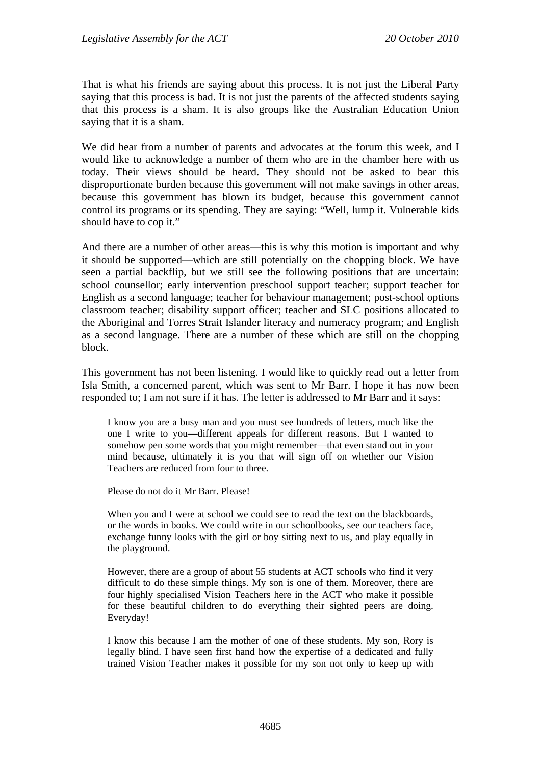That is what his friends are saying about this process. It is not just the Liberal Party saying that this process is bad. It is not just the parents of the affected students saying that this process is a sham. It is also groups like the Australian Education Union saying that it is a sham.

We did hear from a number of parents and advocates at the forum this week, and I would like to acknowledge a number of them who are in the chamber here with us today. Their views should be heard. They should not be asked to bear this disproportionate burden because this government will not make savings in other areas, because this government has blown its budget, because this government cannot control its programs or its spending. They are saying: "Well, lump it. Vulnerable kids should have to cop it."

And there are a number of other areas—this is why this motion is important and why it should be supported—which are still potentially on the chopping block. We have seen a partial backflip, but we still see the following positions that are uncertain: school counsellor; early intervention preschool support teacher; support teacher for English as a second language; teacher for behaviour management; post-school options classroom teacher; disability support officer; teacher and SLC positions allocated to the Aboriginal and Torres Strait Islander literacy and numeracy program; and English as a second language. There are a number of these which are still on the chopping block.

This government has not been listening. I would like to quickly read out a letter from Isla Smith, a concerned parent, which was sent to Mr Barr. I hope it has now been responded to; I am not sure if it has. The letter is addressed to Mr Barr and it says:

I know you are a busy man and you must see hundreds of letters, much like the one I write to you—different appeals for different reasons. But I wanted to somehow pen some words that you might remember—that even stand out in your mind because, ultimately it is you that will sign off on whether our Vision Teachers are reduced from four to three.

Please do not do it Mr Barr. Please!

When you and I were at school we could see to read the text on the blackboards, or the words in books. We could write in our schoolbooks, see our teachers face, exchange funny looks with the girl or boy sitting next to us, and play equally in the playground.

However, there are a group of about 55 students at ACT schools who find it very difficult to do these simple things. My son is one of them. Moreover, there are four highly specialised Vision Teachers here in the ACT who make it possible for these beautiful children to do everything their sighted peers are doing. Everyday!

I know this because I am the mother of one of these students. My son, Rory is legally blind. I have seen first hand how the expertise of a dedicated and fully trained Vision Teacher makes it possible for my son not only to keep up with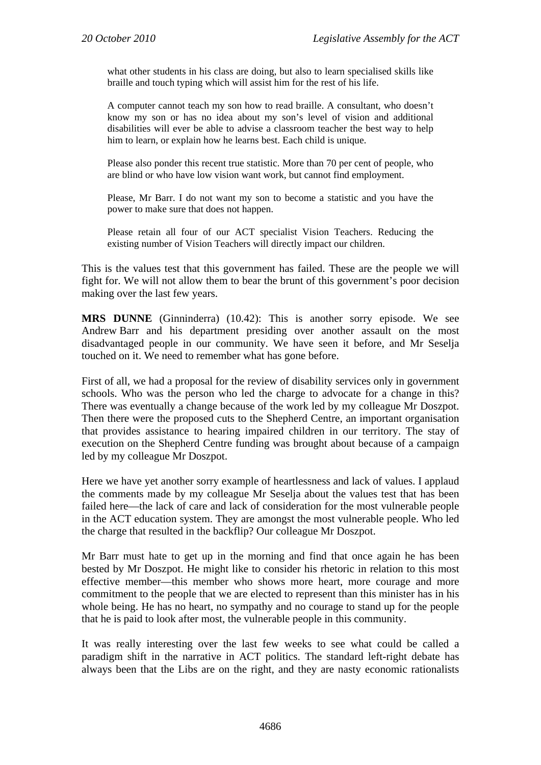what other students in his class are doing, but also to learn specialised skills like braille and touch typing which will assist him for the rest of his life.

A computer cannot teach my son how to read braille. A consultant, who doesn't know my son or has no idea about my son's level of vision and additional disabilities will ever be able to advise a classroom teacher the best way to help him to learn, or explain how he learns best. Each child is unique.

Please also ponder this recent true statistic. More than 70 per cent of people, who are blind or who have low vision want work, but cannot find employment.

Please, Mr Barr. I do not want my son to become a statistic and you have the power to make sure that does not happen.

Please retain all four of our ACT specialist Vision Teachers. Reducing the existing number of Vision Teachers will directly impact our children.

This is the values test that this government has failed. These are the people we will fight for. We will not allow them to bear the brunt of this government's poor decision making over the last few years.

**MRS DUNNE** (Ginninderra) (10.42): This is another sorry episode. We see Andrew Barr and his department presiding over another assault on the most disadvantaged people in our community. We have seen it before, and Mr Seselja touched on it. We need to remember what has gone before.

First of all, we had a proposal for the review of disability services only in government schools. Who was the person who led the charge to advocate for a change in this? There was eventually a change because of the work led by my colleague Mr Doszpot. Then there were the proposed cuts to the Shepherd Centre, an important organisation that provides assistance to hearing impaired children in our territory. The stay of execution on the Shepherd Centre funding was brought about because of a campaign led by my colleague Mr Doszpot.

Here we have yet another sorry example of heartlessness and lack of values. I applaud the comments made by my colleague Mr Seselja about the values test that has been failed here—the lack of care and lack of consideration for the most vulnerable people in the ACT education system. They are amongst the most vulnerable people. Who led the charge that resulted in the backflip? Our colleague Mr Doszpot.

Mr Barr must hate to get up in the morning and find that once again he has been bested by Mr Doszpot. He might like to consider his rhetoric in relation to this most effective member—this member who shows more heart, more courage and more commitment to the people that we are elected to represent than this minister has in his whole being. He has no heart, no sympathy and no courage to stand up for the people that he is paid to look after most, the vulnerable people in this community.

It was really interesting over the last few weeks to see what could be called a paradigm shift in the narrative in ACT politics. The standard left-right debate has always been that the Libs are on the right, and they are nasty economic rationalists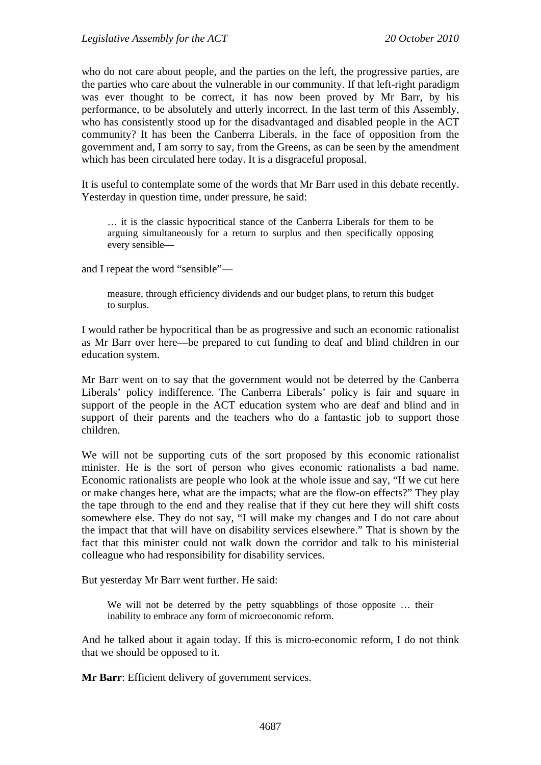who do not care about people, and the parties on the left, the progressive parties, are the parties who care about the vulnerable in our community. If that left-right paradigm was ever thought to be correct, it has now been proved by Mr Barr, by his performance, to be absolutely and utterly incorrect. In the last term of this Assembly, who has consistently stood up for the disadvantaged and disabled people in the ACT community? It has been the Canberra Liberals, in the face of opposition from the government and, I am sorry to say, from the Greens, as can be seen by the amendment which has been circulated here today. It is a disgraceful proposal.

It is useful to contemplate some of the words that Mr Barr used in this debate recently. Yesterday in question time, under pressure, he said:

… it is the classic hypocritical stance of the Canberra Liberals for them to be arguing simultaneously for a return to surplus and then specifically opposing every sensible—

and I repeat the word "sensible"—

measure, through efficiency dividends and our budget plans, to return this budget to surplus.

I would rather be hypocritical than be as progressive and such an economic rationalist as Mr Barr over here—be prepared to cut funding to deaf and blind children in our education system.

Mr Barr went on to say that the government would not be deterred by the Canberra Liberals' policy indifference. The Canberra Liberals' policy is fair and square in support of the people in the ACT education system who are deaf and blind and in support of their parents and the teachers who do a fantastic job to support those children.

We will not be supporting cuts of the sort proposed by this economic rationalist minister. He is the sort of person who gives economic rationalists a bad name. Economic rationalists are people who look at the whole issue and say, "If we cut here or make changes here, what are the impacts; what are the flow-on effects?" They play the tape through to the end and they realise that if they cut here they will shift costs somewhere else. They do not say, "I will make my changes and I do not care about the impact that that will have on disability services elsewhere." That is shown by the fact that this minister could not walk down the corridor and talk to his ministerial colleague who had responsibility for disability services.

But yesterday Mr Barr went further. He said:

We will not be deterred by the petty squabblings of those opposite … their inability to embrace any form of microeconomic reform.

And he talked about it again today. If this is micro-economic reform, I do not think that we should be opposed to it.

**Mr Barr**: Efficient delivery of government services.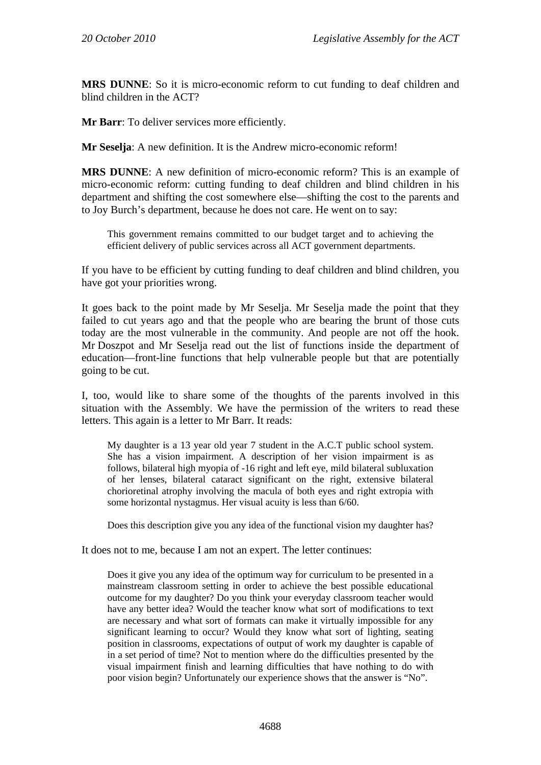**MRS DUNNE**: So it is micro-economic reform to cut funding to deaf children and blind children in the ACT?

**Mr Barr:** To deliver services more efficiently.

**Mr Seselja**: A new definition. It is the Andrew micro-economic reform!

**MRS DUNNE**: A new definition of micro-economic reform? This is an example of micro-economic reform: cutting funding to deaf children and blind children in his department and shifting the cost somewhere else—shifting the cost to the parents and to Joy Burch's department, because he does not care. He went on to say:

This government remains committed to our budget target and to achieving the efficient delivery of public services across all ACT government departments.

If you have to be efficient by cutting funding to deaf children and blind children, you have got your priorities wrong.

It goes back to the point made by Mr Seselja. Mr Seselja made the point that they failed to cut years ago and that the people who are bearing the brunt of those cuts today are the most vulnerable in the community. And people are not off the hook. Mr Doszpot and Mr Seselja read out the list of functions inside the department of education—front-line functions that help vulnerable people but that are potentially going to be cut.

I, too, would like to share some of the thoughts of the parents involved in this situation with the Assembly. We have the permission of the writers to read these letters. This again is a letter to Mr Barr. It reads:

My daughter is a 13 year old year 7 student in the A.C.T public school system. She has a vision impairment. A description of her vision impairment is as follows, bilateral high myopia of -16 right and left eye, mild bilateral subluxation of her lenses, bilateral cataract significant on the right, extensive bilateral chorioretinal atrophy involving the macula of both eyes and right extropia with some horizontal nystagmus. Her visual acuity is less than 6/60.

Does this description give you any idea of the functional vision my daughter has?

It does not to me, because I am not an expert. The letter continues:

Does it give you any idea of the optimum way for curriculum to be presented in a mainstream classroom setting in order to achieve the best possible educational outcome for my daughter? Do you think your everyday classroom teacher would have any better idea? Would the teacher know what sort of modifications to text are necessary and what sort of formats can make it virtually impossible for any significant learning to occur? Would they know what sort of lighting, seating position in classrooms, expectations of output of work my daughter is capable of in a set period of time? Not to mention where do the difficulties presented by the visual impairment finish and learning difficulties that have nothing to do with poor vision begin? Unfortunately our experience shows that the answer is "No".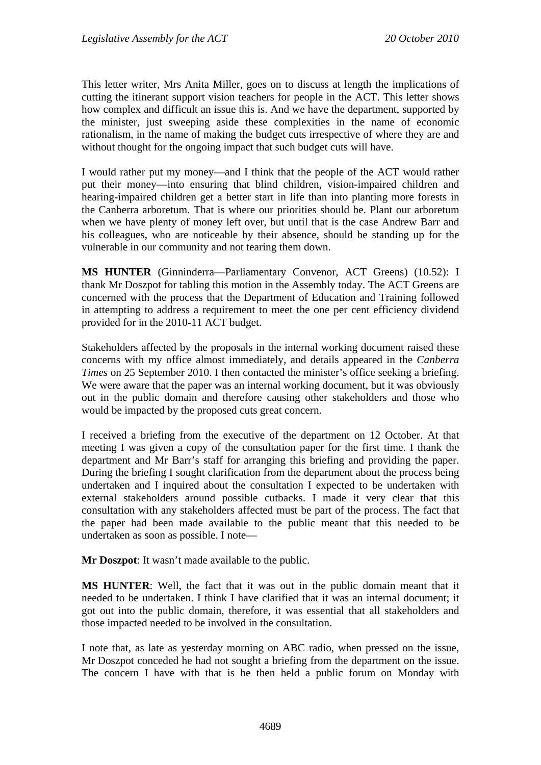This letter writer, Mrs Anita Miller, goes on to discuss at length the implications of cutting the itinerant support vision teachers for people in the ACT. This letter shows how complex and difficult an issue this is. And we have the department, supported by the minister, just sweeping aside these complexities in the name of economic rationalism, in the name of making the budget cuts irrespective of where they are and without thought for the ongoing impact that such budget cuts will have.

I would rather put my money—and I think that the people of the ACT would rather put their money—into ensuring that blind children, vision-impaired children and hearing-impaired children get a better start in life than into planting more forests in the Canberra arboretum. That is where our priorities should be. Plant our arboretum when we have plenty of money left over, but until that is the case Andrew Barr and his colleagues, who are noticeable by their absence, should be standing up for the vulnerable in our community and not tearing them down.

**MS HUNTER** (Ginninderra—Parliamentary Convenor, ACT Greens) (10.52): I thank Mr Doszpot for tabling this motion in the Assembly today. The ACT Greens are concerned with the process that the Department of Education and Training followed in attempting to address a requirement to meet the one per cent efficiency dividend provided for in the 2010-11 ACT budget.

Stakeholders affected by the proposals in the internal working document raised these concerns with my office almost immediately, and details appeared in the *Canberra Times* on 25 September 2010. I then contacted the minister's office seeking a briefing. We were aware that the paper was an internal working document, but it was obviously out in the public domain and therefore causing other stakeholders and those who would be impacted by the proposed cuts great concern.

I received a briefing from the executive of the department on 12 October. At that meeting I was given a copy of the consultation paper for the first time. I thank the department and Mr Barr's staff for arranging this briefing and providing the paper. During the briefing I sought clarification from the department about the process being undertaken and I inquired about the consultation I expected to be undertaken with external stakeholders around possible cutbacks. I made it very clear that this consultation with any stakeholders affected must be part of the process. The fact that the paper had been made available to the public meant that this needed to be undertaken as soon as possible. I note—

**Mr Doszpot**: It wasn't made available to the public.

**MS HUNTER**: Well, the fact that it was out in the public domain meant that it needed to be undertaken. I think I have clarified that it was an internal document; it got out into the public domain, therefore, it was essential that all stakeholders and those impacted needed to be involved in the consultation.

I note that, as late as yesterday morning on ABC radio, when pressed on the issue, Mr Doszpot conceded he had not sought a briefing from the department on the issue. The concern I have with that is he then held a public forum on Monday with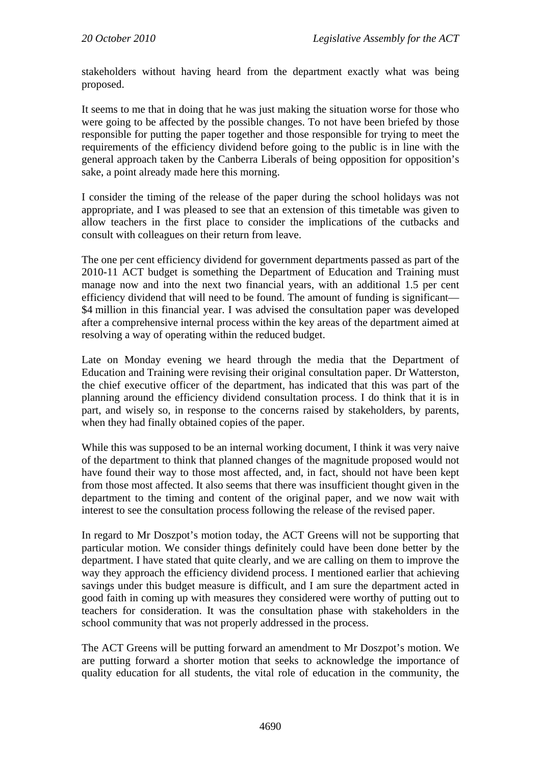stakeholders without having heard from the department exactly what was being proposed.

It seems to me that in doing that he was just making the situation worse for those who were going to be affected by the possible changes. To not have been briefed by those responsible for putting the paper together and those responsible for trying to meet the requirements of the efficiency dividend before going to the public is in line with the general approach taken by the Canberra Liberals of being opposition for opposition's sake, a point already made here this morning.

I consider the timing of the release of the paper during the school holidays was not appropriate, and I was pleased to see that an extension of this timetable was given to allow teachers in the first place to consider the implications of the cutbacks and consult with colleagues on their return from leave.

The one per cent efficiency dividend for government departments passed as part of the 2010-11 ACT budget is something the Department of Education and Training must manage now and into the next two financial years, with an additional 1.5 per cent efficiency dividend that will need to be found. The amount of funding is significant— \$4 million in this financial year. I was advised the consultation paper was developed after a comprehensive internal process within the key areas of the department aimed at resolving a way of operating within the reduced budget.

Late on Monday evening we heard through the media that the Department of Education and Training were revising their original consultation paper. Dr Watterston, the chief executive officer of the department, has indicated that this was part of the planning around the efficiency dividend consultation process. I do think that it is in part, and wisely so, in response to the concerns raised by stakeholders, by parents, when they had finally obtained copies of the paper.

While this was supposed to be an internal working document, I think it was very naive of the department to think that planned changes of the magnitude proposed would not have found their way to those most affected, and, in fact, should not have been kept from those most affected. It also seems that there was insufficient thought given in the department to the timing and content of the original paper, and we now wait with interest to see the consultation process following the release of the revised paper.

In regard to Mr Doszpot's motion today, the ACT Greens will not be supporting that particular motion. We consider things definitely could have been done better by the department. I have stated that quite clearly, and we are calling on them to improve the way they approach the efficiency dividend process. I mentioned earlier that achieving savings under this budget measure is difficult, and I am sure the department acted in good faith in coming up with measures they considered were worthy of putting out to teachers for consideration. It was the consultation phase with stakeholders in the school community that was not properly addressed in the process.

The ACT Greens will be putting forward an amendment to Mr Doszpot's motion. We are putting forward a shorter motion that seeks to acknowledge the importance of quality education for all students, the vital role of education in the community, the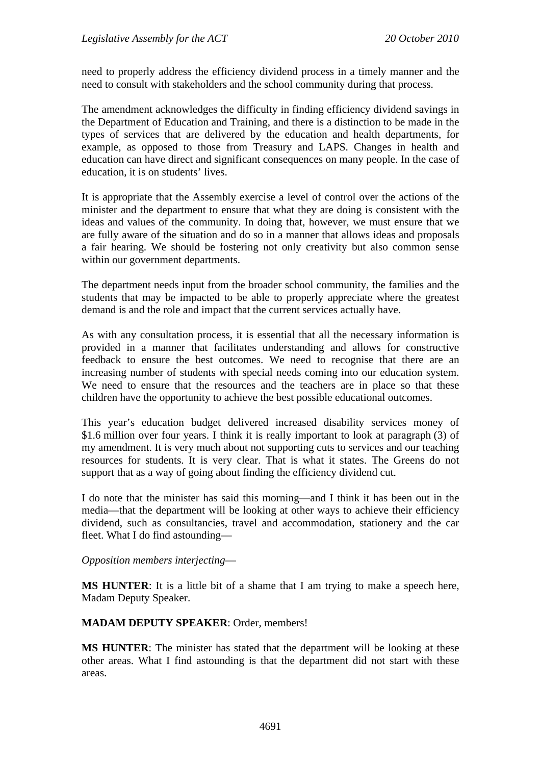need to properly address the efficiency dividend process in a timely manner and the need to consult with stakeholders and the school community during that process.

The amendment acknowledges the difficulty in finding efficiency dividend savings in the Department of Education and Training, and there is a distinction to be made in the types of services that are delivered by the education and health departments, for example, as opposed to those from Treasury and LAPS. Changes in health and education can have direct and significant consequences on many people. In the case of education, it is on students' lives.

It is appropriate that the Assembly exercise a level of control over the actions of the minister and the department to ensure that what they are doing is consistent with the ideas and values of the community. In doing that, however, we must ensure that we are fully aware of the situation and do so in a manner that allows ideas and proposals a fair hearing. We should be fostering not only creativity but also common sense within our government departments.

The department needs input from the broader school community, the families and the students that may be impacted to be able to properly appreciate where the greatest demand is and the role and impact that the current services actually have.

As with any consultation process, it is essential that all the necessary information is provided in a manner that facilitates understanding and allows for constructive feedback to ensure the best outcomes. We need to recognise that there are an increasing number of students with special needs coming into our education system. We need to ensure that the resources and the teachers are in place so that these children have the opportunity to achieve the best possible educational outcomes.

This year's education budget delivered increased disability services money of \$1.6 million over four years. I think it is really important to look at paragraph (3) of my amendment. It is very much about not supporting cuts to services and our teaching resources for students. It is very clear. That is what it states. The Greens do not support that as a way of going about finding the efficiency dividend cut.

I do note that the minister has said this morning—and I think it has been out in the media—that the department will be looking at other ways to achieve their efficiency dividend, such as consultancies, travel and accommodation, stationery and the car fleet. What I do find astounding—

*Opposition members interjecting*—

**MS HUNTER**: It is a little bit of a shame that I am trying to make a speech here, Madam Deputy Speaker.

#### **MADAM DEPUTY SPEAKER**: Order, members!

**MS HUNTER**: The minister has stated that the department will be looking at these other areas. What I find astounding is that the department did not start with these areas.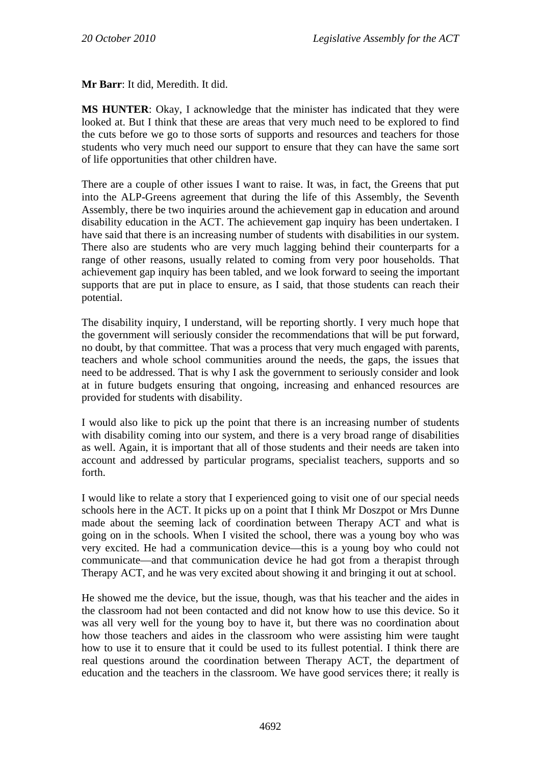**Mr Barr**: It did, Meredith. It did.

**MS HUNTER**: Okay, I acknowledge that the minister has indicated that they were looked at. But I think that these are areas that very much need to be explored to find the cuts before we go to those sorts of supports and resources and teachers for those students who very much need our support to ensure that they can have the same sort of life opportunities that other children have.

There are a couple of other issues I want to raise. It was, in fact, the Greens that put into the ALP-Greens agreement that during the life of this Assembly, the Seventh Assembly, there be two inquiries around the achievement gap in education and around disability education in the ACT. The achievement gap inquiry has been undertaken. I have said that there is an increasing number of students with disabilities in our system. There also are students who are very much lagging behind their counterparts for a range of other reasons, usually related to coming from very poor households. That achievement gap inquiry has been tabled, and we look forward to seeing the important supports that are put in place to ensure, as I said, that those students can reach their potential.

The disability inquiry, I understand, will be reporting shortly. I very much hope that the government will seriously consider the recommendations that will be put forward, no doubt, by that committee. That was a process that very much engaged with parents, teachers and whole school communities around the needs, the gaps, the issues that need to be addressed. That is why I ask the government to seriously consider and look at in future budgets ensuring that ongoing, increasing and enhanced resources are provided for students with disability.

I would also like to pick up the point that there is an increasing number of students with disability coming into our system, and there is a very broad range of disabilities as well. Again, it is important that all of those students and their needs are taken into account and addressed by particular programs, specialist teachers, supports and so forth.

I would like to relate a story that I experienced going to visit one of our special needs schools here in the ACT. It picks up on a point that I think Mr Doszpot or Mrs Dunne made about the seeming lack of coordination between Therapy ACT and what is going on in the schools. When I visited the school, there was a young boy who was very excited. He had a communication device—this is a young boy who could not communicate—and that communication device he had got from a therapist through Therapy ACT, and he was very excited about showing it and bringing it out at school.

He showed me the device, but the issue, though, was that his teacher and the aides in the classroom had not been contacted and did not know how to use this device. So it was all very well for the young boy to have it, but there was no coordination about how those teachers and aides in the classroom who were assisting him were taught how to use it to ensure that it could be used to its fullest potential. I think there are real questions around the coordination between Therapy ACT, the department of education and the teachers in the classroom. We have good services there; it really is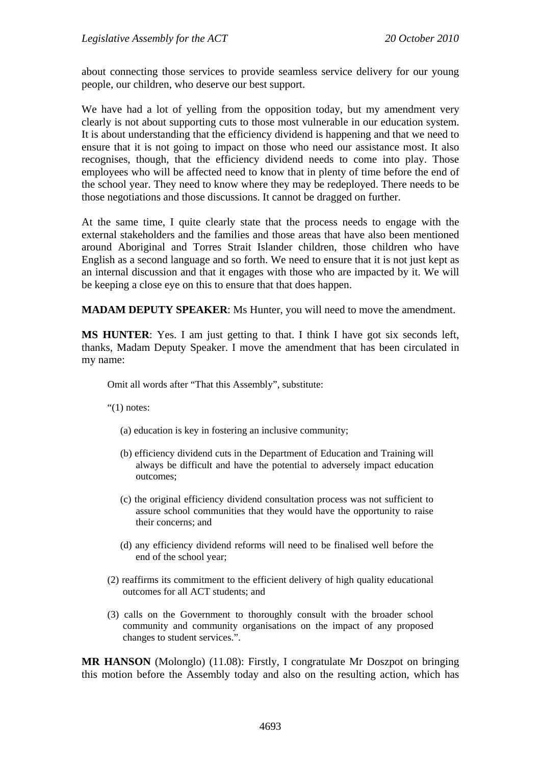about connecting those services to provide seamless service delivery for our young people, our children, who deserve our best support.

We have had a lot of yelling from the opposition today, but my amendment very clearly is not about supporting cuts to those most vulnerable in our education system. It is about understanding that the efficiency dividend is happening and that we need to ensure that it is not going to impact on those who need our assistance most. It also recognises, though, that the efficiency dividend needs to come into play. Those employees who will be affected need to know that in plenty of time before the end of the school year. They need to know where they may be redeployed. There needs to be those negotiations and those discussions. It cannot be dragged on further.

At the same time, I quite clearly state that the process needs to engage with the external stakeholders and the families and those areas that have also been mentioned around Aboriginal and Torres Strait Islander children, those children who have English as a second language and so forth. We need to ensure that it is not just kept as an internal discussion and that it engages with those who are impacted by it. We will be keeping a close eye on this to ensure that that does happen.

**MADAM DEPUTY SPEAKER**: Ms Hunter, you will need to move the amendment.

**MS HUNTER**: Yes. I am just getting to that. I think I have got six seconds left, thanks, Madam Deputy Speaker. I move the amendment that has been circulated in my name:

Omit all words after "That this Assembly", substitute:

" $(1)$  notes:

- (a) education is key in fostering an inclusive community;
- (b) efficiency dividend cuts in the Department of Education and Training will always be difficult and have the potential to adversely impact education outcomes;
- (c) the original efficiency dividend consultation process was not sufficient to assure school communities that they would have the opportunity to raise their concerns; and
- (d) any efficiency dividend reforms will need to be finalised well before the end of the school year;
- (2) reaffirms its commitment to the efficient delivery of high quality educational outcomes for all ACT students; and
- (3) calls on the Government to thoroughly consult with the broader school community and community organisations on the impact of any proposed changes to student services.".

**MR HANSON** (Molonglo) (11.08): Firstly, I congratulate Mr Doszpot on bringing this motion before the Assembly today and also on the resulting action, which has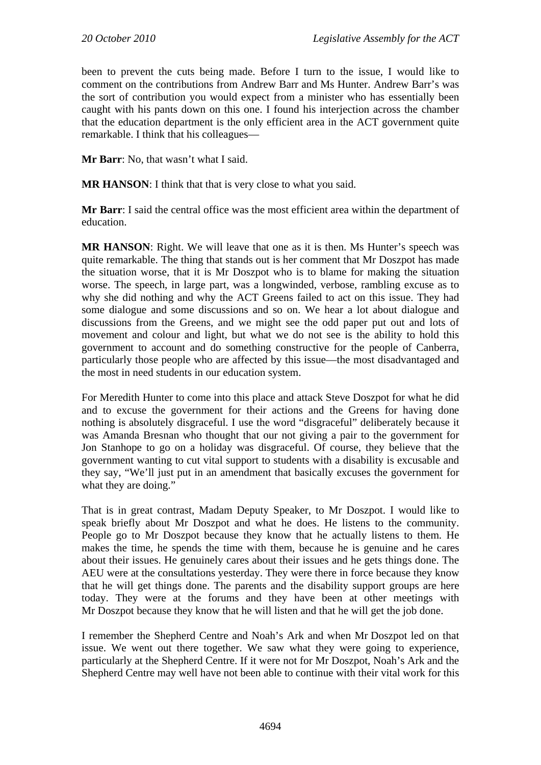been to prevent the cuts being made. Before I turn to the issue, I would like to comment on the contributions from Andrew Barr and Ms Hunter. Andrew Barr's was the sort of contribution you would expect from a minister who has essentially been caught with his pants down on this one. I found his interjection across the chamber that the education department is the only efficient area in the ACT government quite remarkable. I think that his colleagues—

**Mr Barr**: No, that wasn't what I said.

**MR HANSON:** I think that that is very close to what you said.

**Mr Barr**: I said the central office was the most efficient area within the department of education.

**MR HANSON**: Right. We will leave that one as it is then. Ms Hunter's speech was quite remarkable. The thing that stands out is her comment that Mr Doszpot has made the situation worse, that it is Mr Doszpot who is to blame for making the situation worse. The speech, in large part, was a longwinded, verbose, rambling excuse as to why she did nothing and why the ACT Greens failed to act on this issue. They had some dialogue and some discussions and so on. We hear a lot about dialogue and discussions from the Greens, and we might see the odd paper put out and lots of movement and colour and light, but what we do not see is the ability to hold this government to account and do something constructive for the people of Canberra, particularly those people who are affected by this issue—the most disadvantaged and the most in need students in our education system.

For Meredith Hunter to come into this place and attack Steve Doszpot for what he did and to excuse the government for their actions and the Greens for having done nothing is absolutely disgraceful. I use the word "disgraceful" deliberately because it was Amanda Bresnan who thought that our not giving a pair to the government for Jon Stanhope to go on a holiday was disgraceful. Of course, they believe that the government wanting to cut vital support to students with a disability is excusable and they say, "We'll just put in an amendment that basically excuses the government for what they are doing."

That is in great contrast, Madam Deputy Speaker, to Mr Doszpot. I would like to speak briefly about Mr Doszpot and what he does. He listens to the community. People go to Mr Doszpot because they know that he actually listens to them. He makes the time, he spends the time with them, because he is genuine and he cares about their issues. He genuinely cares about their issues and he gets things done. The AEU were at the consultations yesterday. They were there in force because they know that he will get things done. The parents and the disability support groups are here today. They were at the forums and they have been at other meetings with Mr Doszpot because they know that he will listen and that he will get the job done.

I remember the Shepherd Centre and Noah's Ark and when Mr Doszpot led on that issue. We went out there together. We saw what they were going to experience, particularly at the Shepherd Centre. If it were not for Mr Doszpot, Noah's Ark and the Shepherd Centre may well have not been able to continue with their vital work for this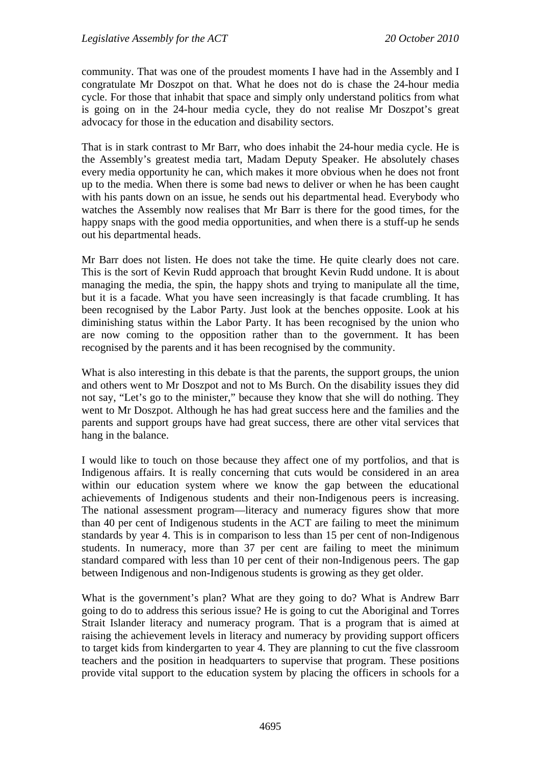community. That was one of the proudest moments I have had in the Assembly and I congratulate Mr Doszpot on that. What he does not do is chase the 24-hour media cycle. For those that inhabit that space and simply only understand politics from what is going on in the 24-hour media cycle, they do not realise Mr Doszpot's great advocacy for those in the education and disability sectors.

That is in stark contrast to Mr Barr, who does inhabit the 24-hour media cycle. He is the Assembly's greatest media tart, Madam Deputy Speaker. He absolutely chases every media opportunity he can, which makes it more obvious when he does not front up to the media. When there is some bad news to deliver or when he has been caught with his pants down on an issue, he sends out his departmental head. Everybody who watches the Assembly now realises that Mr Barr is there for the good times, for the happy snaps with the good media opportunities, and when there is a stuff-up he sends out his departmental heads.

Mr Barr does not listen. He does not take the time. He quite clearly does not care. This is the sort of Kevin Rudd approach that brought Kevin Rudd undone. It is about managing the media, the spin, the happy shots and trying to manipulate all the time, but it is a facade. What you have seen increasingly is that facade crumbling. It has been recognised by the Labor Party. Just look at the benches opposite. Look at his diminishing status within the Labor Party. It has been recognised by the union who are now coming to the opposition rather than to the government. It has been recognised by the parents and it has been recognised by the community.

What is also interesting in this debate is that the parents, the support groups, the union and others went to Mr Doszpot and not to Ms Burch. On the disability issues they did not say, "Let's go to the minister," because they know that she will do nothing. They went to Mr Doszpot. Although he has had great success here and the families and the parents and support groups have had great success, there are other vital services that hang in the balance.

I would like to touch on those because they affect one of my portfolios, and that is Indigenous affairs. It is really concerning that cuts would be considered in an area within our education system where we know the gap between the educational achievements of Indigenous students and their non-Indigenous peers is increasing. The national assessment program—literacy and numeracy figures show that more than 40 per cent of Indigenous students in the ACT are failing to meet the minimum standards by year 4. This is in comparison to less than 15 per cent of non-Indigenous students. In numeracy, more than 37 per cent are failing to meet the minimum standard compared with less than 10 per cent of their non-Indigenous peers. The gap between Indigenous and non-Indigenous students is growing as they get older.

What is the government's plan? What are they going to do? What is Andrew Barr going to do to address this serious issue? He is going to cut the Aboriginal and Torres Strait Islander literacy and numeracy program. That is a program that is aimed at raising the achievement levels in literacy and numeracy by providing support officers to target kids from kindergarten to year 4. They are planning to cut the five classroom teachers and the position in headquarters to supervise that program. These positions provide vital support to the education system by placing the officers in schools for a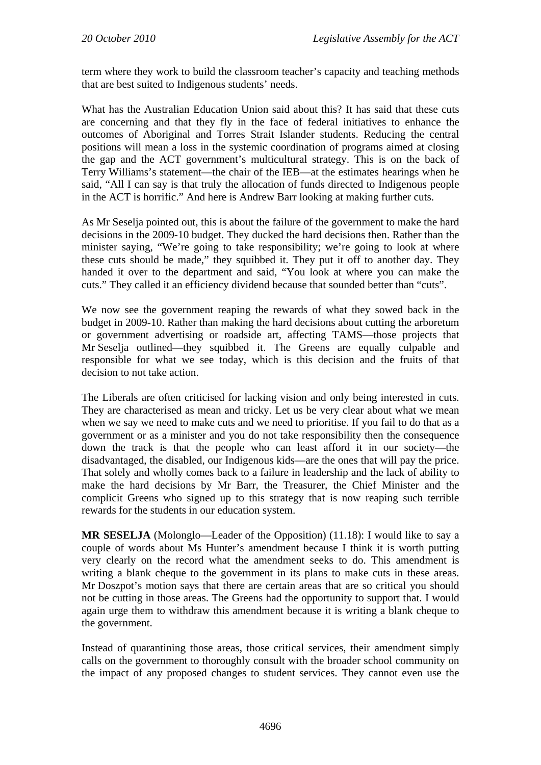term where they work to build the classroom teacher's capacity and teaching methods that are best suited to Indigenous students' needs.

What has the Australian Education Union said about this? It has said that these cuts are concerning and that they fly in the face of federal initiatives to enhance the outcomes of Aboriginal and Torres Strait Islander students. Reducing the central positions will mean a loss in the systemic coordination of programs aimed at closing the gap and the ACT government's multicultural strategy. This is on the back of Terry Williams's statement—the chair of the IEB—at the estimates hearings when he said, "All I can say is that truly the allocation of funds directed to Indigenous people in the ACT is horrific." And here is Andrew Barr looking at making further cuts.

As Mr Seselja pointed out, this is about the failure of the government to make the hard decisions in the 2009-10 budget. They ducked the hard decisions then. Rather than the minister saying, "We're going to take responsibility; we're going to look at where these cuts should be made," they squibbed it. They put it off to another day. They handed it over to the department and said, "You look at where you can make the cuts." They called it an efficiency dividend because that sounded better than "cuts".

We now see the government reaping the rewards of what they sowed back in the budget in 2009-10. Rather than making the hard decisions about cutting the arboretum or government advertising or roadside art, affecting TAMS—those projects that Mr Seselja outlined—they squibbed it. The Greens are equally culpable and responsible for what we see today, which is this decision and the fruits of that decision to not take action.

The Liberals are often criticised for lacking vision and only being interested in cuts. They are characterised as mean and tricky. Let us be very clear about what we mean when we say we need to make cuts and we need to prioritise. If you fail to do that as a government or as a minister and you do not take responsibility then the consequence down the track is that the people who can least afford it in our society—the disadvantaged, the disabled, our Indigenous kids—are the ones that will pay the price. That solely and wholly comes back to a failure in leadership and the lack of ability to make the hard decisions by Mr Barr, the Treasurer, the Chief Minister and the complicit Greens who signed up to this strategy that is now reaping such terrible rewards for the students in our education system.

**MR SESELJA** (Molonglo—Leader of the Opposition) (11.18): I would like to say a couple of words about Ms Hunter's amendment because I think it is worth putting very clearly on the record what the amendment seeks to do. This amendment is writing a blank cheque to the government in its plans to make cuts in these areas. Mr Doszpot's motion says that there are certain areas that are so critical you should not be cutting in those areas. The Greens had the opportunity to support that. I would again urge them to withdraw this amendment because it is writing a blank cheque to the government.

Instead of quarantining those areas, those critical services, their amendment simply calls on the government to thoroughly consult with the broader school community on the impact of any proposed changes to student services. They cannot even use the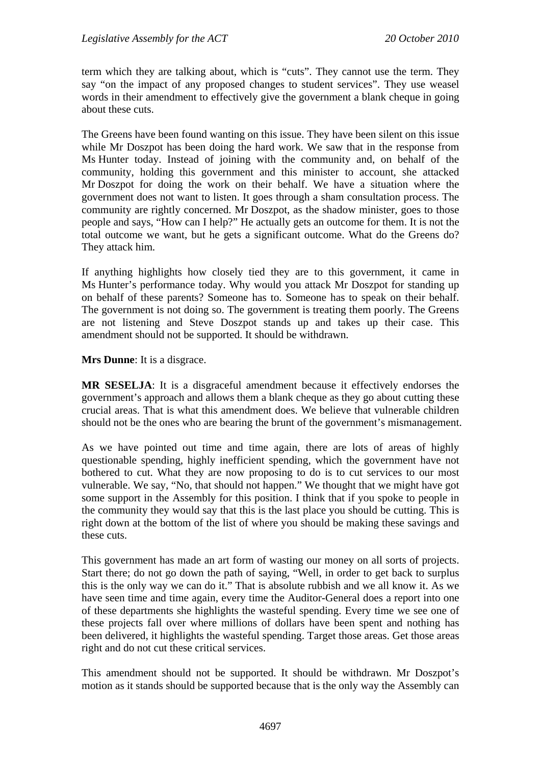term which they are talking about, which is "cuts". They cannot use the term. They say "on the impact of any proposed changes to student services". They use weasel words in their amendment to effectively give the government a blank cheque in going about these cuts.

The Greens have been found wanting on this issue. They have been silent on this issue while Mr Doszpot has been doing the hard work. We saw that in the response from Ms Hunter today. Instead of joining with the community and, on behalf of the community, holding this government and this minister to account, she attacked Mr Doszpot for doing the work on their behalf. We have a situation where the government does not want to listen. It goes through a sham consultation process. The community are rightly concerned. Mr Doszpot, as the shadow minister, goes to those people and says, "How can I help?" He actually gets an outcome for them. It is not the total outcome we want, but he gets a significant outcome. What do the Greens do? They attack him.

If anything highlights how closely tied they are to this government, it came in Ms Hunter's performance today. Why would you attack Mr Doszpot for standing up on behalf of these parents? Someone has to. Someone has to speak on their behalf. The government is not doing so. The government is treating them poorly. The Greens are not listening and Steve Doszpot stands up and takes up their case. This amendment should not be supported. It should be withdrawn.

**Mrs Dunne**: It is a disgrace.

**MR SESELJA**: It is a disgraceful amendment because it effectively endorses the government's approach and allows them a blank cheque as they go about cutting these crucial areas. That is what this amendment does. We believe that vulnerable children should not be the ones who are bearing the brunt of the government's mismanagement.

As we have pointed out time and time again, there are lots of areas of highly questionable spending, highly inefficient spending, which the government have not bothered to cut. What they are now proposing to do is to cut services to our most vulnerable. We say, "No, that should not happen." We thought that we might have got some support in the Assembly for this position. I think that if you spoke to people in the community they would say that this is the last place you should be cutting. This is right down at the bottom of the list of where you should be making these savings and these cuts.

This government has made an art form of wasting our money on all sorts of projects. Start there; do not go down the path of saying, "Well, in order to get back to surplus this is the only way we can do it." That is absolute rubbish and we all know it. As we have seen time and time again, every time the Auditor-General does a report into one of these departments she highlights the wasteful spending. Every time we see one of these projects fall over where millions of dollars have been spent and nothing has been delivered, it highlights the wasteful spending. Target those areas. Get those areas right and do not cut these critical services.

This amendment should not be supported. It should be withdrawn. Mr Doszpot's motion as it stands should be supported because that is the only way the Assembly can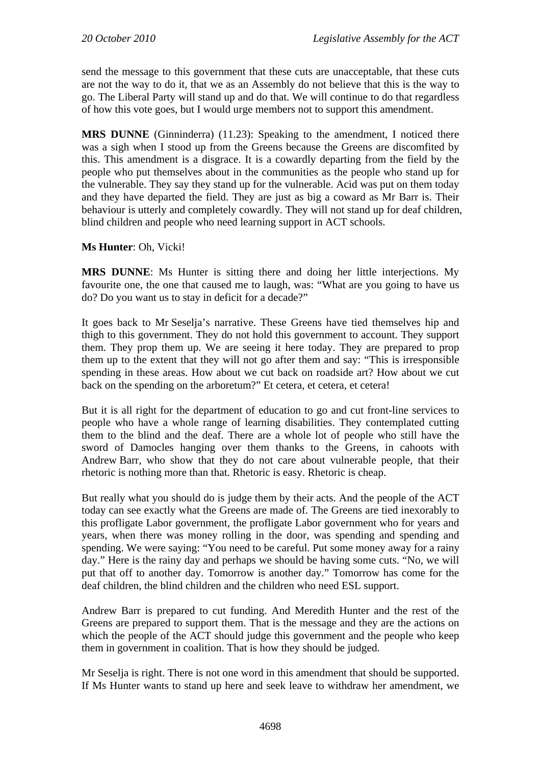send the message to this government that these cuts are unacceptable, that these cuts are not the way to do it, that we as an Assembly do not believe that this is the way to go. The Liberal Party will stand up and do that. We will continue to do that regardless of how this vote goes, but I would urge members not to support this amendment.

**MRS DUNNE** (Ginninderra) (11.23): Speaking to the amendment, I noticed there was a sigh when I stood up from the Greens because the Greens are discomfited by this. This amendment is a disgrace. It is a cowardly departing from the field by the people who put themselves about in the communities as the people who stand up for the vulnerable. They say they stand up for the vulnerable. Acid was put on them today and they have departed the field. They are just as big a coward as Mr Barr is. Their behaviour is utterly and completely cowardly. They will not stand up for deaf children, blind children and people who need learning support in ACT schools.

#### **Ms Hunter**: Oh, Vicki!

**MRS DUNNE**: Ms Hunter is sitting there and doing her little interjections. My favourite one, the one that caused me to laugh, was: "What are you going to have us do? Do you want us to stay in deficit for a decade?"

It goes back to Mr Seselja's narrative. These Greens have tied themselves hip and thigh to this government. They do not hold this government to account. They support them. They prop them up. We are seeing it here today. They are prepared to prop them up to the extent that they will not go after them and say: "This is irresponsible spending in these areas. How about we cut back on roadside art? How about we cut back on the spending on the arboretum?" Et cetera, et cetera, et cetera!

But it is all right for the department of education to go and cut front-line services to people who have a whole range of learning disabilities. They contemplated cutting them to the blind and the deaf. There are a whole lot of people who still have the sword of Damocles hanging over them thanks to the Greens, in cahoots with Andrew Barr, who show that they do not care about vulnerable people, that their rhetoric is nothing more than that. Rhetoric is easy. Rhetoric is cheap.

But really what you should do is judge them by their acts. And the people of the ACT today can see exactly what the Greens are made of. The Greens are tied inexorably to this profligate Labor government, the profligate Labor government who for years and years, when there was money rolling in the door, was spending and spending and spending. We were saying: "You need to be careful. Put some money away for a rainy day." Here is the rainy day and perhaps we should be having some cuts. "No, we will put that off to another day. Tomorrow is another day." Tomorrow has come for the deaf children, the blind children and the children who need ESL support.

Andrew Barr is prepared to cut funding. And Meredith Hunter and the rest of the Greens are prepared to support them. That is the message and they are the actions on which the people of the ACT should judge this government and the people who keep them in government in coalition. That is how they should be judged.

Mr Seselja is right. There is not one word in this amendment that should be supported. If Ms Hunter wants to stand up here and seek leave to withdraw her amendment, we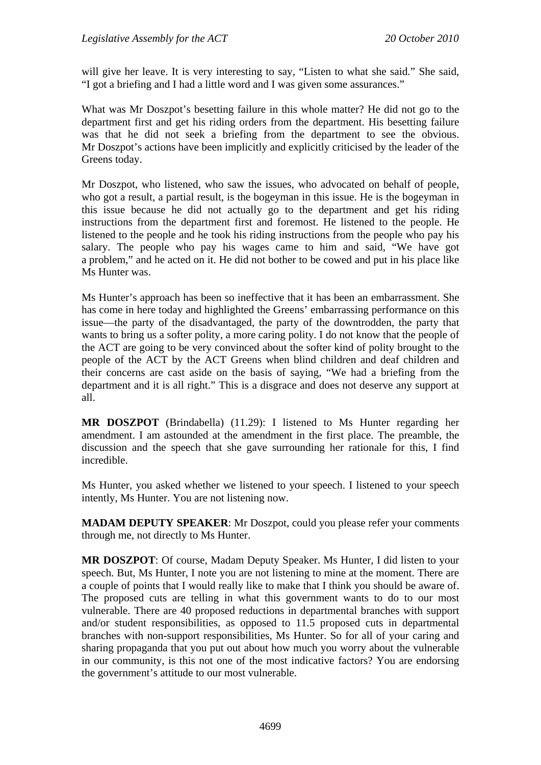will give her leave. It is very interesting to say, "Listen to what she said." She said, "I got a briefing and I had a little word and I was given some assurances."

What was Mr Doszpot's besetting failure in this whole matter? He did not go to the department first and get his riding orders from the department. His besetting failure was that he did not seek a briefing from the department to see the obvious. Mr Doszpot's actions have been implicitly and explicitly criticised by the leader of the Greens today.

Mr Doszpot, who listened, who saw the issues, who advocated on behalf of people, who got a result, a partial result, is the bogeyman in this issue. He is the bogeyman in this issue because he did not actually go to the department and get his riding instructions from the department first and foremost. He listened to the people. He listened to the people and he took his riding instructions from the people who pay his salary. The people who pay his wages came to him and said, "We have got a problem," and he acted on it. He did not bother to be cowed and put in his place like Ms Hunter was.

Ms Hunter's approach has been so ineffective that it has been an embarrassment. She has come in here today and highlighted the Greens' embarrassing performance on this issue—the party of the disadvantaged, the party of the downtrodden, the party that wants to bring us a softer polity, a more caring polity. I do not know that the people of the ACT are going to be very convinced about the softer kind of polity brought to the people of the ACT by the ACT Greens when blind children and deaf children and their concerns are cast aside on the basis of saying, "We had a briefing from the department and it is all right." This is a disgrace and does not deserve any support at all.

**MR DOSZPOT** (Brindabella) (11.29): I listened to Ms Hunter regarding her amendment. I am astounded at the amendment in the first place. The preamble, the discussion and the speech that she gave surrounding her rationale for this, I find incredible.

Ms Hunter, you asked whether we listened to your speech. I listened to your speech intently, Ms Hunter. You are not listening now.

**MADAM DEPUTY SPEAKER**: Mr Doszpot, could you please refer your comments through me, not directly to Ms Hunter.

**MR DOSZPOT**: Of course, Madam Deputy Speaker. Ms Hunter, I did listen to your speech. But, Ms Hunter, I note you are not listening to mine at the moment. There are a couple of points that I would really like to make that I think you should be aware of. The proposed cuts are telling in what this government wants to do to our most vulnerable. There are 40 proposed reductions in departmental branches with support and/or student responsibilities, as opposed to 11.5 proposed cuts in departmental branches with non-support responsibilities, Ms Hunter. So for all of your caring and sharing propaganda that you put out about how much you worry about the vulnerable in our community, is this not one of the most indicative factors? You are endorsing the government's attitude to our most vulnerable.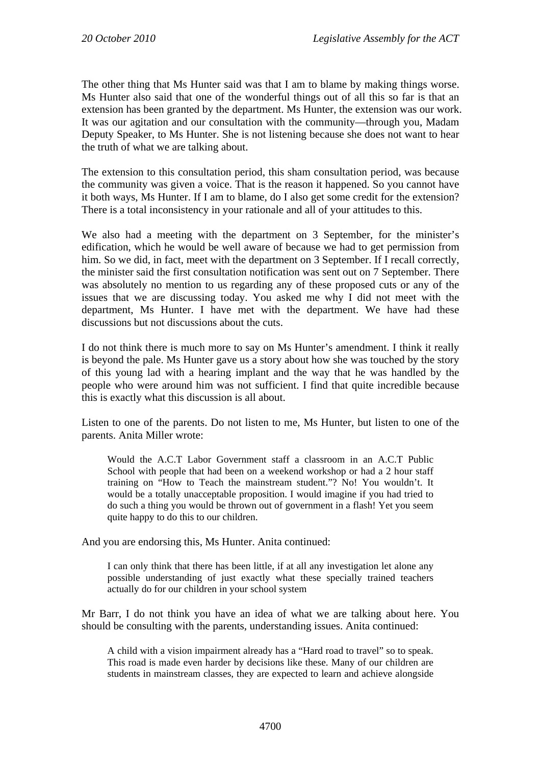The other thing that Ms Hunter said was that I am to blame by making things worse. Ms Hunter also said that one of the wonderful things out of all this so far is that an extension has been granted by the department. Ms Hunter, the extension was our work. It was our agitation and our consultation with the community—through you, Madam Deputy Speaker, to Ms Hunter. She is not listening because she does not want to hear the truth of what we are talking about.

The extension to this consultation period, this sham consultation period, was because the community was given a voice. That is the reason it happened. So you cannot have it both ways, Ms Hunter. If I am to blame, do I also get some credit for the extension? There is a total inconsistency in your rationale and all of your attitudes to this.

We also had a meeting with the department on 3 September, for the minister's edification, which he would be well aware of because we had to get permission from him. So we did, in fact, meet with the department on 3 September. If I recall correctly, the minister said the first consultation notification was sent out on 7 September. There was absolutely no mention to us regarding any of these proposed cuts or any of the issues that we are discussing today. You asked me why I did not meet with the department, Ms Hunter. I have met with the department. We have had these discussions but not discussions about the cuts.

I do not think there is much more to say on Ms Hunter's amendment. I think it really is beyond the pale. Ms Hunter gave us a story about how she was touched by the story of this young lad with a hearing implant and the way that he was handled by the people who were around him was not sufficient. I find that quite incredible because this is exactly what this discussion is all about.

Listen to one of the parents. Do not listen to me, Ms Hunter, but listen to one of the parents. Anita Miller wrote:

Would the A.C.T Labor Government staff a classroom in an A.C.T Public School with people that had been on a weekend workshop or had a 2 hour staff training on "How to Teach the mainstream student."? No! You wouldn't. It would be a totally unacceptable proposition. I would imagine if you had tried to do such a thing you would be thrown out of government in a flash! Yet you seem quite happy to do this to our children.

And you are endorsing this, Ms Hunter. Anita continued:

I can only think that there has been little, if at all any investigation let alone any possible understanding of just exactly what these specially trained teachers actually do for our children in your school system

Mr Barr, I do not think you have an idea of what we are talking about here. You should be consulting with the parents, understanding issues. Anita continued:

A child with a vision impairment already has a "Hard road to travel" so to speak. This road is made even harder by decisions like these. Many of our children are students in mainstream classes, they are expected to learn and achieve alongside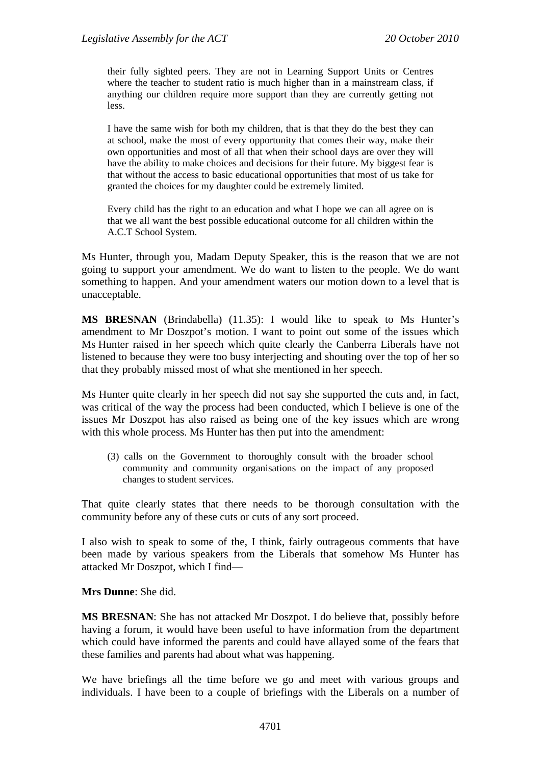their fully sighted peers. They are not in Learning Support Units or Centres where the teacher to student ratio is much higher than in a mainstream class, if anything our children require more support than they are currently getting not less.

I have the same wish for both my children, that is that they do the best they can at school, make the most of every opportunity that comes their way, make their own opportunities and most of all that when their school days are over they will have the ability to make choices and decisions for their future. My biggest fear is that without the access to basic educational opportunities that most of us take for granted the choices for my daughter could be extremely limited.

Every child has the right to an education and what I hope we can all agree on is that we all want the best possible educational outcome for all children within the A.C.T School System.

Ms Hunter, through you, Madam Deputy Speaker, this is the reason that we are not going to support your amendment. We do want to listen to the people. We do want something to happen. And your amendment waters our motion down to a level that is unacceptable.

**MS BRESNAN** (Brindabella) (11.35): I would like to speak to Ms Hunter's amendment to Mr Doszpot's motion. I want to point out some of the issues which Ms Hunter raised in her speech which quite clearly the Canberra Liberals have not listened to because they were too busy interjecting and shouting over the top of her so that they probably missed most of what she mentioned in her speech.

Ms Hunter quite clearly in her speech did not say she supported the cuts and, in fact, was critical of the way the process had been conducted, which I believe is one of the issues Mr Doszpot has also raised as being one of the key issues which are wrong with this whole process. Ms Hunter has then put into the amendment:

(3) calls on the Government to thoroughly consult with the broader school community and community organisations on the impact of any proposed changes to student services.

That quite clearly states that there needs to be thorough consultation with the community before any of these cuts or cuts of any sort proceed.

I also wish to speak to some of the, I think, fairly outrageous comments that have been made by various speakers from the Liberals that somehow Ms Hunter has attacked Mr Doszpot, which I find—

**Mrs Dunne**: She did.

**MS BRESNAN**: She has not attacked Mr Doszpot. I do believe that, possibly before having a forum, it would have been useful to have information from the department which could have informed the parents and could have allayed some of the fears that these families and parents had about what was happening.

We have briefings all the time before we go and meet with various groups and individuals. I have been to a couple of briefings with the Liberals on a number of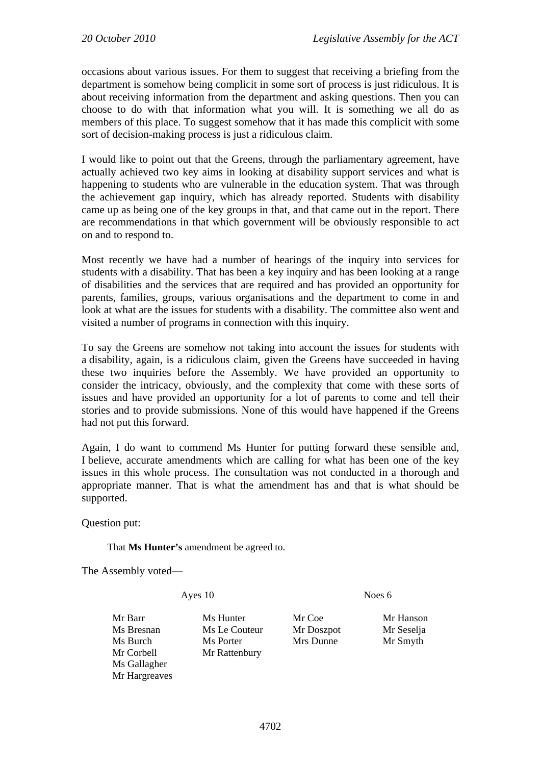occasions about various issues. For them to suggest that receiving a briefing from the department is somehow being complicit in some sort of process is just ridiculous. It is about receiving information from the department and asking questions. Then you can choose to do with that information what you will. It is something we all do as members of this place. To suggest somehow that it has made this complicit with some sort of decision-making process is just a ridiculous claim.

I would like to point out that the Greens, through the parliamentary agreement, have actually achieved two key aims in looking at disability support services and what is happening to students who are vulnerable in the education system. That was through the achievement gap inquiry, which has already reported. Students with disability came up as being one of the key groups in that, and that came out in the report. There are recommendations in that which government will be obviously responsible to act on and to respond to.

Most recently we have had a number of hearings of the inquiry into services for students with a disability. That has been a key inquiry and has been looking at a range of disabilities and the services that are required and has provided an opportunity for parents, families, groups, various organisations and the department to come in and look at what are the issues for students with a disability. The committee also went and visited a number of programs in connection with this inquiry.

To say the Greens are somehow not taking into account the issues for students with a disability, again, is a ridiculous claim, given the Greens have succeeded in having these two inquiries before the Assembly. We have provided an opportunity to consider the intricacy, obviously, and the complexity that come with these sorts of issues and have provided an opportunity for a lot of parents to come and tell their stories and to provide submissions. None of this would have happened if the Greens had not put this forward.

Again, I do want to commend Ms Hunter for putting forward these sensible and, I believe, accurate amendments which are calling for what has been one of the key issues in this whole process. The consultation was not conducted in a thorough and appropriate manner. That is what the amendment has and that is what should be supported.

Question put:

That **Ms Hunter's** amendment be agreed to.

The Assembly voted—

Ayes 10 Noes 6

Mr Barr Ms Hunter Mr Coe Mr Hanson Ms Gallagher Mr Hargreaves

Ms Bresnan Ms Le Couteur Mr Doszpot Mr Seselja Ms Burch Ms Porter Mrs Dunne Mr Smyth Mr Corbell Mr Rattenbury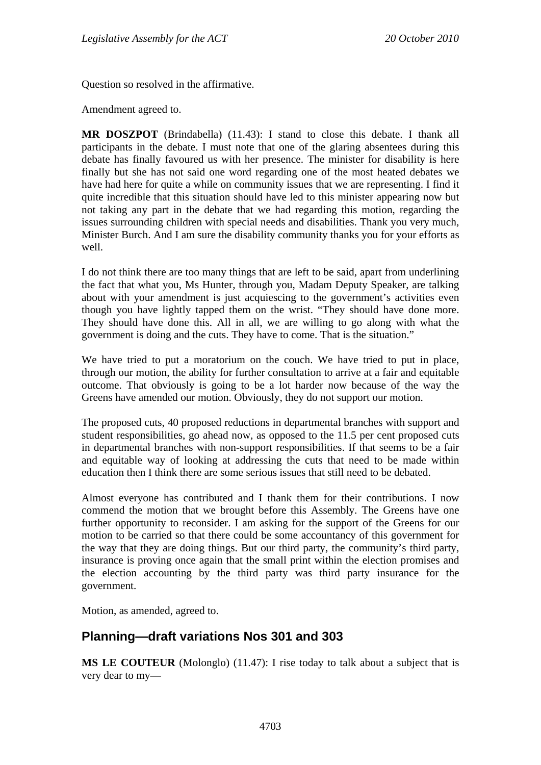Question so resolved in the affirmative.

Amendment agreed to.

**MR DOSZPOT** (Brindabella) (11.43): I stand to close this debate. I thank all participants in the debate. I must note that one of the glaring absentees during this debate has finally favoured us with her presence. The minister for disability is here finally but she has not said one word regarding one of the most heated debates we have had here for quite a while on community issues that we are representing. I find it quite incredible that this situation should have led to this minister appearing now but not taking any part in the debate that we had regarding this motion, regarding the issues surrounding children with special needs and disabilities. Thank you very much, Minister Burch. And I am sure the disability community thanks you for your efforts as well.

I do not think there are too many things that are left to be said, apart from underlining the fact that what you, Ms Hunter, through you, Madam Deputy Speaker, are talking about with your amendment is just acquiescing to the government's activities even though you have lightly tapped them on the wrist. "They should have done more. They should have done this. All in all, we are willing to go along with what the government is doing and the cuts. They have to come. That is the situation."

We have tried to put a moratorium on the couch. We have tried to put in place, through our motion, the ability for further consultation to arrive at a fair and equitable outcome. That obviously is going to be a lot harder now because of the way the Greens have amended our motion. Obviously, they do not support our motion.

The proposed cuts, 40 proposed reductions in departmental branches with support and student responsibilities, go ahead now, as opposed to the 11.5 per cent proposed cuts in departmental branches with non-support responsibilities. If that seems to be a fair and equitable way of looking at addressing the cuts that need to be made within education then I think there are some serious issues that still need to be debated.

Almost everyone has contributed and I thank them for their contributions. I now commend the motion that we brought before this Assembly. The Greens have one further opportunity to reconsider. I am asking for the support of the Greens for our motion to be carried so that there could be some accountancy of this government for the way that they are doing things. But our third party, the community's third party, insurance is proving once again that the small print within the election promises and the election accounting by the third party was third party insurance for the government.

Motion, as amended, agreed to.

## <span id="page-32-0"></span>**Planning—draft variations Nos 301 and 303**

**MS LE COUTEUR** (Molonglo) (11.47): I rise today to talk about a subject that is very dear to my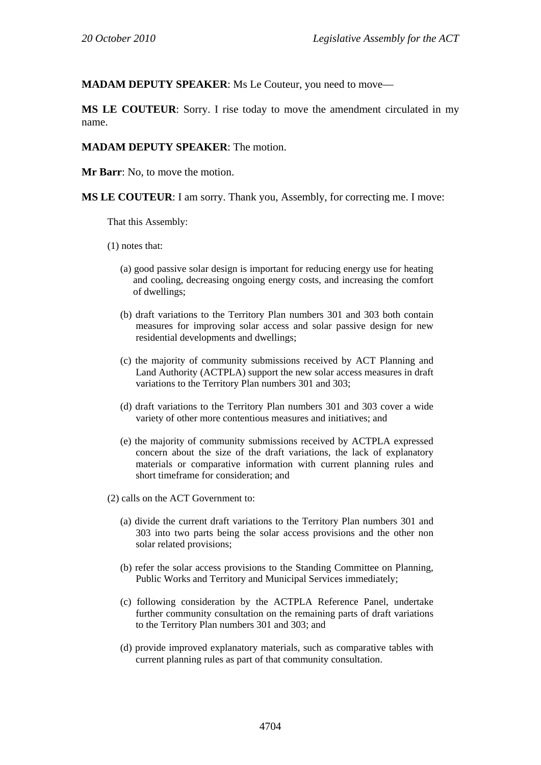**MADAM DEPUTY SPEAKER**: Ms Le Couteur, you need to move—

**MS LE COUTEUR**: Sorry. I rise today to move the amendment circulated in my name.

#### **MADAM DEPUTY SPEAKER**: The motion.

**Mr Barr**: No, to move the motion.

**MS LE COUTEUR**: I am sorry. Thank you, Assembly, for correcting me. I move:

That this Assembly:

(1) notes that:

- (a) good passive solar design is important for reducing energy use for heating and cooling, decreasing ongoing energy costs, and increasing the comfort of dwellings;
- (b) draft variations to the Territory Plan numbers 301 and 303 both contain measures for improving solar access and solar passive design for new residential developments and dwellings;
- (c) the majority of community submissions received by ACT Planning and Land Authority (ACTPLA) support the new solar access measures in draft variations to the Territory Plan numbers 301 and 303;
- (d) draft variations to the Territory Plan numbers 301 and 303 cover a wide variety of other more contentious measures and initiatives; and
- (e) the majority of community submissions received by ACTPLA expressed concern about the size of the draft variations, the lack of explanatory materials or comparative information with current planning rules and short timeframe for consideration; and
- (2) calls on the ACT Government to:
	- (a) divide the current draft variations to the Territory Plan numbers 301 and 303 into two parts being the solar access provisions and the other non solar related provisions;
	- (b) refer the solar access provisions to the Standing Committee on Planning, Public Works and Territory and Municipal Services immediately;
	- (c) following consideration by the ACTPLA Reference Panel, undertake further community consultation on the remaining parts of draft variations to the Territory Plan numbers 301 and 303; and
	- (d) provide improved explanatory materials, such as comparative tables with current planning rules as part of that community consultation.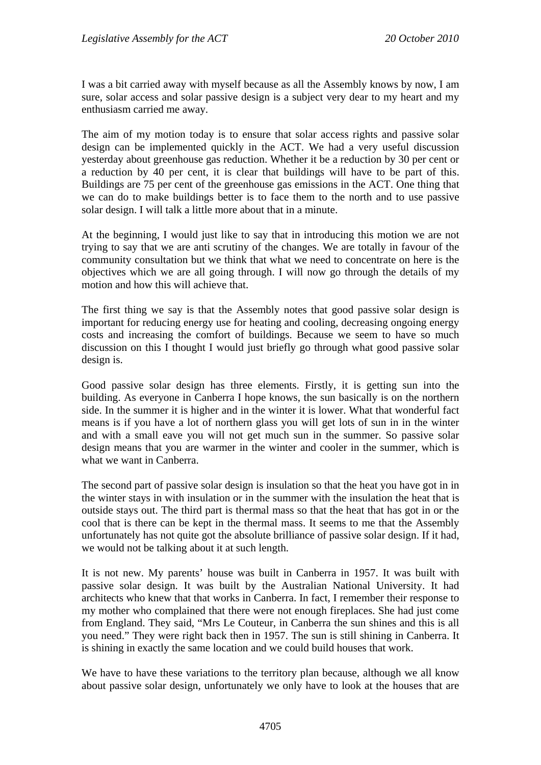I was a bit carried away with myself because as all the Assembly knows by now, I am sure, solar access and solar passive design is a subject very dear to my heart and my enthusiasm carried me away.

The aim of my motion today is to ensure that solar access rights and passive solar design can be implemented quickly in the ACT. We had a very useful discussion yesterday about greenhouse gas reduction. Whether it be a reduction by 30 per cent or a reduction by 40 per cent, it is clear that buildings will have to be part of this. Buildings are 75 per cent of the greenhouse gas emissions in the ACT. One thing that we can do to make buildings better is to face them to the north and to use passive solar design. I will talk a little more about that in a minute.

At the beginning, I would just like to say that in introducing this motion we are not trying to say that we are anti scrutiny of the changes. We are totally in favour of the community consultation but we think that what we need to concentrate on here is the objectives which we are all going through. I will now go through the details of my motion and how this will achieve that.

The first thing we say is that the Assembly notes that good passive solar design is important for reducing energy use for heating and cooling, decreasing ongoing energy costs and increasing the comfort of buildings. Because we seem to have so much discussion on this I thought I would just briefly go through what good passive solar design is.

Good passive solar design has three elements. Firstly, it is getting sun into the building. As everyone in Canberra I hope knows, the sun basically is on the northern side. In the summer it is higher and in the winter it is lower. What that wonderful fact means is if you have a lot of northern glass you will get lots of sun in in the winter and with a small eave you will not get much sun in the summer. So passive solar design means that you are warmer in the winter and cooler in the summer, which is what we want in Canberra.

The second part of passive solar design is insulation so that the heat you have got in in the winter stays in with insulation or in the summer with the insulation the heat that is outside stays out. The third part is thermal mass so that the heat that has got in or the cool that is there can be kept in the thermal mass. It seems to me that the Assembly unfortunately has not quite got the absolute brilliance of passive solar design. If it had, we would not be talking about it at such length.

It is not new. My parents' house was built in Canberra in 1957. It was built with passive solar design. It was built by the Australian National University. It had architects who knew that that works in Canberra. In fact, I remember their response to my mother who complained that there were not enough fireplaces. She had just come from England. They said, "Mrs Le Couteur, in Canberra the sun shines and this is all you need." They were right back then in 1957. The sun is still shining in Canberra. It is shining in exactly the same location and we could build houses that work.

We have to have these variations to the territory plan because, although we all know about passive solar design, unfortunately we only have to look at the houses that are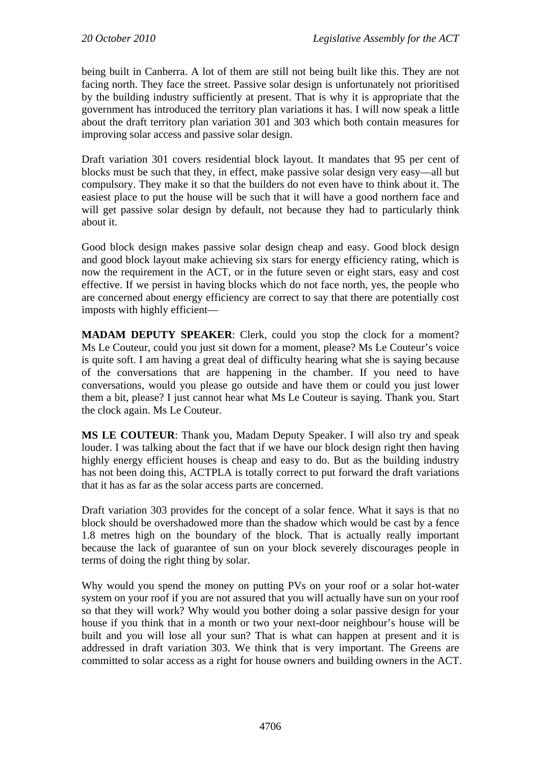being built in Canberra. A lot of them are still not being built like this. They are not facing north. They face the street. Passive solar design is unfortunately not prioritised by the building industry sufficiently at present. That is why it is appropriate that the government has introduced the territory plan variations it has. I will now speak a little about the draft territory plan variation 301 and 303 which both contain measures for improving solar access and passive solar design.

Draft variation 301 covers residential block layout. It mandates that 95 per cent of blocks must be such that they, in effect, make passive solar design very easy—all but compulsory. They make it so that the builders do not even have to think about it. The easiest place to put the house will be such that it will have a good northern face and will get passive solar design by default, not because they had to particularly think about it.

Good block design makes passive solar design cheap and easy. Good block design and good block layout make achieving six stars for energy efficiency rating, which is now the requirement in the ACT, or in the future seven or eight stars, easy and cost effective. If we persist in having blocks which do not face north, yes, the people who are concerned about energy efficiency are correct to say that there are potentially cost imposts with highly efficient—

**MADAM DEPUTY SPEAKER:** Clerk, could you stop the clock for a moment? Ms Le Couteur, could you just sit down for a moment, please? Ms Le Couteur's voice is quite soft. I am having a great deal of difficulty hearing what she is saying because of the conversations that are happening in the chamber. If you need to have conversations, would you please go outside and have them or could you just lower them a bit, please? I just cannot hear what Ms Le Couteur is saying. Thank you. Start the clock again. Ms Le Couteur.

**MS LE COUTEUR**: Thank you, Madam Deputy Speaker. I will also try and speak louder. I was talking about the fact that if we have our block design right then having highly energy efficient houses is cheap and easy to do. But as the building industry has not been doing this, ACTPLA is totally correct to put forward the draft variations that it has as far as the solar access parts are concerned.

Draft variation 303 provides for the concept of a solar fence. What it says is that no block should be overshadowed more than the shadow which would be cast by a fence 1.8 metres high on the boundary of the block. That is actually really important because the lack of guarantee of sun on your block severely discourages people in terms of doing the right thing by solar.

Why would you spend the money on putting PVs on your roof or a solar hot-water system on your roof if you are not assured that you will actually have sun on your roof so that they will work? Why would you bother doing a solar passive design for your house if you think that in a month or two your next-door neighbour's house will be built and you will lose all your sun? That is what can happen at present and it is addressed in draft variation 303. We think that is very important. The Greens are committed to solar access as a right for house owners and building owners in the ACT.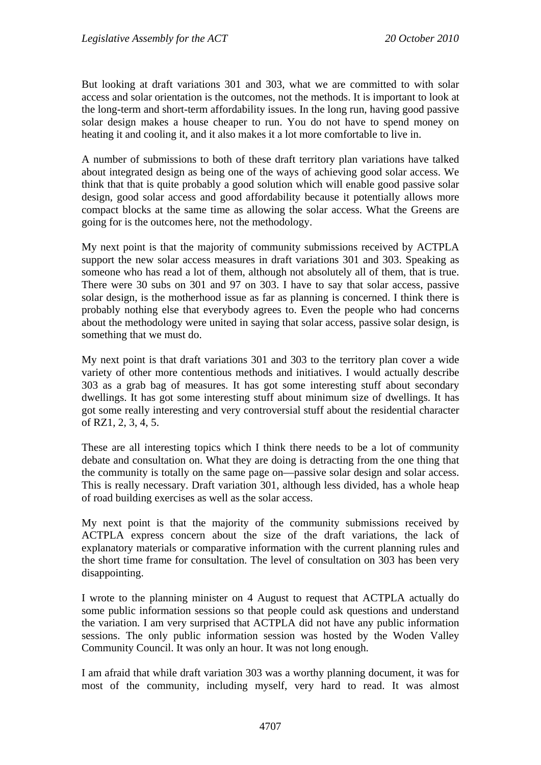But looking at draft variations 301 and 303, what we are committed to with solar access and solar orientation is the outcomes, not the methods. It is important to look at the long-term and short-term affordability issues. In the long run, having good passive solar design makes a house cheaper to run. You do not have to spend money on heating it and cooling it, and it also makes it a lot more comfortable to live in.

A number of submissions to both of these draft territory plan variations have talked about integrated design as being one of the ways of achieving good solar access. We think that that is quite probably a good solution which will enable good passive solar design, good solar access and good affordability because it potentially allows more compact blocks at the same time as allowing the solar access. What the Greens are going for is the outcomes here, not the methodology.

My next point is that the majority of community submissions received by ACTPLA support the new solar access measures in draft variations 301 and 303. Speaking as someone who has read a lot of them, although not absolutely all of them, that is true. There were 30 subs on 301 and 97 on 303. I have to say that solar access, passive solar design, is the motherhood issue as far as planning is concerned. I think there is probably nothing else that everybody agrees to. Even the people who had concerns about the methodology were united in saying that solar access, passive solar design, is something that we must do.

My next point is that draft variations 301 and 303 to the territory plan cover a wide variety of other more contentious methods and initiatives. I would actually describe 303 as a grab bag of measures. It has got some interesting stuff about secondary dwellings. It has got some interesting stuff about minimum size of dwellings. It has got some really interesting and very controversial stuff about the residential character of RZ1, 2, 3, 4, 5.

These are all interesting topics which I think there needs to be a lot of community debate and consultation on. What they are doing is detracting from the one thing that the community is totally on the same page on—passive solar design and solar access. This is really necessary. Draft variation 301, although less divided, has a whole heap of road building exercises as well as the solar access.

My next point is that the majority of the community submissions received by ACTPLA express concern about the size of the draft variations, the lack of explanatory materials or comparative information with the current planning rules and the short time frame for consultation. The level of consultation on 303 has been very disappointing.

I wrote to the planning minister on 4 August to request that ACTPLA actually do some public information sessions so that people could ask questions and understand the variation. I am very surprised that ACTPLA did not have any public information sessions. The only public information session was hosted by the Woden Valley Community Council. It was only an hour. It was not long enough.

I am afraid that while draft variation 303 was a worthy planning document, it was for most of the community, including myself, very hard to read. It was almost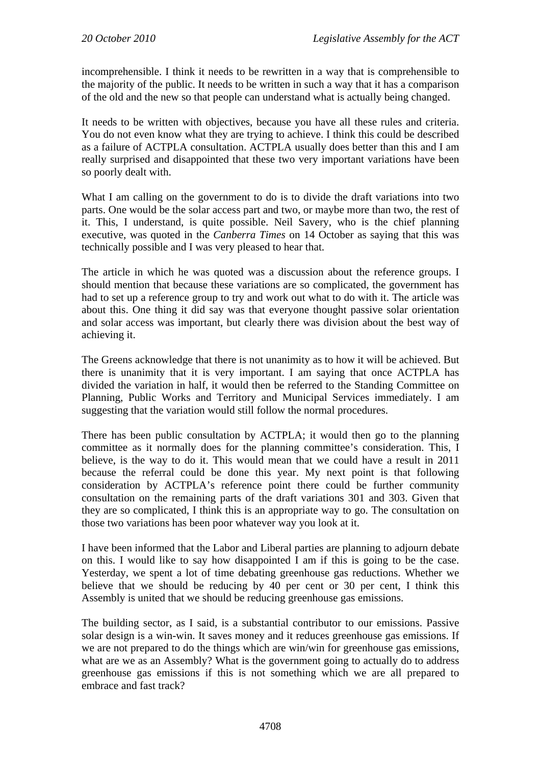incomprehensible. I think it needs to be rewritten in a way that is comprehensible to the majority of the public. It needs to be written in such a way that it has a comparison of the old and the new so that people can understand what is actually being changed.

It needs to be written with objectives, because you have all these rules and criteria. You do not even know what they are trying to achieve. I think this could be described as a failure of ACTPLA consultation. ACTPLA usually does better than this and I am really surprised and disappointed that these two very important variations have been so poorly dealt with.

What I am calling on the government to do is to divide the draft variations into two parts. One would be the solar access part and two, or maybe more than two, the rest of it. This, I understand, is quite possible. Neil Savery, who is the chief planning executive, was quoted in the *Canberra Times* on 14 October as saying that this was technically possible and I was very pleased to hear that.

The article in which he was quoted was a discussion about the reference groups. I should mention that because these variations are so complicated, the government has had to set up a reference group to try and work out what to do with it. The article was about this. One thing it did say was that everyone thought passive solar orientation and solar access was important, but clearly there was division about the best way of achieving it.

The Greens acknowledge that there is not unanimity as to how it will be achieved. But there is unanimity that it is very important. I am saying that once ACTPLA has divided the variation in half, it would then be referred to the Standing Committee on Planning, Public Works and Territory and Municipal Services immediately. I am suggesting that the variation would still follow the normal procedures.

There has been public consultation by ACTPLA; it would then go to the planning committee as it normally does for the planning committee's consideration. This, I believe, is the way to do it. This would mean that we could have a result in 2011 because the referral could be done this year. My next point is that following consideration by ACTPLA's reference point there could be further community consultation on the remaining parts of the draft variations 301 and 303. Given that they are so complicated, I think this is an appropriate way to go. The consultation on those two variations has been poor whatever way you look at it.

I have been informed that the Labor and Liberal parties are planning to adjourn debate on this. I would like to say how disappointed I am if this is going to be the case. Yesterday, we spent a lot of time debating greenhouse gas reductions. Whether we believe that we should be reducing by 40 per cent or 30 per cent, I think this Assembly is united that we should be reducing greenhouse gas emissions.

The building sector, as I said, is a substantial contributor to our emissions. Passive solar design is a win-win. It saves money and it reduces greenhouse gas emissions. If we are not prepared to do the things which are win/win for greenhouse gas emissions, what are we as an Assembly? What is the government going to actually do to address greenhouse gas emissions if this is not something which we are all prepared to embrace and fast track?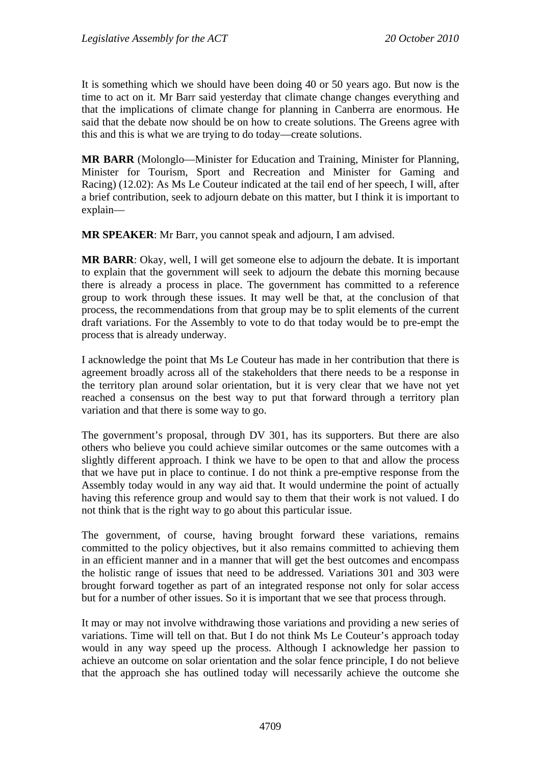It is something which we should have been doing 40 or 50 years ago. But now is the time to act on it. Mr Barr said yesterday that climate change changes everything and that the implications of climate change for planning in Canberra are enormous. He said that the debate now should be on how to create solutions. The Greens agree with this and this is what we are trying to do today—create solutions.

**MR BARR** (Molonglo—Minister for Education and Training, Minister for Planning, Minister for Tourism, Sport and Recreation and Minister for Gaming and Racing) (12.02): As Ms Le Couteur indicated at the tail end of her speech, I will, after a brief contribution, seek to adjourn debate on this matter, but I think it is important to explain—

**MR SPEAKER**: Mr Barr, you cannot speak and adjourn, I am advised.

**MR BARR**: Okay, well, I will get someone else to adjourn the debate. It is important to explain that the government will seek to adjourn the debate this morning because there is already a process in place. The government has committed to a reference group to work through these issues. It may well be that, at the conclusion of that process, the recommendations from that group may be to split elements of the current draft variations. For the Assembly to vote to do that today would be to pre-empt the process that is already underway.

I acknowledge the point that Ms Le Couteur has made in her contribution that there is agreement broadly across all of the stakeholders that there needs to be a response in the territory plan around solar orientation, but it is very clear that we have not yet reached a consensus on the best way to put that forward through a territory plan variation and that there is some way to go.

The government's proposal, through DV 301, has its supporters. But there are also others who believe you could achieve similar outcomes or the same outcomes with a slightly different approach. I think we have to be open to that and allow the process that we have put in place to continue. I do not think a pre-emptive response from the Assembly today would in any way aid that. It would undermine the point of actually having this reference group and would say to them that their work is not valued. I do not think that is the right way to go about this particular issue.

The government, of course, having brought forward these variations, remains committed to the policy objectives, but it also remains committed to achieving them in an efficient manner and in a manner that will get the best outcomes and encompass the holistic range of issues that need to be addressed. Variations 301 and 303 were brought forward together as part of an integrated response not only for solar access but for a number of other issues. So it is important that we see that process through.

It may or may not involve withdrawing those variations and providing a new series of variations. Time will tell on that. But I do not think Ms Le Couteur's approach today would in any way speed up the process. Although I acknowledge her passion to achieve an outcome on solar orientation and the solar fence principle, I do not believe that the approach she has outlined today will necessarily achieve the outcome she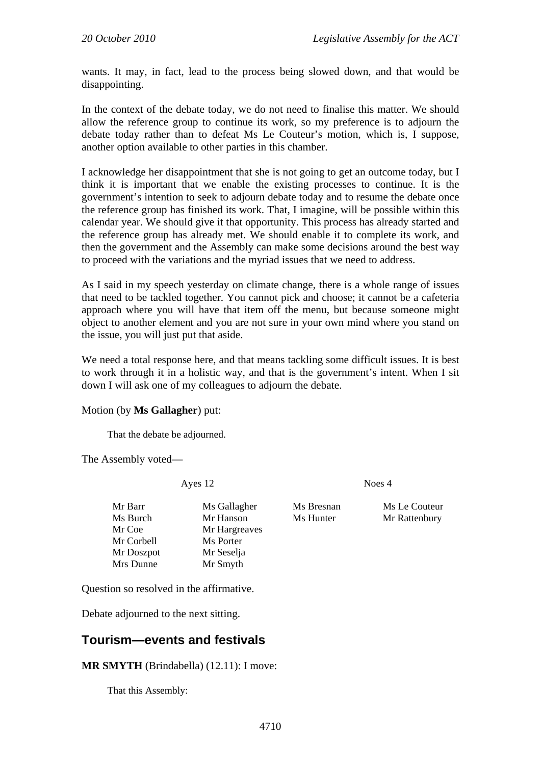wants. It may, in fact, lead to the process being slowed down, and that would be disappointing.

In the context of the debate today, we do not need to finalise this matter. We should allow the reference group to continue its work, so my preference is to adjourn the debate today rather than to defeat Ms Le Couteur's motion, which is, I suppose, another option available to other parties in this chamber.

I acknowledge her disappointment that she is not going to get an outcome today, but I think it is important that we enable the existing processes to continue. It is the government's intention to seek to adjourn debate today and to resume the debate once the reference group has finished its work. That, I imagine, will be possible within this calendar year. We should give it that opportunity. This process has already started and the reference group has already met. We should enable it to complete its work, and then the government and the Assembly can make some decisions around the best way to proceed with the variations and the myriad issues that we need to address.

As I said in my speech yesterday on climate change, there is a whole range of issues that need to be tackled together. You cannot pick and choose; it cannot be a cafeteria approach where you will have that item off the menu, but because someone might object to another element and you are not sure in your own mind where you stand on the issue, you will just put that aside.

We need a total response here, and that means tackling some difficult issues. It is best to work through it in a holistic way, and that is the government's intent. When I sit down I will ask one of my colleagues to adjourn the debate.

#### Motion (by **Ms Gallagher**) put:

That the debate be adjourned.

The Assembly voted—

Ayes 12 Noes 4

Mr Barr Ms Gallagher Ms Bresnan Ms Le Couteur Ms Burch Mr Hanson Ms Hunter Mr Rattenbury Mr Coe Mr Hargreaves Mr Corbell Ms Porter Mr Doszpot Mr Seselja Mrs Dunne Mr Smyth

Question so resolved in the affirmative.

Debate adjourned to the next sitting.

### **Tourism—events and festivals**

**MR SMYTH** (Brindabella) (12.11): I move:

That this Assembly: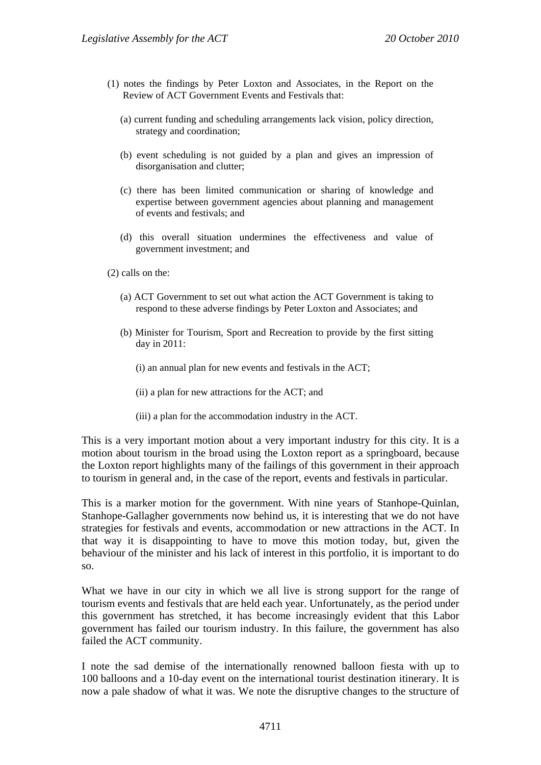- (1) notes the findings by Peter Loxton and Associates, in the Report on the Review of ACT Government Events and Festivals that:
	- (a) current funding and scheduling arrangements lack vision, policy direction, strategy and coordination;
	- (b) event scheduling is not guided by a plan and gives an impression of disorganisation and clutter;
	- (c) there has been limited communication or sharing of knowledge and expertise between government agencies about planning and management of events and festivals; and
	- (d) this overall situation undermines the effectiveness and value of government investment; and

(2) calls on the:

- (a) ACT Government to set out what action the ACT Government is taking to respond to these adverse findings by Peter Loxton and Associates; and
- (b) Minister for Tourism, Sport and Recreation to provide by the first sitting day in 2011:
	- (i) an annual plan for new events and festivals in the ACT;
	- (ii) a plan for new attractions for the ACT; and
	- (iii) a plan for the accommodation industry in the ACT.

This is a very important motion about a very important industry for this city. It is a motion about tourism in the broad using the Loxton report as a springboard, because the Loxton report highlights many of the failings of this government in their approach to tourism in general and, in the case of the report, events and festivals in particular.

This is a marker motion for the government. With nine years of Stanhope-Quinlan, Stanhope-Gallagher governments now behind us, it is interesting that we do not have strategies for festivals and events, accommodation or new attractions in the ACT. In that way it is disappointing to have to move this motion today, but, given the behaviour of the minister and his lack of interest in this portfolio, it is important to do so.

What we have in our city in which we all live is strong support for the range of tourism events and festivals that are held each year. Unfortunately, as the period under this government has stretched, it has become increasingly evident that this Labor government has failed our tourism industry. In this failure, the government has also failed the ACT community.

I note the sad demise of the internationally renowned balloon fiesta with up to 100 balloons and a 10-day event on the international tourist destination itinerary. It is now a pale shadow of what it was. We note the disruptive changes to the structure of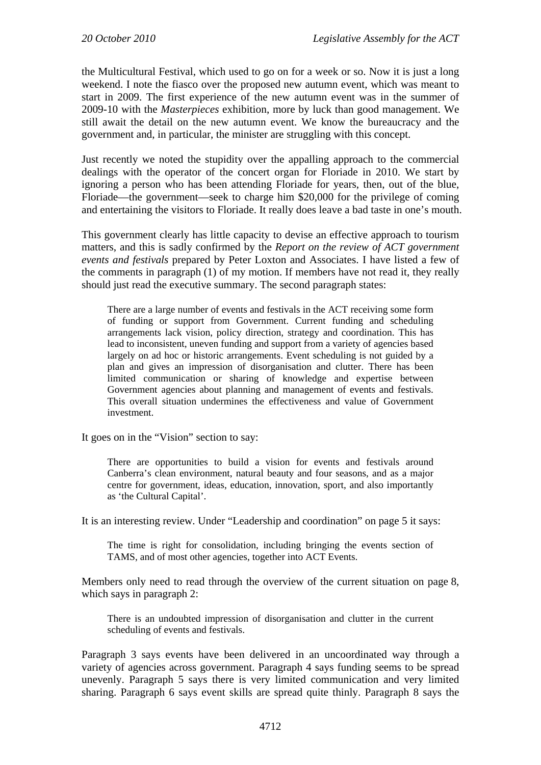the Multicultural Festival, which used to go on for a week or so. Now it is just a long weekend. I note the fiasco over the proposed new autumn event, which was meant to start in 2009. The first experience of the new autumn event was in the summer of 2009-10 with the *Masterpieces* exhibition, more by luck than good management. We still await the detail on the new autumn event. We know the bureaucracy and the government and, in particular, the minister are struggling with this concept.

Just recently we noted the stupidity over the appalling approach to the commercial dealings with the operator of the concert organ for Floriade in 2010. We start by ignoring a person who has been attending Floriade for years, then, out of the blue, Floriade—the government—seek to charge him \$20,000 for the privilege of coming and entertaining the visitors to Floriade. It really does leave a bad taste in one's mouth.

This government clearly has little capacity to devise an effective approach to tourism matters, and this is sadly confirmed by the *Report on the review of ACT government events and festivals* prepared by Peter Loxton and Associates. I have listed a few of the comments in paragraph (1) of my motion. If members have not read it, they really should just read the executive summary. The second paragraph states:

There are a large number of events and festivals in the ACT receiving some form of funding or support from Government. Current funding and scheduling arrangements lack vision, policy direction, strategy and coordination. This has lead to inconsistent, uneven funding and support from a variety of agencies based largely on ad hoc or historic arrangements. Event scheduling is not guided by a plan and gives an impression of disorganisation and clutter. There has been limited communication or sharing of knowledge and expertise between Government agencies about planning and management of events and festivals. This overall situation undermines the effectiveness and value of Government investment.

It goes on in the "Vision" section to say:

There are opportunities to build a vision for events and festivals around Canberra's clean environment, natural beauty and four seasons, and as a major centre for government, ideas, education, innovation, sport, and also importantly as 'the Cultural Capital'.

It is an interesting review. Under "Leadership and coordination" on page 5 it says:

The time is right for consolidation, including bringing the events section of TAMS, and of most other agencies, together into ACT Events.

Members only need to read through the overview of the current situation on page 8, which says in paragraph 2:

There is an undoubted impression of disorganisation and clutter in the current scheduling of events and festivals.

Paragraph 3 says events have been delivered in an uncoordinated way through a variety of agencies across government. Paragraph 4 says funding seems to be spread unevenly. Paragraph 5 says there is very limited communication and very limited sharing. Paragraph 6 says event skills are spread quite thinly. Paragraph 8 says the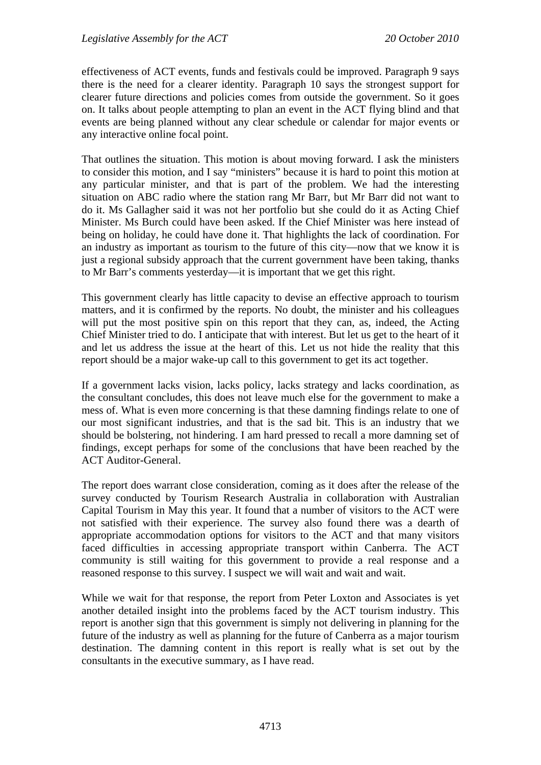effectiveness of ACT events, funds and festivals could be improved. Paragraph 9 says there is the need for a clearer identity. Paragraph 10 says the strongest support for clearer future directions and policies comes from outside the government. So it goes on. It talks about people attempting to plan an event in the ACT flying blind and that events are being planned without any clear schedule or calendar for major events or any interactive online focal point.

That outlines the situation. This motion is about moving forward. I ask the ministers to consider this motion, and I say "ministers" because it is hard to point this motion at any particular minister, and that is part of the problem. We had the interesting situation on ABC radio where the station rang Mr Barr, but Mr Barr did not want to do it. Ms Gallagher said it was not her portfolio but she could do it as Acting Chief Minister. Ms Burch could have been asked. If the Chief Minister was here instead of being on holiday, he could have done it. That highlights the lack of coordination. For an industry as important as tourism to the future of this city—now that we know it is just a regional subsidy approach that the current government have been taking, thanks to Mr Barr's comments yesterday—it is important that we get this right.

This government clearly has little capacity to devise an effective approach to tourism matters, and it is confirmed by the reports. No doubt, the minister and his colleagues will put the most positive spin on this report that they can, as, indeed, the Acting Chief Minister tried to do. I anticipate that with interest. But let us get to the heart of it and let us address the issue at the heart of this. Let us not hide the reality that this report should be a major wake-up call to this government to get its act together.

If a government lacks vision, lacks policy, lacks strategy and lacks coordination, as the consultant concludes, this does not leave much else for the government to make a mess of. What is even more concerning is that these damning findings relate to one of our most significant industries, and that is the sad bit. This is an industry that we should be bolstering, not hindering. I am hard pressed to recall a more damning set of findings, except perhaps for some of the conclusions that have been reached by the ACT Auditor-General.

The report does warrant close consideration, coming as it does after the release of the survey conducted by Tourism Research Australia in collaboration with Australian Capital Tourism in May this year. It found that a number of visitors to the ACT were not satisfied with their experience. The survey also found there was a dearth of appropriate accommodation options for visitors to the ACT and that many visitors faced difficulties in accessing appropriate transport within Canberra. The ACT community is still waiting for this government to provide a real response and a reasoned response to this survey. I suspect we will wait and wait and wait.

While we wait for that response, the report from Peter Loxton and Associates is yet another detailed insight into the problems faced by the ACT tourism industry. This report is another sign that this government is simply not delivering in planning for the future of the industry as well as planning for the future of Canberra as a major tourism destination. The damning content in this report is really what is set out by the consultants in the executive summary, as I have read.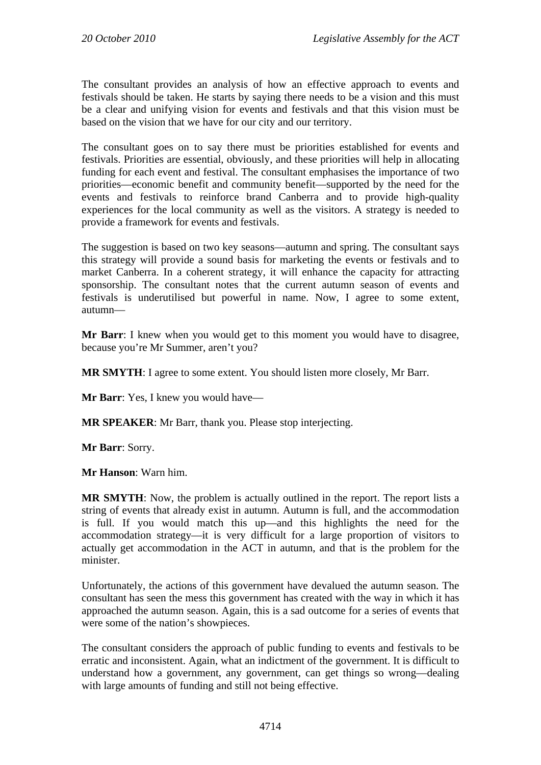The consultant provides an analysis of how an effective approach to events and festivals should be taken. He starts by saying there needs to be a vision and this must be a clear and unifying vision for events and festivals and that this vision must be based on the vision that we have for our city and our territory.

The consultant goes on to say there must be priorities established for events and festivals. Priorities are essential, obviously, and these priorities will help in allocating funding for each event and festival. The consultant emphasises the importance of two priorities—economic benefit and community benefit—supported by the need for the events and festivals to reinforce brand Canberra and to provide high-quality experiences for the local community as well as the visitors. A strategy is needed to provide a framework for events and festivals.

The suggestion is based on two key seasons—autumn and spring. The consultant says this strategy will provide a sound basis for marketing the events or festivals and to market Canberra. In a coherent strategy, it will enhance the capacity for attracting sponsorship. The consultant notes that the current autumn season of events and festivals is underutilised but powerful in name. Now, I agree to some extent, autumn—

**Mr Barr**: I knew when you would get to this moment you would have to disagree, because you're Mr Summer, aren't you?

**MR SMYTH**: I agree to some extent. You should listen more closely, Mr Barr.

**Mr Barr**: Yes, I knew you would have—

**MR SPEAKER**: Mr Barr, thank you. Please stop interjecting.

**Mr Barr**: Sorry.

**Mr Hanson**: Warn him.

**MR SMYTH**: Now, the problem is actually outlined in the report. The report lists a string of events that already exist in autumn. Autumn is full, and the accommodation is full. If you would match this up—and this highlights the need for the accommodation strategy—it is very difficult for a large proportion of visitors to actually get accommodation in the ACT in autumn, and that is the problem for the minister.

Unfortunately, the actions of this government have devalued the autumn season. The consultant has seen the mess this government has created with the way in which it has approached the autumn season. Again, this is a sad outcome for a series of events that were some of the nation's showpieces.

The consultant considers the approach of public funding to events and festivals to be erratic and inconsistent. Again, what an indictment of the government. It is difficult to understand how a government, any government, can get things so wrong—dealing with large amounts of funding and still not being effective.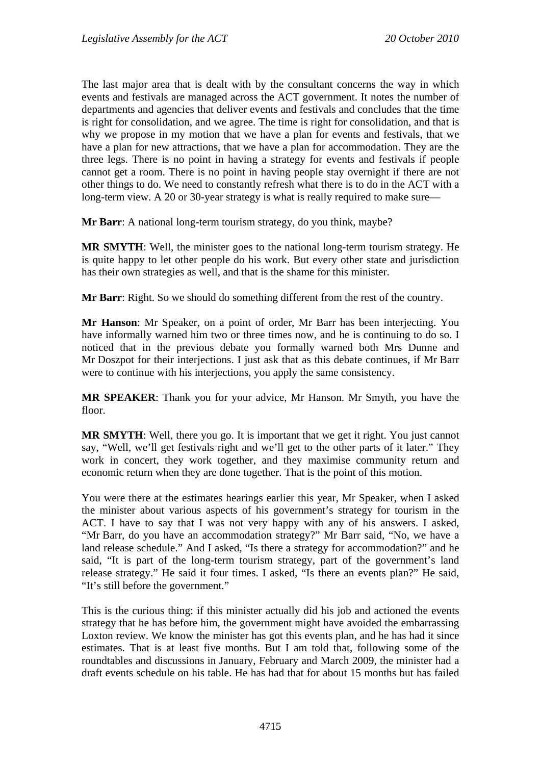The last major area that is dealt with by the consultant concerns the way in which events and festivals are managed across the ACT government. It notes the number of departments and agencies that deliver events and festivals and concludes that the time is right for consolidation, and we agree. The time is right for consolidation, and that is why we propose in my motion that we have a plan for events and festivals, that we have a plan for new attractions, that we have a plan for accommodation. They are the three legs. There is no point in having a strategy for events and festivals if people cannot get a room. There is no point in having people stay overnight if there are not other things to do. We need to constantly refresh what there is to do in the ACT with a long-term view. A 20 or 30-year strategy is what is really required to make sure—

**Mr Barr**: A national long-term tourism strategy, do you think, maybe?

**MR SMYTH**: Well, the minister goes to the national long-term tourism strategy. He is quite happy to let other people do his work. But every other state and jurisdiction has their own strategies as well, and that is the shame for this minister.

**Mr Barr**: Right. So we should do something different from the rest of the country.

**Mr Hanson**: Mr Speaker, on a point of order, Mr Barr has been interjecting. You have informally warned him two or three times now, and he is continuing to do so. I noticed that in the previous debate you formally warned both Mrs Dunne and Mr Doszpot for their interjections. I just ask that as this debate continues, if Mr Barr were to continue with his interjections, you apply the same consistency.

**MR SPEAKER**: Thank you for your advice, Mr Hanson. Mr Smyth, you have the floor.

**MR SMYTH**: Well, there you go. It is important that we get it right. You just cannot say, "Well, we'll get festivals right and we'll get to the other parts of it later." They work in concert, they work together, and they maximise community return and economic return when they are done together. That is the point of this motion.

You were there at the estimates hearings earlier this year, Mr Speaker, when I asked the minister about various aspects of his government's strategy for tourism in the ACT. I have to say that I was not very happy with any of his answers. I asked, "Mr Barr, do you have an accommodation strategy?" Mr Barr said, "No, we have a land release schedule." And I asked, "Is there a strategy for accommodation?" and he said, "It is part of the long-term tourism strategy, part of the government's land release strategy." He said it four times. I asked, "Is there an events plan?" He said, "It's still before the government."

This is the curious thing: if this minister actually did his job and actioned the events strategy that he has before him, the government might have avoided the embarrassing Loxton review. We know the minister has got this events plan, and he has had it since estimates. That is at least five months. But I am told that, following some of the roundtables and discussions in January, February and March 2009, the minister had a draft events schedule on his table. He has had that for about 15 months but has failed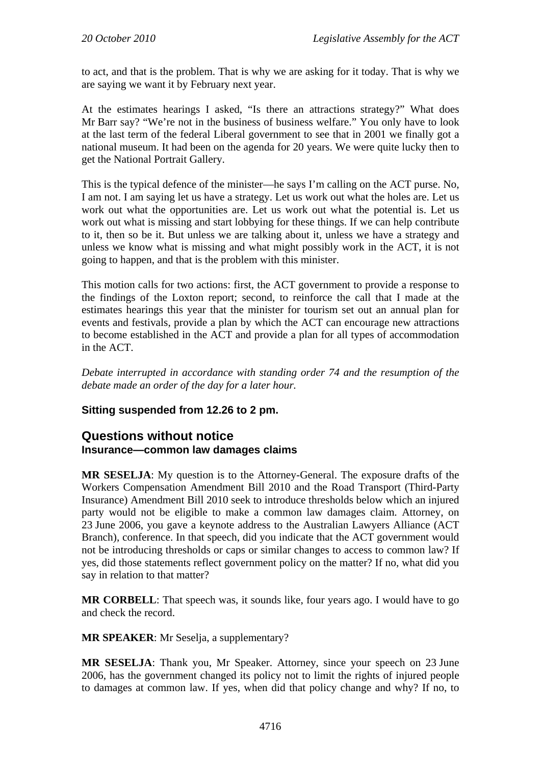to act, and that is the problem. That is why we are asking for it today. That is why we are saying we want it by February next year.

At the estimates hearings I asked, "Is there an attractions strategy?" What does Mr Barr say? "We're not in the business of business welfare." You only have to look at the last term of the federal Liberal government to see that in 2001 we finally got a national museum. It had been on the agenda for 20 years. We were quite lucky then to get the National Portrait Gallery.

This is the typical defence of the minister—he says I'm calling on the ACT purse. No, I am not. I am saying let us have a strategy. Let us work out what the holes are. Let us work out what the opportunities are. Let us work out what the potential is. Let us work out what is missing and start lobbying for these things. If we can help contribute to it, then so be it. But unless we are talking about it, unless we have a strategy and unless we know what is missing and what might possibly work in the ACT, it is not going to happen, and that is the problem with this minister.

This motion calls for two actions: first, the ACT government to provide a response to the findings of the Loxton report; second, to reinforce the call that I made at the estimates hearings this year that the minister for tourism set out an annual plan for events and festivals, provide a plan by which the ACT can encourage new attractions to become established in the ACT and provide a plan for all types of accommodation in the ACT.

*Debate interrupted in accordance with standing order 74 and the resumption of the debate made an order of the day for a later hour.* 

### **Sitting suspended from 12.26 to 2 pm.**

### **Questions without notice Insurance—common law damages claims**

**MR SESELJA**: My question is to the Attorney-General. The exposure drafts of the Workers Compensation Amendment Bill 2010 and the Road Transport (Third-Party Insurance) Amendment Bill 2010 seek to introduce thresholds below which an injured party would not be eligible to make a common law damages claim. Attorney, on 23 June 2006, you gave a keynote address to the Australian Lawyers Alliance (ACT Branch), conference. In that speech, did you indicate that the ACT government would not be introducing thresholds or caps or similar changes to access to common law? If yes, did those statements reflect government policy on the matter? If no, what did you say in relation to that matter?

**MR CORBELL:** That speech was, it sounds like, four years ago. I would have to go and check the record.

**MR SPEAKER**: Mr Seselja, a supplementary?

**MR SESELJA**: Thank you, Mr Speaker. Attorney, since your speech on 23 June 2006, has the government changed its policy not to limit the rights of injured people to damages at common law. If yes, when did that policy change and why? If no, to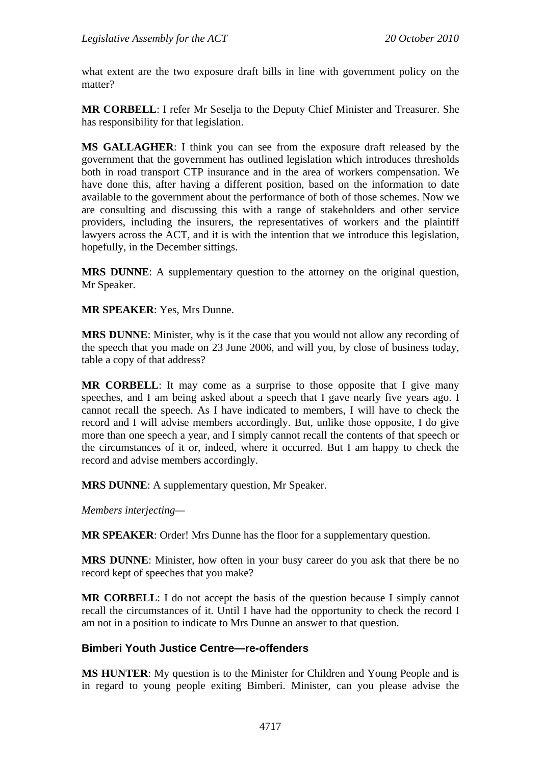what extent are the two exposure draft bills in line with government policy on the matter?

**MR CORBELL**: I refer Mr Seselja to the Deputy Chief Minister and Treasurer. She has responsibility for that legislation.

**MS GALLAGHER**: I think you can see from the exposure draft released by the government that the government has outlined legislation which introduces thresholds both in road transport CTP insurance and in the area of workers compensation. We have done this, after having a different position, based on the information to date available to the government about the performance of both of those schemes. Now we are consulting and discussing this with a range of stakeholders and other service providers, including the insurers, the representatives of workers and the plaintiff lawyers across the ACT, and it is with the intention that we introduce this legislation, hopefully, in the December sittings.

**MRS DUNNE**: A supplementary question to the attorney on the original question, Mr Speaker.

**MR SPEAKER**: Yes, Mrs Dunne.

**MRS DUNNE**: Minister, why is it the case that you would not allow any recording of the speech that you made on 23 June 2006, and will you, by close of business today, table a copy of that address?

**MR CORBELL**: It may come as a surprise to those opposite that I give many speeches, and I am being asked about a speech that I gave nearly five years ago. I cannot recall the speech. As I have indicated to members, I will have to check the record and I will advise members accordingly. But, unlike those opposite, I do give more than one speech a year, and I simply cannot recall the contents of that speech or the circumstances of it or, indeed, where it occurred. But I am happy to check the record and advise members accordingly.

**MRS DUNNE**: A supplementary question, Mr Speaker.

*Members interjecting—* 

**MR SPEAKER**: Order! Mrs Dunne has the floor for a supplementary question.

**MRS DUNNE**: Minister, how often in your busy career do you ask that there be no record kept of speeches that you make?

**MR CORBELL**: I do not accept the basis of the question because I simply cannot recall the circumstances of it. Until I have had the opportunity to check the record I am not in a position to indicate to Mrs Dunne an answer to that question.

### **Bimberi Youth Justice Centre—re-offenders**

**MS HUNTER**: My question is to the Minister for Children and Young People and is in regard to young people exiting Bimberi. Minister, can you please advise the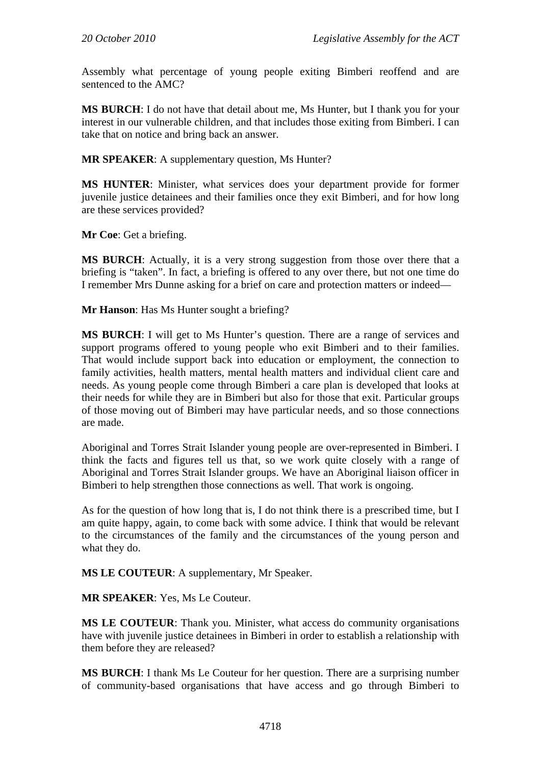Assembly what percentage of young people exiting Bimberi reoffend and are sentenced to the AMC?

**MS BURCH**: I do not have that detail about me, Ms Hunter, but I thank you for your interest in our vulnerable children, and that includes those exiting from Bimberi. I can take that on notice and bring back an answer.

**MR SPEAKER**: A supplementary question, Ms Hunter?

**MS HUNTER**: Minister, what services does your department provide for former juvenile justice detainees and their families once they exit Bimberi, and for how long are these services provided?

**Mr Coe**: Get a briefing.

**MS BURCH**: Actually, it is a very strong suggestion from those over there that a briefing is "taken". In fact, a briefing is offered to any over there, but not one time do I remember Mrs Dunne asking for a brief on care and protection matters or indeed—

**Mr Hanson**: Has Ms Hunter sought a briefing?

**MS BURCH:** I will get to Ms Hunter's question. There are a range of services and support programs offered to young people who exit Bimberi and to their families. That would include support back into education or employment, the connection to family activities, health matters, mental health matters and individual client care and needs. As young people come through Bimberi a care plan is developed that looks at their needs for while they are in Bimberi but also for those that exit. Particular groups of those moving out of Bimberi may have particular needs, and so those connections are made.

Aboriginal and Torres Strait Islander young people are over-represented in Bimberi. I think the facts and figures tell us that, so we work quite closely with a range of Aboriginal and Torres Strait Islander groups. We have an Aboriginal liaison officer in Bimberi to help strengthen those connections as well. That work is ongoing.

As for the question of how long that is, I do not think there is a prescribed time, but I am quite happy, again, to come back with some advice. I think that would be relevant to the circumstances of the family and the circumstances of the young person and what they do.

**MS LE COUTEUR**: A supplementary, Mr Speaker.

**MR SPEAKER**: Yes, Ms Le Couteur.

**MS LE COUTEUR**: Thank you. Minister, what access do community organisations have with juvenile justice detainees in Bimberi in order to establish a relationship with them before they are released?

**MS BURCH**: I thank Ms Le Couteur for her question. There are a surprising number of community-based organisations that have access and go through Bimberi to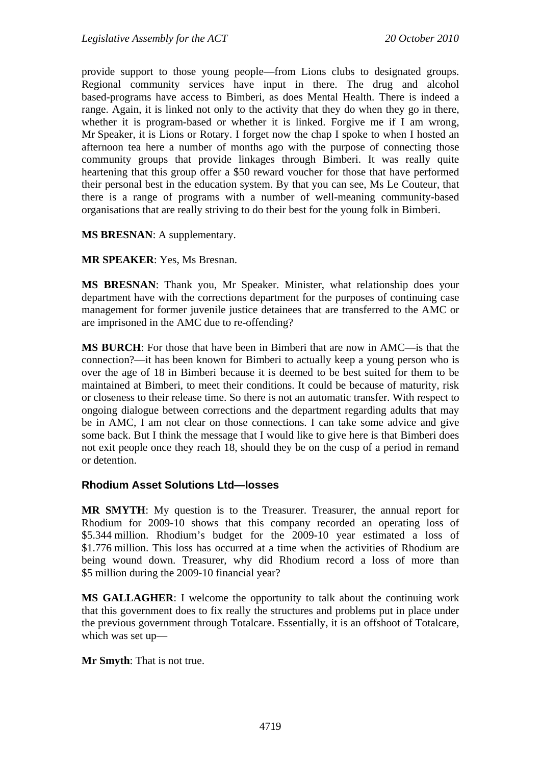provide support to those young people—from Lions clubs to designated groups. Regional community services have input in there. The drug and alcohol based-programs have access to Bimberi, as does Mental Health. There is indeed a range. Again, it is linked not only to the activity that they do when they go in there, whether it is program-based or whether it is linked. Forgive me if I am wrong, Mr Speaker, it is Lions or Rotary. I forget now the chap I spoke to when I hosted an afternoon tea here a number of months ago with the purpose of connecting those community groups that provide linkages through Bimberi. It was really quite heartening that this group offer a \$50 reward voucher for those that have performed their personal best in the education system. By that you can see, Ms Le Couteur, that there is a range of programs with a number of well-meaning community-based organisations that are really striving to do their best for the young folk in Bimberi.

**MS BRESNAN**: A supplementary.

**MR SPEAKER**: Yes, Ms Bresnan.

**MS BRESNAN**: Thank you, Mr Speaker. Minister, what relationship does your department have with the corrections department for the purposes of continuing case management for former juvenile justice detainees that are transferred to the AMC or are imprisoned in the AMC due to re-offending?

**MS BURCH**: For those that have been in Bimberi that are now in AMC—is that the connection?—it has been known for Bimberi to actually keep a young person who is over the age of 18 in Bimberi because it is deemed to be best suited for them to be maintained at Bimberi, to meet their conditions. It could be because of maturity, risk or closeness to their release time. So there is not an automatic transfer. With respect to ongoing dialogue between corrections and the department regarding adults that may be in AMC, I am not clear on those connections. I can take some advice and give some back. But I think the message that I would like to give here is that Bimberi does not exit people once they reach 18, should they be on the cusp of a period in remand or detention.

#### **Rhodium Asset Solutions Ltd—losses**

**MR SMYTH**: My question is to the Treasurer. Treasurer, the annual report for Rhodium for 2009-10 shows that this company recorded an operating loss of \$5.344 million. Rhodium's budget for the 2009-10 year estimated a loss of \$1.776 million. This loss has occurred at a time when the activities of Rhodium are being wound down. Treasurer, why did Rhodium record a loss of more than \$5 million during the 2009-10 financial year?

**MS GALLAGHER**: I welcome the opportunity to talk about the continuing work that this government does to fix really the structures and problems put in place under the previous government through Totalcare. Essentially, it is an offshoot of Totalcare, which was set up—

**Mr Smyth**: That is not true.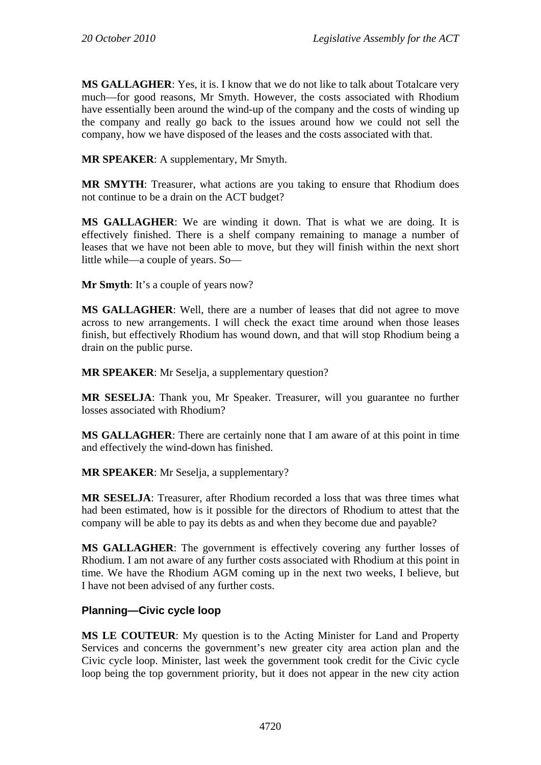**MS GALLAGHER**: Yes, it is. I know that we do not like to talk about Totalcare very much—for good reasons, Mr Smyth. However, the costs associated with Rhodium have essentially been around the wind-up of the company and the costs of winding up the company and really go back to the issues around how we could not sell the company, how we have disposed of the leases and the costs associated with that.

**MR SPEAKER**: A supplementary, Mr Smyth.

**MR SMYTH**: Treasurer, what actions are you taking to ensure that Rhodium does not continue to be a drain on the ACT budget?

**MS GALLAGHER**: We are winding it down. That is what we are doing. It is effectively finished. There is a shelf company remaining to manage a number of leases that we have not been able to move, but they will finish within the next short little while—a couple of years. So—

**Mr Smyth**: It's a couple of years now?

**MS GALLAGHER**: Well, there are a number of leases that did not agree to move across to new arrangements. I will check the exact time around when those leases finish, but effectively Rhodium has wound down, and that will stop Rhodium being a drain on the public purse.

**MR SPEAKER**: Mr Seselja, a supplementary question?

**MR SESELJA**: Thank you, Mr Speaker. Treasurer, will you guarantee no further losses associated with Rhodium?

**MS GALLAGHER**: There are certainly none that I am aware of at this point in time and effectively the wind-down has finished.

**MR SPEAKER**: Mr Seselja, a supplementary?

**MR SESELJA**: Treasurer, after Rhodium recorded a loss that was three times what had been estimated, how is it possible for the directors of Rhodium to attest that the company will be able to pay its debts as and when they become due and payable?

**MS GALLAGHER**: The government is effectively covering any further losses of Rhodium. I am not aware of any further costs associated with Rhodium at this point in time. We have the Rhodium AGM coming up in the next two weeks, I believe, but I have not been advised of any further costs.

#### **Planning—Civic cycle loop**

**MS LE COUTEUR**: My question is to the Acting Minister for Land and Property Services and concerns the government's new greater city area action plan and the Civic cycle loop. Minister, last week the government took credit for the Civic cycle loop being the top government priority, but it does not appear in the new city action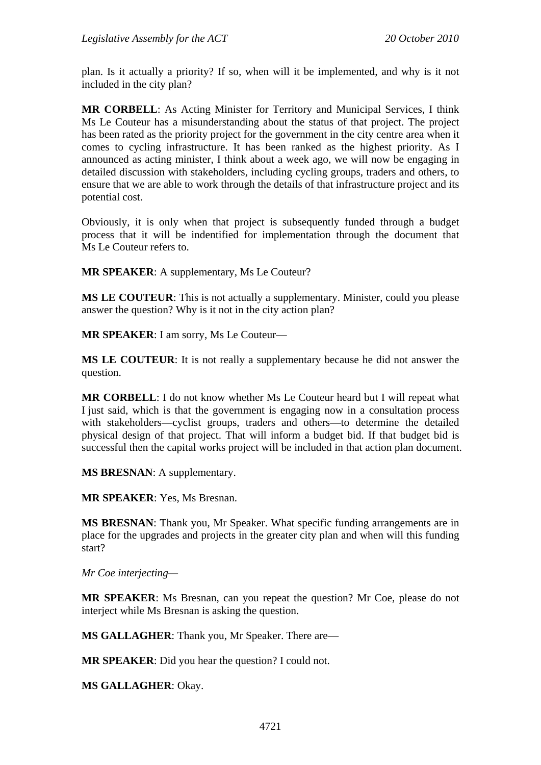plan. Is it actually a priority? If so, when will it be implemented, and why is it not included in the city plan?

**MR CORBELL**: As Acting Minister for Territory and Municipal Services, I think Ms Le Couteur has a misunderstanding about the status of that project. The project has been rated as the priority project for the government in the city centre area when it comes to cycling infrastructure. It has been ranked as the highest priority. As I announced as acting minister, I think about a week ago, we will now be engaging in detailed discussion with stakeholders, including cycling groups, traders and others, to ensure that we are able to work through the details of that infrastructure project and its potential cost.

Obviously, it is only when that project is subsequently funded through a budget process that it will be indentified for implementation through the document that Ms Le Couteur refers to.

**MR SPEAKER**: A supplementary, Ms Le Couteur?

**MS LE COUTEUR**: This is not actually a supplementary. Minister, could you please answer the question? Why is it not in the city action plan?

**MR SPEAKER**: I am sorry, Ms Le Couteur—

**MS LE COUTEUR**: It is not really a supplementary because he did not answer the question.

**MR CORBELL**: I do not know whether Ms Le Couteur heard but I will repeat what I just said, which is that the government is engaging now in a consultation process with stakeholders—cyclist groups, traders and others—to determine the detailed physical design of that project. That will inform a budget bid. If that budget bid is successful then the capital works project will be included in that action plan document.

**MS BRESNAN**: A supplementary.

**MR SPEAKER**: Yes, Ms Bresnan.

**MS BRESNAN**: Thank you, Mr Speaker. What specific funding arrangements are in place for the upgrades and projects in the greater city plan and when will this funding start?

*Mr Coe interjecting—* 

**MR SPEAKER**: Ms Bresnan, can you repeat the question? Mr Coe, please do not interject while Ms Bresnan is asking the question.

**MS GALLAGHER**: Thank you, Mr Speaker. There are—

**MR SPEAKER**: Did you hear the question? I could not.

**MS GALLAGHER**: Okay.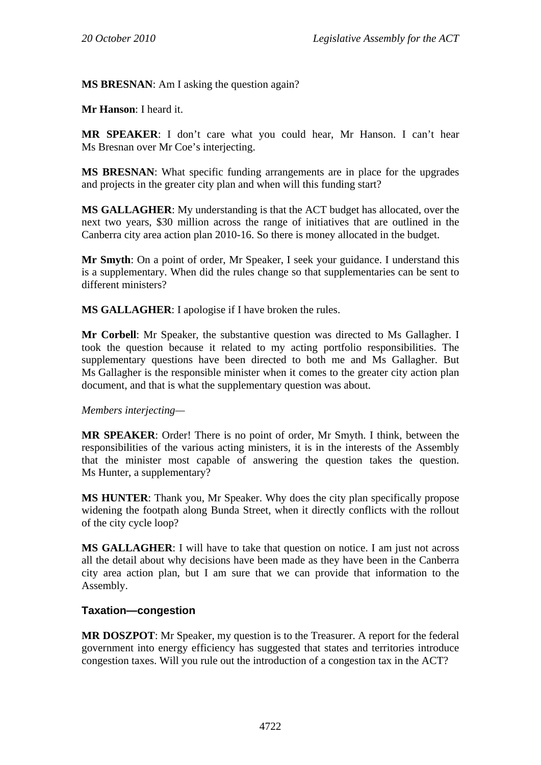**MS BRESNAN**: Am I asking the question again?

**Mr Hanson**: I heard it.

**MR SPEAKER**: I don't care what you could hear, Mr Hanson. I can't hear Ms Bresnan over Mr Coe's interjecting.

**MS BRESNAN**: What specific funding arrangements are in place for the upgrades and projects in the greater city plan and when will this funding start?

**MS GALLAGHER**: My understanding is that the ACT budget has allocated, over the next two years, \$30 million across the range of initiatives that are outlined in the Canberra city area action plan 2010-16. So there is money allocated in the budget.

**Mr Smyth**: On a point of order, Mr Speaker, I seek your guidance. I understand this is a supplementary. When did the rules change so that supplementaries can be sent to different ministers?

**MS GALLAGHER**: I apologise if I have broken the rules.

**Mr Corbell**: Mr Speaker, the substantive question was directed to Ms Gallagher. I took the question because it related to my acting portfolio responsibilities. The supplementary questions have been directed to both me and Ms Gallagher. But Ms Gallagher is the responsible minister when it comes to the greater city action plan document, and that is what the supplementary question was about.

*Members interjecting—* 

**MR SPEAKER**: Order! There is no point of order, Mr Smyth. I think, between the responsibilities of the various acting ministers, it is in the interests of the Assembly that the minister most capable of answering the question takes the question. Ms Hunter, a supplementary?

**MS HUNTER**: Thank you, Mr Speaker. Why does the city plan specifically propose widening the footpath along Bunda Street, when it directly conflicts with the rollout of the city cycle loop?

**MS GALLAGHER**: I will have to take that question on notice. I am just not across all the detail about why decisions have been made as they have been in the Canberra city area action plan, but I am sure that we can provide that information to the Assembly.

#### **Taxation—congestion**

**MR DOSZPOT**: Mr Speaker, my question is to the Treasurer. A report for the federal government into energy efficiency has suggested that states and territories introduce congestion taxes. Will you rule out the introduction of a congestion tax in the ACT?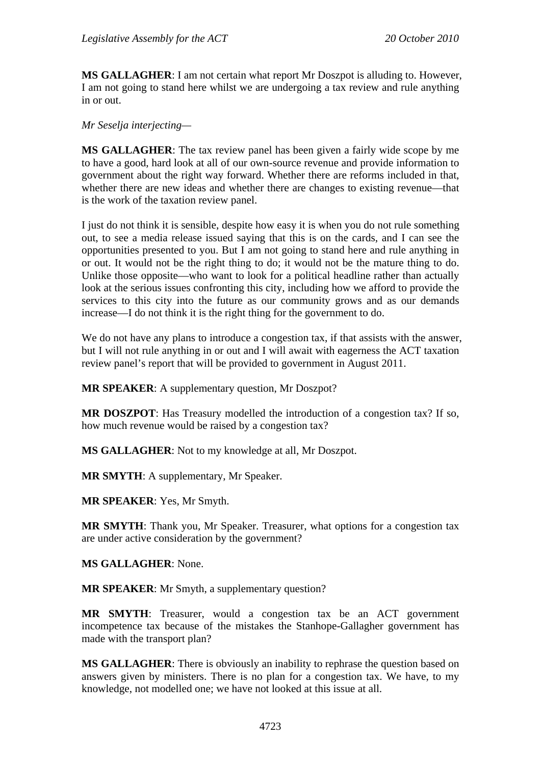**MS GALLAGHER**: I am not certain what report Mr Doszpot is alluding to. However, I am not going to stand here whilst we are undergoing a tax review and rule anything in or out.

*Mr Seselja interjecting—* 

**MS GALLAGHER**: The tax review panel has been given a fairly wide scope by me to have a good, hard look at all of our own-source revenue and provide information to government about the right way forward. Whether there are reforms included in that, whether there are new ideas and whether there are changes to existing revenue—that is the work of the taxation review panel.

I just do not think it is sensible, despite how easy it is when you do not rule something out, to see a media release issued saying that this is on the cards, and I can see the opportunities presented to you. But I am not going to stand here and rule anything in or out. It would not be the right thing to do; it would not be the mature thing to do. Unlike those opposite—who want to look for a political headline rather than actually look at the serious issues confronting this city, including how we afford to provide the services to this city into the future as our community grows and as our demands increase—I do not think it is the right thing for the government to do.

We do not have any plans to introduce a congestion tax, if that assists with the answer, but I will not rule anything in or out and I will await with eagerness the ACT taxation review panel's report that will be provided to government in August 2011.

**MR SPEAKER**: A supplementary question, Mr Doszpot?

**MR DOSZPOT**: Has Treasury modelled the introduction of a congestion tax? If so, how much revenue would be raised by a congestion tax?

**MS GALLAGHER**: Not to my knowledge at all, Mr Doszpot.

**MR SMYTH**: A supplementary, Mr Speaker.

**MR SPEAKER**: Yes, Mr Smyth.

**MR SMYTH**: Thank you, Mr Speaker. Treasurer, what options for a congestion tax are under active consideration by the government?

**MS GALLAGHER**: None.

**MR SPEAKER**: Mr Smyth, a supplementary question?

**MR SMYTH**: Treasurer, would a congestion tax be an ACT government incompetence tax because of the mistakes the Stanhope-Gallagher government has made with the transport plan?

**MS GALLAGHER**: There is obviously an inability to rephrase the question based on answers given by ministers. There is no plan for a congestion tax. We have, to my knowledge, not modelled one; we have not looked at this issue at all.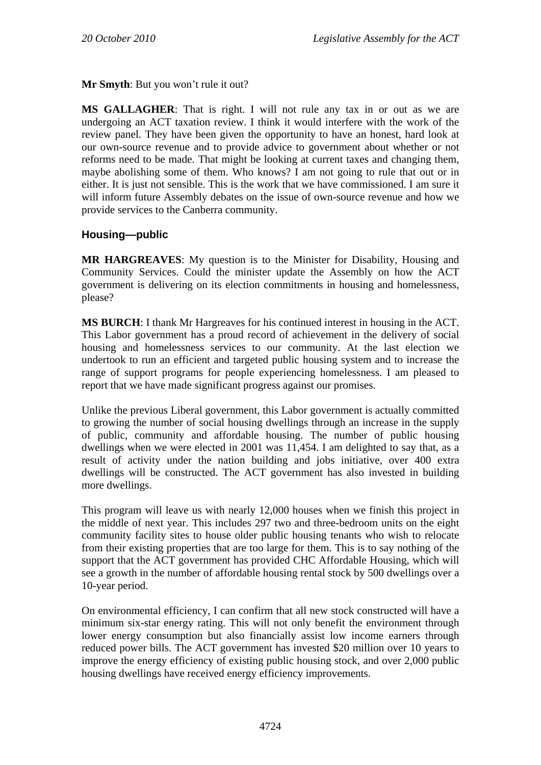**Mr Smyth**: But you won't rule it out?

**MS GALLAGHER**: That is right. I will not rule any tax in or out as we are undergoing an ACT taxation review. I think it would interfere with the work of the review panel. They have been given the opportunity to have an honest, hard look at our own-source revenue and to provide advice to government about whether or not reforms need to be made. That might be looking at current taxes and changing them, maybe abolishing some of them. Who knows? I am not going to rule that out or in either. It is just not sensible. This is the work that we have commissioned. I am sure it will inform future Assembly debates on the issue of own-source revenue and how we provide services to the Canberra community.

### **Housing—public**

**MR HARGREAVES**: My question is to the Minister for Disability, Housing and Community Services. Could the minister update the Assembly on how the ACT government is delivering on its election commitments in housing and homelessness, please?

**MS BURCH**: I thank Mr Hargreaves for his continued interest in housing in the ACT. This Labor government has a proud record of achievement in the delivery of social housing and homelessness services to our community. At the last election we undertook to run an efficient and targeted public housing system and to increase the range of support programs for people experiencing homelessness. I am pleased to report that we have made significant progress against our promises.

Unlike the previous Liberal government, this Labor government is actually committed to growing the number of social housing dwellings through an increase in the supply of public, community and affordable housing. The number of public housing dwellings when we were elected in 2001 was 11,454. I am delighted to say that, as a result of activity under the nation building and jobs initiative, over 400 extra dwellings will be constructed. The ACT government has also invested in building more dwellings.

This program will leave us with nearly 12,000 houses when we finish this project in the middle of next year. This includes 297 two and three-bedroom units on the eight community facility sites to house older public housing tenants who wish to relocate from their existing properties that are too large for them. This is to say nothing of the support that the ACT government has provided CHC Affordable Housing, which will see a growth in the number of affordable housing rental stock by 500 dwellings over a 10-year period.

On environmental efficiency, I can confirm that all new stock constructed will have a minimum six-star energy rating. This will not only benefit the environment through lower energy consumption but also financially assist low income earners through reduced power bills. The ACT government has invested \$20 million over 10 years to improve the energy efficiency of existing public housing stock, and over 2,000 public housing dwellings have received energy efficiency improvements.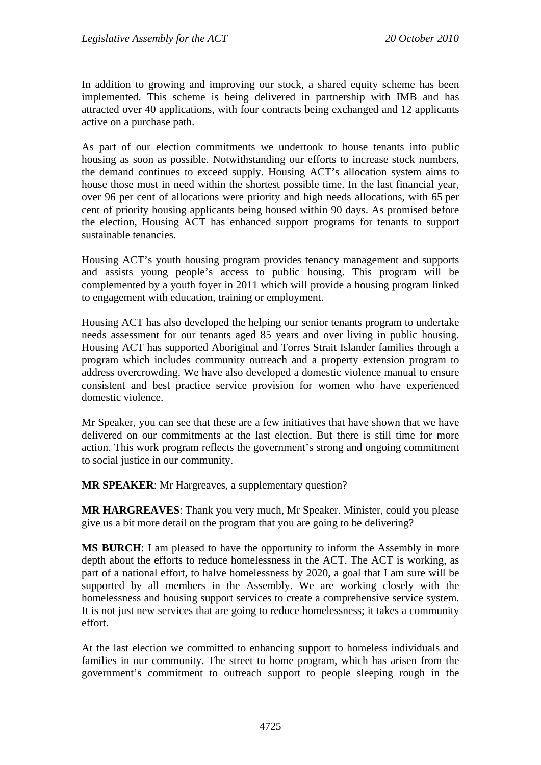In addition to growing and improving our stock, a shared equity scheme has been implemented. This scheme is being delivered in partnership with IMB and has attracted over 40 applications, with four contracts being exchanged and 12 applicants active on a purchase path.

As part of our election commitments we undertook to house tenants into public housing as soon as possible. Notwithstanding our efforts to increase stock numbers, the demand continues to exceed supply. Housing ACT's allocation system aims to house those most in need within the shortest possible time. In the last financial year, over 96 per cent of allocations were priority and high needs allocations, with 65 per cent of priority housing applicants being housed within 90 days. As promised before the election, Housing ACT has enhanced support programs for tenants to support sustainable tenancies.

Housing ACT's youth housing program provides tenancy management and supports and assists young people's access to public housing. This program will be complemented by a youth foyer in 2011 which will provide a housing program linked to engagement with education, training or employment.

Housing ACT has also developed the helping our senior tenants program to undertake needs assessment for our tenants aged 85 years and over living in public housing. Housing ACT has supported Aboriginal and Torres Strait Islander families through a program which includes community outreach and a property extension program to address overcrowding. We have also developed a domestic violence manual to ensure consistent and best practice service provision for women who have experienced domestic violence.

Mr Speaker, you can see that these are a few initiatives that have shown that we have delivered on our commitments at the last election. But there is still time for more action. This work program reflects the government's strong and ongoing commitment to social justice in our community.

**MR SPEAKER**: Mr Hargreaves, a supplementary question?

**MR HARGREAVES**: Thank you very much, Mr Speaker. Minister, could you please give us a bit more detail on the program that you are going to be delivering?

**MS BURCH**: I am pleased to have the opportunity to inform the Assembly in more depth about the efforts to reduce homelessness in the ACT. The ACT is working, as part of a national effort, to halve homelessness by 2020, a goal that I am sure will be supported by all members in the Assembly. We are working closely with the homelessness and housing support services to create a comprehensive service system. It is not just new services that are going to reduce homelessness; it takes a community effort.

At the last election we committed to enhancing support to homeless individuals and families in our community. The street to home program, which has arisen from the government's commitment to outreach support to people sleeping rough in the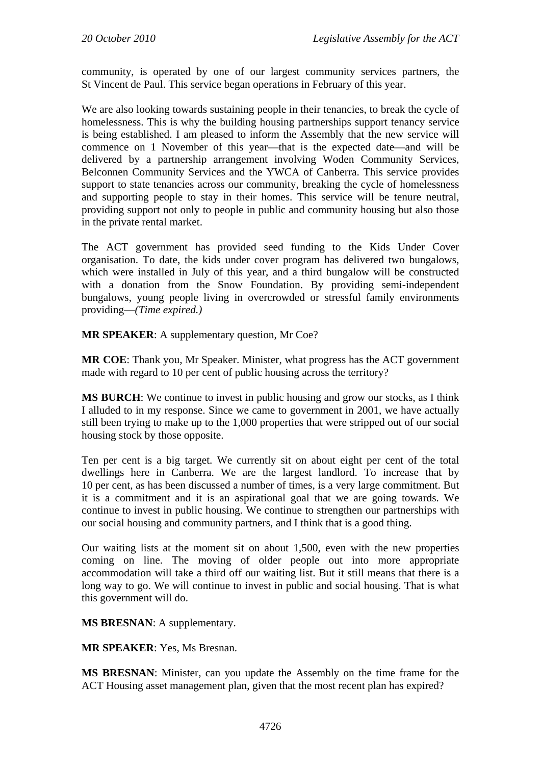community, is operated by one of our largest community services partners, the St Vincent de Paul. This service began operations in February of this year.

We are also looking towards sustaining people in their tenancies, to break the cycle of homelessness. This is why the building housing partnerships support tenancy service is being established. I am pleased to inform the Assembly that the new service will commence on 1 November of this year—that is the expected date—and will be delivered by a partnership arrangement involving Woden Community Services, Belconnen Community Services and the YWCA of Canberra. This service provides support to state tenancies across our community, breaking the cycle of homelessness and supporting people to stay in their homes. This service will be tenure neutral, providing support not only to people in public and community housing but also those in the private rental market.

The ACT government has provided seed funding to the Kids Under Cover organisation. To date, the kids under cover program has delivered two bungalows, which were installed in July of this year, and a third bungalow will be constructed with a donation from the Snow Foundation. By providing semi-independent bungalows, young people living in overcrowded or stressful family environments providing—*(Time expired.)*

**MR SPEAKER**: A supplementary question, Mr Coe?

**MR COE**: Thank you, Mr Speaker. Minister, what progress has the ACT government made with regard to 10 per cent of public housing across the territory?

**MS BURCH**: We continue to invest in public housing and grow our stocks, as I think I alluded to in my response. Since we came to government in 2001, we have actually still been trying to make up to the 1,000 properties that were stripped out of our social housing stock by those opposite.

Ten per cent is a big target. We currently sit on about eight per cent of the total dwellings here in Canberra. We are the largest landlord. To increase that by 10 per cent, as has been discussed a number of times, is a very large commitment. But it is a commitment and it is an aspirational goal that we are going towards. We continue to invest in public housing. We continue to strengthen our partnerships with our social housing and community partners, and I think that is a good thing.

Our waiting lists at the moment sit on about 1,500, even with the new properties coming on line. The moving of older people out into more appropriate accommodation will take a third off our waiting list. But it still means that there is a long way to go. We will continue to invest in public and social housing. That is what this government will do.

**MS BRESNAN**: A supplementary.

**MR SPEAKER**: Yes, Ms Bresnan.

**MS BRESNAN**: Minister, can you update the Assembly on the time frame for the ACT Housing asset management plan, given that the most recent plan has expired?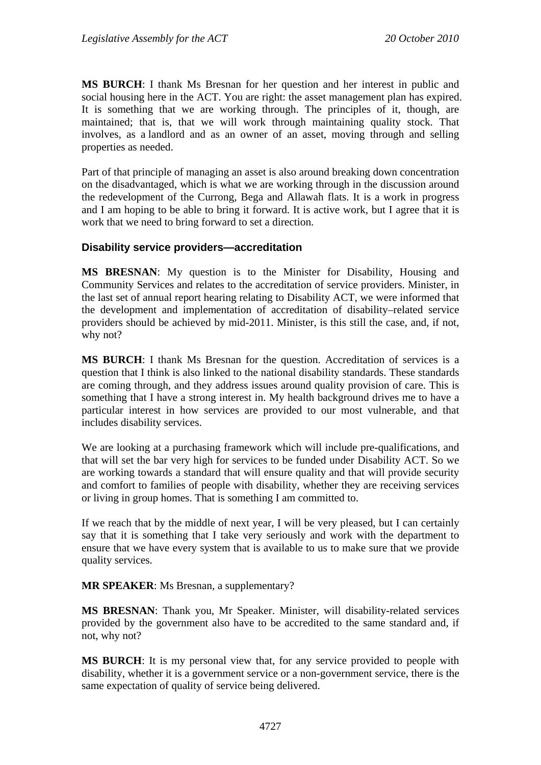**MS BURCH**: I thank Ms Bresnan for her question and her interest in public and social housing here in the ACT. You are right: the asset management plan has expired. It is something that we are working through. The principles of it, though, are maintained; that is, that we will work through maintaining quality stock. That involves, as a landlord and as an owner of an asset, moving through and selling properties as needed.

Part of that principle of managing an asset is also around breaking down concentration on the disadvantaged, which is what we are working through in the discussion around the redevelopment of the Currong, Bega and Allawah flats. It is a work in progress and I am hoping to be able to bring it forward. It is active work, but I agree that it is work that we need to bring forward to set a direction.

#### **Disability service providers—accreditation**

**MS BRESNAN**: My question is to the Minister for Disability, Housing and Community Services and relates to the accreditation of service providers. Minister, in the last set of annual report hearing relating to Disability ACT, we were informed that the development and implementation of accreditation of disability–related service providers should be achieved by mid-2011. Minister, is this still the case, and, if not, why not?

**MS BURCH**: I thank Ms Bresnan for the question. Accreditation of services is a question that I think is also linked to the national disability standards. These standards are coming through, and they address issues around quality provision of care. This is something that I have a strong interest in. My health background drives me to have a particular interest in how services are provided to our most vulnerable, and that includes disability services.

We are looking at a purchasing framework which will include pre-qualifications, and that will set the bar very high for services to be funded under Disability ACT. So we are working towards a standard that will ensure quality and that will provide security and comfort to families of people with disability, whether they are receiving services or living in group homes. That is something I am committed to.

If we reach that by the middle of next year, I will be very pleased, but I can certainly say that it is something that I take very seriously and work with the department to ensure that we have every system that is available to us to make sure that we provide quality services.

**MR SPEAKER**: Ms Bresnan, a supplementary?

**MS BRESNAN**: Thank you, Mr Speaker. Minister, will disability-related services provided by the government also have to be accredited to the same standard and, if not, why not?

**MS BURCH**: It is my personal view that, for any service provided to people with disability, whether it is a government service or a non-government service, there is the same expectation of quality of service being delivered.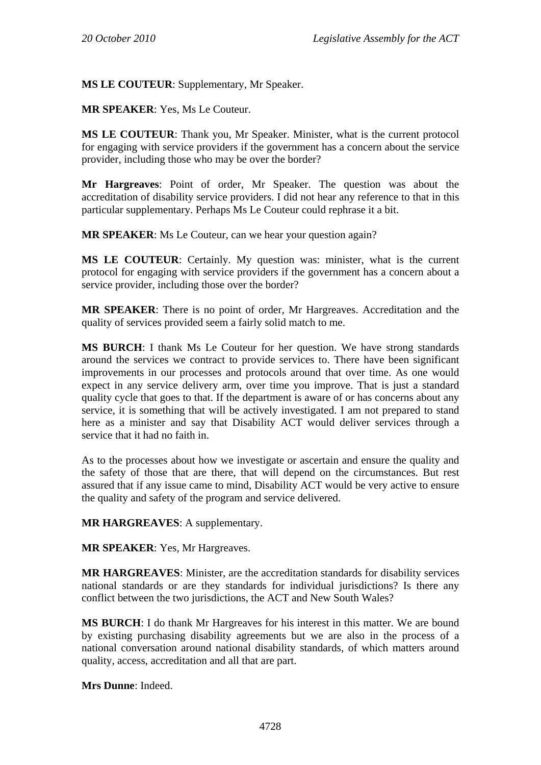**MS LE COUTEUR**: Supplementary, Mr Speaker.

**MR SPEAKER**: Yes, Ms Le Couteur.

**MS LE COUTEUR**: Thank you, Mr Speaker. Minister, what is the current protocol for engaging with service providers if the government has a concern about the service provider, including those who may be over the border?

**Mr Hargreaves**: Point of order, Mr Speaker. The question was about the accreditation of disability service providers. I did not hear any reference to that in this particular supplementary. Perhaps Ms Le Couteur could rephrase it a bit.

**MR SPEAKER:** Ms Le Couteur, can we hear your question again?

**MS LE COUTEUR**: Certainly. My question was: minister, what is the current protocol for engaging with service providers if the government has a concern about a service provider, including those over the border?

**MR SPEAKER**: There is no point of order, Mr Hargreaves. Accreditation and the quality of services provided seem a fairly solid match to me.

**MS BURCH**: I thank Ms Le Couteur for her question. We have strong standards around the services we contract to provide services to. There have been significant improvements in our processes and protocols around that over time. As one would expect in any service delivery arm, over time you improve. That is just a standard quality cycle that goes to that. If the department is aware of or has concerns about any service, it is something that will be actively investigated. I am not prepared to stand here as a minister and say that Disability ACT would deliver services through a service that it had no faith in.

As to the processes about how we investigate or ascertain and ensure the quality and the safety of those that are there, that will depend on the circumstances. But rest assured that if any issue came to mind, Disability ACT would be very active to ensure the quality and safety of the program and service delivered.

**MR HARGREAVES**: A supplementary.

**MR SPEAKER**: Yes, Mr Hargreaves.

**MR HARGREAVES**: Minister, are the accreditation standards for disability services national standards or are they standards for individual jurisdictions? Is there any conflict between the two jurisdictions, the ACT and New South Wales?

**MS BURCH**: I do thank Mr Hargreaves for his interest in this matter. We are bound by existing purchasing disability agreements but we are also in the process of a national conversation around national disability standards, of which matters around quality, access, accreditation and all that are part.

**Mrs Dunne**: Indeed.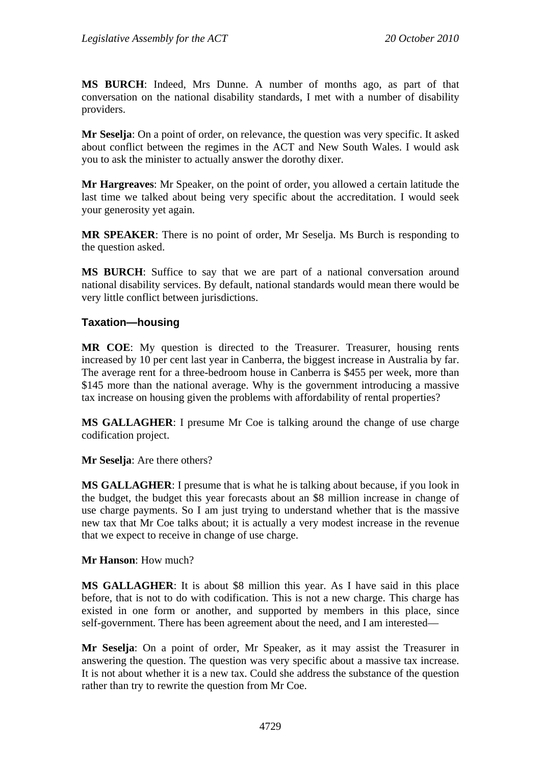**MS BURCH**: Indeed, Mrs Dunne. A number of months ago, as part of that conversation on the national disability standards, I met with a number of disability providers.

**Mr Seselja**: On a point of order, on relevance, the question was very specific. It asked about conflict between the regimes in the ACT and New South Wales. I would ask you to ask the minister to actually answer the dorothy dixer.

**Mr Hargreaves**: Mr Speaker, on the point of order, you allowed a certain latitude the last time we talked about being very specific about the accreditation. I would seek your generosity yet again.

**MR SPEAKER**: There is no point of order, Mr Seselja. Ms Burch is responding to the question asked.

**MS BURCH**: Suffice to say that we are part of a national conversation around national disability services. By default, national standards would mean there would be very little conflict between jurisdictions.

#### **Taxation—housing**

**MR COE**: My question is directed to the Treasurer. Treasurer, housing rents increased by 10 per cent last year in Canberra, the biggest increase in Australia by far. The average rent for a three-bedroom house in Canberra is \$455 per week, more than \$145 more than the national average. Why is the government introducing a massive tax increase on housing given the problems with affordability of rental properties?

**MS GALLAGHER**: I presume Mr Coe is talking around the change of use charge codification project.

**Mr Seselja**: Are there others?

**MS GALLAGHER**: I presume that is what he is talking about because, if you look in the budget, the budget this year forecasts about an \$8 million increase in change of use charge payments. So I am just trying to understand whether that is the massive new tax that Mr Coe talks about; it is actually a very modest increase in the revenue that we expect to receive in change of use charge.

**Mr Hanson**: How much?

**MS GALLAGHER**: It is about \$8 million this year. As I have said in this place before, that is not to do with codification. This is not a new charge. This charge has existed in one form or another, and supported by members in this place, since self-government. There has been agreement about the need, and I am interested—

**Mr Seselja**: On a point of order, Mr Speaker, as it may assist the Treasurer in answering the question. The question was very specific about a massive tax increase. It is not about whether it is a new tax. Could she address the substance of the question rather than try to rewrite the question from Mr Coe.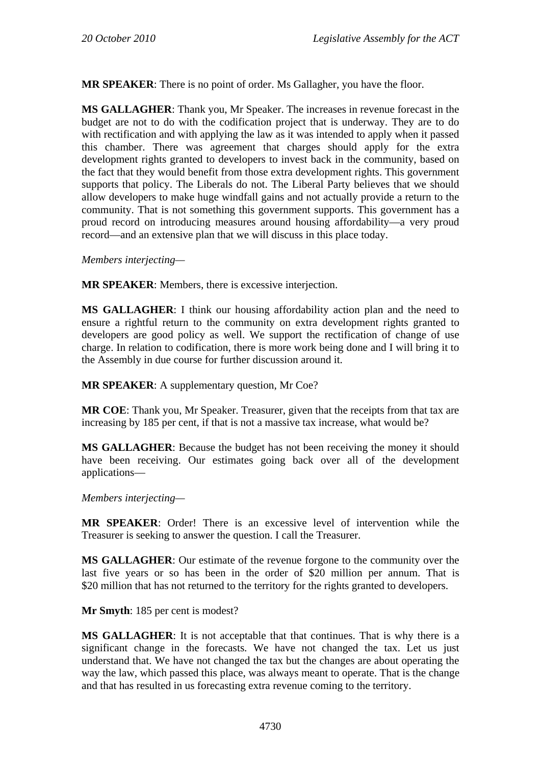**MR SPEAKER**: There is no point of order. Ms Gallagher, you have the floor.

**MS GALLAGHER**: Thank you, Mr Speaker. The increases in revenue forecast in the budget are not to do with the codification project that is underway. They are to do with rectification and with applying the law as it was intended to apply when it passed this chamber. There was agreement that charges should apply for the extra development rights granted to developers to invest back in the community, based on the fact that they would benefit from those extra development rights. This government supports that policy. The Liberals do not. The Liberal Party believes that we should allow developers to make huge windfall gains and not actually provide a return to the community. That is not something this government supports. This government has a proud record on introducing measures around housing affordability—a very proud record—and an extensive plan that we will discuss in this place today.

*Members interjecting—* 

**MR SPEAKER**: Members, there is excessive interjection.

**MS GALLAGHER**: I think our housing affordability action plan and the need to ensure a rightful return to the community on extra development rights granted to developers are good policy as well. We support the rectification of change of use charge. In relation to codification, there is more work being done and I will bring it to the Assembly in due course for further discussion around it.

**MR SPEAKER**: A supplementary question, Mr Coe?

**MR COE**: Thank you, Mr Speaker. Treasurer, given that the receipts from that tax are increasing by 185 per cent, if that is not a massive tax increase, what would be?

**MS GALLAGHER**: Because the budget has not been receiving the money it should have been receiving. Our estimates going back over all of the development applications—

*Members interjecting—* 

**MR SPEAKER**: Order! There is an excessive level of intervention while the Treasurer is seeking to answer the question. I call the Treasurer.

**MS GALLAGHER**: Our estimate of the revenue forgone to the community over the last five years or so has been in the order of \$20 million per annum. That is \$20 million that has not returned to the territory for the rights granted to developers.

**Mr Smyth**: 185 per cent is modest?

**MS GALLAGHER**: It is not acceptable that that continues. That is why there is a significant change in the forecasts. We have not changed the tax. Let us just understand that. We have not changed the tax but the changes are about operating the way the law, which passed this place, was always meant to operate. That is the change and that has resulted in us forecasting extra revenue coming to the territory.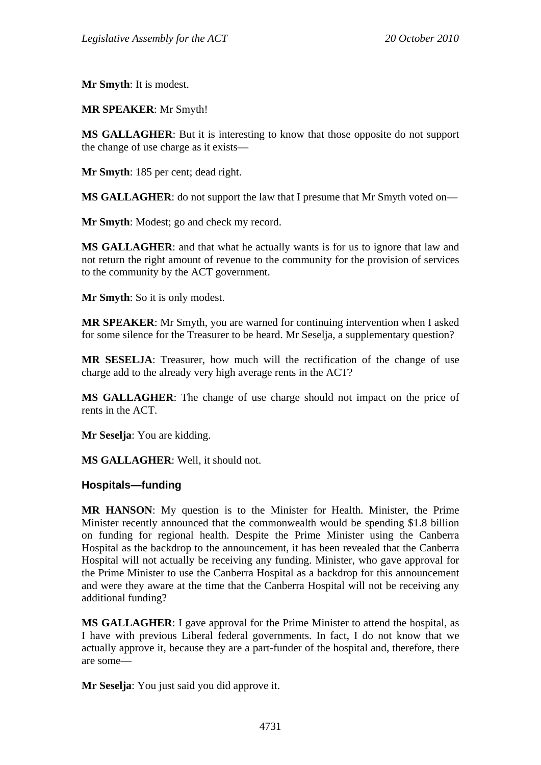**Mr Smyth**: It is modest.

**MR SPEAKER**: Mr Smyth!

**MS GALLAGHER**: But it is interesting to know that those opposite do not support the change of use charge as it exists—

**Mr Smyth**: 185 per cent; dead right.

**MS GALLAGHER**: do not support the law that I presume that Mr Smyth voted on—

**Mr Smyth**: Modest; go and check my record.

**MS GALLAGHER**: and that what he actually wants is for us to ignore that law and not return the right amount of revenue to the community for the provision of services to the community by the ACT government.

**Mr Smyth**: So it is only modest.

**MR SPEAKER**: Mr Smyth, you are warned for continuing intervention when I asked for some silence for the Treasurer to be heard. Mr Seselja, a supplementary question?

**MR SESELJA**: Treasurer, how much will the rectification of the change of use charge add to the already very high average rents in the ACT?

**MS GALLAGHER**: The change of use charge should not impact on the price of rents in the ACT.

**Mr Seselja**: You are kidding.

**MS GALLAGHER**: Well, it should not.

#### **Hospitals—funding**

**MR HANSON**: My question is to the Minister for Health. Minister, the Prime Minister recently announced that the commonwealth would be spending \$1.8 billion on funding for regional health. Despite the Prime Minister using the Canberra Hospital as the backdrop to the announcement, it has been revealed that the Canberra Hospital will not actually be receiving any funding. Minister, who gave approval for the Prime Minister to use the Canberra Hospital as a backdrop for this announcement and were they aware at the time that the Canberra Hospital will not be receiving any additional funding?

**MS GALLAGHER**: I gave approval for the Prime Minister to attend the hospital, as I have with previous Liberal federal governments. In fact, I do not know that we actually approve it, because they are a part-funder of the hospital and, therefore, there are some—

**Mr Seselja**: You just said you did approve it.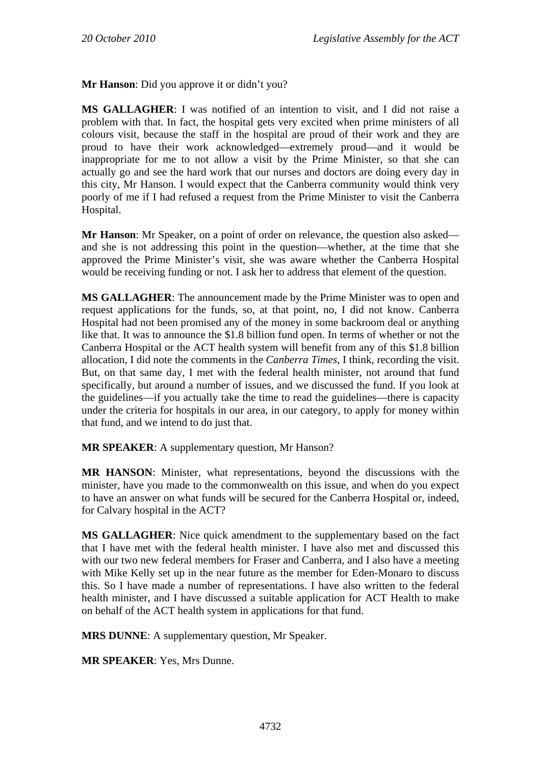**Mr Hanson**: Did you approve it or didn't you?

**MS GALLAGHER**: I was notified of an intention to visit, and I did not raise a problem with that. In fact, the hospital gets very excited when prime ministers of all colours visit, because the staff in the hospital are proud of their work and they are proud to have their work acknowledged—extremely proud—and it would be inappropriate for me to not allow a visit by the Prime Minister, so that she can actually go and see the hard work that our nurses and doctors are doing every day in this city, Mr Hanson. I would expect that the Canberra community would think very poorly of me if I had refused a request from the Prime Minister to visit the Canberra Hospital.

**Mr Hanson**: Mr Speaker, on a point of order on relevance, the question also asked and she is not addressing this point in the question—whether, at the time that she approved the Prime Minister's visit, she was aware whether the Canberra Hospital would be receiving funding or not. I ask her to address that element of the question.

**MS GALLAGHER**: The announcement made by the Prime Minister was to open and request applications for the funds, so, at that point, no, I did not know. Canberra Hospital had not been promised any of the money in some backroom deal or anything like that. It was to announce the \$1.8 billion fund open. In terms of whether or not the Canberra Hospital or the ACT health system will benefit from any of this \$1.8 billion allocation, I did note the comments in the *Canberra Times*, I think, recording the visit. But, on that same day, I met with the federal health minister, not around that fund specifically, but around a number of issues, and we discussed the fund. If you look at the guidelines—if you actually take the time to read the guidelines—there is capacity under the criteria for hospitals in our area, in our category, to apply for money within that fund, and we intend to do just that.

**MR SPEAKER**: A supplementary question, Mr Hanson?

**MR HANSON**: Minister, what representations, beyond the discussions with the minister, have you made to the commonwealth on this issue, and when do you expect to have an answer on what funds will be secured for the Canberra Hospital or, indeed, for Calvary hospital in the ACT?

**MS GALLAGHER**: Nice quick amendment to the supplementary based on the fact that I have met with the federal health minister. I have also met and discussed this with our two new federal members for Fraser and Canberra, and I also have a meeting with Mike Kelly set up in the near future as the member for Eden-Monaro to discuss this. So I have made a number of representations. I have also written to the federal health minister, and I have discussed a suitable application for ACT Health to make on behalf of the ACT health system in applications for that fund.

**MRS DUNNE**: A supplementary question, Mr Speaker.

**MR SPEAKER**: Yes, Mrs Dunne.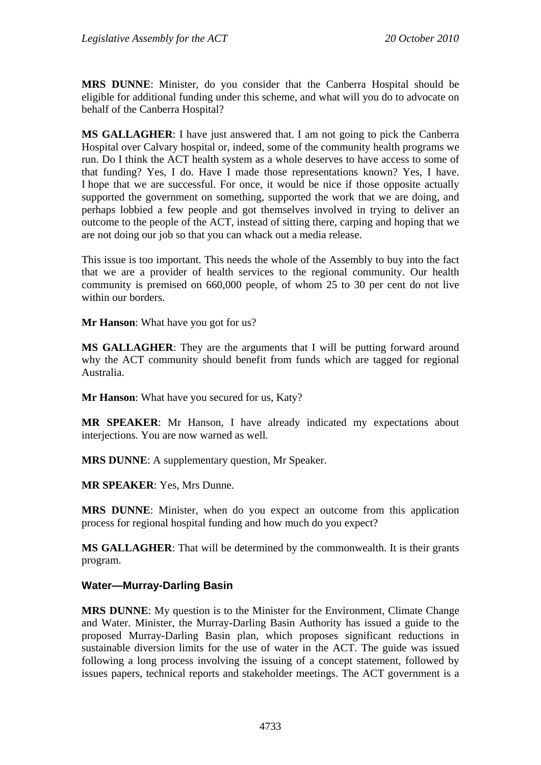**MRS DUNNE**: Minister, do you consider that the Canberra Hospital should be eligible for additional funding under this scheme, and what will you do to advocate on behalf of the Canberra Hospital?

**MS GALLAGHER**: I have just answered that. I am not going to pick the Canberra Hospital over Calvary hospital or, indeed, some of the community health programs we run. Do I think the ACT health system as a whole deserves to have access to some of that funding? Yes, I do. Have I made those representations known? Yes, I have. I hope that we are successful. For once, it would be nice if those opposite actually supported the government on something, supported the work that we are doing, and perhaps lobbied a few people and got themselves involved in trying to deliver an outcome to the people of the ACT, instead of sitting there, carping and hoping that we are not doing our job so that you can whack out a media release.

This issue is too important. This needs the whole of the Assembly to buy into the fact that we are a provider of health services to the regional community. Our health community is premised on 660,000 people, of whom 25 to 30 per cent do not live within our borders.

**Mr Hanson**: What have you got for us?

**MS GALLAGHER**: They are the arguments that I will be putting forward around why the ACT community should benefit from funds which are tagged for regional Australia.

**Mr Hanson**: What have you secured for us, Katy?

**MR SPEAKER**: Mr Hanson, I have already indicated my expectations about interjections. You are now warned as well.

**MRS DUNNE**: A supplementary question, Mr Speaker.

**MR SPEAKER**: Yes, Mrs Dunne.

**MRS DUNNE**: Minister, when do you expect an outcome from this application process for regional hospital funding and how much do you expect?

**MS GALLAGHER**: That will be determined by the commonwealth. It is their grants program.

#### **Water—Murray-Darling Basin**

**MRS DUNNE**: My question is to the Minister for the Environment, Climate Change and Water. Minister, the Murray-Darling Basin Authority has issued a guide to the proposed Murray-Darling Basin plan, which proposes significant reductions in sustainable diversion limits for the use of water in the ACT. The guide was issued following a long process involving the issuing of a concept statement, followed by issues papers, technical reports and stakeholder meetings. The ACT government is a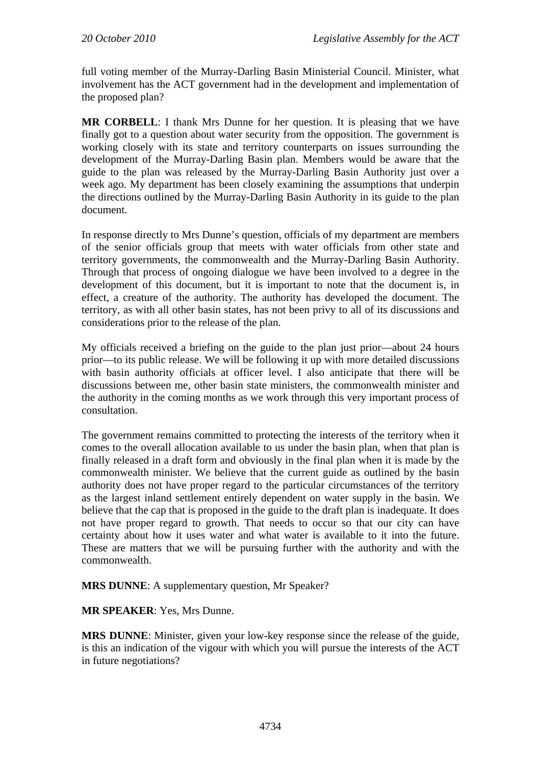full voting member of the Murray-Darling Basin Ministerial Council. Minister, what involvement has the ACT government had in the development and implementation of the proposed plan?

**MR CORBELL**: I thank Mrs Dunne for her question. It is pleasing that we have finally got to a question about water security from the opposition. The government is working closely with its state and territory counterparts on issues surrounding the development of the Murray-Darling Basin plan. Members would be aware that the guide to the plan was released by the Murray-Darling Basin Authority just over a week ago. My department has been closely examining the assumptions that underpin the directions outlined by the Murray-Darling Basin Authority in its guide to the plan document.

In response directly to Mrs Dunne's question, officials of my department are members of the senior officials group that meets with water officials from other state and territory governments, the commonwealth and the Murray-Darling Basin Authority. Through that process of ongoing dialogue we have been involved to a degree in the development of this document, but it is important to note that the document is, in effect, a creature of the authority. The authority has developed the document. The territory, as with all other basin states, has not been privy to all of its discussions and considerations prior to the release of the plan.

My officials received a briefing on the guide to the plan just prior—about 24 hours prior—to its public release. We will be following it up with more detailed discussions with basin authority officials at officer level. I also anticipate that there will be discussions between me, other basin state ministers, the commonwealth minister and the authority in the coming months as we work through this very important process of consultation.

The government remains committed to protecting the interests of the territory when it comes to the overall allocation available to us under the basin plan, when that plan is finally released in a draft form and obviously in the final plan when it is made by the commonwealth minister. We believe that the current guide as outlined by the basin authority does not have proper regard to the particular circumstances of the territory as the largest inland settlement entirely dependent on water supply in the basin. We believe that the cap that is proposed in the guide to the draft plan is inadequate. It does not have proper regard to growth. That needs to occur so that our city can have certainty about how it uses water and what water is available to it into the future. These are matters that we will be pursuing further with the authority and with the commonwealth.

**MRS DUNNE**: A supplementary question, Mr Speaker?

**MR SPEAKER**: Yes, Mrs Dunne.

**MRS DUNNE**: Minister, given your low-key response since the release of the guide, is this an indication of the vigour with which you will pursue the interests of the ACT in future negotiations?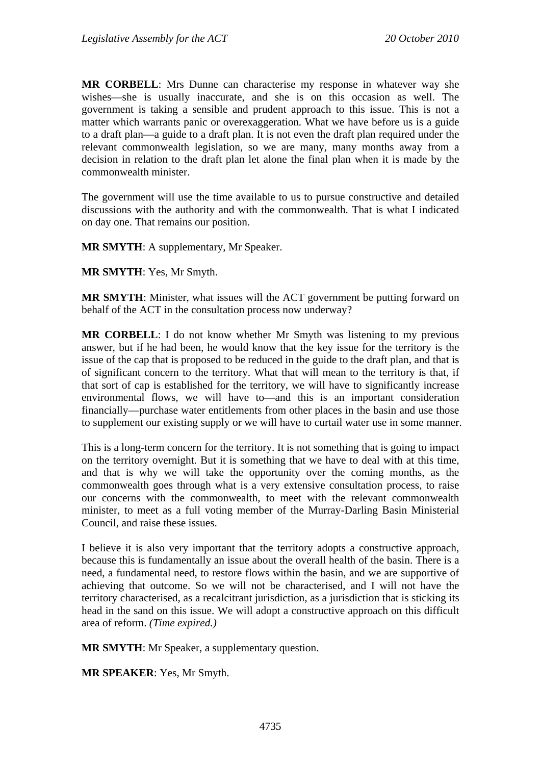**MR CORBELL**: Mrs Dunne can characterise my response in whatever way she wishes—she is usually inaccurate, and she is on this occasion as well. The government is taking a sensible and prudent approach to this issue. This is not a matter which warrants panic or overexaggeration. What we have before us is a guide to a draft plan—a guide to a draft plan. It is not even the draft plan required under the relevant commonwealth legislation, so we are many, many months away from a decision in relation to the draft plan let alone the final plan when it is made by the commonwealth minister.

The government will use the time available to us to pursue constructive and detailed discussions with the authority and with the commonwealth. That is what I indicated on day one. That remains our position.

**MR SMYTH**: A supplementary, Mr Speaker.

**MR SMYTH**: Yes, Mr Smyth.

**MR SMYTH**: Minister, what issues will the ACT government be putting forward on behalf of the ACT in the consultation process now underway?

**MR CORBELL:** I do not know whether Mr Smyth was listening to my previous answer, but if he had been, he would know that the key issue for the territory is the issue of the cap that is proposed to be reduced in the guide to the draft plan, and that is of significant concern to the territory. What that will mean to the territory is that, if that sort of cap is established for the territory, we will have to significantly increase environmental flows, we will have to—and this is an important consideration financially—purchase water entitlements from other places in the basin and use those to supplement our existing supply or we will have to curtail water use in some manner.

This is a long-term concern for the territory. It is not something that is going to impact on the territory overnight. But it is something that we have to deal with at this time, and that is why we will take the opportunity over the coming months, as the commonwealth goes through what is a very extensive consultation process, to raise our concerns with the commonwealth, to meet with the relevant commonwealth minister, to meet as a full voting member of the Murray-Darling Basin Ministerial Council, and raise these issues.

I believe it is also very important that the territory adopts a constructive approach, because this is fundamentally an issue about the overall health of the basin. There is a need, a fundamental need, to restore flows within the basin, and we are supportive of achieving that outcome. So we will not be characterised, and I will not have the territory characterised, as a recalcitrant jurisdiction, as a jurisdiction that is sticking its head in the sand on this issue. We will adopt a constructive approach on this difficult area of reform. *(Time expired.)*

**MR SMYTH**: Mr Speaker, a supplementary question.

**MR SPEAKER**: Yes, Mr Smyth.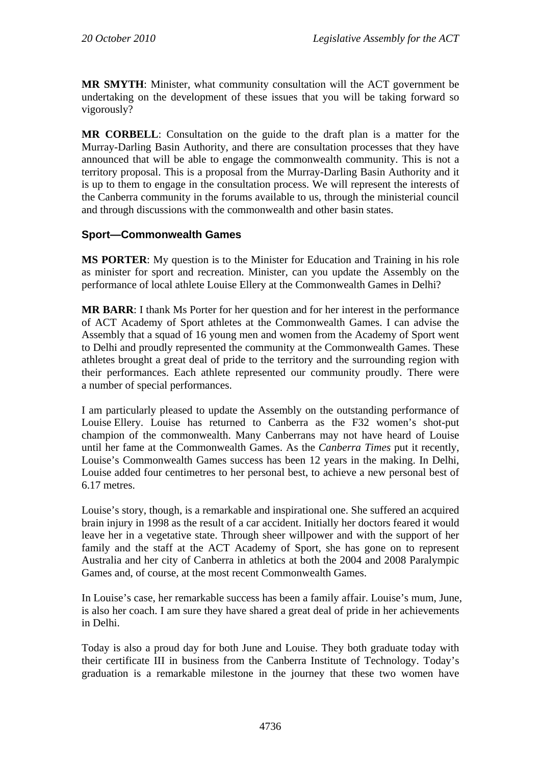**MR SMYTH**: Minister, what community consultation will the ACT government be undertaking on the development of these issues that you will be taking forward so vigorously?

**MR CORBELL**: Consultation on the guide to the draft plan is a matter for the Murray-Darling Basin Authority, and there are consultation processes that they have announced that will be able to engage the commonwealth community. This is not a territory proposal. This is a proposal from the Murray-Darling Basin Authority and it is up to them to engage in the consultation process. We will represent the interests of the Canberra community in the forums available to us, through the ministerial council and through discussions with the commonwealth and other basin states.

### **Sport—Commonwealth Games**

**MS PORTER**: My question is to the Minister for Education and Training in his role as minister for sport and recreation. Minister, can you update the Assembly on the performance of local athlete Louise Ellery at the Commonwealth Games in Delhi?

**MR BARR**: I thank Ms Porter for her question and for her interest in the performance of ACT Academy of Sport athletes at the Commonwealth Games. I can advise the Assembly that a squad of 16 young men and women from the Academy of Sport went to Delhi and proudly represented the community at the Commonwealth Games. These athletes brought a great deal of pride to the territory and the surrounding region with their performances. Each athlete represented our community proudly. There were a number of special performances.

I am particularly pleased to update the Assembly on the outstanding performance of Louise Ellery. Louise has returned to Canberra as the F32 women's shot-put champion of the commonwealth. Many Canberrans may not have heard of Louise until her fame at the Commonwealth Games. As the *Canberra Times* put it recently, Louise's Commonwealth Games success has been 12 years in the making. In Delhi, Louise added four centimetres to her personal best, to achieve a new personal best of 6.17 metres.

Louise's story, though, is a remarkable and inspirational one. She suffered an acquired brain injury in 1998 as the result of a car accident. Initially her doctors feared it would leave her in a vegetative state. Through sheer willpower and with the support of her family and the staff at the ACT Academy of Sport, she has gone on to represent Australia and her city of Canberra in athletics at both the 2004 and 2008 Paralympic Games and, of course, at the most recent Commonwealth Games.

In Louise's case, her remarkable success has been a family affair. Louise's mum, June, is also her coach. I am sure they have shared a great deal of pride in her achievements in Delhi.

Today is also a proud day for both June and Louise. They both graduate today with their certificate III in business from the Canberra Institute of Technology. Today's graduation is a remarkable milestone in the journey that these two women have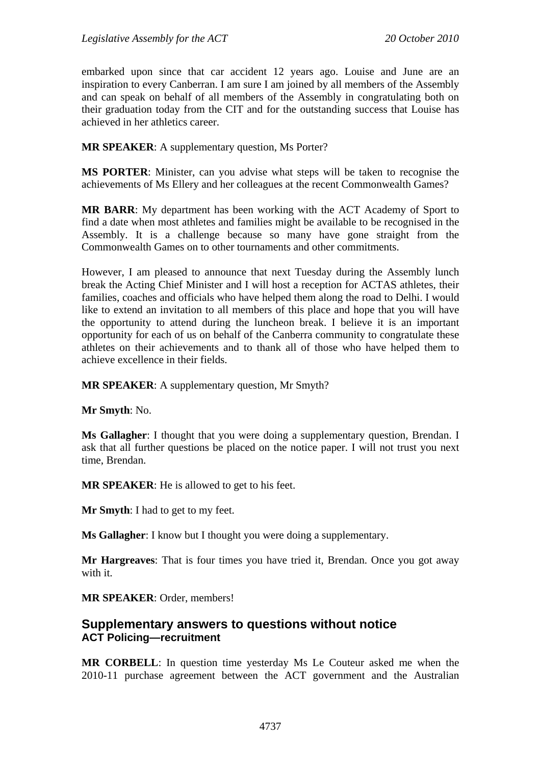embarked upon since that car accident 12 years ago. Louise and June are an inspiration to every Canberran. I am sure I am joined by all members of the Assembly and can speak on behalf of all members of the Assembly in congratulating both on their graduation today from the CIT and for the outstanding success that Louise has achieved in her athletics career.

**MR SPEAKER**: A supplementary question, Ms Porter?

**MS PORTER**: Minister, can you advise what steps will be taken to recognise the achievements of Ms Ellery and her colleagues at the recent Commonwealth Games?

**MR BARR**: My department has been working with the ACT Academy of Sport to find a date when most athletes and families might be available to be recognised in the Assembly. It is a challenge because so many have gone straight from the Commonwealth Games on to other tournaments and other commitments.

However, I am pleased to announce that next Tuesday during the Assembly lunch break the Acting Chief Minister and I will host a reception for ACTAS athletes, their families, coaches and officials who have helped them along the road to Delhi. I would like to extend an invitation to all members of this place and hope that you will have the opportunity to attend during the luncheon break. I believe it is an important opportunity for each of us on behalf of the Canberra community to congratulate these athletes on their achievements and to thank all of those who have helped them to achieve excellence in their fields.

**MR SPEAKER:** A supplementary question, Mr Smyth?

**Mr Smyth**: No.

**Ms Gallagher**: I thought that you were doing a supplementary question, Brendan. I ask that all further questions be placed on the notice paper. I will not trust you next time, Brendan.

**MR SPEAKER**: He is allowed to get to his feet.

**Mr Smyth**: I had to get to my feet.

**Ms Gallagher**: I know but I thought you were doing a supplementary.

**Mr Hargreaves**: That is four times you have tried it, Brendan. Once you got away with it.

**MR SPEAKER**: Order, members!

### **Supplementary answers to questions without notice ACT Policing—recruitment**

**MR CORBELL**: In question time yesterday Ms Le Couteur asked me when the 2010-11 purchase agreement between the ACT government and the Australian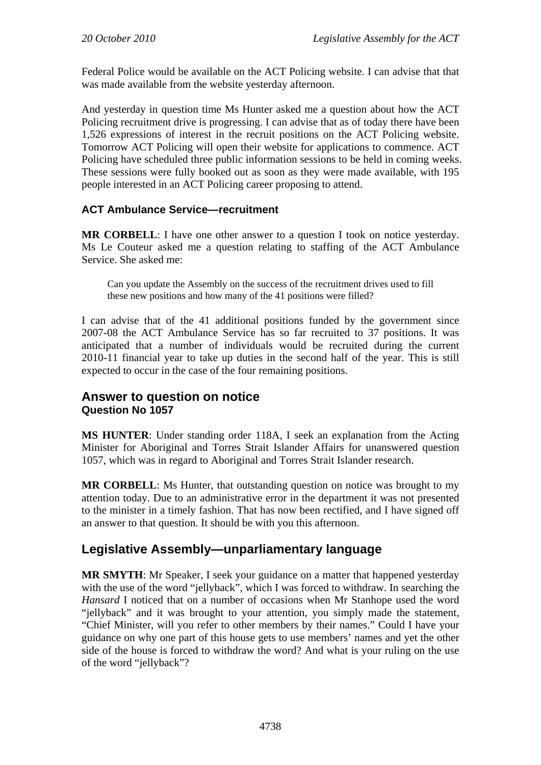Federal Police would be available on the ACT Policing website. I can advise that that was made available from the website yesterday afternoon.

And yesterday in question time Ms Hunter asked me a question about how the ACT Policing recruitment drive is progressing. I can advise that as of today there have been 1,526 expressions of interest in the recruit positions on the ACT Policing website. Tomorrow ACT Policing will open their website for applications to commence. ACT Policing have scheduled three public information sessions to be held in coming weeks. These sessions were fully booked out as soon as they were made available, with 195 people interested in an ACT Policing career proposing to attend.

### **ACT Ambulance Service—recruitment**

**MR CORBELL**: I have one other answer to a question I took on notice yesterday. Ms Le Couteur asked me a question relating to staffing of the ACT Ambulance Service. She asked me:

Can you update the Assembly on the success of the recruitment drives used to fill these new positions and how many of the 41 positions were filled?

I can advise that of the 41 additional positions funded by the government since 2007-08 the ACT Ambulance Service has so far recruited to 37 positions. It was anticipated that a number of individuals would be recruited during the current 2010-11 financial year to take up duties in the second half of the year. This is still expected to occur in the case of the four remaining positions.

### **Answer to question on notice Question No 1057**

**MS HUNTER**: Under standing order 118A, I seek an explanation from the Acting Minister for Aboriginal and Torres Strait Islander Affairs for unanswered question 1057, which was in regard to Aboriginal and Torres Strait Islander research.

**MR CORBELL**: Ms Hunter, that outstanding question on notice was brought to my attention today. Due to an administrative error in the department it was not presented to the minister in a timely fashion. That has now been rectified, and I have signed off an answer to that question. It should be with you this afternoon.

# **Legislative Assembly—unparliamentary language**

**MR SMYTH**: Mr Speaker, I seek your guidance on a matter that happened yesterday with the use of the word "jellyback", which I was forced to withdraw. In searching the *Hansard* I noticed that on a number of occasions when Mr Stanhope used the word "jellyback" and it was brought to your attention, you simply made the statement, "Chief Minister, will you refer to other members by their names." Could I have your guidance on why one part of this house gets to use members' names and yet the other side of the house is forced to withdraw the word? And what is your ruling on the use of the word "jellyback"?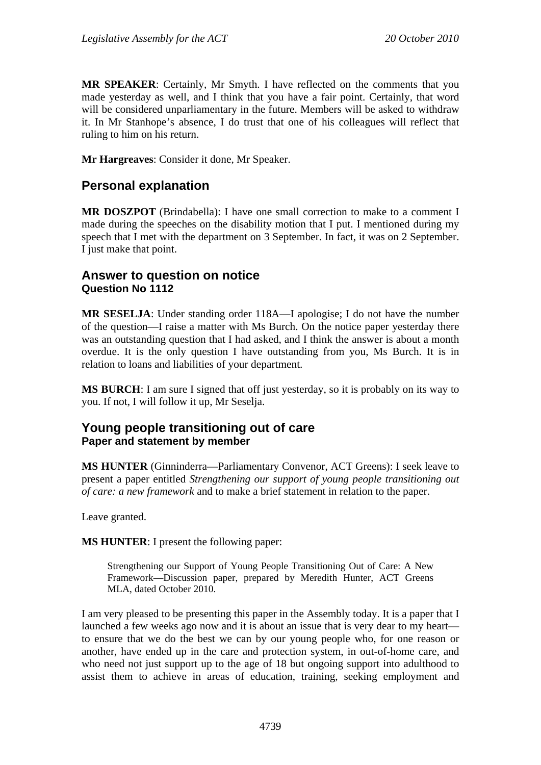**MR SPEAKER**: Certainly, Mr Smyth. I have reflected on the comments that you made yesterday as well, and I think that you have a fair point. Certainly, that word will be considered unparliamentary in the future. Members will be asked to withdraw it. In Mr Stanhope's absence, I do trust that one of his colleagues will reflect that ruling to him on his return.

**Mr Hargreaves**: Consider it done, Mr Speaker.

## **Personal explanation**

**MR DOSZPOT** (Brindabella): I have one small correction to make to a comment I made during the speeches on the disability motion that I put. I mentioned during my speech that I met with the department on 3 September. In fact, it was on 2 September. I just make that point.

### **Answer to question on notice Question No 1112**

**MR SESELJA**: Under standing order 118A—I apologise; I do not have the number of the question—I raise a matter with Ms Burch. On the notice paper yesterday there was an outstanding question that I had asked, and I think the answer is about a month overdue. It is the only question I have outstanding from you, Ms Burch. It is in relation to loans and liabilities of your department.

**MS BURCH**: I am sure I signed that off just yesterday, so it is probably on its way to you. If not, I will follow it up, Mr Seselja.

### **Young people transitioning out of care Paper and statement by member**

**MS HUNTER** (Ginninderra—Parliamentary Convenor, ACT Greens): I seek leave to present a paper entitled *Strengthening our support of young people transitioning out of care: a new framework* and to make a brief statement in relation to the paper.

Leave granted.

**MS HUNTER**: I present the following paper:

Strengthening our Support of Young People Transitioning Out of Care: A New Framework—Discussion paper, prepared by Meredith Hunter, ACT Greens MLA, dated October 2010.

I am very pleased to be presenting this paper in the Assembly today. It is a paper that I launched a few weeks ago now and it is about an issue that is very dear to my heart to ensure that we do the best we can by our young people who, for one reason or another, have ended up in the care and protection system, in out-of-home care, and who need not just support up to the age of 18 but ongoing support into adulthood to assist them to achieve in areas of education, training, seeking employment and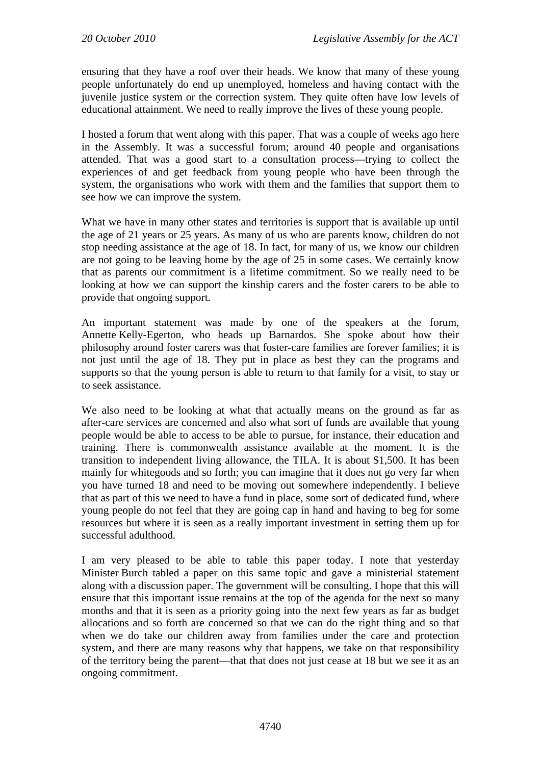ensuring that they have a roof over their heads. We know that many of these young people unfortunately do end up unemployed, homeless and having contact with the juvenile justice system or the correction system. They quite often have low levels of educational attainment. We need to really improve the lives of these young people.

I hosted a forum that went along with this paper. That was a couple of weeks ago here in the Assembly. It was a successful forum; around 40 people and organisations attended. That was a good start to a consultation process—trying to collect the experiences of and get feedback from young people who have been through the system, the organisations who work with them and the families that support them to see how we can improve the system.

What we have in many other states and territories is support that is available up until the age of 21 years or 25 years. As many of us who are parents know, children do not stop needing assistance at the age of 18. In fact, for many of us, we know our children are not going to be leaving home by the age of 25 in some cases. We certainly know that as parents our commitment is a lifetime commitment. So we really need to be looking at how we can support the kinship carers and the foster carers to be able to provide that ongoing support.

An important statement was made by one of the speakers at the forum, Annette Kelly-Egerton, who heads up Barnardos. She spoke about how their philosophy around foster carers was that foster-care families are forever families; it is not just until the age of 18. They put in place as best they can the programs and supports so that the young person is able to return to that family for a visit, to stay or to seek assistance.

We also need to be looking at what that actually means on the ground as far as after-care services are concerned and also what sort of funds are available that young people would be able to access to be able to pursue, for instance, their education and training. There is commonwealth assistance available at the moment. It is the transition to independent living allowance, the TILA. It is about \$1,500. It has been mainly for whitegoods and so forth; you can imagine that it does not go very far when you have turned 18 and need to be moving out somewhere independently. I believe that as part of this we need to have a fund in place, some sort of dedicated fund, where young people do not feel that they are going cap in hand and having to beg for some resources but where it is seen as a really important investment in setting them up for successful adulthood.

I am very pleased to be able to table this paper today. I note that yesterday Minister Burch tabled a paper on this same topic and gave a ministerial statement along with a discussion paper. The government will be consulting. I hope that this will ensure that this important issue remains at the top of the agenda for the next so many months and that it is seen as a priority going into the next few years as far as budget allocations and so forth are concerned so that we can do the right thing and so that when we do take our children away from families under the care and protection system, and there are many reasons why that happens, we take on that responsibility of the territory being the parent—that that does not just cease at 18 but we see it as an ongoing commitment.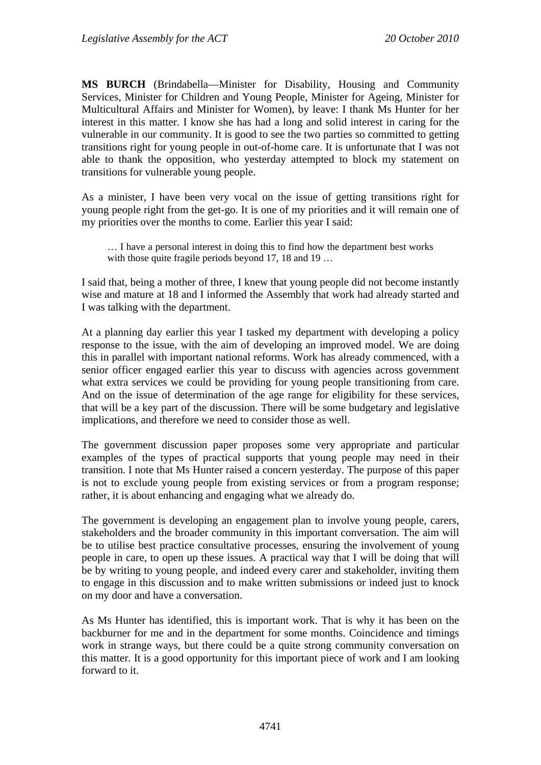**MS BURCH** (Brindabella—Minister for Disability, Housing and Community Services, Minister for Children and Young People, Minister for Ageing, Minister for Multicultural Affairs and Minister for Women), by leave: I thank Ms Hunter for her interest in this matter. I know she has had a long and solid interest in caring for the vulnerable in our community. It is good to see the two parties so committed to getting transitions right for young people in out-of-home care. It is unfortunate that I was not able to thank the opposition, who yesterday attempted to block my statement on transitions for vulnerable young people.

As a minister, I have been very vocal on the issue of getting transitions right for young people right from the get-go. It is one of my priorities and it will remain one of my priorities over the months to come. Earlier this year I said:

… I have a personal interest in doing this to find how the department best works with those quite fragile periods beyond 17, 18 and 19 ...

I said that, being a mother of three, I knew that young people did not become instantly wise and mature at 18 and I informed the Assembly that work had already started and I was talking with the department.

At a planning day earlier this year I tasked my department with developing a policy response to the issue, with the aim of developing an improved model. We are doing this in parallel with important national reforms. Work has already commenced, with a senior officer engaged earlier this year to discuss with agencies across government what extra services we could be providing for young people transitioning from care. And on the issue of determination of the age range for eligibility for these services, that will be a key part of the discussion. There will be some budgetary and legislative implications, and therefore we need to consider those as well.

The government discussion paper proposes some very appropriate and particular examples of the types of practical supports that young people may need in their transition. I note that Ms Hunter raised a concern yesterday. The purpose of this paper is not to exclude young people from existing services or from a program response; rather, it is about enhancing and engaging what we already do.

The government is developing an engagement plan to involve young people, carers, stakeholders and the broader community in this important conversation. The aim will be to utilise best practice consultative processes, ensuring the involvement of young people in care, to open up these issues. A practical way that I will be doing that will be by writing to young people, and indeed every carer and stakeholder, inviting them to engage in this discussion and to make written submissions or indeed just to knock on my door and have a conversation.

As Ms Hunter has identified, this is important work. That is why it has been on the backburner for me and in the department for some months. Coincidence and timings work in strange ways, but there could be a quite strong community conversation on this matter. It is a good opportunity for this important piece of work and I am looking forward to it.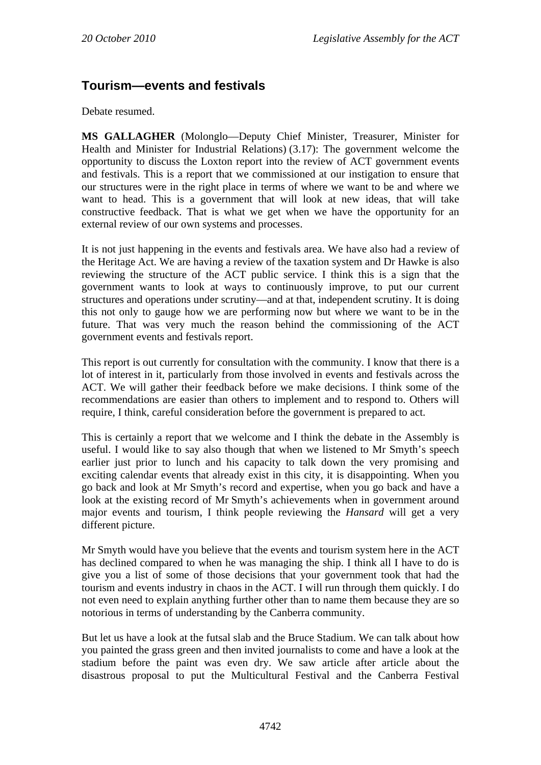# **Tourism—events and festivals**

Debate resumed.

**MS GALLAGHER** (Molonglo—Deputy Chief Minister, Treasurer, Minister for Health and Minister for Industrial Relations) (3.17): The government welcome the opportunity to discuss the Loxton report into the review of ACT government events and festivals. This is a report that we commissioned at our instigation to ensure that our structures were in the right place in terms of where we want to be and where we want to head. This is a government that will look at new ideas, that will take constructive feedback. That is what we get when we have the opportunity for an external review of our own systems and processes.

It is not just happening in the events and festivals area. We have also had a review of the Heritage Act. We are having a review of the taxation system and Dr Hawke is also reviewing the structure of the ACT public service. I think this is a sign that the government wants to look at ways to continuously improve, to put our current structures and operations under scrutiny—and at that, independent scrutiny. It is doing this not only to gauge how we are performing now but where we want to be in the future. That was very much the reason behind the commissioning of the ACT government events and festivals report.

This report is out currently for consultation with the community. I know that there is a lot of interest in it, particularly from those involved in events and festivals across the ACT. We will gather their feedback before we make decisions. I think some of the recommendations are easier than others to implement and to respond to. Others will require, I think, careful consideration before the government is prepared to act.

This is certainly a report that we welcome and I think the debate in the Assembly is useful. I would like to say also though that when we listened to Mr Smyth's speech earlier just prior to lunch and his capacity to talk down the very promising and exciting calendar events that already exist in this city, it is disappointing. When you go back and look at Mr Smyth's record and expertise, when you go back and have a look at the existing record of Mr Smyth's achievements when in government around major events and tourism, I think people reviewing the *Hansard* will get a very different picture.

Mr Smyth would have you believe that the events and tourism system here in the ACT has declined compared to when he was managing the ship. I think all I have to do is give you a list of some of those decisions that your government took that had the tourism and events industry in chaos in the ACT. I will run through them quickly. I do not even need to explain anything further other than to name them because they are so notorious in terms of understanding by the Canberra community.

But let us have a look at the futsal slab and the Bruce Stadium. We can talk about how you painted the grass green and then invited journalists to come and have a look at the stadium before the paint was even dry. We saw article after article about the disastrous proposal to put the Multicultural Festival and the Canberra Festival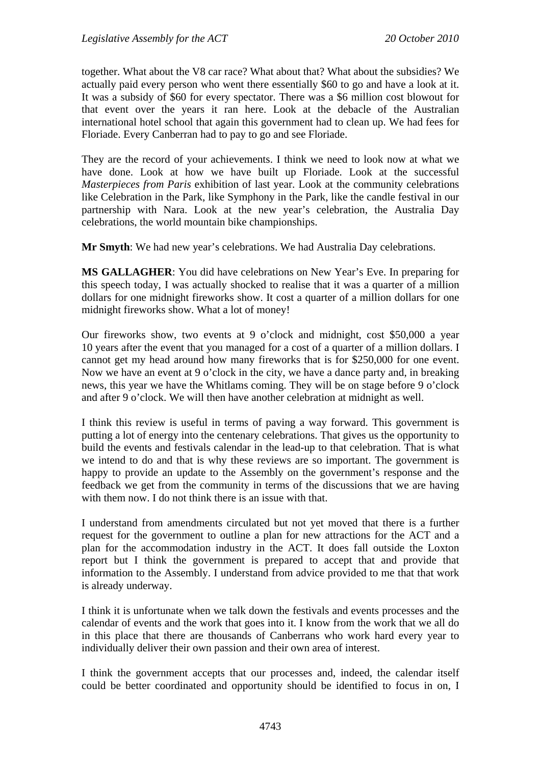together. What about the V8 car race? What about that? What about the subsidies? We actually paid every person who went there essentially \$60 to go and have a look at it. It was a subsidy of \$60 for every spectator. There was a \$6 million cost blowout for that event over the years it ran here. Look at the debacle of the Australian international hotel school that again this government had to clean up. We had fees for Floriade. Every Canberran had to pay to go and see Floriade.

They are the record of your achievements. I think we need to look now at what we have done. Look at how we have built up Floriade. Look at the successful *Masterpieces from Paris* exhibition of last year. Look at the community celebrations like Celebration in the Park, like Symphony in the Park, like the candle festival in our partnership with Nara. Look at the new year's celebration, the Australia Day celebrations, the world mountain bike championships.

**Mr Smyth**: We had new year's celebrations. We had Australia Day celebrations.

**MS GALLAGHER**: You did have celebrations on New Year's Eve. In preparing for this speech today, I was actually shocked to realise that it was a quarter of a million dollars for one midnight fireworks show. It cost a quarter of a million dollars for one midnight fireworks show. What a lot of money!

Our fireworks show, two events at 9 o'clock and midnight, cost \$50,000 a year 10 years after the event that you managed for a cost of a quarter of a million dollars. I cannot get my head around how many fireworks that is for \$250,000 for one event. Now we have an event at 9 o'clock in the city, we have a dance party and, in breaking news, this year we have the Whitlams coming. They will be on stage before 9 o'clock and after 9 o'clock. We will then have another celebration at midnight as well.

I think this review is useful in terms of paving a way forward. This government is putting a lot of energy into the centenary celebrations. That gives us the opportunity to build the events and festivals calendar in the lead-up to that celebration. That is what we intend to do and that is why these reviews are so important. The government is happy to provide an update to the Assembly on the government's response and the feedback we get from the community in terms of the discussions that we are having with them now. I do not think there is an issue with that.

I understand from amendments circulated but not yet moved that there is a further request for the government to outline a plan for new attractions for the ACT and a plan for the accommodation industry in the ACT. It does fall outside the Loxton report but I think the government is prepared to accept that and provide that information to the Assembly. I understand from advice provided to me that that work is already underway.

I think it is unfortunate when we talk down the festivals and events processes and the calendar of events and the work that goes into it. I know from the work that we all do in this place that there are thousands of Canberrans who work hard every year to individually deliver their own passion and their own area of interest.

I think the government accepts that our processes and, indeed, the calendar itself could be better coordinated and opportunity should be identified to focus in on, I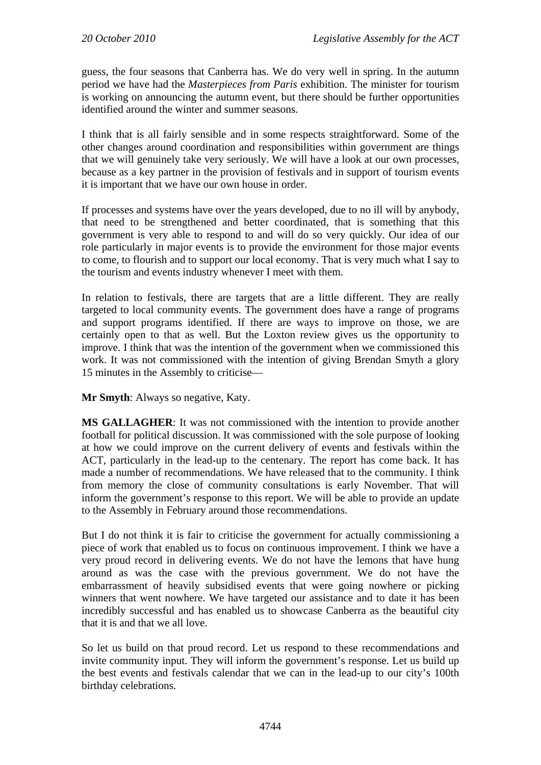guess, the four seasons that Canberra has. We do very well in spring. In the autumn period we have had the *Masterpieces from Paris* exhibition. The minister for tourism is working on announcing the autumn event, but there should be further opportunities identified around the winter and summer seasons.

I think that is all fairly sensible and in some respects straightforward. Some of the other changes around coordination and responsibilities within government are things that we will genuinely take very seriously. We will have a look at our own processes, because as a key partner in the provision of festivals and in support of tourism events it is important that we have our own house in order.

If processes and systems have over the years developed, due to no ill will by anybody, that need to be strengthened and better coordinated, that is something that this government is very able to respond to and will do so very quickly. Our idea of our role particularly in major events is to provide the environment for those major events to come, to flourish and to support our local economy. That is very much what I say to the tourism and events industry whenever I meet with them.

In relation to festivals, there are targets that are a little different. They are really targeted to local community events. The government does have a range of programs and support programs identified. If there are ways to improve on those, we are certainly open to that as well. But the Loxton review gives us the opportunity to improve. I think that was the intention of the government when we commissioned this work. It was not commissioned with the intention of giving Brendan Smyth a glory 15 minutes in the Assembly to criticise—

**Mr Smyth**: Always so negative, Katy.

**MS GALLAGHER**: It was not commissioned with the intention to provide another football for political discussion. It was commissioned with the sole purpose of looking at how we could improve on the current delivery of events and festivals within the ACT, particularly in the lead-up to the centenary. The report has come back. It has made a number of recommendations. We have released that to the community. I think from memory the close of community consultations is early November. That will inform the government's response to this report. We will be able to provide an update to the Assembly in February around those recommendations.

But I do not think it is fair to criticise the government for actually commissioning a piece of work that enabled us to focus on continuous improvement. I think we have a very proud record in delivering events. We do not have the lemons that have hung around as was the case with the previous government. We do not have the embarrassment of heavily subsidised events that were going nowhere or picking winners that went nowhere. We have targeted our assistance and to date it has been incredibly successful and has enabled us to showcase Canberra as the beautiful city that it is and that we all love.

So let us build on that proud record. Let us respond to these recommendations and invite community input. They will inform the government's response. Let us build up the best events and festivals calendar that we can in the lead-up to our city's 100th birthday celebrations.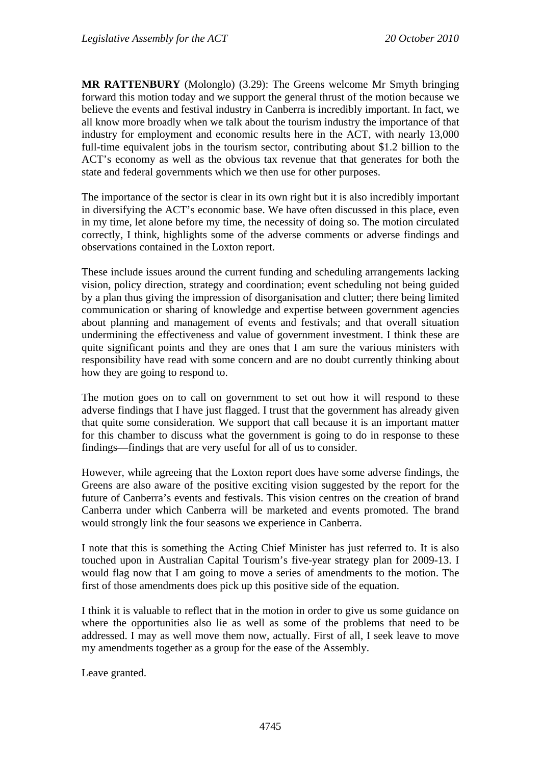**MR RATTENBURY** (Molonglo) (3.29): The Greens welcome Mr Smyth bringing forward this motion today and we support the general thrust of the motion because we believe the events and festival industry in Canberra is incredibly important. In fact, we all know more broadly when we talk about the tourism industry the importance of that industry for employment and economic results here in the ACT, with nearly 13,000 full-time equivalent jobs in the tourism sector, contributing about \$1.2 billion to the ACT's economy as well as the obvious tax revenue that that generates for both the state and federal governments which we then use for other purposes.

The importance of the sector is clear in its own right but it is also incredibly important in diversifying the ACT's economic base. We have often discussed in this place, even in my time, let alone before my time, the necessity of doing so. The motion circulated correctly, I think, highlights some of the adverse comments or adverse findings and observations contained in the Loxton report.

These include issues around the current funding and scheduling arrangements lacking vision, policy direction, strategy and coordination; event scheduling not being guided by a plan thus giving the impression of disorganisation and clutter; there being limited communication or sharing of knowledge and expertise between government agencies about planning and management of events and festivals; and that overall situation undermining the effectiveness and value of government investment. I think these are quite significant points and they are ones that I am sure the various ministers with responsibility have read with some concern and are no doubt currently thinking about how they are going to respond to.

The motion goes on to call on government to set out how it will respond to these adverse findings that I have just flagged. I trust that the government has already given that quite some consideration. We support that call because it is an important matter for this chamber to discuss what the government is going to do in response to these findings—findings that are very useful for all of us to consider.

However, while agreeing that the Loxton report does have some adverse findings, the Greens are also aware of the positive exciting vision suggested by the report for the future of Canberra's events and festivals. This vision centres on the creation of brand Canberra under which Canberra will be marketed and events promoted. The brand would strongly link the four seasons we experience in Canberra.

I note that this is something the Acting Chief Minister has just referred to. It is also touched upon in Australian Capital Tourism's five-year strategy plan for 2009-13. I would flag now that I am going to move a series of amendments to the motion. The first of those amendments does pick up this positive side of the equation.

I think it is valuable to reflect that in the motion in order to give us some guidance on where the opportunities also lie as well as some of the problems that need to be addressed. I may as well move them now, actually. First of all, I seek leave to move my amendments together as a group for the ease of the Assembly.

Leave granted.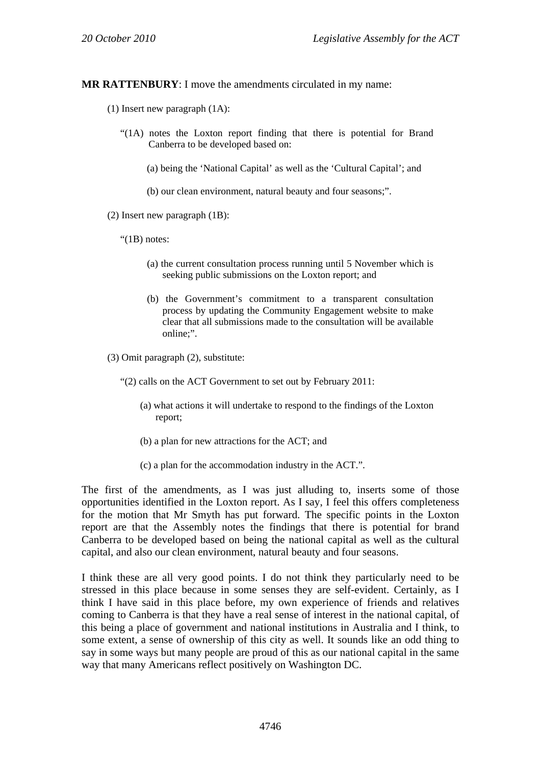**MR RATTENBURY**: I move the amendments circulated in my name:

- (1) Insert new paragraph (1A):
	- "(1A) notes the Loxton report finding that there is potential for Brand Canberra to be developed based on:
		- (a) being the 'National Capital' as well as the 'Cultural Capital'; and
		- (b) our clean environment, natural beauty and four seasons;".
- (2) Insert new paragraph (1B):
	- "(1B) notes:
		- (a) the current consultation process running until 5 November which is seeking public submissions on the Loxton report; and
		- (b) the Government's commitment to a transparent consultation process by updating the Community Engagement website to make clear that all submissions made to the consultation will be available online;".

(3) Omit paragraph (2), substitute:

"(2) calls on the ACT Government to set out by February 2011:

- (a) what actions it will undertake to respond to the findings of the Loxton report;
- (b) a plan for new attractions for the ACT; and
- (c) a plan for the accommodation industry in the ACT.".

The first of the amendments, as I was just alluding to, inserts some of those opportunities identified in the Loxton report. As I say, I feel this offers completeness for the motion that Mr Smyth has put forward. The specific points in the Loxton report are that the Assembly notes the findings that there is potential for brand Canberra to be developed based on being the national capital as well as the cultural capital, and also our clean environment, natural beauty and four seasons.

I think these are all very good points. I do not think they particularly need to be stressed in this place because in some senses they are self-evident. Certainly, as I think I have said in this place before, my own experience of friends and relatives coming to Canberra is that they have a real sense of interest in the national capital, of this being a place of government and national institutions in Australia and I think, to some extent, a sense of ownership of this city as well. It sounds like an odd thing to say in some ways but many people are proud of this as our national capital in the same way that many Americans reflect positively on Washington DC.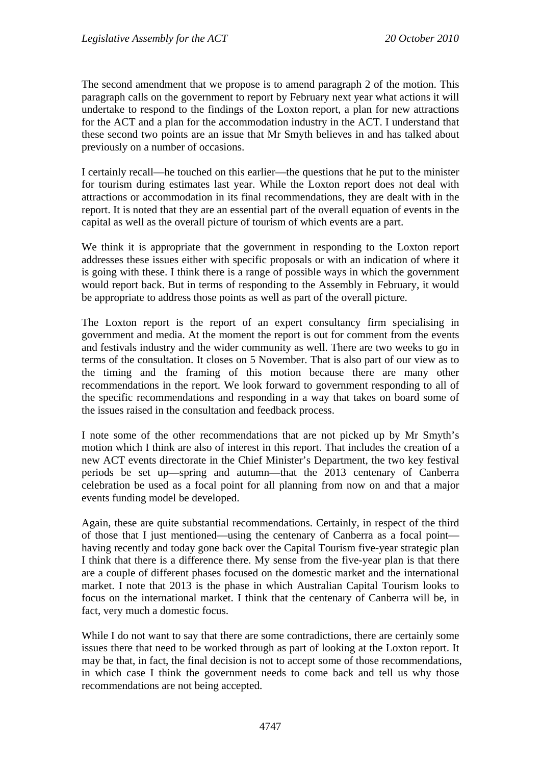The second amendment that we propose is to amend paragraph 2 of the motion. This paragraph calls on the government to report by February next year what actions it will undertake to respond to the findings of the Loxton report, a plan for new attractions for the ACT and a plan for the accommodation industry in the ACT. I understand that these second two points are an issue that Mr Smyth believes in and has talked about previously on a number of occasions.

I certainly recall—he touched on this earlier—the questions that he put to the minister for tourism during estimates last year. While the Loxton report does not deal with attractions or accommodation in its final recommendations, they are dealt with in the report. It is noted that they are an essential part of the overall equation of events in the capital as well as the overall picture of tourism of which events are a part.

We think it is appropriate that the government in responding to the Loxton report addresses these issues either with specific proposals or with an indication of where it is going with these. I think there is a range of possible ways in which the government would report back. But in terms of responding to the Assembly in February, it would be appropriate to address those points as well as part of the overall picture.

The Loxton report is the report of an expert consultancy firm specialising in government and media. At the moment the report is out for comment from the events and festivals industry and the wider community as well. There are two weeks to go in terms of the consultation. It closes on 5 November. That is also part of our view as to the timing and the framing of this motion because there are many other recommendations in the report. We look forward to government responding to all of the specific recommendations and responding in a way that takes on board some of the issues raised in the consultation and feedback process.

I note some of the other recommendations that are not picked up by Mr Smyth's motion which I think are also of interest in this report. That includes the creation of a new ACT events directorate in the Chief Minister's Department, the two key festival periods be set up—spring and autumn—that the 2013 centenary of Canberra celebration be used as a focal point for all planning from now on and that a major events funding model be developed.

Again, these are quite substantial recommendations. Certainly, in respect of the third of those that I just mentioned—using the centenary of Canberra as a focal point having recently and today gone back over the Capital Tourism five-year strategic plan I think that there is a difference there. My sense from the five-year plan is that there are a couple of different phases focused on the domestic market and the international market. I note that 2013 is the phase in which Australian Capital Tourism looks to focus on the international market. I think that the centenary of Canberra will be, in fact, very much a domestic focus.

While I do not want to say that there are some contradictions, there are certainly some issues there that need to be worked through as part of looking at the Loxton report. It may be that, in fact, the final decision is not to accept some of those recommendations, in which case I think the government needs to come back and tell us why those recommendations are not being accepted.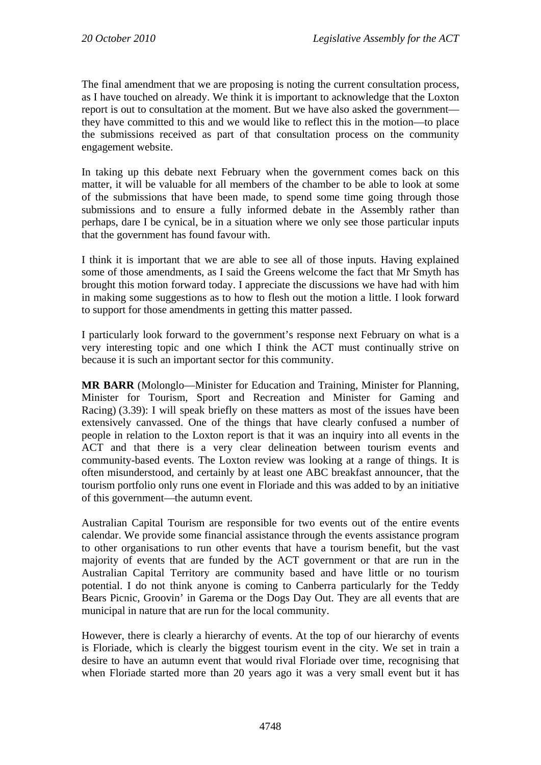The final amendment that we are proposing is noting the current consultation process, as I have touched on already. We think it is important to acknowledge that the Loxton report is out to consultation at the moment. But we have also asked the government they have committed to this and we would like to reflect this in the motion—to place the submissions received as part of that consultation process on the community engagement website.

In taking up this debate next February when the government comes back on this matter, it will be valuable for all members of the chamber to be able to look at some of the submissions that have been made, to spend some time going through those submissions and to ensure a fully informed debate in the Assembly rather than perhaps, dare I be cynical, be in a situation where we only see those particular inputs that the government has found favour with.

I think it is important that we are able to see all of those inputs. Having explained some of those amendments, as I said the Greens welcome the fact that Mr Smyth has brought this motion forward today. I appreciate the discussions we have had with him in making some suggestions as to how to flesh out the motion a little. I look forward to support for those amendments in getting this matter passed.

I particularly look forward to the government's response next February on what is a very interesting topic and one which I think the ACT must continually strive on because it is such an important sector for this community.

**MR BARR** (Molonglo—Minister for Education and Training, Minister for Planning, Minister for Tourism, Sport and Recreation and Minister for Gaming and Racing) (3.39): I will speak briefly on these matters as most of the issues have been extensively canvassed. One of the things that have clearly confused a number of people in relation to the Loxton report is that it was an inquiry into all events in the ACT and that there is a very clear delineation between tourism events and community-based events. The Loxton review was looking at a range of things. It is often misunderstood, and certainly by at least one ABC breakfast announcer, that the tourism portfolio only runs one event in Floriade and this was added to by an initiative of this government—the autumn event.

Australian Capital Tourism are responsible for two events out of the entire events calendar. We provide some financial assistance through the events assistance program to other organisations to run other events that have a tourism benefit, but the vast majority of events that are funded by the ACT government or that are run in the Australian Capital Territory are community based and have little or no tourism potential. I do not think anyone is coming to Canberra particularly for the Teddy Bears Picnic, Groovin' in Garema or the Dogs Day Out. They are all events that are municipal in nature that are run for the local community.

However, there is clearly a hierarchy of events. At the top of our hierarchy of events is Floriade, which is clearly the biggest tourism event in the city. We set in train a desire to have an autumn event that would rival Floriade over time, recognising that when Floriade started more than 20 years ago it was a very small event but it has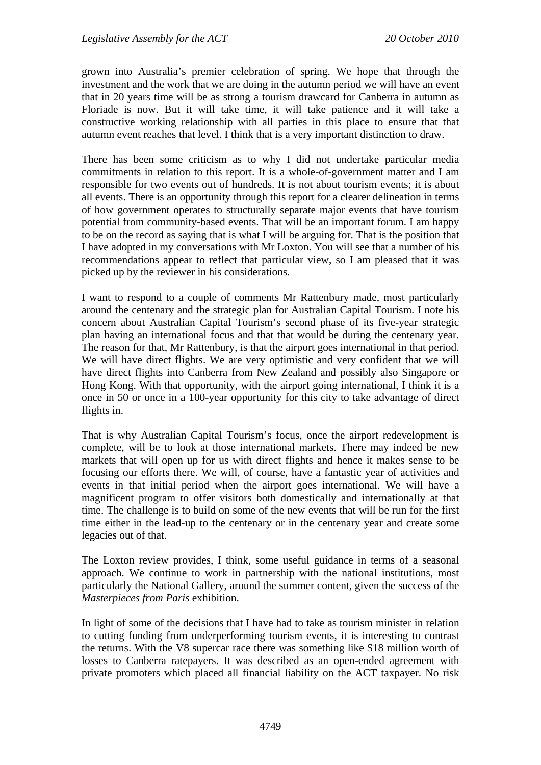grown into Australia's premier celebration of spring. We hope that through the investment and the work that we are doing in the autumn period we will have an event that in 20 years time will be as strong a tourism drawcard for Canberra in autumn as Floriade is now. But it will take time, it will take patience and it will take a constructive working relationship with all parties in this place to ensure that that autumn event reaches that level. I think that is a very important distinction to draw.

There has been some criticism as to why I did not undertake particular media commitments in relation to this report. It is a whole-of-government matter and I am responsible for two events out of hundreds. It is not about tourism events; it is about all events. There is an opportunity through this report for a clearer delineation in terms of how government operates to structurally separate major events that have tourism potential from community-based events. That will be an important forum. I am happy to be on the record as saying that is what I will be arguing for. That is the position that I have adopted in my conversations with Mr Loxton. You will see that a number of his recommendations appear to reflect that particular view, so I am pleased that it was picked up by the reviewer in his considerations.

I want to respond to a couple of comments Mr Rattenbury made, most particularly around the centenary and the strategic plan for Australian Capital Tourism. I note his concern about Australian Capital Tourism's second phase of its five-year strategic plan having an international focus and that that would be during the centenary year. The reason for that, Mr Rattenbury, is that the airport goes international in that period. We will have direct flights. We are very optimistic and very confident that we will have direct flights into Canberra from New Zealand and possibly also Singapore or Hong Kong. With that opportunity, with the airport going international, I think it is a once in 50 or once in a 100-year opportunity for this city to take advantage of direct flights in.

That is why Australian Capital Tourism's focus, once the airport redevelopment is complete, will be to look at those international markets. There may indeed be new markets that will open up for us with direct flights and hence it makes sense to be focusing our efforts there. We will, of course, have a fantastic year of activities and events in that initial period when the airport goes international. We will have a magnificent program to offer visitors both domestically and internationally at that time. The challenge is to build on some of the new events that will be run for the first time either in the lead-up to the centenary or in the centenary year and create some legacies out of that.

The Loxton review provides, I think, some useful guidance in terms of a seasonal approach. We continue to work in partnership with the national institutions, most particularly the National Gallery, around the summer content, given the success of the *Masterpieces from Paris* exhibition.

In light of some of the decisions that I have had to take as tourism minister in relation to cutting funding from underperforming tourism events, it is interesting to contrast the returns. With the V8 supercar race there was something like \$18 million worth of losses to Canberra ratepayers. It was described as an open-ended agreement with private promoters which placed all financial liability on the ACT taxpayer. No risk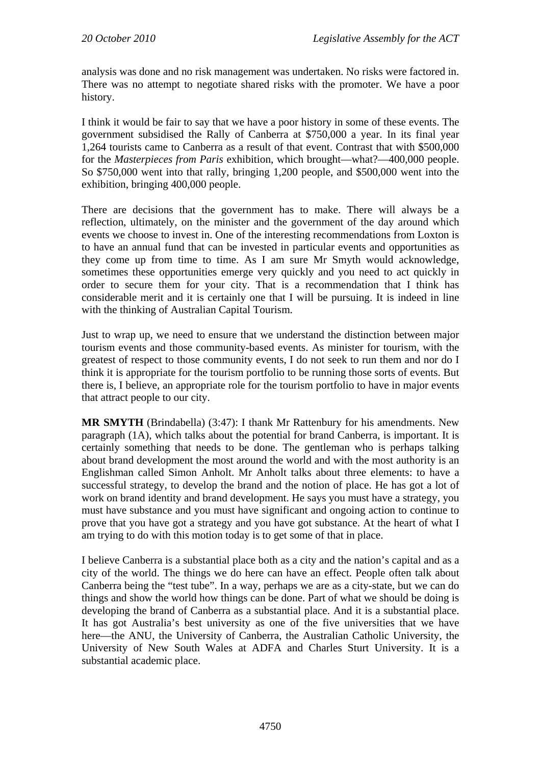analysis was done and no risk management was undertaken. No risks were factored in. There was no attempt to negotiate shared risks with the promoter. We have a poor history.

I think it would be fair to say that we have a poor history in some of these events. The government subsidised the Rally of Canberra at \$750,000 a year. In its final year 1,264 tourists came to Canberra as a result of that event. Contrast that with \$500,000 for the *Masterpieces from Paris* exhibition, which brought—what?—400,000 people. So \$750,000 went into that rally, bringing 1,200 people, and \$500,000 went into the exhibition, bringing 400,000 people.

There are decisions that the government has to make. There will always be a reflection, ultimately, on the minister and the government of the day around which events we choose to invest in. One of the interesting recommendations from Loxton is to have an annual fund that can be invested in particular events and opportunities as they come up from time to time. As I am sure Mr Smyth would acknowledge, sometimes these opportunities emerge very quickly and you need to act quickly in order to secure them for your city. That is a recommendation that I think has considerable merit and it is certainly one that I will be pursuing. It is indeed in line with the thinking of Australian Capital Tourism.

Just to wrap up, we need to ensure that we understand the distinction between major tourism events and those community-based events. As minister for tourism, with the greatest of respect to those community events, I do not seek to run them and nor do I think it is appropriate for the tourism portfolio to be running those sorts of events. But there is, I believe, an appropriate role for the tourism portfolio to have in major events that attract people to our city.

**MR SMYTH** (Brindabella) (3:47): I thank Mr Rattenbury for his amendments. New paragraph (1A), which talks about the potential for brand Canberra, is important. It is certainly something that needs to be done. The gentleman who is perhaps talking about brand development the most around the world and with the most authority is an Englishman called Simon Anholt. Mr Anholt talks about three elements: to have a successful strategy, to develop the brand and the notion of place. He has got a lot of work on brand identity and brand development. He says you must have a strategy, you must have substance and you must have significant and ongoing action to continue to prove that you have got a strategy and you have got substance. At the heart of what I am trying to do with this motion today is to get some of that in place.

I believe Canberra is a substantial place both as a city and the nation's capital and as a city of the world. The things we do here can have an effect. People often talk about Canberra being the "test tube". In a way, perhaps we are as a city-state, but we can do things and show the world how things can be done. Part of what we should be doing is developing the brand of Canberra as a substantial place. And it is a substantial place. It has got Australia's best university as one of the five universities that we have here—the ANU, the University of Canberra, the Australian Catholic University, the University of New South Wales at ADFA and Charles Sturt University. It is a substantial academic place.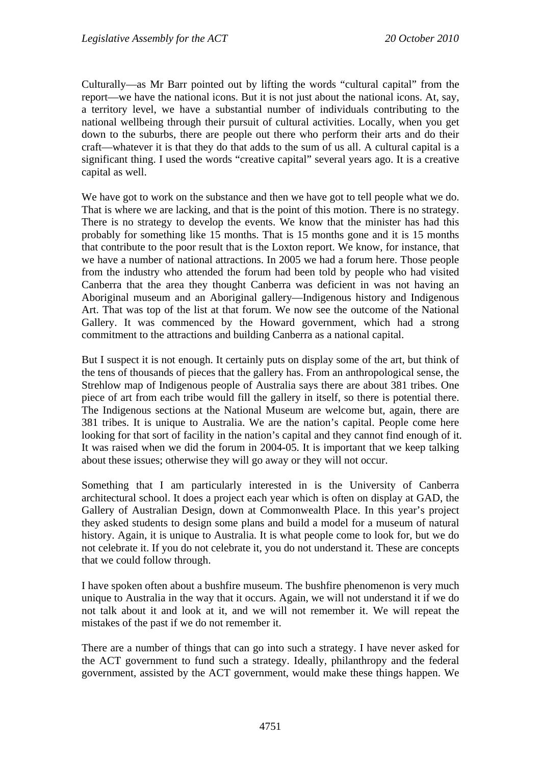Culturally—as Mr Barr pointed out by lifting the words "cultural capital" from the report—we have the national icons. But it is not just about the national icons. At, say, a territory level, we have a substantial number of individuals contributing to the national wellbeing through their pursuit of cultural activities. Locally, when you get down to the suburbs, there are people out there who perform their arts and do their craft—whatever it is that they do that adds to the sum of us all. A cultural capital is a significant thing. I used the words "creative capital" several years ago. It is a creative capital as well.

We have got to work on the substance and then we have got to tell people what we do. That is where we are lacking, and that is the point of this motion. There is no strategy. There is no strategy to develop the events. We know that the minister has had this probably for something like 15 months. That is 15 months gone and it is 15 months that contribute to the poor result that is the Loxton report. We know, for instance, that we have a number of national attractions. In 2005 we had a forum here. Those people from the industry who attended the forum had been told by people who had visited Canberra that the area they thought Canberra was deficient in was not having an Aboriginal museum and an Aboriginal gallery—Indigenous history and Indigenous Art. That was top of the list at that forum. We now see the outcome of the National Gallery. It was commenced by the Howard government, which had a strong commitment to the attractions and building Canberra as a national capital.

But I suspect it is not enough. It certainly puts on display some of the art, but think of the tens of thousands of pieces that the gallery has. From an anthropological sense, the Strehlow map of Indigenous people of Australia says there are about 381 tribes. One piece of art from each tribe would fill the gallery in itself, so there is potential there. The Indigenous sections at the National Museum are welcome but, again, there are 381 tribes. It is unique to Australia. We are the nation's capital. People come here looking for that sort of facility in the nation's capital and they cannot find enough of it. It was raised when we did the forum in 2004-05. It is important that we keep talking about these issues; otherwise they will go away or they will not occur.

Something that I am particularly interested in is the University of Canberra architectural school. It does a project each year which is often on display at GAD, the Gallery of Australian Design, down at Commonwealth Place. In this year's project they asked students to design some plans and build a model for a museum of natural history. Again, it is unique to Australia. It is what people come to look for, but we do not celebrate it. If you do not celebrate it, you do not understand it. These are concepts that we could follow through.

I have spoken often about a bushfire museum. The bushfire phenomenon is very much unique to Australia in the way that it occurs. Again, we will not understand it if we do not talk about it and look at it, and we will not remember it. We will repeat the mistakes of the past if we do not remember it.

There are a number of things that can go into such a strategy. I have never asked for the ACT government to fund such a strategy. Ideally, philanthropy and the federal government, assisted by the ACT government, would make these things happen. We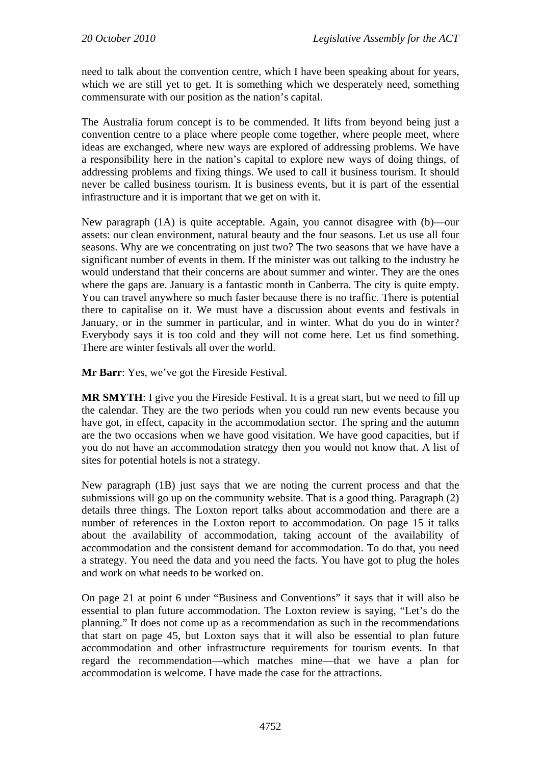need to talk about the convention centre, which I have been speaking about for years, which we are still yet to get. It is something which we desperately need, something commensurate with our position as the nation's capital.

The Australia forum concept is to be commended. It lifts from beyond being just a convention centre to a place where people come together, where people meet, where ideas are exchanged, where new ways are explored of addressing problems. We have a responsibility here in the nation's capital to explore new ways of doing things, of addressing problems and fixing things. We used to call it business tourism. It should never be called business tourism. It is business events, but it is part of the essential infrastructure and it is important that we get on with it.

New paragraph (1A) is quite acceptable. Again, you cannot disagree with (b)—our assets: our clean environment, natural beauty and the four seasons. Let us use all four seasons. Why are we concentrating on just two? The two seasons that we have have a significant number of events in them. If the minister was out talking to the industry he would understand that their concerns are about summer and winter. They are the ones where the gaps are. January is a fantastic month in Canberra. The city is quite empty. You can travel anywhere so much faster because there is no traffic. There is potential there to capitalise on it. We must have a discussion about events and festivals in January, or in the summer in particular, and in winter. What do you do in winter? Everybody says it is too cold and they will not come here. Let us find something. There are winter festivals all over the world.

**Mr Barr**: Yes, we've got the Fireside Festival.

**MR SMYTH**: I give you the Fireside Festival. It is a great start, but we need to fill up the calendar. They are the two periods when you could run new events because you have got, in effect, capacity in the accommodation sector. The spring and the autumn are the two occasions when we have good visitation. We have good capacities, but if you do not have an accommodation strategy then you would not know that. A list of sites for potential hotels is not a strategy.

New paragraph (1B) just says that we are noting the current process and that the submissions will go up on the community website. That is a good thing. Paragraph (2) details three things. The Loxton report talks about accommodation and there are a number of references in the Loxton report to accommodation. On page 15 it talks about the availability of accommodation, taking account of the availability of accommodation and the consistent demand for accommodation. To do that, you need a strategy. You need the data and you need the facts. You have got to plug the holes and work on what needs to be worked on.

On page 21 at point 6 under "Business and Conventions" it says that it will also be essential to plan future accommodation. The Loxton review is saying, "Let's do the planning." It does not come up as a recommendation as such in the recommendations that start on page 45, but Loxton says that it will also be essential to plan future accommodation and other infrastructure requirements for tourism events. In that regard the recommendation—which matches mine—that we have a plan for accommodation is welcome. I have made the case for the attractions.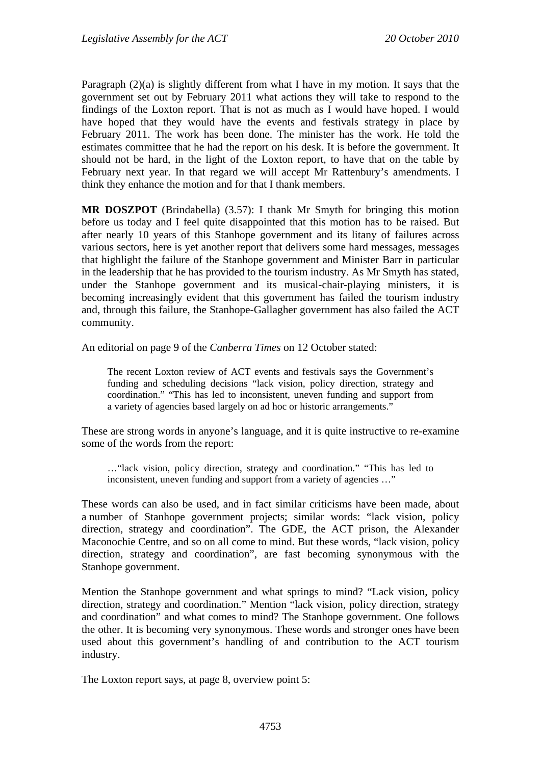Paragraph (2)(a) is slightly different from what I have in my motion. It says that the government set out by February 2011 what actions they will take to respond to the findings of the Loxton report. That is not as much as I would have hoped. I would have hoped that they would have the events and festivals strategy in place by February 2011. The work has been done. The minister has the work. He told the estimates committee that he had the report on his desk. It is before the government. It should not be hard, in the light of the Loxton report, to have that on the table by February next year. In that regard we will accept Mr Rattenbury's amendments. I think they enhance the motion and for that I thank members.

**MR DOSZPOT** (Brindabella) (3.57): I thank Mr Smyth for bringing this motion before us today and I feel quite disappointed that this motion has to be raised. But after nearly 10 years of this Stanhope government and its litany of failures across various sectors, here is yet another report that delivers some hard messages, messages that highlight the failure of the Stanhope government and Minister Barr in particular in the leadership that he has provided to the tourism industry. As Mr Smyth has stated, under the Stanhope government and its musical-chair-playing ministers, it is becoming increasingly evident that this government has failed the tourism industry and, through this failure, the Stanhope-Gallagher government has also failed the ACT community.

An editorial on page 9 of the *Canberra Times* on 12 October stated:

The recent Loxton review of ACT events and festivals says the Government's funding and scheduling decisions "lack vision, policy direction, strategy and coordination." "This has led to inconsistent, uneven funding and support from a variety of agencies based largely on ad hoc or historic arrangements."

These are strong words in anyone's language, and it is quite instructive to re-examine some of the words from the report:

…"lack vision, policy direction, strategy and coordination." "This has led to inconsistent, uneven funding and support from a variety of agencies …"

These words can also be used, and in fact similar criticisms have been made, about a number of Stanhope government projects; similar words: "lack vision, policy direction, strategy and coordination". The GDE, the ACT prison, the Alexander Maconochie Centre, and so on all come to mind. But these words, "lack vision, policy direction, strategy and coordination", are fast becoming synonymous with the Stanhope government.

Mention the Stanhope government and what springs to mind? "Lack vision, policy direction, strategy and coordination." Mention "lack vision, policy direction, strategy and coordination" and what comes to mind? The Stanhope government. One follows the other. It is becoming very synonymous. These words and stronger ones have been used about this government's handling of and contribution to the ACT tourism industry.

The Loxton report says, at page 8, overview point 5: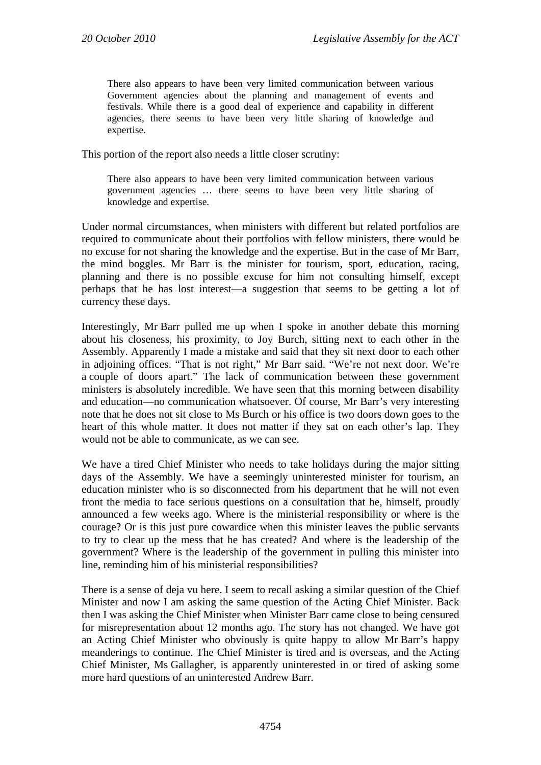There also appears to have been very limited communication between various Government agencies about the planning and management of events and festivals. While there is a good deal of experience and capability in different agencies, there seems to have been very little sharing of knowledge and expertise.

This portion of the report also needs a little closer scrutiny:

There also appears to have been very limited communication between various government agencies … there seems to have been very little sharing of knowledge and expertise.

Under normal circumstances, when ministers with different but related portfolios are required to communicate about their portfolios with fellow ministers, there would be no excuse for not sharing the knowledge and the expertise. But in the case of Mr Barr, the mind boggles. Mr Barr is the minister for tourism, sport, education, racing, planning and there is no possible excuse for him not consulting himself, except perhaps that he has lost interest—a suggestion that seems to be getting a lot of currency these days.

Interestingly, Mr Barr pulled me up when I spoke in another debate this morning about his closeness, his proximity, to Joy Burch, sitting next to each other in the Assembly. Apparently I made a mistake and said that they sit next door to each other in adjoining offices. "That is not right," Mr Barr said. "We're not next door. We're a couple of doors apart." The lack of communication between these government ministers is absolutely incredible. We have seen that this morning between disability and education—no communication whatsoever. Of course, Mr Barr's very interesting note that he does not sit close to Ms Burch or his office is two doors down goes to the heart of this whole matter. It does not matter if they sat on each other's lap. They would not be able to communicate, as we can see.

We have a tired Chief Minister who needs to take holidays during the major sitting days of the Assembly. We have a seemingly uninterested minister for tourism, an education minister who is so disconnected from his department that he will not even front the media to face serious questions on a consultation that he, himself, proudly announced a few weeks ago. Where is the ministerial responsibility or where is the courage? Or is this just pure cowardice when this minister leaves the public servants to try to clear up the mess that he has created? And where is the leadership of the government? Where is the leadership of the government in pulling this minister into line, reminding him of his ministerial responsibilities?

There is a sense of deja vu here. I seem to recall asking a similar question of the Chief Minister and now I am asking the same question of the Acting Chief Minister. Back then I was asking the Chief Minister when Minister Barr came close to being censured for misrepresentation about 12 months ago. The story has not changed. We have got an Acting Chief Minister who obviously is quite happy to allow Mr Barr's happy meanderings to continue. The Chief Minister is tired and is overseas, and the Acting Chief Minister, Ms Gallagher, is apparently uninterested in or tired of asking some more hard questions of an uninterested Andrew Barr.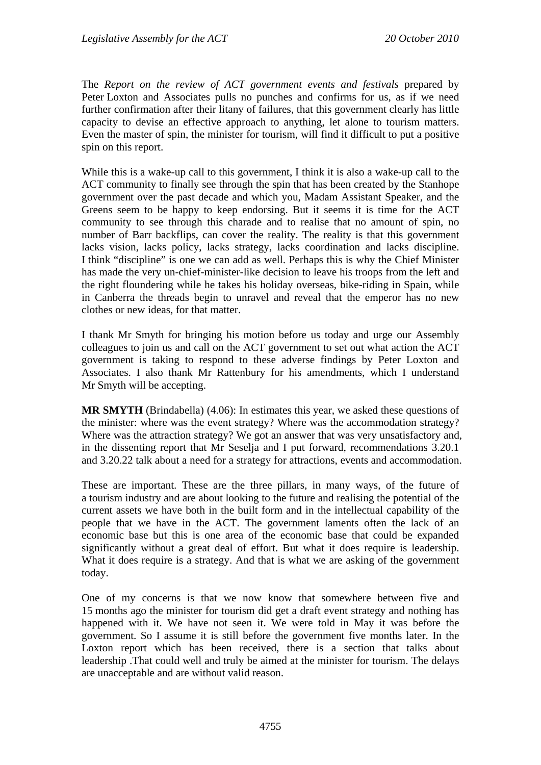The *Report on the review of ACT government events and festivals* prepared by Peter Loxton and Associates pulls no punches and confirms for us, as if we need further confirmation after their litany of failures, that this government clearly has little capacity to devise an effective approach to anything, let alone to tourism matters. Even the master of spin, the minister for tourism, will find it difficult to put a positive spin on this report.

While this is a wake-up call to this government, I think it is also a wake-up call to the ACT community to finally see through the spin that has been created by the Stanhope government over the past decade and which you, Madam Assistant Speaker, and the Greens seem to be happy to keep endorsing. But it seems it is time for the ACT community to see through this charade and to realise that no amount of spin, no number of Barr backflips, can cover the reality. The reality is that this government lacks vision, lacks policy, lacks strategy, lacks coordination and lacks discipline. I think "discipline" is one we can add as well. Perhaps this is why the Chief Minister has made the very un-chief-minister-like decision to leave his troops from the left and the right floundering while he takes his holiday overseas, bike-riding in Spain, while in Canberra the threads begin to unravel and reveal that the emperor has no new clothes or new ideas, for that matter.

I thank Mr Smyth for bringing his motion before us today and urge our Assembly colleagues to join us and call on the ACT government to set out what action the ACT government is taking to respond to these adverse findings by Peter Loxton and Associates. I also thank Mr Rattenbury for his amendments, which I understand Mr Smyth will be accepting.

**MR SMYTH** (Brindabella) (4.06): In estimates this year, we asked these questions of the minister: where was the event strategy? Where was the accommodation strategy? Where was the attraction strategy? We got an answer that was very unsatisfactory and, in the dissenting report that Mr Seselja and I put forward, recommendations 3.20.1 and 3.20.22 talk about a need for a strategy for attractions, events and accommodation.

These are important. These are the three pillars, in many ways, of the future of a tourism industry and are about looking to the future and realising the potential of the current assets we have both in the built form and in the intellectual capability of the people that we have in the ACT. The government laments often the lack of an economic base but this is one area of the economic base that could be expanded significantly without a great deal of effort. But what it does require is leadership. What it does require is a strategy. And that is what we are asking of the government today.

One of my concerns is that we now know that somewhere between five and 15 months ago the minister for tourism did get a draft event strategy and nothing has happened with it. We have not seen it. We were told in May it was before the government. So I assume it is still before the government five months later. In the Loxton report which has been received, there is a section that talks about leadership .That could well and truly be aimed at the minister for tourism. The delays are unacceptable and are without valid reason.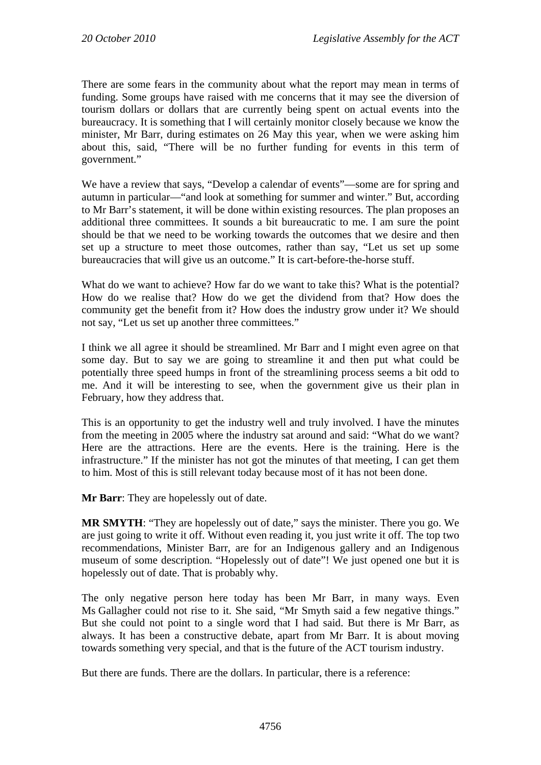There are some fears in the community about what the report may mean in terms of funding. Some groups have raised with me concerns that it may see the diversion of tourism dollars or dollars that are currently being spent on actual events into the bureaucracy. It is something that I will certainly monitor closely because we know the minister, Mr Barr, during estimates on 26 May this year, when we were asking him about this, said, "There will be no further funding for events in this term of government."

We have a review that says, "Develop a calendar of events"—some are for spring and autumn in particular—"and look at something for summer and winter." But, according to Mr Barr's statement, it will be done within existing resources. The plan proposes an additional three committees. It sounds a bit bureaucratic to me. I am sure the point should be that we need to be working towards the outcomes that we desire and then set up a structure to meet those outcomes, rather than say, "Let us set up some bureaucracies that will give us an outcome." It is cart-before-the-horse stuff.

What do we want to achieve? How far do we want to take this? What is the potential? How do we realise that? How do we get the dividend from that? How does the community get the benefit from it? How does the industry grow under it? We should not say, "Let us set up another three committees."

I think we all agree it should be streamlined. Mr Barr and I might even agree on that some day. But to say we are going to streamline it and then put what could be potentially three speed humps in front of the streamlining process seems a bit odd to me. And it will be interesting to see, when the government give us their plan in February, how they address that.

This is an opportunity to get the industry well and truly involved. I have the minutes from the meeting in 2005 where the industry sat around and said: "What do we want? Here are the attractions. Here are the events. Here is the training. Here is the infrastructure." If the minister has not got the minutes of that meeting, I can get them to him. Most of this is still relevant today because most of it has not been done.

**Mr Barr**: They are hopelessly out of date.

**MR SMYTH:** "They are hopelessly out of date," says the minister. There you go. We are just going to write it off. Without even reading it, you just write it off. The top two recommendations, Minister Barr, are for an Indigenous gallery and an Indigenous museum of some description. "Hopelessly out of date"! We just opened one but it is hopelessly out of date. That is probably why.

The only negative person here today has been Mr Barr, in many ways. Even Ms Gallagher could not rise to it. She said, "Mr Smyth said a few negative things." But she could not point to a single word that I had said. But there is Mr Barr, as always. It has been a constructive debate, apart from Mr Barr. It is about moving towards something very special, and that is the future of the ACT tourism industry.

But there are funds. There are the dollars. In particular, there is a reference: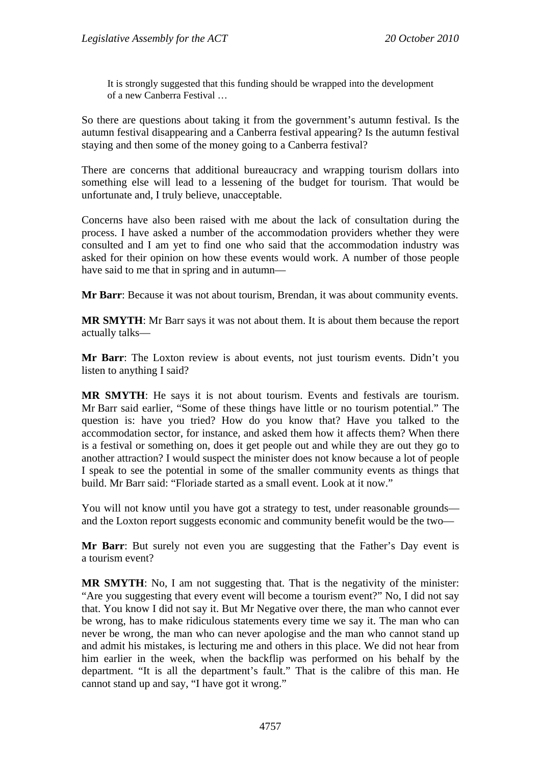It is strongly suggested that this funding should be wrapped into the development of a new Canberra Festival …

So there are questions about taking it from the government's autumn festival. Is the autumn festival disappearing and a Canberra festival appearing? Is the autumn festival staying and then some of the money going to a Canberra festival?

There are concerns that additional bureaucracy and wrapping tourism dollars into something else will lead to a lessening of the budget for tourism. That would be unfortunate and, I truly believe, unacceptable.

Concerns have also been raised with me about the lack of consultation during the process. I have asked a number of the accommodation providers whether they were consulted and I am yet to find one who said that the accommodation industry was asked for their opinion on how these events would work. A number of those people have said to me that in spring and in autumn—

**Mr Barr**: Because it was not about tourism, Brendan, it was about community events.

**MR SMYTH**: Mr Barr says it was not about them. It is about them because the report actually talks—

**Mr Barr**: The Loxton review is about events, not just tourism events. Didn't you listen to anything I said?

**MR SMYTH**: He says it is not about tourism. Events and festivals are tourism. Mr Barr said earlier, "Some of these things have little or no tourism potential." The question is: have you tried? How do you know that? Have you talked to the accommodation sector, for instance, and asked them how it affects them? When there is a festival or something on, does it get people out and while they are out they go to another attraction? I would suspect the minister does not know because a lot of people I speak to see the potential in some of the smaller community events as things that build. Mr Barr said: "Floriade started as a small event. Look at it now."

You will not know until you have got a strategy to test, under reasonable grounds and the Loxton report suggests economic and community benefit would be the two—

**Mr Barr**: But surely not even you are suggesting that the Father's Day event is a tourism event?

**MR SMYTH:** No, I am not suggesting that. That is the negativity of the minister: "Are you suggesting that every event will become a tourism event?" No, I did not say that. You know I did not say it. But Mr Negative over there, the man who cannot ever be wrong, has to make ridiculous statements every time we say it. The man who can never be wrong, the man who can never apologise and the man who cannot stand up and admit his mistakes, is lecturing me and others in this place. We did not hear from him earlier in the week, when the backflip was performed on his behalf by the department. "It is all the department's fault." That is the calibre of this man. He cannot stand up and say, "I have got it wrong."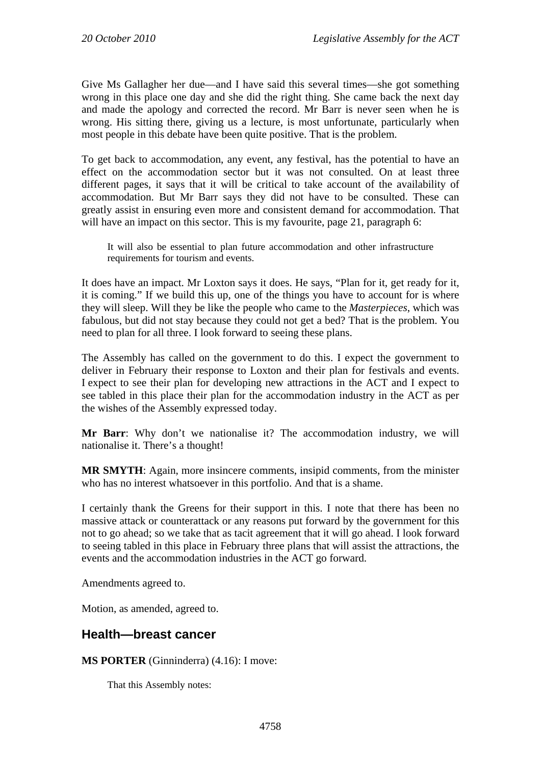Give Ms Gallagher her due—and I have said this several times—she got something wrong in this place one day and she did the right thing. She came back the next day and made the apology and corrected the record. Mr Barr is never seen when he is wrong. His sitting there, giving us a lecture, is most unfortunate, particularly when most people in this debate have been quite positive. That is the problem.

To get back to accommodation, any event, any festival, has the potential to have an effect on the accommodation sector but it was not consulted. On at least three different pages, it says that it will be critical to take account of the availability of accommodation. But Mr Barr says they did not have to be consulted. These can greatly assist in ensuring even more and consistent demand for accommodation. That will have an impact on this sector. This is my favourite, page 21, paragraph 6:

It will also be essential to plan future accommodation and other infrastructure requirements for tourism and events.

It does have an impact. Mr Loxton says it does. He says, "Plan for it, get ready for it, it is coming." If we build this up, one of the things you have to account for is where they will sleep. Will they be like the people who came to the *Masterpieces*, which was fabulous, but did not stay because they could not get a bed? That is the problem. You need to plan for all three. I look forward to seeing these plans.

The Assembly has called on the government to do this. I expect the government to deliver in February their response to Loxton and their plan for festivals and events. I expect to see their plan for developing new attractions in the ACT and I expect to see tabled in this place their plan for the accommodation industry in the ACT as per the wishes of the Assembly expressed today.

**Mr Barr**: Why don't we nationalise it? The accommodation industry, we will nationalise it. There's a thought!

**MR SMYTH**: Again, more insincere comments, insipid comments, from the minister who has no interest whatsoever in this portfolio. And that is a shame.

I certainly thank the Greens for their support in this. I note that there has been no massive attack or counterattack or any reasons put forward by the government for this not to go ahead; so we take that as tacit agreement that it will go ahead. I look forward to seeing tabled in this place in February three plans that will assist the attractions, the events and the accommodation industries in the ACT go forward.

Amendments agreed to.

Motion, as amended, agreed to.

## **Health—breast cancer**

**MS PORTER** (Ginninderra) (4.16): I move:

That this Assembly notes: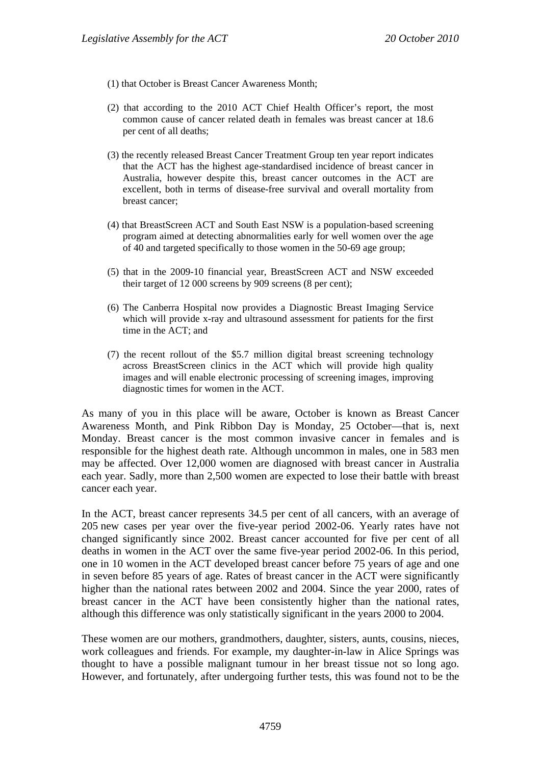- (1) that October is Breast Cancer Awareness Month;
- (2) that according to the 2010 ACT Chief Health Officer's report, the most common cause of cancer related death in females was breast cancer at 18.6 per cent of all deaths;
- (3) the recently released Breast Cancer Treatment Group ten year report indicates that the ACT has the highest age-standardised incidence of breast cancer in Australia, however despite this, breast cancer outcomes in the ACT are excellent, both in terms of disease-free survival and overall mortality from breast cancer;
- (4) that BreastScreen ACT and South East NSW is a population-based screening program aimed at detecting abnormalities early for well women over the age of 40 and targeted specifically to those women in the 50-69 age group;
- (5) that in the 2009-10 financial year, BreastScreen ACT and NSW exceeded their target of 12 000 screens by 909 screens (8 per cent);
- (6) The Canberra Hospital now provides a Diagnostic Breast Imaging Service which will provide x-ray and ultrasound assessment for patients for the first time in the ACT; and
- (7) the recent rollout of the \$5.7 million digital breast screening technology across BreastScreen clinics in the ACT which will provide high quality images and will enable electronic processing of screening images, improving diagnostic times for women in the ACT.

As many of you in this place will be aware, October is known as Breast Cancer Awareness Month, and Pink Ribbon Day is Monday, 25 October—that is, next Monday. Breast cancer is the most common invasive cancer in females and is responsible for the highest death rate. Although uncommon in males, one in 583 men may be affected. Over 12,000 women are diagnosed with breast cancer in Australia each year. Sadly, more than 2,500 women are expected to lose their battle with breast cancer each year.

In the ACT, breast cancer represents 34.5 per cent of all cancers, with an average of 205 new cases per year over the five-year period 2002-06. Yearly rates have not changed significantly since 2002. Breast cancer accounted for five per cent of all deaths in women in the ACT over the same five-year period 2002-06. In this period, one in 10 women in the ACT developed breast cancer before 75 years of age and one in seven before 85 years of age. Rates of breast cancer in the ACT were significantly higher than the national rates between 2002 and 2004. Since the year 2000, rates of breast cancer in the ACT have been consistently higher than the national rates, although this difference was only statistically significant in the years 2000 to 2004.

These women are our mothers, grandmothers, daughter, sisters, aunts, cousins, nieces, work colleagues and friends. For example, my daughter-in-law in Alice Springs was thought to have a possible malignant tumour in her breast tissue not so long ago. However, and fortunately, after undergoing further tests, this was found not to be the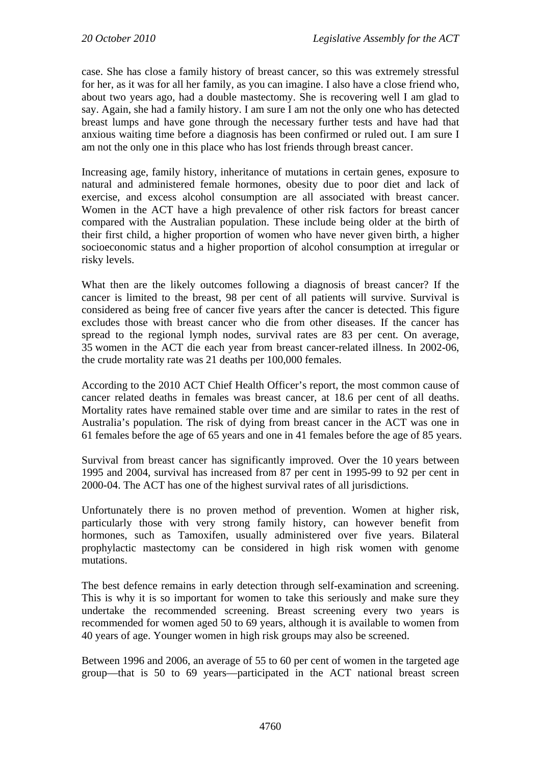case. She has close a family history of breast cancer, so this was extremely stressful for her, as it was for all her family, as you can imagine. I also have a close friend who, about two years ago, had a double mastectomy. She is recovering well I am glad to say. Again, she had a family history. I am sure I am not the only one who has detected breast lumps and have gone through the necessary further tests and have had that anxious waiting time before a diagnosis has been confirmed or ruled out. I am sure I am not the only one in this place who has lost friends through breast cancer.

Increasing age, family history, inheritance of mutations in certain genes, exposure to natural and administered female hormones, obesity due to poor diet and lack of exercise, and excess alcohol consumption are all associated with breast cancer. Women in the ACT have a high prevalence of other risk factors for breast cancer compared with the Australian population. These include being older at the birth of their first child, a higher proportion of women who have never given birth, a higher socioeconomic status and a higher proportion of alcohol consumption at irregular or risky levels.

What then are the likely outcomes following a diagnosis of breast cancer? If the cancer is limited to the breast, 98 per cent of all patients will survive. Survival is considered as being free of cancer five years after the cancer is detected. This figure excludes those with breast cancer who die from other diseases. If the cancer has spread to the regional lymph nodes, survival rates are 83 per cent. On average, 35 women in the ACT die each year from breast cancer-related illness. In 2002-06, the crude mortality rate was 21 deaths per 100,000 females.

According to the 2010 ACT Chief Health Officer's report, the most common cause of cancer related deaths in females was breast cancer, at 18.6 per cent of all deaths. Mortality rates have remained stable over time and are similar to rates in the rest of Australia's population. The risk of dying from breast cancer in the ACT was one in 61 females before the age of 65 years and one in 41 females before the age of 85 years.

Survival from breast cancer has significantly improved. Over the 10 years between 1995 and 2004, survival has increased from 87 per cent in 1995-99 to 92 per cent in 2000-04. The ACT has one of the highest survival rates of all jurisdictions.

Unfortunately there is no proven method of prevention. Women at higher risk, particularly those with very strong family history, can however benefit from hormones, such as Tamoxifen, usually administered over five years. Bilateral prophylactic mastectomy can be considered in high risk women with genome mutations.

The best defence remains in early detection through self-examination and screening. This is why it is so important for women to take this seriously and make sure they undertake the recommended screening. Breast screening every two years is recommended for women aged 50 to 69 years, although it is available to women from 40 years of age. Younger women in high risk groups may also be screened.

Between 1996 and 2006, an average of 55 to 60 per cent of women in the targeted age group—that is 50 to 69 years—participated in the ACT national breast screen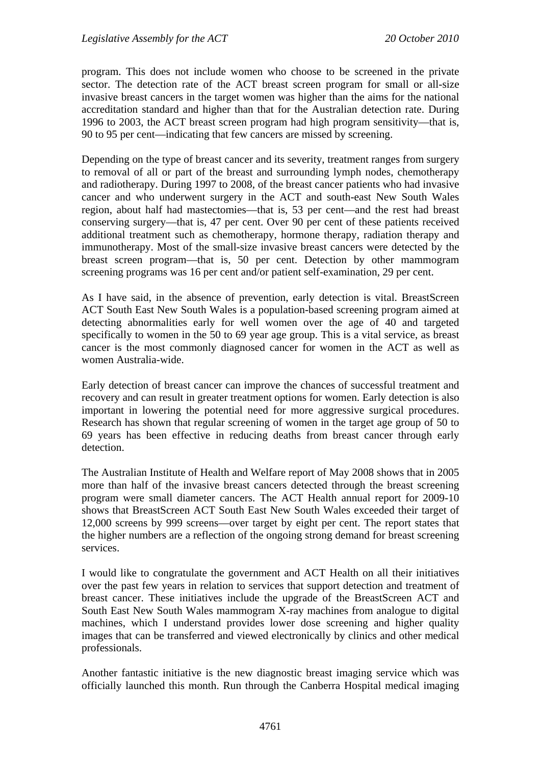program. This does not include women who choose to be screened in the private sector. The detection rate of the ACT breast screen program for small or all-size invasive breast cancers in the target women was higher than the aims for the national accreditation standard and higher than that for the Australian detection rate. During 1996 to 2003, the ACT breast screen program had high program sensitivity—that is, 90 to 95 per cent—indicating that few cancers are missed by screening.

Depending on the type of breast cancer and its severity, treatment ranges from surgery to removal of all or part of the breast and surrounding lymph nodes, chemotherapy and radiotherapy. During 1997 to 2008, of the breast cancer patients who had invasive cancer and who underwent surgery in the ACT and south-east New South Wales region, about half had mastectomies—that is, 53 per cent—and the rest had breast conserving surgery—that is, 47 per cent. Over 90 per cent of these patients received additional treatment such as chemotherapy, hormone therapy, radiation therapy and immunotherapy. Most of the small-size invasive breast cancers were detected by the breast screen program—that is, 50 per cent. Detection by other mammogram screening programs was 16 per cent and/or patient self-examination, 29 per cent.

As I have said, in the absence of prevention, early detection is vital. BreastScreen ACT South East New South Wales is a population-based screening program aimed at detecting abnormalities early for well women over the age of 40 and targeted specifically to women in the 50 to 69 year age group. This is a vital service, as breast cancer is the most commonly diagnosed cancer for women in the ACT as well as women Australia-wide.

Early detection of breast cancer can improve the chances of successful treatment and recovery and can result in greater treatment options for women. Early detection is also important in lowering the potential need for more aggressive surgical procedures. Research has shown that regular screening of women in the target age group of 50 to 69 years has been effective in reducing deaths from breast cancer through early detection.

The Australian Institute of Health and Welfare report of May 2008 shows that in 2005 more than half of the invasive breast cancers detected through the breast screening program were small diameter cancers. The ACT Health annual report for 2009-10 shows that BreastScreen ACT South East New South Wales exceeded their target of 12,000 screens by 999 screens—over target by eight per cent. The report states that the higher numbers are a reflection of the ongoing strong demand for breast screening services.

I would like to congratulate the government and ACT Health on all their initiatives over the past few years in relation to services that support detection and treatment of breast cancer. These initiatives include the upgrade of the BreastScreen ACT and South East New South Wales mammogram X-ray machines from analogue to digital machines, which I understand provides lower dose screening and higher quality images that can be transferred and viewed electronically by clinics and other medical professionals.

Another fantastic initiative is the new diagnostic breast imaging service which was officially launched this month. Run through the Canberra Hospital medical imaging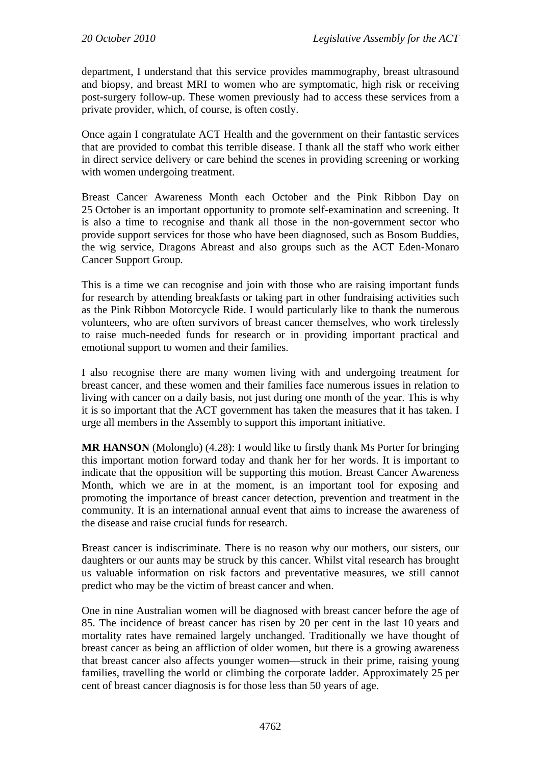department, I understand that this service provides mammography, breast ultrasound and biopsy, and breast MRI to women who are symptomatic, high risk or receiving post-surgery follow-up. These women previously had to access these services from a private provider, which, of course, is often costly.

Once again I congratulate ACT Health and the government on their fantastic services that are provided to combat this terrible disease. I thank all the staff who work either in direct service delivery or care behind the scenes in providing screening or working with women undergoing treatment.

Breast Cancer Awareness Month each October and the Pink Ribbon Day on 25 October is an important opportunity to promote self-examination and screening. It is also a time to recognise and thank all those in the non-government sector who provide support services for those who have been diagnosed, such as Bosom Buddies, the wig service, Dragons Abreast and also groups such as the ACT Eden-Monaro Cancer Support Group.

This is a time we can recognise and join with those who are raising important funds for research by attending breakfasts or taking part in other fundraising activities such as the Pink Ribbon Motorcycle Ride. I would particularly like to thank the numerous volunteers, who are often survivors of breast cancer themselves, who work tirelessly to raise much-needed funds for research or in providing important practical and emotional support to women and their families.

I also recognise there are many women living with and undergoing treatment for breast cancer, and these women and their families face numerous issues in relation to living with cancer on a daily basis, not just during one month of the year. This is why it is so important that the ACT government has taken the measures that it has taken. I urge all members in the Assembly to support this important initiative.

**MR HANSON** (Molonglo) (4.28): I would like to firstly thank Ms Porter for bringing this important motion forward today and thank her for her words. It is important to indicate that the opposition will be supporting this motion. Breast Cancer Awareness Month, which we are in at the moment, is an important tool for exposing and promoting the importance of breast cancer detection, prevention and treatment in the community. It is an international annual event that aims to increase the awareness of the disease and raise crucial funds for research.

Breast cancer is indiscriminate. There is no reason why our mothers, our sisters, our daughters or our aunts may be struck by this cancer. Whilst vital research has brought us valuable information on risk factors and preventative measures, we still cannot predict who may be the victim of breast cancer and when.

One in nine Australian women will be diagnosed with breast cancer before the age of 85. The incidence of breast cancer has risen by 20 per cent in the last 10 years and mortality rates have remained largely unchanged. Traditionally we have thought of breast cancer as being an affliction of older women, but there is a growing awareness that breast cancer also affects younger women—struck in their prime, raising young families, travelling the world or climbing the corporate ladder. Approximately 25 per cent of breast cancer diagnosis is for those less than 50 years of age.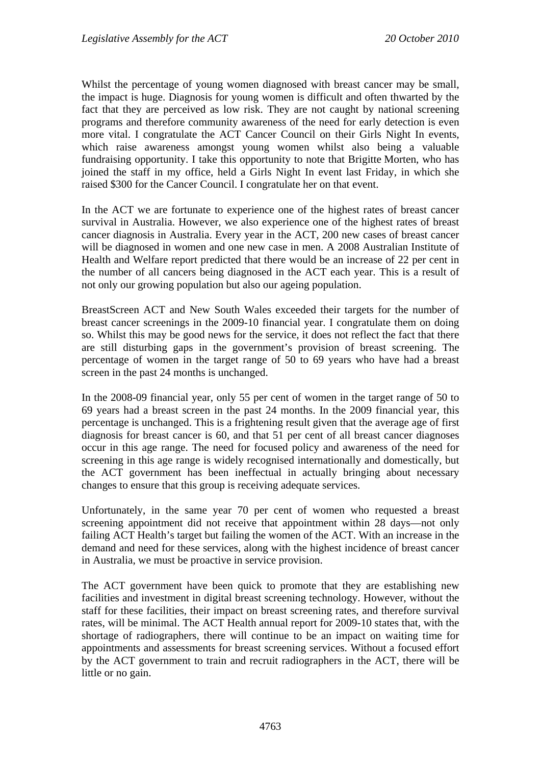Whilst the percentage of young women diagnosed with breast cancer may be small, the impact is huge. Diagnosis for young women is difficult and often thwarted by the fact that they are perceived as low risk. They are not caught by national screening programs and therefore community awareness of the need for early detection is even more vital. I congratulate the ACT Cancer Council on their Girls Night In events, which raise awareness amongst young women whilst also being a valuable fundraising opportunity. I take this opportunity to note that Brigitte Morten, who has joined the staff in my office, held a Girls Night In event last Friday, in which she raised \$300 for the Cancer Council. I congratulate her on that event.

In the ACT we are fortunate to experience one of the highest rates of breast cancer survival in Australia. However, we also experience one of the highest rates of breast cancer diagnosis in Australia. Every year in the ACT, 200 new cases of breast cancer will be diagnosed in women and one new case in men. A 2008 Australian Institute of Health and Welfare report predicted that there would be an increase of 22 per cent in the number of all cancers being diagnosed in the ACT each year. This is a result of not only our growing population but also our ageing population.

BreastScreen ACT and New South Wales exceeded their targets for the number of breast cancer screenings in the 2009-10 financial year. I congratulate them on doing so. Whilst this may be good news for the service, it does not reflect the fact that there are still disturbing gaps in the government's provision of breast screening. The percentage of women in the target range of 50 to 69 years who have had a breast screen in the past 24 months is unchanged.

In the 2008-09 financial year, only 55 per cent of women in the target range of 50 to 69 years had a breast screen in the past 24 months. In the 2009 financial year, this percentage is unchanged. This is a frightening result given that the average age of first diagnosis for breast cancer is 60, and that 51 per cent of all breast cancer diagnoses occur in this age range. The need for focused policy and awareness of the need for screening in this age range is widely recognised internationally and domestically, but the ACT government has been ineffectual in actually bringing about necessary changes to ensure that this group is receiving adequate services.

Unfortunately, in the same year 70 per cent of women who requested a breast screening appointment did not receive that appointment within 28 days—not only failing ACT Health's target but failing the women of the ACT. With an increase in the demand and need for these services, along with the highest incidence of breast cancer in Australia, we must be proactive in service provision.

The ACT government have been quick to promote that they are establishing new facilities and investment in digital breast screening technology. However, without the staff for these facilities, their impact on breast screening rates, and therefore survival rates, will be minimal. The ACT Health annual report for 2009-10 states that, with the shortage of radiographers, there will continue to be an impact on waiting time for appointments and assessments for breast screening services. Without a focused effort by the ACT government to train and recruit radiographers in the ACT, there will be little or no gain.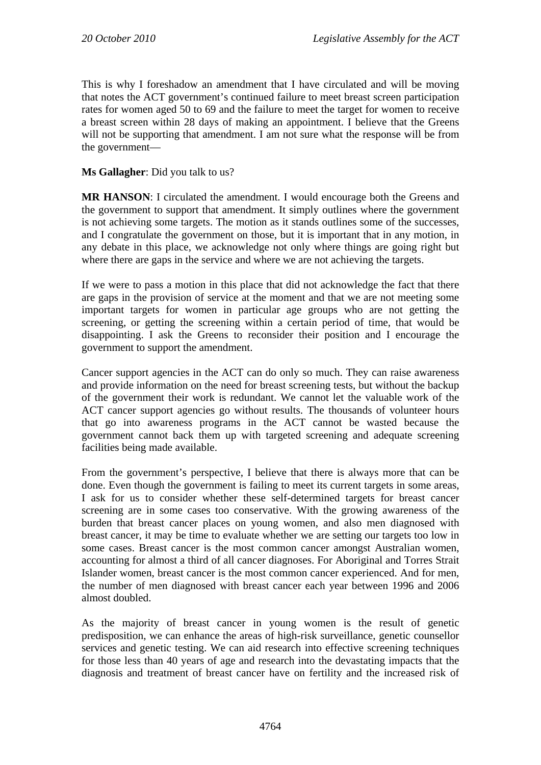This is why I foreshadow an amendment that I have circulated and will be moving that notes the ACT government's continued failure to meet breast screen participation rates for women aged 50 to 69 and the failure to meet the target for women to receive a breast screen within 28 days of making an appointment. I believe that the Greens will not be supporting that amendment. I am not sure what the response will be from the government—

**Ms Gallagher**: Did you talk to us?

**MR HANSON**: I circulated the amendment. I would encourage both the Greens and the government to support that amendment. It simply outlines where the government is not achieving some targets. The motion as it stands outlines some of the successes, and I congratulate the government on those, but it is important that in any motion, in any debate in this place, we acknowledge not only where things are going right but where there are gaps in the service and where we are not achieving the targets.

If we were to pass a motion in this place that did not acknowledge the fact that there are gaps in the provision of service at the moment and that we are not meeting some important targets for women in particular age groups who are not getting the screening, or getting the screening within a certain period of time, that would be disappointing. I ask the Greens to reconsider their position and I encourage the government to support the amendment.

Cancer support agencies in the ACT can do only so much. They can raise awareness and provide information on the need for breast screening tests, but without the backup of the government their work is redundant. We cannot let the valuable work of the ACT cancer support agencies go without results. The thousands of volunteer hours that go into awareness programs in the ACT cannot be wasted because the government cannot back them up with targeted screening and adequate screening facilities being made available.

From the government's perspective, I believe that there is always more that can be done. Even though the government is failing to meet its current targets in some areas, I ask for us to consider whether these self-determined targets for breast cancer screening are in some cases too conservative. With the growing awareness of the burden that breast cancer places on young women, and also men diagnosed with breast cancer, it may be time to evaluate whether we are setting our targets too low in some cases. Breast cancer is the most common cancer amongst Australian women, accounting for almost a third of all cancer diagnoses. For Aboriginal and Torres Strait Islander women, breast cancer is the most common cancer experienced. And for men, the number of men diagnosed with breast cancer each year between 1996 and 2006 almost doubled.

As the majority of breast cancer in young women is the result of genetic predisposition, we can enhance the areas of high-risk surveillance, genetic counsellor services and genetic testing. We can aid research into effective screening techniques for those less than 40 years of age and research into the devastating impacts that the diagnosis and treatment of breast cancer have on fertility and the increased risk of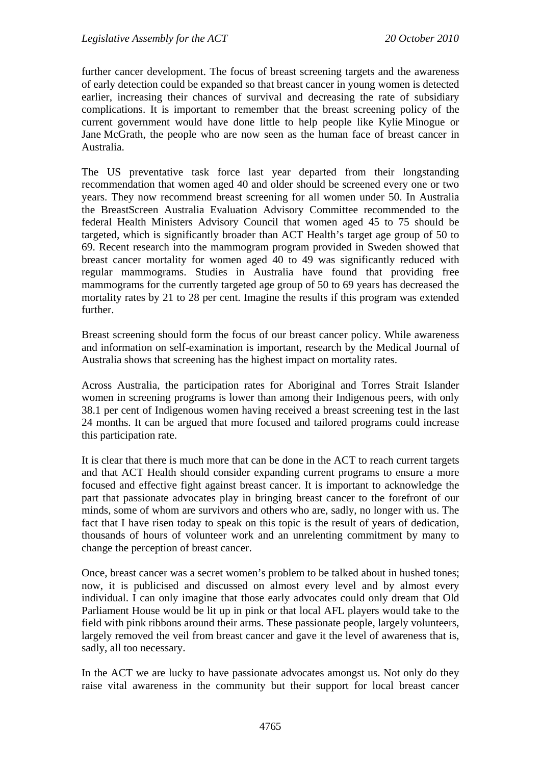further cancer development. The focus of breast screening targets and the awareness of early detection could be expanded so that breast cancer in young women is detected earlier, increasing their chances of survival and decreasing the rate of subsidiary complications. It is important to remember that the breast screening policy of the current government would have done little to help people like Kylie Minogue or Jane McGrath, the people who are now seen as the human face of breast cancer in Australia.

The US preventative task force last year departed from their longstanding recommendation that women aged 40 and older should be screened every one or two years. They now recommend breast screening for all women under 50. In Australia the BreastScreen Australia Evaluation Advisory Committee recommended to the federal Health Ministers Advisory Council that women aged 45 to 75 should be targeted, which is significantly broader than ACT Health's target age group of 50 to 69. Recent research into the mammogram program provided in Sweden showed that breast cancer mortality for women aged 40 to 49 was significantly reduced with regular mammograms. Studies in Australia have found that providing free mammograms for the currently targeted age group of 50 to 69 years has decreased the mortality rates by 21 to 28 per cent. Imagine the results if this program was extended further.

Breast screening should form the focus of our breast cancer policy. While awareness and information on self-examination is important, research by the Medical Journal of Australia shows that screening has the highest impact on mortality rates.

Across Australia, the participation rates for Aboriginal and Torres Strait Islander women in screening programs is lower than among their Indigenous peers, with only 38.1 per cent of Indigenous women having received a breast screening test in the last 24 months. It can be argued that more focused and tailored programs could increase this participation rate.

It is clear that there is much more that can be done in the ACT to reach current targets and that ACT Health should consider expanding current programs to ensure a more focused and effective fight against breast cancer. It is important to acknowledge the part that passionate advocates play in bringing breast cancer to the forefront of our minds, some of whom are survivors and others who are, sadly, no longer with us. The fact that I have risen today to speak on this topic is the result of years of dedication, thousands of hours of volunteer work and an unrelenting commitment by many to change the perception of breast cancer.

Once, breast cancer was a secret women's problem to be talked about in hushed tones; now, it is publicised and discussed on almost every level and by almost every individual. I can only imagine that those early advocates could only dream that Old Parliament House would be lit up in pink or that local AFL players would take to the field with pink ribbons around their arms. These passionate people, largely volunteers, largely removed the veil from breast cancer and gave it the level of awareness that is, sadly, all too necessary.

In the ACT we are lucky to have passionate advocates amongst us. Not only do they raise vital awareness in the community but their support for local breast cancer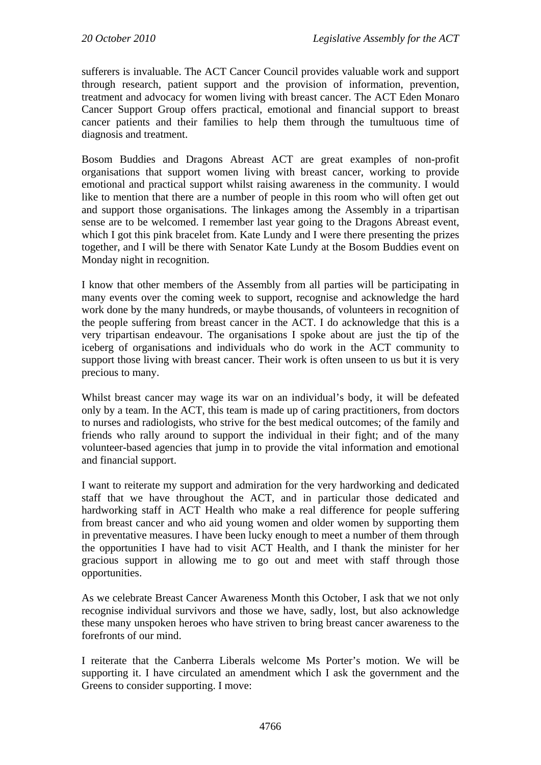sufferers is invaluable. The ACT Cancer Council provides valuable work and support through research, patient support and the provision of information, prevention, treatment and advocacy for women living with breast cancer. The ACT Eden Monaro Cancer Support Group offers practical, emotional and financial support to breast cancer patients and their families to help them through the tumultuous time of diagnosis and treatment.

Bosom Buddies and Dragons Abreast ACT are great examples of non-profit organisations that support women living with breast cancer, working to provide emotional and practical support whilst raising awareness in the community. I would like to mention that there are a number of people in this room who will often get out and support those organisations. The linkages among the Assembly in a tripartisan sense are to be welcomed. I remember last year going to the Dragons Abreast event, which I got this pink bracelet from. Kate Lundy and I were there presenting the prizes together, and I will be there with Senator Kate Lundy at the Bosom Buddies event on Monday night in recognition.

I know that other members of the Assembly from all parties will be participating in many events over the coming week to support, recognise and acknowledge the hard work done by the many hundreds, or maybe thousands, of volunteers in recognition of the people suffering from breast cancer in the ACT. I do acknowledge that this is a very tripartisan endeavour. The organisations I spoke about are just the tip of the iceberg of organisations and individuals who do work in the ACT community to support those living with breast cancer. Their work is often unseen to us but it is very precious to many.

Whilst breast cancer may wage its war on an individual's body, it will be defeated only by a team. In the ACT, this team is made up of caring practitioners, from doctors to nurses and radiologists, who strive for the best medical outcomes; of the family and friends who rally around to support the individual in their fight; and of the many volunteer-based agencies that jump in to provide the vital information and emotional and financial support.

I want to reiterate my support and admiration for the very hardworking and dedicated staff that we have throughout the ACT, and in particular those dedicated and hardworking staff in ACT Health who make a real difference for people suffering from breast cancer and who aid young women and older women by supporting them in preventative measures. I have been lucky enough to meet a number of them through the opportunities I have had to visit ACT Health, and I thank the minister for her gracious support in allowing me to go out and meet with staff through those opportunities.

As we celebrate Breast Cancer Awareness Month this October, I ask that we not only recognise individual survivors and those we have, sadly, lost, but also acknowledge these many unspoken heroes who have striven to bring breast cancer awareness to the forefronts of our mind.

I reiterate that the Canberra Liberals welcome Ms Porter's motion. We will be supporting it. I have circulated an amendment which I ask the government and the Greens to consider supporting. I move: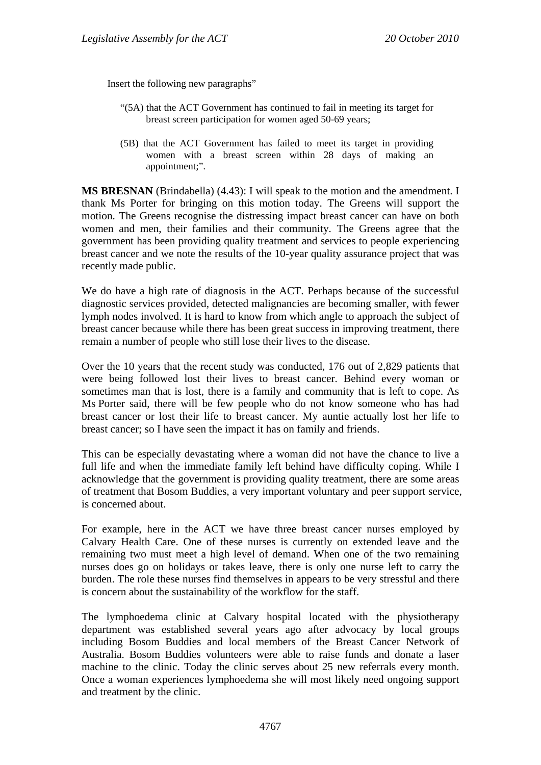Insert the following new paragraphs"

- "(5A) that the ACT Government has continued to fail in meeting its target for breast screen participation for women aged 50-69 years;
- (5B) that the ACT Government has failed to meet its target in providing women with a breast screen within 28 days of making an appointment;".

**MS BRESNAN** (Brindabella) (4.43): I will speak to the motion and the amendment. I thank Ms Porter for bringing on this motion today. The Greens will support the motion. The Greens recognise the distressing impact breast cancer can have on both women and men, their families and their community. The Greens agree that the government has been providing quality treatment and services to people experiencing breast cancer and we note the results of the 10-year quality assurance project that was recently made public.

We do have a high rate of diagnosis in the ACT. Perhaps because of the successful diagnostic services provided, detected malignancies are becoming smaller, with fewer lymph nodes involved. It is hard to know from which angle to approach the subject of breast cancer because while there has been great success in improving treatment, there remain a number of people who still lose their lives to the disease.

Over the 10 years that the recent study was conducted, 176 out of 2,829 patients that were being followed lost their lives to breast cancer. Behind every woman or sometimes man that is lost, there is a family and community that is left to cope. As Ms Porter said, there will be few people who do not know someone who has had breast cancer or lost their life to breast cancer. My auntie actually lost her life to breast cancer; so I have seen the impact it has on family and friends.

This can be especially devastating where a woman did not have the chance to live a full life and when the immediate family left behind have difficulty coping. While I acknowledge that the government is providing quality treatment, there are some areas of treatment that Bosom Buddies, a very important voluntary and peer support service, is concerned about.

For example, here in the ACT we have three breast cancer nurses employed by Calvary Health Care. One of these nurses is currently on extended leave and the remaining two must meet a high level of demand. When one of the two remaining nurses does go on holidays or takes leave, there is only one nurse left to carry the burden. The role these nurses find themselves in appears to be very stressful and there is concern about the sustainability of the workflow for the staff.

The lymphoedema clinic at Calvary hospital located with the physiotherapy department was established several years ago after advocacy by local groups including Bosom Buddies and local members of the Breast Cancer Network of Australia. Bosom Buddies volunteers were able to raise funds and donate a laser machine to the clinic. Today the clinic serves about 25 new referrals every month. Once a woman experiences lymphoedema she will most likely need ongoing support and treatment by the clinic.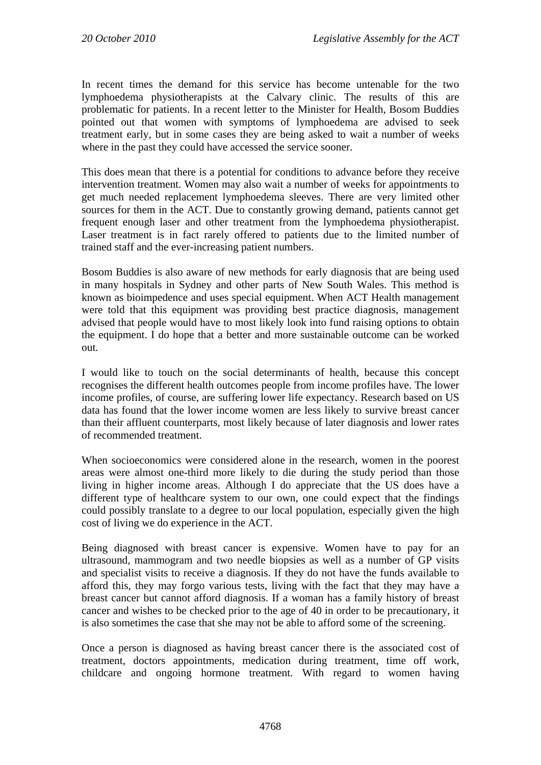In recent times the demand for this service has become untenable for the two lymphoedema physiotherapists at the Calvary clinic. The results of this are problematic for patients. In a recent letter to the Minister for Health, Bosom Buddies pointed out that women with symptoms of lymphoedema are advised to seek treatment early, but in some cases they are being asked to wait a number of weeks where in the past they could have accessed the service sooner.

This does mean that there is a potential for conditions to advance before they receive intervention treatment. Women may also wait a number of weeks for appointments to get much needed replacement lymphoedema sleeves. There are very limited other sources for them in the ACT. Due to constantly growing demand, patients cannot get frequent enough laser and other treatment from the lymphoedema physiotherapist. Laser treatment is in fact rarely offered to patients due to the limited number of trained staff and the ever-increasing patient numbers.

Bosom Buddies is also aware of new methods for early diagnosis that are being used in many hospitals in Sydney and other parts of New South Wales. This method is known as bioimpedence and uses special equipment. When ACT Health management were told that this equipment was providing best practice diagnosis, management advised that people would have to most likely look into fund raising options to obtain the equipment. I do hope that a better and more sustainable outcome can be worked out.

I would like to touch on the social determinants of health, because this concept recognises the different health outcomes people from income profiles have. The lower income profiles, of course, are suffering lower life expectancy. Research based on US data has found that the lower income women are less likely to survive breast cancer than their affluent counterparts, most likely because of later diagnosis and lower rates of recommended treatment.

When socioeconomics were considered alone in the research, women in the poorest areas were almost one-third more likely to die during the study period than those living in higher income areas. Although I do appreciate that the US does have a different type of healthcare system to our own, one could expect that the findings could possibly translate to a degree to our local population, especially given the high cost of living we do experience in the ACT.

Being diagnosed with breast cancer is expensive. Women have to pay for an ultrasound, mammogram and two needle biopsies as well as a number of GP visits and specialist visits to receive a diagnosis. If they do not have the funds available to afford this, they may forgo various tests, living with the fact that they may have a breast cancer but cannot afford diagnosis. If a woman has a family history of breast cancer and wishes to be checked prior to the age of 40 in order to be precautionary, it is also sometimes the case that she may not be able to afford some of the screening.

Once a person is diagnosed as having breast cancer there is the associated cost of treatment, doctors appointments, medication during treatment, time off work, childcare and ongoing hormone treatment. With regard to women having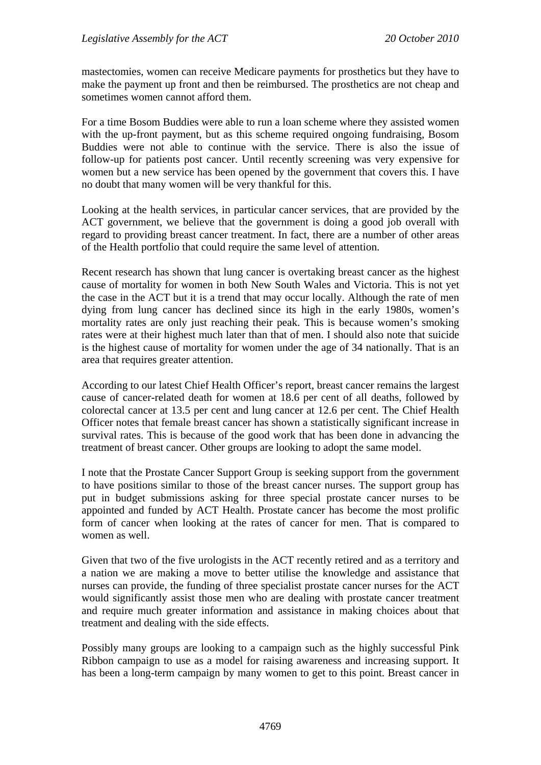mastectomies, women can receive Medicare payments for prosthetics but they have to make the payment up front and then be reimbursed. The prosthetics are not cheap and sometimes women cannot afford them.

For a time Bosom Buddies were able to run a loan scheme where they assisted women with the up-front payment, but as this scheme required ongoing fundraising, Bosom Buddies were not able to continue with the service. There is also the issue of follow-up for patients post cancer. Until recently screening was very expensive for women but a new service has been opened by the government that covers this. I have no doubt that many women will be very thankful for this.

Looking at the health services, in particular cancer services, that are provided by the ACT government, we believe that the government is doing a good job overall with regard to providing breast cancer treatment. In fact, there are a number of other areas of the Health portfolio that could require the same level of attention.

Recent research has shown that lung cancer is overtaking breast cancer as the highest cause of mortality for women in both New South Wales and Victoria. This is not yet the case in the ACT but it is a trend that may occur locally. Although the rate of men dying from lung cancer has declined since its high in the early 1980s, women's mortality rates are only just reaching their peak. This is because women's smoking rates were at their highest much later than that of men. I should also note that suicide is the highest cause of mortality for women under the age of 34 nationally. That is an area that requires greater attention.

According to our latest Chief Health Officer's report, breast cancer remains the largest cause of cancer-related death for women at 18.6 per cent of all deaths, followed by colorectal cancer at 13.5 per cent and lung cancer at 12.6 per cent. The Chief Health Officer notes that female breast cancer has shown a statistically significant increase in survival rates. This is because of the good work that has been done in advancing the treatment of breast cancer. Other groups are looking to adopt the same model.

I note that the Prostate Cancer Support Group is seeking support from the government to have positions similar to those of the breast cancer nurses. The support group has put in budget submissions asking for three special prostate cancer nurses to be appointed and funded by ACT Health. Prostate cancer has become the most prolific form of cancer when looking at the rates of cancer for men. That is compared to women as well.

Given that two of the five urologists in the ACT recently retired and as a territory and a nation we are making a move to better utilise the knowledge and assistance that nurses can provide, the funding of three specialist prostate cancer nurses for the ACT would significantly assist those men who are dealing with prostate cancer treatment and require much greater information and assistance in making choices about that treatment and dealing with the side effects.

Possibly many groups are looking to a campaign such as the highly successful Pink Ribbon campaign to use as a model for raising awareness and increasing support. It has been a long-term campaign by many women to get to this point. Breast cancer in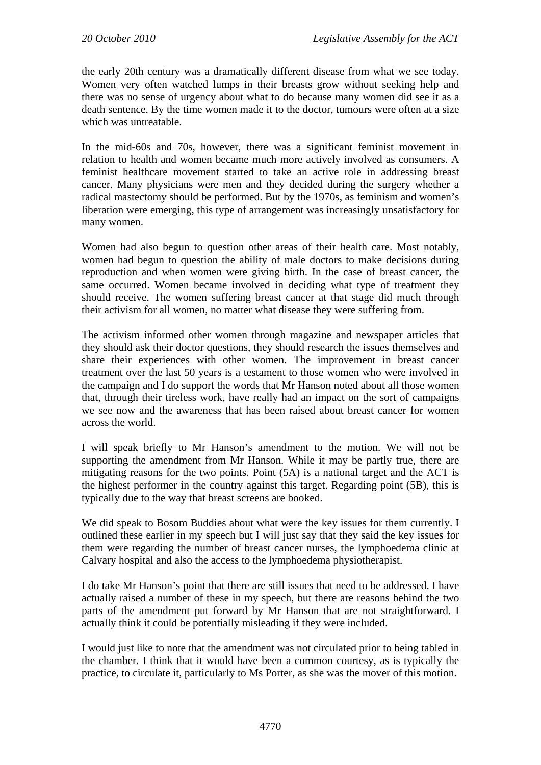the early 20th century was a dramatically different disease from what we see today. Women very often watched lumps in their breasts grow without seeking help and there was no sense of urgency about what to do because many women did see it as a death sentence. By the time women made it to the doctor, tumours were often at a size which was untreatable.

In the mid-60s and 70s, however, there was a significant feminist movement in relation to health and women became much more actively involved as consumers. A feminist healthcare movement started to take an active role in addressing breast cancer. Many physicians were men and they decided during the surgery whether a radical mastectomy should be performed. But by the 1970s, as feminism and women's liberation were emerging, this type of arrangement was increasingly unsatisfactory for many women.

Women had also begun to question other areas of their health care. Most notably, women had begun to question the ability of male doctors to make decisions during reproduction and when women were giving birth. In the case of breast cancer, the same occurred. Women became involved in deciding what type of treatment they should receive. The women suffering breast cancer at that stage did much through their activism for all women, no matter what disease they were suffering from.

The activism informed other women through magazine and newspaper articles that they should ask their doctor questions, they should research the issues themselves and share their experiences with other women. The improvement in breast cancer treatment over the last 50 years is a testament to those women who were involved in the campaign and I do support the words that Mr Hanson noted about all those women that, through their tireless work, have really had an impact on the sort of campaigns we see now and the awareness that has been raised about breast cancer for women across the world.

I will speak briefly to Mr Hanson's amendment to the motion. We will not be supporting the amendment from Mr Hanson. While it may be partly true, there are mitigating reasons for the two points. Point (5A) is a national target and the ACT is the highest performer in the country against this target. Regarding point (5B), this is typically due to the way that breast screens are booked.

We did speak to Bosom Buddies about what were the key issues for them currently. I outlined these earlier in my speech but I will just say that they said the key issues for them were regarding the number of breast cancer nurses, the lymphoedema clinic at Calvary hospital and also the access to the lymphoedema physiotherapist.

I do take Mr Hanson's point that there are still issues that need to be addressed. I have actually raised a number of these in my speech, but there are reasons behind the two parts of the amendment put forward by Mr Hanson that are not straightforward. I actually think it could be potentially misleading if they were included.

I would just like to note that the amendment was not circulated prior to being tabled in the chamber. I think that it would have been a common courtesy, as is typically the practice, to circulate it, particularly to Ms Porter, as she was the mover of this motion.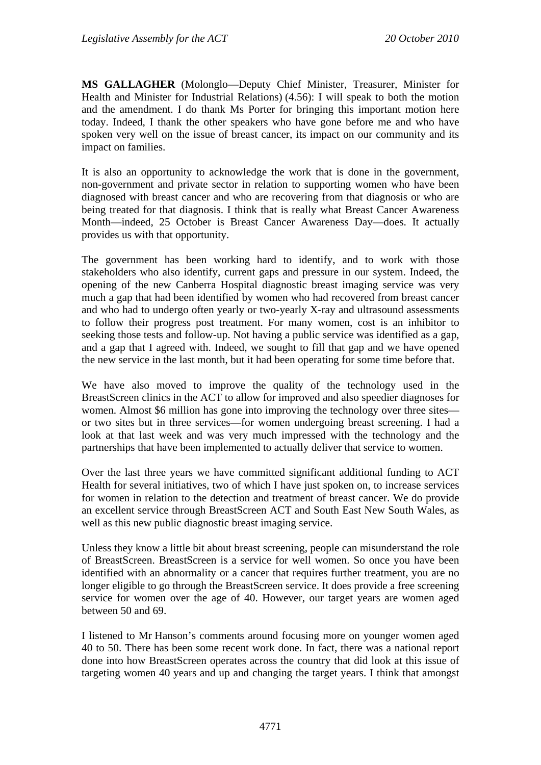**MS GALLAGHER** (Molonglo—Deputy Chief Minister, Treasurer, Minister for Health and Minister for Industrial Relations) (4.56): I will speak to both the motion and the amendment. I do thank Ms Porter for bringing this important motion here today. Indeed, I thank the other speakers who have gone before me and who have spoken very well on the issue of breast cancer, its impact on our community and its impact on families.

It is also an opportunity to acknowledge the work that is done in the government, non-government and private sector in relation to supporting women who have been diagnosed with breast cancer and who are recovering from that diagnosis or who are being treated for that diagnosis. I think that is really what Breast Cancer Awareness Month—indeed, 25 October is Breast Cancer Awareness Day—does. It actually provides us with that opportunity.

The government has been working hard to identify, and to work with those stakeholders who also identify, current gaps and pressure in our system. Indeed, the opening of the new Canberra Hospital diagnostic breast imaging service was very much a gap that had been identified by women who had recovered from breast cancer and who had to undergo often yearly or two-yearly X-ray and ultrasound assessments to follow their progress post treatment. For many women, cost is an inhibitor to seeking those tests and follow-up. Not having a public service was identified as a gap, and a gap that I agreed with. Indeed, we sought to fill that gap and we have opened the new service in the last month, but it had been operating for some time before that.

We have also moved to improve the quality of the technology used in the BreastScreen clinics in the ACT to allow for improved and also speedier diagnoses for women. Almost \$6 million has gone into improving the technology over three sites or two sites but in three services—for women undergoing breast screening. I had a look at that last week and was very much impressed with the technology and the partnerships that have been implemented to actually deliver that service to women.

Over the last three years we have committed significant additional funding to ACT Health for several initiatives, two of which I have just spoken on, to increase services for women in relation to the detection and treatment of breast cancer. We do provide an excellent service through BreastScreen ACT and South East New South Wales, as well as this new public diagnostic breast imaging service.

Unless they know a little bit about breast screening, people can misunderstand the role of BreastScreen. BreastScreen is a service for well women. So once you have been identified with an abnormality or a cancer that requires further treatment, you are no longer eligible to go through the BreastScreen service. It does provide a free screening service for women over the age of 40. However, our target years are women aged between 50 and 69.

I listened to Mr Hanson's comments around focusing more on younger women aged 40 to 50. There has been some recent work done. In fact, there was a national report done into how BreastScreen operates across the country that did look at this issue of targeting women 40 years and up and changing the target years. I think that amongst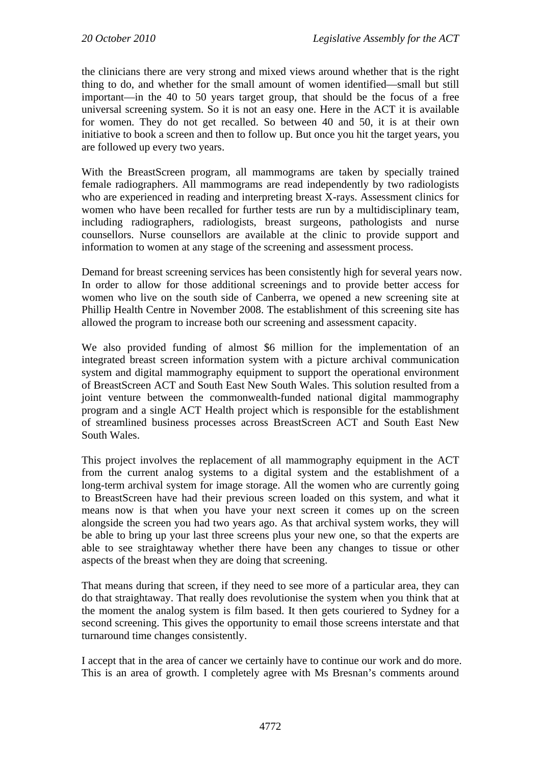the clinicians there are very strong and mixed views around whether that is the right thing to do, and whether for the small amount of women identified—small but still important—in the 40 to 50 years target group, that should be the focus of a free universal screening system. So it is not an easy one. Here in the ACT it is available for women. They do not get recalled. So between 40 and 50, it is at their own initiative to book a screen and then to follow up. But once you hit the target years, you are followed up every two years.

With the BreastScreen program, all mammograms are taken by specially trained female radiographers. All mammograms are read independently by two radiologists who are experienced in reading and interpreting breast X-rays. Assessment clinics for women who have been recalled for further tests are run by a multidisciplinary team, including radiographers, radiologists, breast surgeons, pathologists and nurse counsellors. Nurse counsellors are available at the clinic to provide support and information to women at any stage of the screening and assessment process.

Demand for breast screening services has been consistently high for several years now. In order to allow for those additional screenings and to provide better access for women who live on the south side of Canberra, we opened a new screening site at Phillip Health Centre in November 2008. The establishment of this screening site has allowed the program to increase both our screening and assessment capacity.

We also provided funding of almost \$6 million for the implementation of an integrated breast screen information system with a picture archival communication system and digital mammography equipment to support the operational environment of BreastScreen ACT and South East New South Wales. This solution resulted from a joint venture between the commonwealth-funded national digital mammography program and a single ACT Health project which is responsible for the establishment of streamlined business processes across BreastScreen ACT and South East New South Wales.

This project involves the replacement of all mammography equipment in the ACT from the current analog systems to a digital system and the establishment of a long-term archival system for image storage. All the women who are currently going to BreastScreen have had their previous screen loaded on this system, and what it means now is that when you have your next screen it comes up on the screen alongside the screen you had two years ago. As that archival system works, they will be able to bring up your last three screens plus your new one, so that the experts are able to see straightaway whether there have been any changes to tissue or other aspects of the breast when they are doing that screening.

That means during that screen, if they need to see more of a particular area, they can do that straightaway. That really does revolutionise the system when you think that at the moment the analog system is film based. It then gets couriered to Sydney for a second screening. This gives the opportunity to email those screens interstate and that turnaround time changes consistently.

I accept that in the area of cancer we certainly have to continue our work and do more. This is an area of growth. I completely agree with Ms Bresnan's comments around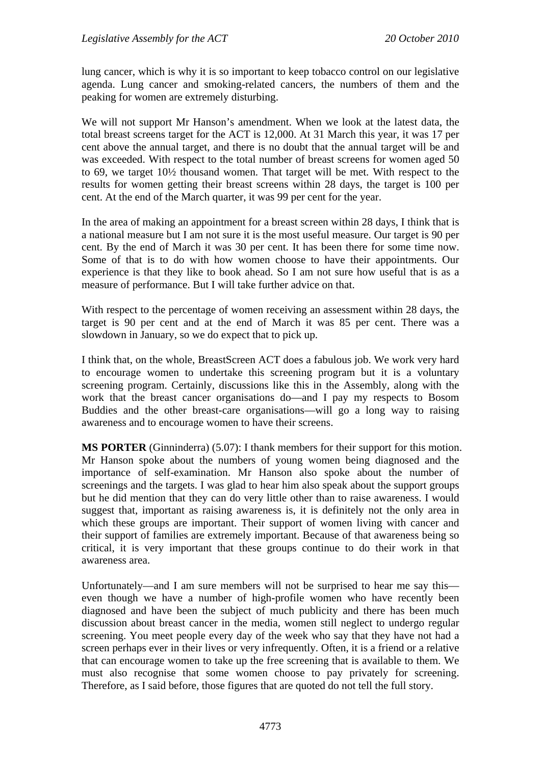lung cancer, which is why it is so important to keep tobacco control on our legislative agenda. Lung cancer and smoking-related cancers, the numbers of them and the peaking for women are extremely disturbing.

We will not support Mr Hanson's amendment. When we look at the latest data, the total breast screens target for the ACT is 12,000. At 31 March this year, it was 17 per cent above the annual target, and there is no doubt that the annual target will be and was exceeded. With respect to the total number of breast screens for women aged 50 to 69, we target 10½ thousand women. That target will be met. With respect to the results for women getting their breast screens within 28 days, the target is 100 per cent. At the end of the March quarter, it was 99 per cent for the year.

In the area of making an appointment for a breast screen within 28 days, I think that is a national measure but I am not sure it is the most useful measure. Our target is 90 per cent. By the end of March it was 30 per cent. It has been there for some time now. Some of that is to do with how women choose to have their appointments. Our experience is that they like to book ahead. So I am not sure how useful that is as a measure of performance. But I will take further advice on that.

With respect to the percentage of women receiving an assessment within 28 days, the target is 90 per cent and at the end of March it was 85 per cent. There was a slowdown in January, so we do expect that to pick up.

I think that, on the whole, BreastScreen ACT does a fabulous job. We work very hard to encourage women to undertake this screening program but it is a voluntary screening program. Certainly, discussions like this in the Assembly, along with the work that the breast cancer organisations do—and I pay my respects to Bosom Buddies and the other breast-care organisations—will go a long way to raising awareness and to encourage women to have their screens.

**MS PORTER** (Ginninderra) (5.07): I thank members for their support for this motion. Mr Hanson spoke about the numbers of young women being diagnosed and the importance of self-examination. Mr Hanson also spoke about the number of screenings and the targets. I was glad to hear him also speak about the support groups but he did mention that they can do very little other than to raise awareness. I would suggest that, important as raising awareness is, it is definitely not the only area in which these groups are important. Their support of women living with cancer and their support of families are extremely important. Because of that awareness being so critical, it is very important that these groups continue to do their work in that awareness area.

Unfortunately—and I am sure members will not be surprised to hear me say this even though we have a number of high-profile women who have recently been diagnosed and have been the subject of much publicity and there has been much discussion about breast cancer in the media, women still neglect to undergo regular screening. You meet people every day of the week who say that they have not had a screen perhaps ever in their lives or very infrequently. Often, it is a friend or a relative that can encourage women to take up the free screening that is available to them. We must also recognise that some women choose to pay privately for screening. Therefore, as I said before, those figures that are quoted do not tell the full story.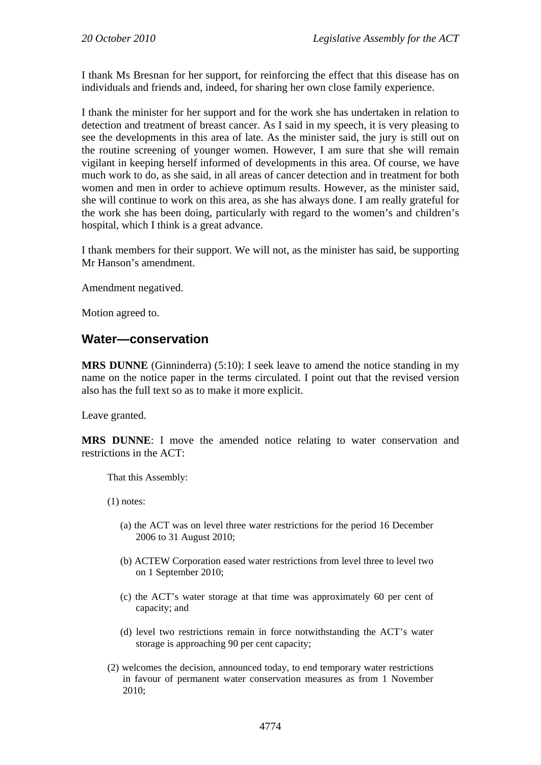I thank Ms Bresnan for her support, for reinforcing the effect that this disease has on individuals and friends and, indeed, for sharing her own close family experience.

I thank the minister for her support and for the work she has undertaken in relation to detection and treatment of breast cancer. As I said in my speech, it is very pleasing to see the developments in this area of late. As the minister said, the jury is still out on the routine screening of younger women. However, I am sure that she will remain vigilant in keeping herself informed of developments in this area. Of course, we have much work to do, as she said, in all areas of cancer detection and in treatment for both women and men in order to achieve optimum results. However, as the minister said, she will continue to work on this area, as she has always done. I am really grateful for the work she has been doing, particularly with regard to the women's and children's hospital, which I think is a great advance.

I thank members for their support. We will not, as the minister has said, be supporting Mr Hanson's amendment.

Amendment negatived.

Motion agreed to.

## **Water—conservation**

**MRS DUNNE** (Ginninderra) (5:10): I seek leave to amend the notice standing in my name on the notice paper in the terms circulated. I point out that the revised version also has the full text so as to make it more explicit.

Leave granted.

**MRS DUNNE**: I move the amended notice relating to water conservation and restrictions in the ACT:

That this Assembly:

(1) notes:

- (a) the ACT was on level three water restrictions for the period 16 December 2006 to 31 August 2010;
- (b) ACTEW Corporation eased water restrictions from level three to level two on 1 September 2010;
- (c) the ACT's water storage at that time was approximately 60 per cent of capacity; and
- (d) level two restrictions remain in force notwithstanding the ACT's water storage is approaching 90 per cent capacity;
- (2) welcomes the decision, announced today, to end temporary water restrictions in favour of permanent water conservation measures as from 1 November 2010;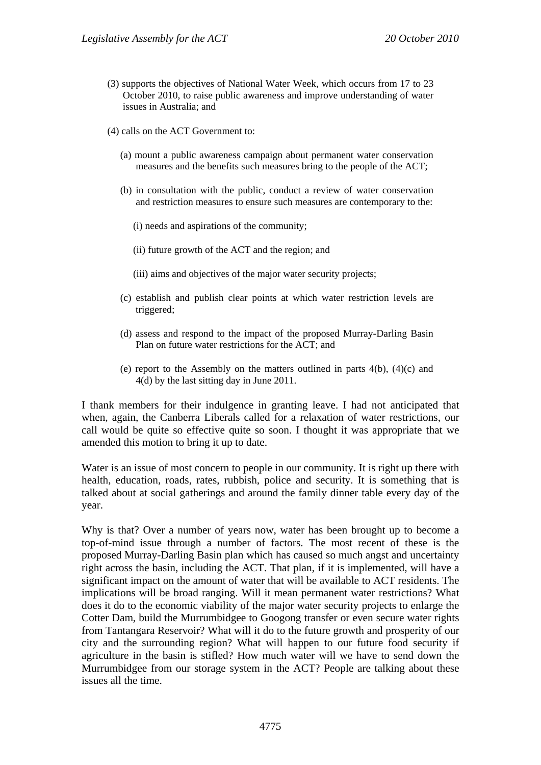- (3) supports the objectives of National Water Week, which occurs from 17 to 23 October 2010, to raise public awareness and improve understanding of water issues in Australia; and
- (4) calls on the ACT Government to:
	- (a) mount a public awareness campaign about permanent water conservation measures and the benefits such measures bring to the people of the ACT;
	- (b) in consultation with the public, conduct a review of water conservation and restriction measures to ensure such measures are contemporary to the:
		- (i) needs and aspirations of the community;
		- (ii) future growth of the ACT and the region; and
		- (iii) aims and objectives of the major water security projects;
	- (c) establish and publish clear points at which water restriction levels are triggered;
	- (d) assess and respond to the impact of the proposed Murray-Darling Basin Plan on future water restrictions for the ACT; and
	- (e) report to the Assembly on the matters outlined in parts 4(b), (4)(c) and 4(d) by the last sitting day in June 2011.

I thank members for their indulgence in granting leave. I had not anticipated that when, again, the Canberra Liberals called for a relaxation of water restrictions, our call would be quite so effective quite so soon. I thought it was appropriate that we amended this motion to bring it up to date.

Water is an issue of most concern to people in our community. It is right up there with health, education, roads, rates, rubbish, police and security. It is something that is talked about at social gatherings and around the family dinner table every day of the year.

Why is that? Over a number of years now, water has been brought up to become a top-of-mind issue through a number of factors. The most recent of these is the proposed Murray-Darling Basin plan which has caused so much angst and uncertainty right across the basin, including the ACT. That plan, if it is implemented, will have a significant impact on the amount of water that will be available to ACT residents. The implications will be broad ranging. Will it mean permanent water restrictions? What does it do to the economic viability of the major water security projects to enlarge the Cotter Dam, build the Murrumbidgee to Googong transfer or even secure water rights from Tantangara Reservoir? What will it do to the future growth and prosperity of our city and the surrounding region? What will happen to our future food security if agriculture in the basin is stifled? How much water will we have to send down the Murrumbidgee from our storage system in the ACT? People are talking about these issues all the time.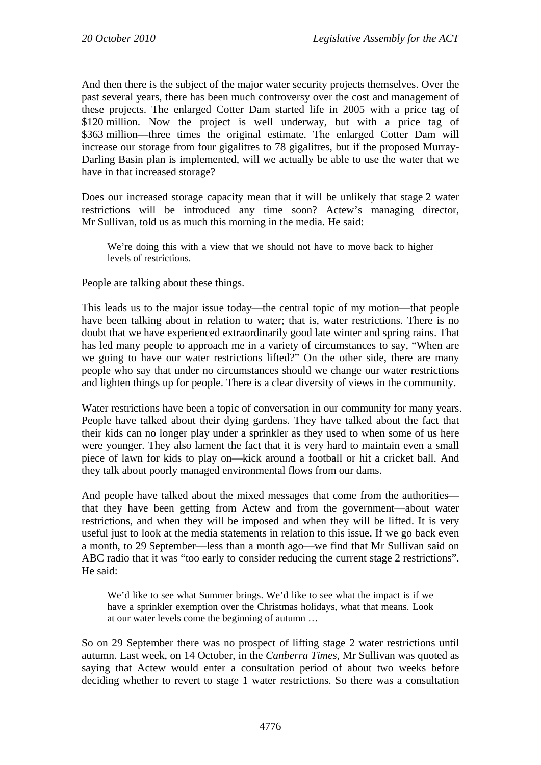And then there is the subject of the major water security projects themselves. Over the past several years, there has been much controversy over the cost and management of these projects. The enlarged Cotter Dam started life in 2005 with a price tag of \$120 million. Now the project is well underway, but with a price tag of \$363 million—three times the original estimate. The enlarged Cotter Dam will increase our storage from four gigalitres to 78 gigalitres, but if the proposed Murray-Darling Basin plan is implemented, will we actually be able to use the water that we have in that increased storage?

Does our increased storage capacity mean that it will be unlikely that stage 2 water restrictions will be introduced any time soon? Actew's managing director, Mr Sullivan, told us as much this morning in the media. He said:

We're doing this with a view that we should not have to move back to higher levels of restrictions.

People are talking about these things.

This leads us to the major issue today—the central topic of my motion—that people have been talking about in relation to water; that is, water restrictions. There is no doubt that we have experienced extraordinarily good late winter and spring rains. That has led many people to approach me in a variety of circumstances to say, "When are we going to have our water restrictions lifted?" On the other side, there are many people who say that under no circumstances should we change our water restrictions and lighten things up for people. There is a clear diversity of views in the community.

Water restrictions have been a topic of conversation in our community for many years. People have talked about their dying gardens. They have talked about the fact that their kids can no longer play under a sprinkler as they used to when some of us here were younger. They also lament the fact that it is very hard to maintain even a small piece of lawn for kids to play on—kick around a football or hit a cricket ball. And they talk about poorly managed environmental flows from our dams.

And people have talked about the mixed messages that come from the authorities that they have been getting from Actew and from the government—about water restrictions, and when they will be imposed and when they will be lifted. It is very useful just to look at the media statements in relation to this issue. If we go back even a month, to 29 September—less than a month ago—we find that Mr Sullivan said on ABC radio that it was "too early to consider reducing the current stage 2 restrictions". He said:

We'd like to see what Summer brings. We'd like to see what the impact is if we have a sprinkler exemption over the Christmas holidays, what that means. Look at our water levels come the beginning of autumn …

So on 29 September there was no prospect of lifting stage 2 water restrictions until autumn. Last week, on 14 October, in the *Canberra Times*, Mr Sullivan was quoted as saying that Actew would enter a consultation period of about two weeks before deciding whether to revert to stage 1 water restrictions. So there was a consultation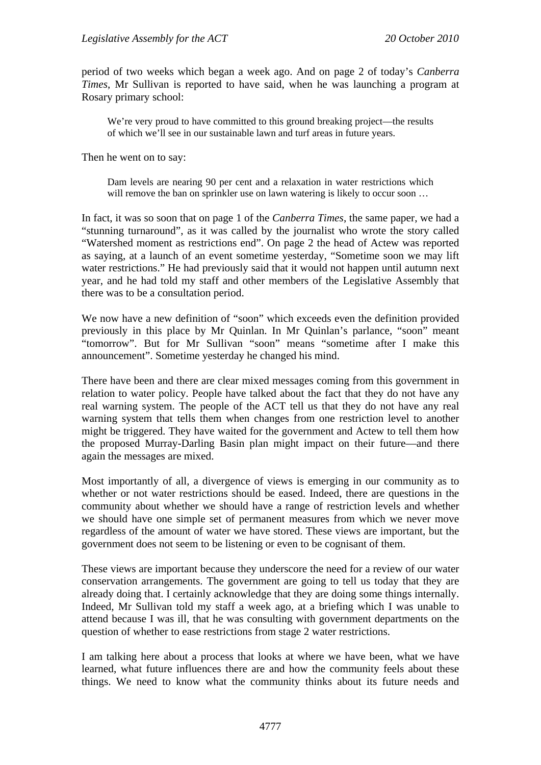period of two weeks which began a week ago. And on page 2 of today's *Canberra Times*, Mr Sullivan is reported to have said, when he was launching a program at Rosary primary school:

We're very proud to have committed to this ground breaking project—the results of which we'll see in our sustainable lawn and turf areas in future years.

Then he went on to say:

Dam levels are nearing 90 per cent and a relaxation in water restrictions which will remove the ban on sprinkler use on lawn watering is likely to occur soon ...

In fact, it was so soon that on page 1 of the *Canberra Times*, the same paper, we had a "stunning turnaround", as it was called by the journalist who wrote the story called "Watershed moment as restrictions end". On page 2 the head of Actew was reported as saying, at a launch of an event sometime yesterday, "Sometime soon we may lift water restrictions." He had previously said that it would not happen until autumn next year, and he had told my staff and other members of the Legislative Assembly that there was to be a consultation period.

We now have a new definition of "soon" which exceeds even the definition provided previously in this place by Mr Quinlan. In Mr Quinlan's parlance, "soon" meant "tomorrow". But for Mr Sullivan "soon" means "sometime after I make this announcement". Sometime yesterday he changed his mind.

There have been and there are clear mixed messages coming from this government in relation to water policy. People have talked about the fact that they do not have any real warning system. The people of the ACT tell us that they do not have any real warning system that tells them when changes from one restriction level to another might be triggered. They have waited for the government and Actew to tell them how the proposed Murray-Darling Basin plan might impact on their future—and there again the messages are mixed.

Most importantly of all, a divergence of views is emerging in our community as to whether or not water restrictions should be eased. Indeed, there are questions in the community about whether we should have a range of restriction levels and whether we should have one simple set of permanent measures from which we never move regardless of the amount of water we have stored. These views are important, but the government does not seem to be listening or even to be cognisant of them.

These views are important because they underscore the need for a review of our water conservation arrangements. The government are going to tell us today that they are already doing that. I certainly acknowledge that they are doing some things internally. Indeed, Mr Sullivan told my staff a week ago, at a briefing which I was unable to attend because I was ill, that he was consulting with government departments on the question of whether to ease restrictions from stage 2 water restrictions.

I am talking here about a process that looks at where we have been, what we have learned, what future influences there are and how the community feels about these things. We need to know what the community thinks about its future needs and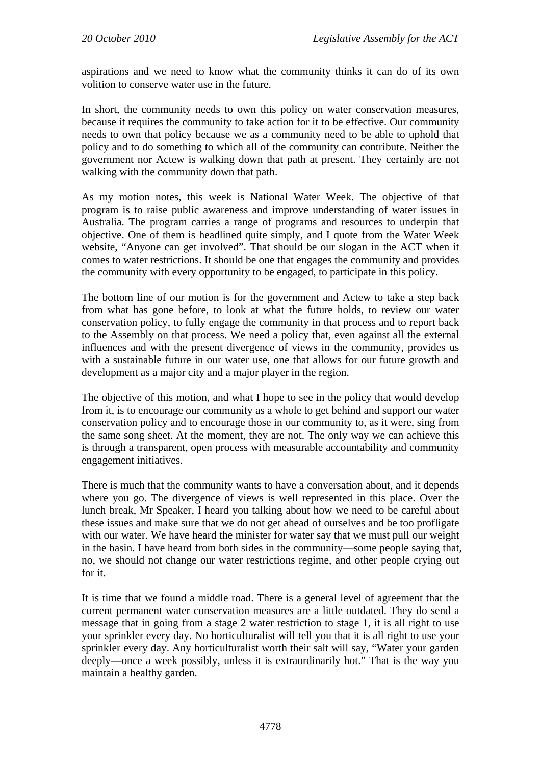aspirations and we need to know what the community thinks it can do of its own volition to conserve water use in the future.

In short, the community needs to own this policy on water conservation measures, because it requires the community to take action for it to be effective. Our community needs to own that policy because we as a community need to be able to uphold that policy and to do something to which all of the community can contribute. Neither the government nor Actew is walking down that path at present. They certainly are not walking with the community down that path.

As my motion notes, this week is National Water Week. The objective of that program is to raise public awareness and improve understanding of water issues in Australia. The program carries a range of programs and resources to underpin that objective. One of them is headlined quite simply, and I quote from the Water Week website, "Anyone can get involved". That should be our slogan in the ACT when it comes to water restrictions. It should be one that engages the community and provides the community with every opportunity to be engaged, to participate in this policy.

The bottom line of our motion is for the government and Actew to take a step back from what has gone before, to look at what the future holds, to review our water conservation policy, to fully engage the community in that process and to report back to the Assembly on that process. We need a policy that, even against all the external influences and with the present divergence of views in the community, provides us with a sustainable future in our water use, one that allows for our future growth and development as a major city and a major player in the region.

The objective of this motion, and what I hope to see in the policy that would develop from it, is to encourage our community as a whole to get behind and support our water conservation policy and to encourage those in our community to, as it were, sing from the same song sheet. At the moment, they are not. The only way we can achieve this is through a transparent, open process with measurable accountability and community engagement initiatives.

There is much that the community wants to have a conversation about, and it depends where you go. The divergence of views is well represented in this place. Over the lunch break, Mr Speaker, I heard you talking about how we need to be careful about these issues and make sure that we do not get ahead of ourselves and be too profligate with our water. We have heard the minister for water say that we must pull our weight in the basin. I have heard from both sides in the community—some people saying that, no, we should not change our water restrictions regime, and other people crying out for it.

It is time that we found a middle road. There is a general level of agreement that the current permanent water conservation measures are a little outdated. They do send a message that in going from a stage 2 water restriction to stage 1, it is all right to use your sprinkler every day. No horticulturalist will tell you that it is all right to use your sprinkler every day. Any horticulturalist worth their salt will say, "Water your garden deeply—once a week possibly, unless it is extraordinarily hot." That is the way you maintain a healthy garden.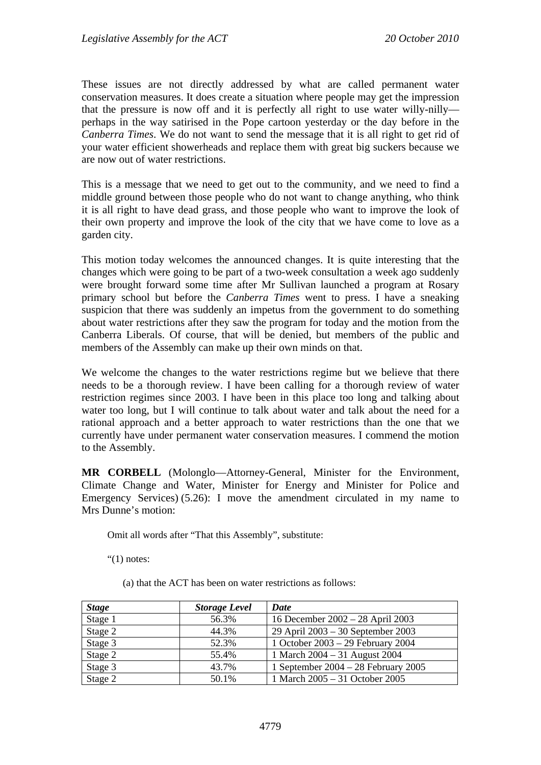These issues are not directly addressed by what are called permanent water conservation measures. It does create a situation where people may get the impression that the pressure is now off and it is perfectly all right to use water willy-nilly perhaps in the way satirised in the Pope cartoon yesterday or the day before in the *Canberra Times*. We do not want to send the message that it is all right to get rid of your water efficient showerheads and replace them with great big suckers because we are now out of water restrictions.

This is a message that we need to get out to the community, and we need to find a middle ground between those people who do not want to change anything, who think it is all right to have dead grass, and those people who want to improve the look of their own property and improve the look of the city that we have come to love as a garden city.

This motion today welcomes the announced changes. It is quite interesting that the changes which were going to be part of a two-week consultation a week ago suddenly were brought forward some time after Mr Sullivan launched a program at Rosary primary school but before the *Canberra Times* went to press. I have a sneaking suspicion that there was suddenly an impetus from the government to do something about water restrictions after they saw the program for today and the motion from the Canberra Liberals. Of course, that will be denied, but members of the public and members of the Assembly can make up their own minds on that.

We welcome the changes to the water restrictions regime but we believe that there needs to be a thorough review. I have been calling for a thorough review of water restriction regimes since 2003. I have been in this place too long and talking about water too long, but I will continue to talk about water and talk about the need for a rational approach and a better approach to water restrictions than the one that we currently have under permanent water conservation measures. I commend the motion to the Assembly.

**MR CORBELL** (Molonglo—Attorney-General, Minister for the Environment, Climate Change and Water, Minister for Energy and Minister for Police and Emergency Services) (5.26): I move the amendment circulated in my name to Mrs Dunne's motion:

Omit all words after "That this Assembly", substitute:

" $(1)$  notes:

(a) that the ACT has been on water restrictions as follows:

| <b>Stage</b> | <b>Storage Level</b> | Date                                |
|--------------|----------------------|-------------------------------------|
| Stage 1      | 56.3%                | 16 December 2002 - 28 April 2003    |
| Stage 2      | 44.3%                | 29 April 2003 – 30 September 2003   |
| Stage 3      | 52.3%                | 1 October 2003 – 29 February 2004   |
| Stage 2      | 55.4%                | 1 March 2004 - 31 August 2004       |
| Stage 3      | 43.7%                | 1 September 2004 – 28 February 2005 |
| Stage 2      | 50.1%                | 1 March 2005 - 31 October 2005      |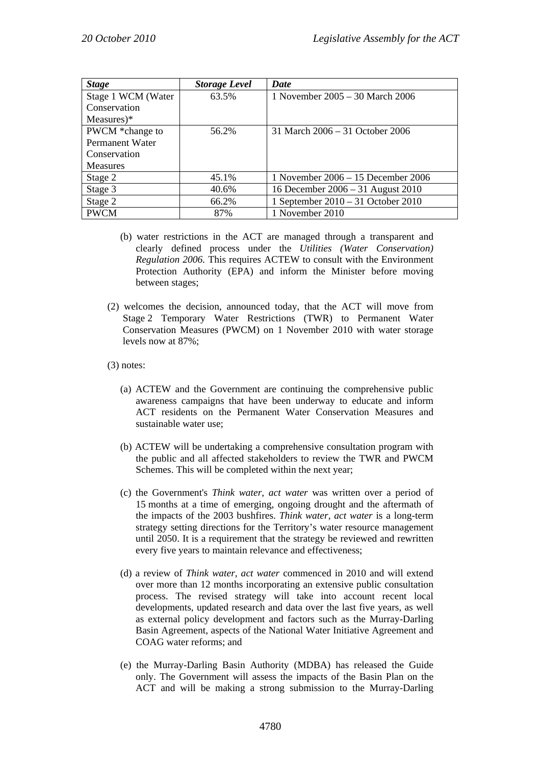| <b>Stage</b>       | <b>Storage Level</b> | Date                                 |
|--------------------|----------------------|--------------------------------------|
| Stage 1 WCM (Water | 63.5%                | 1 November $2005 - 30$ March $2006$  |
| Conservation       |                      |                                      |
| Measures $)$ *     |                      |                                      |
| PWCM *change to    | 56.2%                | 31 March $2006 - 31$ October 2006    |
| Permanent Water    |                      |                                      |
| Conservation       |                      |                                      |
| <b>Measures</b>    |                      |                                      |
| Stage 2            | 45.1%                | 1 November $2006 - 15$ December 2006 |
| Stage 3            | 40.6%                | 16 December 2006 – 31 August 2010    |
| Stage 2            | 66.2%                | 1 September 2010 – 31 October 2010   |
| <b>PWCM</b>        | 87%                  | 1 November 2010                      |

- (b) water restrictions in the ACT are managed through a transparent and clearly defined process under the *Utilities (Water Conservation) Regulation 2006.* This requires ACTEW to consult with the Environment Protection Authority (EPA) and inform the Minister before moving between stages;
- (2) welcomes the decision, announced today, that the ACT will move from Stage 2 Temporary Water Restrictions (TWR) to Permanent Water Conservation Measures (PWCM) on 1 November 2010 with water storage levels now at 87%;
- (3) notes:
	- (a) ACTEW and the Government are continuing the comprehensive public awareness campaigns that have been underway to educate and inform ACT residents on the Permanent Water Conservation Measures and sustainable water use;
	- (b) ACTEW will be undertaking a comprehensive consultation program with the public and all affected stakeholders to review the TWR and PWCM Schemes. This will be completed within the next year;
	- (c) the Government's *Think water, act water* was written over a period of 15 months at a time of emerging, ongoing drought and the aftermath of the impacts of the 2003 bushfires. *Think water, act water* is a long-term strategy setting directions for the Territory's water resource management until 2050. It is a requirement that the strategy be reviewed and rewritten every five years to maintain relevance and effectiveness;
	- (d) a review of *Think water, act water* commenced in 2010 and will extend over more than 12 months incorporating an extensive public consultation process. The revised strategy will take into account recent local developments, updated research and data over the last five years, as well as external policy development and factors such as the Murray-Darling Basin Agreement, aspects of the National Water Initiative Agreement and COAG water reforms; and
	- (e) the Murray-Darling Basin Authority (MDBA) has released the Guide only. The Government will assess the impacts of the Basin Plan on the ACT and will be making a strong submission to the Murray-Darling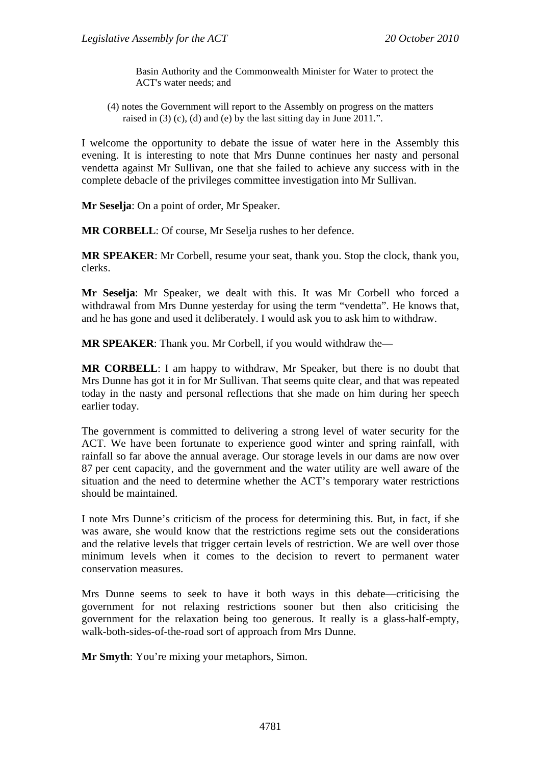Basin Authority and the Commonwealth Minister for Water to protect the ACT's water needs; and

(4) notes the Government will report to the Assembly on progress on the matters raised in (3) (c), (d) and (e) by the last sitting day in June 2011.".

I welcome the opportunity to debate the issue of water here in the Assembly this evening. It is interesting to note that Mrs Dunne continues her nasty and personal vendetta against Mr Sullivan, one that she failed to achieve any success with in the complete debacle of the privileges committee investigation into Mr Sullivan.

**Mr Seselja**: On a point of order, Mr Speaker.

**MR CORBELL**: Of course, Mr Seselja rushes to her defence.

**MR SPEAKER**: Mr Corbell, resume your seat, thank you. Stop the clock, thank you, clerks.

**Mr Seselja**: Mr Speaker, we dealt with this. It was Mr Corbell who forced a withdrawal from Mrs Dunne yesterday for using the term "vendetta". He knows that, and he has gone and used it deliberately. I would ask you to ask him to withdraw.

**MR SPEAKER**: Thank you. Mr Corbell, if you would withdraw the—

**MR CORBELL**: I am happy to withdraw, Mr Speaker, but there is no doubt that Mrs Dunne has got it in for Mr Sullivan. That seems quite clear, and that was repeated today in the nasty and personal reflections that she made on him during her speech earlier today.

The government is committed to delivering a strong level of water security for the ACT. We have been fortunate to experience good winter and spring rainfall, with rainfall so far above the annual average. Our storage levels in our dams are now over 87 per cent capacity, and the government and the water utility are well aware of the situation and the need to determine whether the ACT's temporary water restrictions should be maintained.

I note Mrs Dunne's criticism of the process for determining this. But, in fact, if she was aware, she would know that the restrictions regime sets out the considerations and the relative levels that trigger certain levels of restriction. We are well over those minimum levels when it comes to the decision to revert to permanent water conservation measures.

Mrs Dunne seems to seek to have it both ways in this debate—criticising the government for not relaxing restrictions sooner but then also criticising the government for the relaxation being too generous. It really is a glass-half-empty, walk-both-sides-of-the-road sort of approach from Mrs Dunne.

**Mr Smyth**: You're mixing your metaphors, Simon.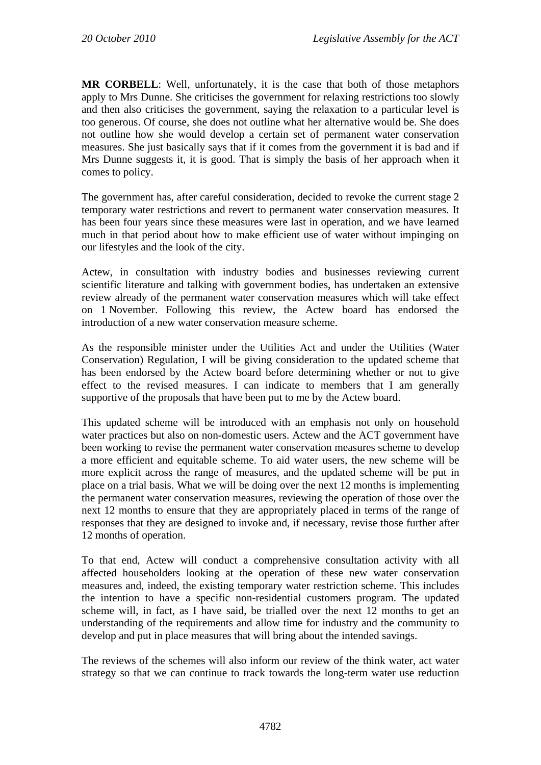**MR CORBELL**: Well, unfortunately, it is the case that both of those metaphors apply to Mrs Dunne. She criticises the government for relaxing restrictions too slowly and then also criticises the government, saying the relaxation to a particular level is too generous. Of course, she does not outline what her alternative would be. She does not outline how she would develop a certain set of permanent water conservation measures. She just basically says that if it comes from the government it is bad and if Mrs Dunne suggests it, it is good. That is simply the basis of her approach when it comes to policy.

The government has, after careful consideration, decided to revoke the current stage 2 temporary water restrictions and revert to permanent water conservation measures. It has been four years since these measures were last in operation, and we have learned much in that period about how to make efficient use of water without impinging on our lifestyles and the look of the city.

Actew, in consultation with industry bodies and businesses reviewing current scientific literature and talking with government bodies, has undertaken an extensive review already of the permanent water conservation measures which will take effect on 1 November. Following this review, the Actew board has endorsed the introduction of a new water conservation measure scheme.

As the responsible minister under the Utilities Act and under the Utilities (Water Conservation) Regulation, I will be giving consideration to the updated scheme that has been endorsed by the Actew board before determining whether or not to give effect to the revised measures. I can indicate to members that I am generally supportive of the proposals that have been put to me by the Actew board.

This updated scheme will be introduced with an emphasis not only on household water practices but also on non-domestic users. Actew and the ACT government have been working to revise the permanent water conservation measures scheme to develop a more efficient and equitable scheme. To aid water users, the new scheme will be more explicit across the range of measures, and the updated scheme will be put in place on a trial basis. What we will be doing over the next 12 months is implementing the permanent water conservation measures, reviewing the operation of those over the next 12 months to ensure that they are appropriately placed in terms of the range of responses that they are designed to invoke and, if necessary, revise those further after 12 months of operation.

To that end, Actew will conduct a comprehensive consultation activity with all affected householders looking at the operation of these new water conservation measures and, indeed, the existing temporary water restriction scheme. This includes the intention to have a specific non-residential customers program. The updated scheme will, in fact, as I have said, be trialled over the next 12 months to get an understanding of the requirements and allow time for industry and the community to develop and put in place measures that will bring about the intended savings.

The reviews of the schemes will also inform our review of the think water, act water strategy so that we can continue to track towards the long-term water use reduction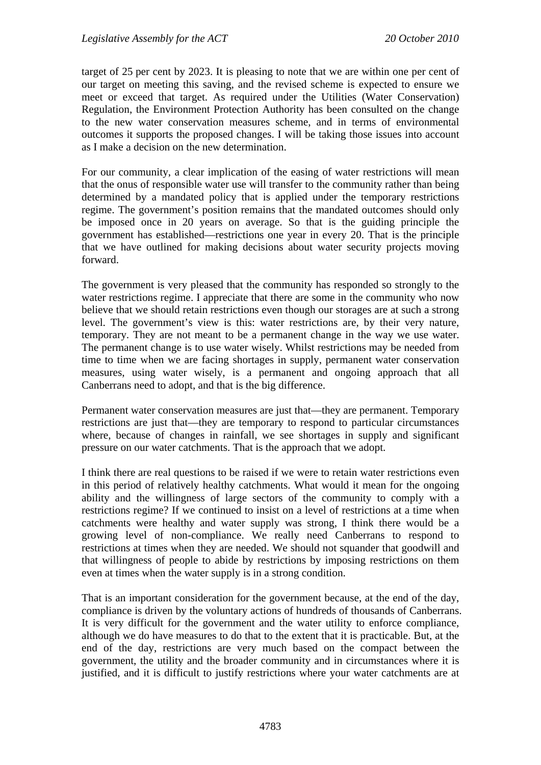target of 25 per cent by 2023. It is pleasing to note that we are within one per cent of our target on meeting this saving, and the revised scheme is expected to ensure we meet or exceed that target. As required under the Utilities (Water Conservation) Regulation, the Environment Protection Authority has been consulted on the change to the new water conservation measures scheme, and in terms of environmental outcomes it supports the proposed changes. I will be taking those issues into account as I make a decision on the new determination.

For our community, a clear implication of the easing of water restrictions will mean that the onus of responsible water use will transfer to the community rather than being determined by a mandated policy that is applied under the temporary restrictions regime. The government's position remains that the mandated outcomes should only be imposed once in 20 years on average. So that is the guiding principle the government has established—restrictions one year in every 20. That is the principle that we have outlined for making decisions about water security projects moving forward.

The government is very pleased that the community has responded so strongly to the water restrictions regime. I appreciate that there are some in the community who now believe that we should retain restrictions even though our storages are at such a strong level. The government's view is this: water restrictions are, by their very nature, temporary. They are not meant to be a permanent change in the way we use water. The permanent change is to use water wisely. Whilst restrictions may be needed from time to time when we are facing shortages in supply, permanent water conservation measures, using water wisely, is a permanent and ongoing approach that all Canberrans need to adopt, and that is the big difference.

Permanent water conservation measures are just that—they are permanent. Temporary restrictions are just that—they are temporary to respond to particular circumstances where, because of changes in rainfall, we see shortages in supply and significant pressure on our water catchments. That is the approach that we adopt.

I think there are real questions to be raised if we were to retain water restrictions even in this period of relatively healthy catchments. What would it mean for the ongoing ability and the willingness of large sectors of the community to comply with a restrictions regime? If we continued to insist on a level of restrictions at a time when catchments were healthy and water supply was strong, I think there would be a growing level of non-compliance. We really need Canberrans to respond to restrictions at times when they are needed. We should not squander that goodwill and that willingness of people to abide by restrictions by imposing restrictions on them even at times when the water supply is in a strong condition.

That is an important consideration for the government because, at the end of the day, compliance is driven by the voluntary actions of hundreds of thousands of Canberrans. It is very difficult for the government and the water utility to enforce compliance, although we do have measures to do that to the extent that it is practicable. But, at the end of the day, restrictions are very much based on the compact between the government, the utility and the broader community and in circumstances where it is justified, and it is difficult to justify restrictions where your water catchments are at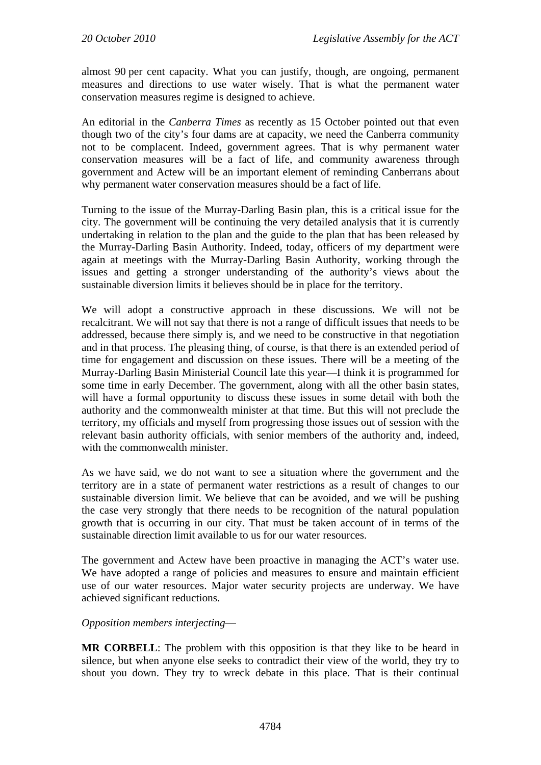almost 90 per cent capacity. What you can justify, though, are ongoing, permanent measures and directions to use water wisely. That is what the permanent water conservation measures regime is designed to achieve.

An editorial in the *Canberra Times* as recently as 15 October pointed out that even though two of the city's four dams are at capacity, we need the Canberra community not to be complacent. Indeed, government agrees. That is why permanent water conservation measures will be a fact of life, and community awareness through government and Actew will be an important element of reminding Canberrans about why permanent water conservation measures should be a fact of life.

Turning to the issue of the Murray-Darling Basin plan, this is a critical issue for the city. The government will be continuing the very detailed analysis that it is currently undertaking in relation to the plan and the guide to the plan that has been released by the Murray-Darling Basin Authority. Indeed, today, officers of my department were again at meetings with the Murray-Darling Basin Authority, working through the issues and getting a stronger understanding of the authority's views about the sustainable diversion limits it believes should be in place for the territory.

We will adopt a constructive approach in these discussions. We will not be recalcitrant. We will not say that there is not a range of difficult issues that needs to be addressed, because there simply is, and we need to be constructive in that negotiation and in that process. The pleasing thing, of course, is that there is an extended period of time for engagement and discussion on these issues. There will be a meeting of the Murray-Darling Basin Ministerial Council late this year—I think it is programmed for some time in early December. The government, along with all the other basin states, will have a formal opportunity to discuss these issues in some detail with both the authority and the commonwealth minister at that time. But this will not preclude the territory, my officials and myself from progressing those issues out of session with the relevant basin authority officials, with senior members of the authority and, indeed, with the commonwealth minister.

As we have said, we do not want to see a situation where the government and the territory are in a state of permanent water restrictions as a result of changes to our sustainable diversion limit. We believe that can be avoided, and we will be pushing the case very strongly that there needs to be recognition of the natural population growth that is occurring in our city. That must be taken account of in terms of the sustainable direction limit available to us for our water resources.

The government and Actew have been proactive in managing the ACT's water use. We have adopted a range of policies and measures to ensure and maintain efficient use of our water resources. Major water security projects are underway. We have achieved significant reductions.

## *Opposition members interjecting*—

**MR CORBELL**: The problem with this opposition is that they like to be heard in silence, but when anyone else seeks to contradict their view of the world, they try to shout you down. They try to wreck debate in this place. That is their continual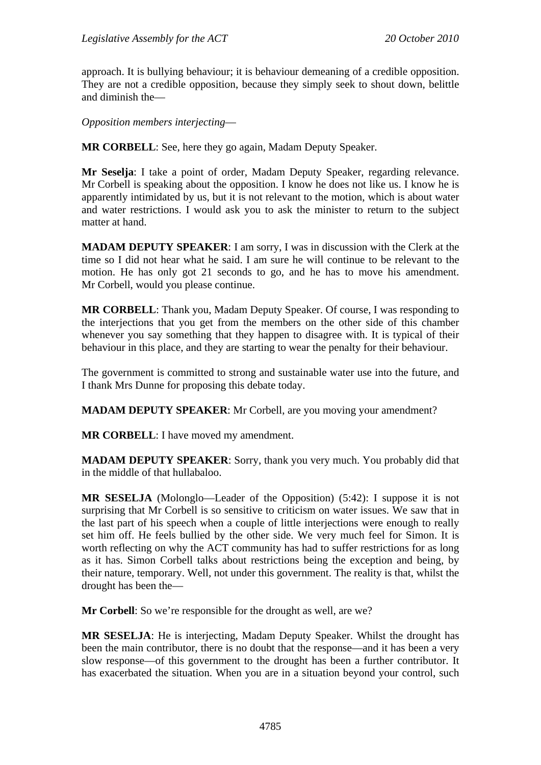approach. It is bullying behaviour; it is behaviour demeaning of a credible opposition. They are not a credible opposition, because they simply seek to shout down, belittle and diminish the—

*Opposition members interjecting*—

**MR CORBELL**: See, here they go again, Madam Deputy Speaker.

**Mr Seselja**: I take a point of order, Madam Deputy Speaker, regarding relevance. Mr Corbell is speaking about the opposition. I know he does not like us. I know he is apparently intimidated by us, but it is not relevant to the motion, which is about water and water restrictions. I would ask you to ask the minister to return to the subject matter at hand.

**MADAM DEPUTY SPEAKER**: I am sorry, I was in discussion with the Clerk at the time so I did not hear what he said. I am sure he will continue to be relevant to the motion. He has only got 21 seconds to go, and he has to move his amendment. Mr Corbell, would you please continue.

**MR CORBELL**: Thank you, Madam Deputy Speaker. Of course, I was responding to the interjections that you get from the members on the other side of this chamber whenever you say something that they happen to disagree with. It is typical of their behaviour in this place, and they are starting to wear the penalty for their behaviour.

The government is committed to strong and sustainable water use into the future, and I thank Mrs Dunne for proposing this debate today.

**MADAM DEPUTY SPEAKER**: Mr Corbell, are you moving your amendment?

**MR CORBELL**: I have moved my amendment.

**MADAM DEPUTY SPEAKER**: Sorry, thank you very much. You probably did that in the middle of that hullabaloo.

**MR SESELJA** (Molonglo—Leader of the Opposition) (5:42): I suppose it is not surprising that Mr Corbell is so sensitive to criticism on water issues. We saw that in the last part of his speech when a couple of little interjections were enough to really set him off. He feels bullied by the other side. We very much feel for Simon. It is worth reflecting on why the ACT community has had to suffer restrictions for as long as it has. Simon Corbell talks about restrictions being the exception and being, by their nature, temporary. Well, not under this government. The reality is that, whilst the drought has been the—

**Mr Corbell:** So we're responsible for the drought as well, are we?

**MR SESELJA**: He is interjecting, Madam Deputy Speaker. Whilst the drought has been the main contributor, there is no doubt that the response—and it has been a very slow response—of this government to the drought has been a further contributor. It has exacerbated the situation. When you are in a situation beyond your control, such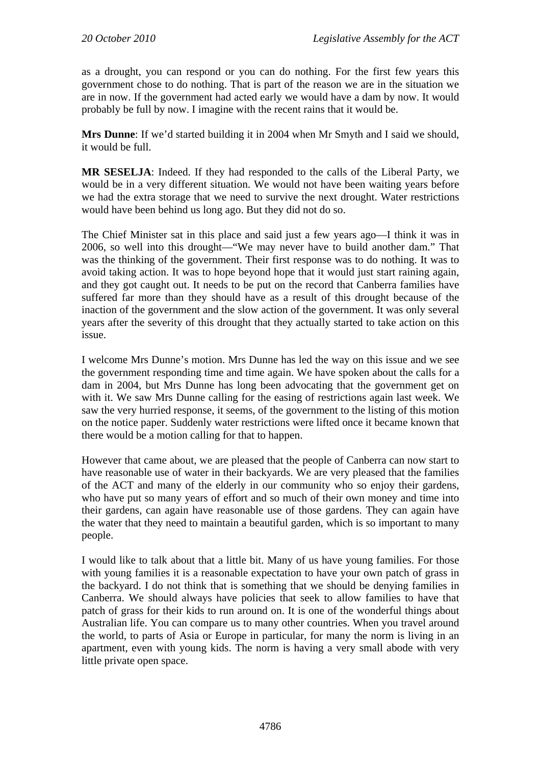as a drought, you can respond or you can do nothing. For the first few years this government chose to do nothing. That is part of the reason we are in the situation we are in now. If the government had acted early we would have a dam by now. It would probably be full by now. I imagine with the recent rains that it would be.

**Mrs Dunne**: If we'd started building it in 2004 when Mr Smyth and I said we should, it would be full.

**MR SESELJA**: Indeed. If they had responded to the calls of the Liberal Party, we would be in a very different situation. We would not have been waiting years before we had the extra storage that we need to survive the next drought. Water restrictions would have been behind us long ago. But they did not do so.

The Chief Minister sat in this place and said just a few years ago—I think it was in 2006, so well into this drought—"We may never have to build another dam." That was the thinking of the government. Their first response was to do nothing. It was to avoid taking action. It was to hope beyond hope that it would just start raining again, and they got caught out. It needs to be put on the record that Canberra families have suffered far more than they should have as a result of this drought because of the inaction of the government and the slow action of the government. It was only several years after the severity of this drought that they actually started to take action on this issue.

I welcome Mrs Dunne's motion. Mrs Dunne has led the way on this issue and we see the government responding time and time again. We have spoken about the calls for a dam in 2004, but Mrs Dunne has long been advocating that the government get on with it. We saw Mrs Dunne calling for the easing of restrictions again last week. We saw the very hurried response, it seems, of the government to the listing of this motion on the notice paper. Suddenly water restrictions were lifted once it became known that there would be a motion calling for that to happen.

However that came about, we are pleased that the people of Canberra can now start to have reasonable use of water in their backyards. We are very pleased that the families of the ACT and many of the elderly in our community who so enjoy their gardens, who have put so many years of effort and so much of their own money and time into their gardens, can again have reasonable use of those gardens. They can again have the water that they need to maintain a beautiful garden, which is so important to many people.

I would like to talk about that a little bit. Many of us have young families. For those with young families it is a reasonable expectation to have your own patch of grass in the backyard. I do not think that is something that we should be denying families in Canberra. We should always have policies that seek to allow families to have that patch of grass for their kids to run around on. It is one of the wonderful things about Australian life. You can compare us to many other countries. When you travel around the world, to parts of Asia or Europe in particular, for many the norm is living in an apartment, even with young kids. The norm is having a very small abode with very little private open space.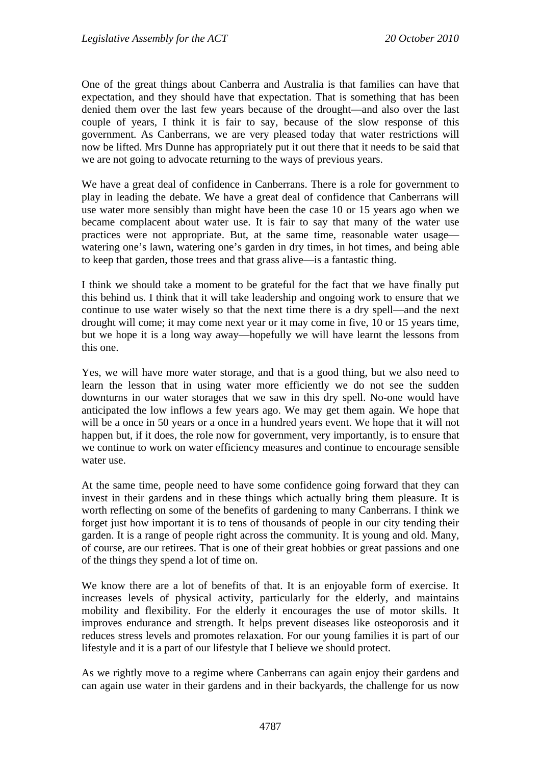One of the great things about Canberra and Australia is that families can have that expectation, and they should have that expectation. That is something that has been denied them over the last few years because of the drought—and also over the last couple of years, I think it is fair to say, because of the slow response of this government. As Canberrans, we are very pleased today that water restrictions will now be lifted. Mrs Dunne has appropriately put it out there that it needs to be said that we are not going to advocate returning to the ways of previous years.

We have a great deal of confidence in Canberrans. There is a role for government to play in leading the debate. We have a great deal of confidence that Canberrans will use water more sensibly than might have been the case 10 or 15 years ago when we became complacent about water use. It is fair to say that many of the water use practices were not appropriate. But, at the same time, reasonable water usage watering one's lawn, watering one's garden in dry times, in hot times, and being able to keep that garden, those trees and that grass alive—is a fantastic thing.

I think we should take a moment to be grateful for the fact that we have finally put this behind us. I think that it will take leadership and ongoing work to ensure that we continue to use water wisely so that the next time there is a dry spell—and the next drought will come; it may come next year or it may come in five, 10 or 15 years time, but we hope it is a long way away—hopefully we will have learnt the lessons from this one.

Yes, we will have more water storage, and that is a good thing, but we also need to learn the lesson that in using water more efficiently we do not see the sudden downturns in our water storages that we saw in this dry spell. No-one would have anticipated the low inflows a few years ago. We may get them again. We hope that will be a once in 50 years or a once in a hundred years event. We hope that it will not happen but, if it does, the role now for government, very importantly, is to ensure that we continue to work on water efficiency measures and continue to encourage sensible water use.

At the same time, people need to have some confidence going forward that they can invest in their gardens and in these things which actually bring them pleasure. It is worth reflecting on some of the benefits of gardening to many Canberrans. I think we forget just how important it is to tens of thousands of people in our city tending their garden. It is a range of people right across the community. It is young and old. Many, of course, are our retirees. That is one of their great hobbies or great passions and one of the things they spend a lot of time on.

We know there are a lot of benefits of that. It is an enjoyable form of exercise. It increases levels of physical activity, particularly for the elderly, and maintains mobility and flexibility. For the elderly it encourages the use of motor skills. It improves endurance and strength. It helps prevent diseases like osteoporosis and it reduces stress levels and promotes relaxation. For our young families it is part of our lifestyle and it is a part of our lifestyle that I believe we should protect.

As we rightly move to a regime where Canberrans can again enjoy their gardens and can again use water in their gardens and in their backyards, the challenge for us now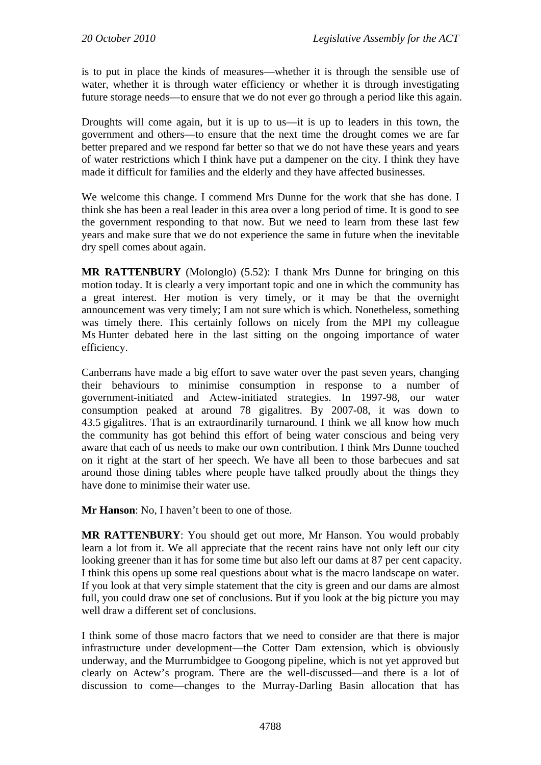is to put in place the kinds of measures—whether it is through the sensible use of water, whether it is through water efficiency or whether it is through investigating future storage needs—to ensure that we do not ever go through a period like this again.

Droughts will come again, but it is up to us—it is up to leaders in this town, the government and others—to ensure that the next time the drought comes we are far better prepared and we respond far better so that we do not have these years and years of water restrictions which I think have put a dampener on the city. I think they have made it difficult for families and the elderly and they have affected businesses.

We welcome this change. I commend Mrs Dunne for the work that she has done. I think she has been a real leader in this area over a long period of time. It is good to see the government responding to that now. But we need to learn from these last few years and make sure that we do not experience the same in future when the inevitable dry spell comes about again.

**MR RATTENBURY** (Molonglo) (5.52): I thank Mrs Dunne for bringing on this motion today. It is clearly a very important topic and one in which the community has a great interest. Her motion is very timely, or it may be that the overnight announcement was very timely; I am not sure which is which. Nonetheless, something was timely there. This certainly follows on nicely from the MPI my colleague Ms Hunter debated here in the last sitting on the ongoing importance of water efficiency.

Canberrans have made a big effort to save water over the past seven years, changing their behaviours to minimise consumption in response to a number of government-initiated and Actew-initiated strategies. In 1997-98, our water consumption peaked at around 78 gigalitres. By 2007-08, it was down to 43.5 gigalitres. That is an extraordinarily turnaround. I think we all know how much the community has got behind this effort of being water conscious and being very aware that each of us needs to make our own contribution. I think Mrs Dunne touched on it right at the start of her speech. We have all been to those barbecues and sat around those dining tables where people have talked proudly about the things they have done to minimise their water use.

**Mr Hanson**: No, I haven't been to one of those.

**MR RATTENBURY**: You should get out more, Mr Hanson. You would probably learn a lot from it. We all appreciate that the recent rains have not only left our city looking greener than it has for some time but also left our dams at 87 per cent capacity. I think this opens up some real questions about what is the macro landscape on water. If you look at that very simple statement that the city is green and our dams are almost full, you could draw one set of conclusions. But if you look at the big picture you may well draw a different set of conclusions.

I think some of those macro factors that we need to consider are that there is major infrastructure under development—the Cotter Dam extension, which is obviously underway, and the Murrumbidgee to Googong pipeline, which is not yet approved but clearly on Actew's program. There are the well-discussed—and there is a lot of discussion to come—changes to the Murray-Darling Basin allocation that has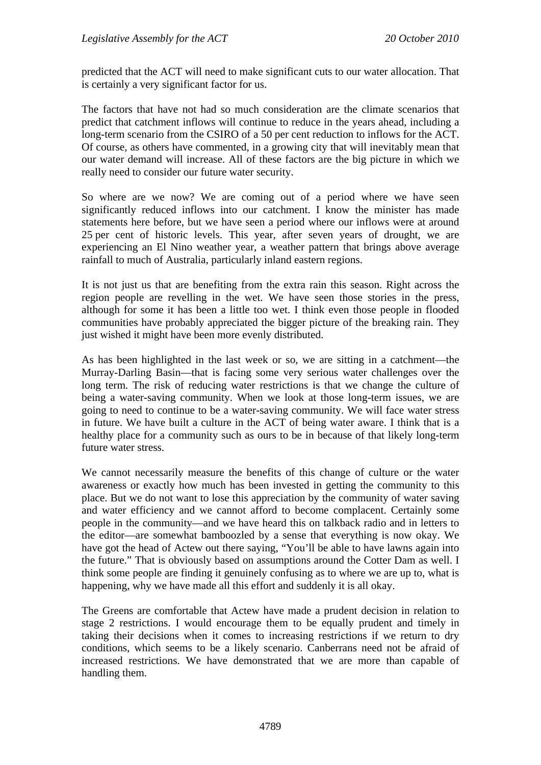predicted that the ACT will need to make significant cuts to our water allocation. That is certainly a very significant factor for us.

The factors that have not had so much consideration are the climate scenarios that predict that catchment inflows will continue to reduce in the years ahead, including a long-term scenario from the CSIRO of a 50 per cent reduction to inflows for the ACT. Of course, as others have commented, in a growing city that will inevitably mean that our water demand will increase. All of these factors are the big picture in which we really need to consider our future water security.

So where are we now? We are coming out of a period where we have seen significantly reduced inflows into our catchment. I know the minister has made statements here before, but we have seen a period where our inflows were at around 25 per cent of historic levels. This year, after seven years of drought, we are experiencing an El Nino weather year, a weather pattern that brings above average rainfall to much of Australia, particularly inland eastern regions.

It is not just us that are benefiting from the extra rain this season. Right across the region people are revelling in the wet. We have seen those stories in the press, although for some it has been a little too wet. I think even those people in flooded communities have probably appreciated the bigger picture of the breaking rain. They just wished it might have been more evenly distributed.

As has been highlighted in the last week or so, we are sitting in a catchment—the Murray-Darling Basin—that is facing some very serious water challenges over the long term. The risk of reducing water restrictions is that we change the culture of being a water-saving community. When we look at those long-term issues, we are going to need to continue to be a water-saving community. We will face water stress in future. We have built a culture in the ACT of being water aware. I think that is a healthy place for a community such as ours to be in because of that likely long-term future water stress.

We cannot necessarily measure the benefits of this change of culture or the water awareness or exactly how much has been invested in getting the community to this place. But we do not want to lose this appreciation by the community of water saving and water efficiency and we cannot afford to become complacent. Certainly some people in the community—and we have heard this on talkback radio and in letters to the editor—are somewhat bamboozled by a sense that everything is now okay. We have got the head of Actew out there saying, "You'll be able to have lawns again into the future." That is obviously based on assumptions around the Cotter Dam as well. I think some people are finding it genuinely confusing as to where we are up to, what is happening, why we have made all this effort and suddenly it is all okay.

The Greens are comfortable that Actew have made a prudent decision in relation to stage 2 restrictions. I would encourage them to be equally prudent and timely in taking their decisions when it comes to increasing restrictions if we return to dry conditions, which seems to be a likely scenario. Canberrans need not be afraid of increased restrictions. We have demonstrated that we are more than capable of handling them.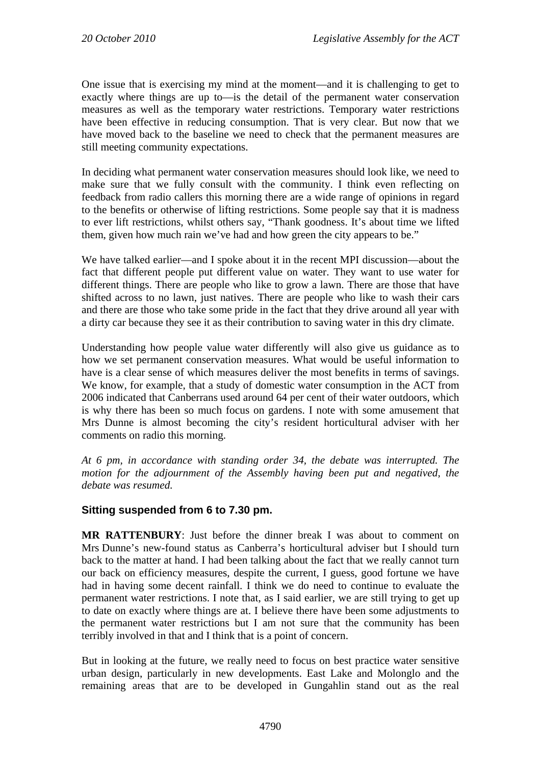One issue that is exercising my mind at the moment—and it is challenging to get to exactly where things are up to—is the detail of the permanent water conservation measures as well as the temporary water restrictions. Temporary water restrictions have been effective in reducing consumption. That is very clear. But now that we have moved back to the baseline we need to check that the permanent measures are still meeting community expectations.

In deciding what permanent water conservation measures should look like, we need to make sure that we fully consult with the community. I think even reflecting on feedback from radio callers this morning there are a wide range of opinions in regard to the benefits or otherwise of lifting restrictions. Some people say that it is madness to ever lift restrictions, whilst others say, "Thank goodness. It's about time we lifted them, given how much rain we've had and how green the city appears to be."

We have talked earlier—and I spoke about it in the recent MPI discussion—about the fact that different people put different value on water. They want to use water for different things. There are people who like to grow a lawn. There are those that have shifted across to no lawn, just natives. There are people who like to wash their cars and there are those who take some pride in the fact that they drive around all year with a dirty car because they see it as their contribution to saving water in this dry climate.

Understanding how people value water differently will also give us guidance as to how we set permanent conservation measures. What would be useful information to have is a clear sense of which measures deliver the most benefits in terms of savings. We know, for example, that a study of domestic water consumption in the ACT from 2006 indicated that Canberrans used around 64 per cent of their water outdoors, which is why there has been so much focus on gardens. I note with some amusement that Mrs Dunne is almost becoming the city's resident horticultural adviser with her comments on radio this morning.

*At 6 pm, in accordance with standing order 34, the debate was interrupted. The motion for the adjournment of the Assembly having been put and negatived, the debate was resumed.* 

## **Sitting suspended from 6 to 7.30 pm.**

**MR RATTENBURY**: Just before the dinner break I was about to comment on Mrs Dunne's new-found status as Canberra's horticultural adviser but I should turn back to the matter at hand. I had been talking about the fact that we really cannot turn our back on efficiency measures, despite the current, I guess, good fortune we have had in having some decent rainfall. I think we do need to continue to evaluate the permanent water restrictions. I note that, as I said earlier, we are still trying to get up to date on exactly where things are at. I believe there have been some adjustments to the permanent water restrictions but I am not sure that the community has been terribly involved in that and I think that is a point of concern.

But in looking at the future, we really need to focus on best practice water sensitive urban design, particularly in new developments. East Lake and Molonglo and the remaining areas that are to be developed in Gungahlin stand out as the real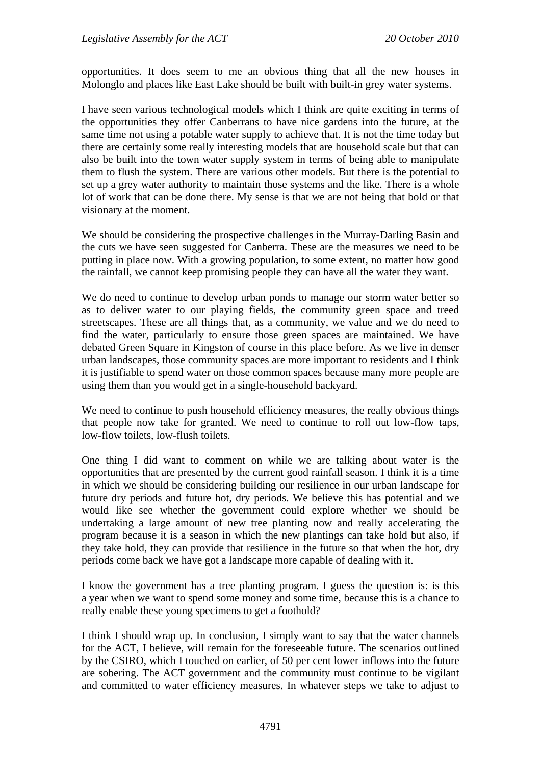opportunities. It does seem to me an obvious thing that all the new houses in Molonglo and places like East Lake should be built with built-in grey water systems.

I have seen various technological models which I think are quite exciting in terms of the opportunities they offer Canberrans to have nice gardens into the future, at the same time not using a potable water supply to achieve that. It is not the time today but there are certainly some really interesting models that are household scale but that can also be built into the town water supply system in terms of being able to manipulate them to flush the system. There are various other models. But there is the potential to set up a grey water authority to maintain those systems and the like. There is a whole lot of work that can be done there. My sense is that we are not being that bold or that visionary at the moment.

We should be considering the prospective challenges in the Murray-Darling Basin and the cuts we have seen suggested for Canberra. These are the measures we need to be putting in place now. With a growing population, to some extent, no matter how good the rainfall, we cannot keep promising people they can have all the water they want.

We do need to continue to develop urban ponds to manage our storm water better so as to deliver water to our playing fields, the community green space and treed streetscapes. These are all things that, as a community, we value and we do need to find the water, particularly to ensure those green spaces are maintained. We have debated Green Square in Kingston of course in this place before. As we live in denser urban landscapes, those community spaces are more important to residents and I think it is justifiable to spend water on those common spaces because many more people are using them than you would get in a single-household backyard.

We need to continue to push household efficiency measures, the really obvious things that people now take for granted. We need to continue to roll out low-flow taps, low-flow toilets, low-flush toilets.

One thing I did want to comment on while we are talking about water is the opportunities that are presented by the current good rainfall season. I think it is a time in which we should be considering building our resilience in our urban landscape for future dry periods and future hot, dry periods. We believe this has potential and we would like see whether the government could explore whether we should be undertaking a large amount of new tree planting now and really accelerating the program because it is a season in which the new plantings can take hold but also, if they take hold, they can provide that resilience in the future so that when the hot, dry periods come back we have got a landscape more capable of dealing with it.

I know the government has a tree planting program. I guess the question is: is this a year when we want to spend some money and some time, because this is a chance to really enable these young specimens to get a foothold?

I think I should wrap up. In conclusion, I simply want to say that the water channels for the ACT, I believe, will remain for the foreseeable future. The scenarios outlined by the CSIRO, which I touched on earlier, of 50 per cent lower inflows into the future are sobering. The ACT government and the community must continue to be vigilant and committed to water efficiency measures. In whatever steps we take to adjust to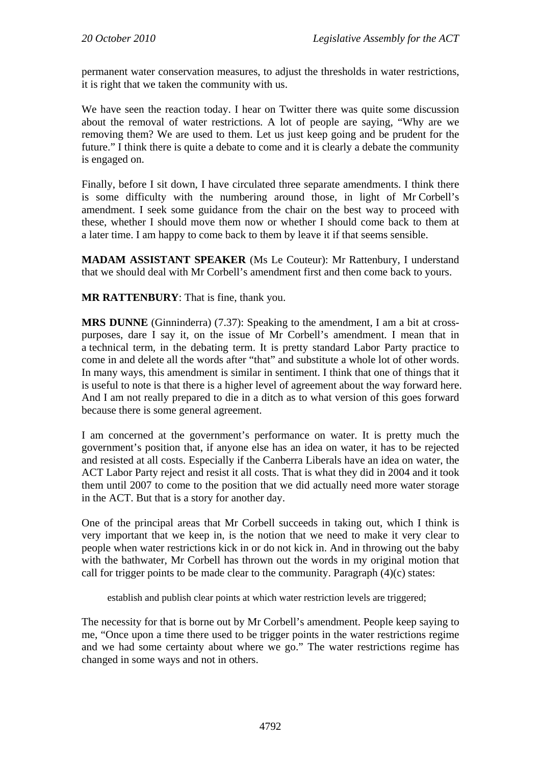permanent water conservation measures, to adjust the thresholds in water restrictions, it is right that we taken the community with us.

We have seen the reaction today. I hear on Twitter there was quite some discussion about the removal of water restrictions. A lot of people are saying, "Why are we removing them? We are used to them. Let us just keep going and be prudent for the future." I think there is quite a debate to come and it is clearly a debate the community is engaged on.

Finally, before I sit down, I have circulated three separate amendments. I think there is some difficulty with the numbering around those, in light of Mr Corbell's amendment. I seek some guidance from the chair on the best way to proceed with these, whether I should move them now or whether I should come back to them at a later time. I am happy to come back to them by leave it if that seems sensible.

**MADAM ASSISTANT SPEAKER** (Ms Le Couteur): Mr Rattenbury, I understand that we should deal with Mr Corbell's amendment first and then come back to yours.

**MR RATTENBURY**: That is fine, thank you.

**MRS DUNNE** (Ginninderra) (7.37): Speaking to the amendment, I am a bit at crosspurposes, dare I say it, on the issue of Mr Corbell's amendment. I mean that in a technical term, in the debating term. It is pretty standard Labor Party practice to come in and delete all the words after "that" and substitute a whole lot of other words. In many ways, this amendment is similar in sentiment. I think that one of things that it is useful to note is that there is a higher level of agreement about the way forward here. And I am not really prepared to die in a ditch as to what version of this goes forward because there is some general agreement.

I am concerned at the government's performance on water. It is pretty much the government's position that, if anyone else has an idea on water, it has to be rejected and resisted at all costs. Especially if the Canberra Liberals have an idea on water, the ACT Labor Party reject and resist it all costs. That is what they did in 2004 and it took them until 2007 to come to the position that we did actually need more water storage in the ACT. But that is a story for another day.

One of the principal areas that Mr Corbell succeeds in taking out, which I think is very important that we keep in, is the notion that we need to make it very clear to people when water restrictions kick in or do not kick in. And in throwing out the baby with the bathwater, Mr Corbell has thrown out the words in my original motion that call for trigger points to be made clear to the community. Paragraph (4)(c) states:

establish and publish clear points at which water restriction levels are triggered;

The necessity for that is borne out by Mr Corbell's amendment. People keep saying to me, "Once upon a time there used to be trigger points in the water restrictions regime and we had some certainty about where we go." The water restrictions regime has changed in some ways and not in others.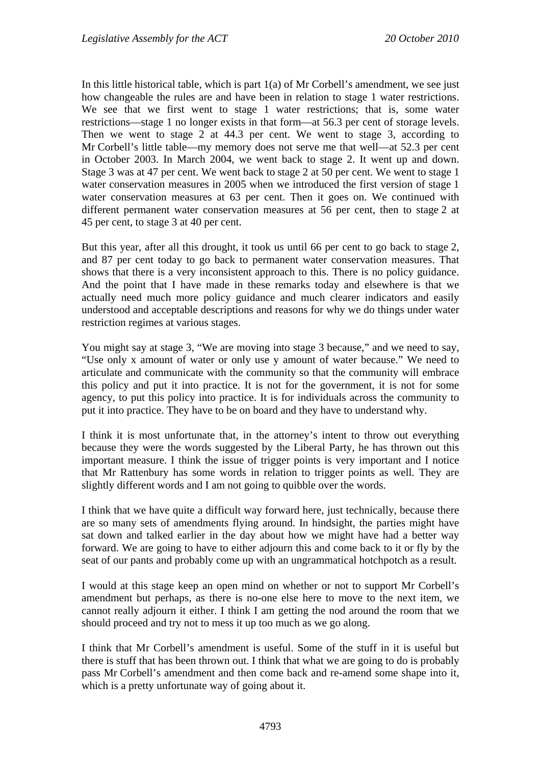In this little historical table, which is part  $1(a)$  of Mr Corbell's amendment, we see just how changeable the rules are and have been in relation to stage 1 water restrictions. We see that we first went to stage 1 water restrictions; that is, some water restrictions—stage 1 no longer exists in that form—at 56.3 per cent of storage levels. Then we went to stage 2 at 44.3 per cent. We went to stage 3, according to Mr Corbell's little table—my memory does not serve me that well—at 52.3 per cent in October 2003. In March 2004, we went back to stage 2. It went up and down. Stage 3 was at 47 per cent. We went back to stage 2 at 50 per cent. We went to stage 1 water conservation measures in 2005 when we introduced the first version of stage 1 water conservation measures at 63 per cent. Then it goes on. We continued with different permanent water conservation measures at 56 per cent, then to stage 2 at 45 per cent, to stage 3 at 40 per cent.

But this year, after all this drought, it took us until 66 per cent to go back to stage 2, and 87 per cent today to go back to permanent water conservation measures. That shows that there is a very inconsistent approach to this. There is no policy guidance. And the point that I have made in these remarks today and elsewhere is that we actually need much more policy guidance and much clearer indicators and easily understood and acceptable descriptions and reasons for why we do things under water restriction regimes at various stages.

You might say at stage 3, "We are moving into stage 3 because," and we need to say, "Use only x amount of water or only use y amount of water because." We need to articulate and communicate with the community so that the community will embrace this policy and put it into practice. It is not for the government, it is not for some agency, to put this policy into practice. It is for individuals across the community to put it into practice. They have to be on board and they have to understand why.

I think it is most unfortunate that, in the attorney's intent to throw out everything because they were the words suggested by the Liberal Party, he has thrown out this important measure. I think the issue of trigger points is very important and I notice that Mr Rattenbury has some words in relation to trigger points as well. They are slightly different words and I am not going to quibble over the words.

I think that we have quite a difficult way forward here, just technically, because there are so many sets of amendments flying around. In hindsight, the parties might have sat down and talked earlier in the day about how we might have had a better way forward. We are going to have to either adjourn this and come back to it or fly by the seat of our pants and probably come up with an ungrammatical hotchpotch as a result.

I would at this stage keep an open mind on whether or not to support Mr Corbell's amendment but perhaps, as there is no-one else here to move to the next item, we cannot really adjourn it either. I think I am getting the nod around the room that we should proceed and try not to mess it up too much as we go along.

I think that Mr Corbell's amendment is useful. Some of the stuff in it is useful but there is stuff that has been thrown out. I think that what we are going to do is probably pass Mr Corbell's amendment and then come back and re-amend some shape into it, which is a pretty unfortunate way of going about it.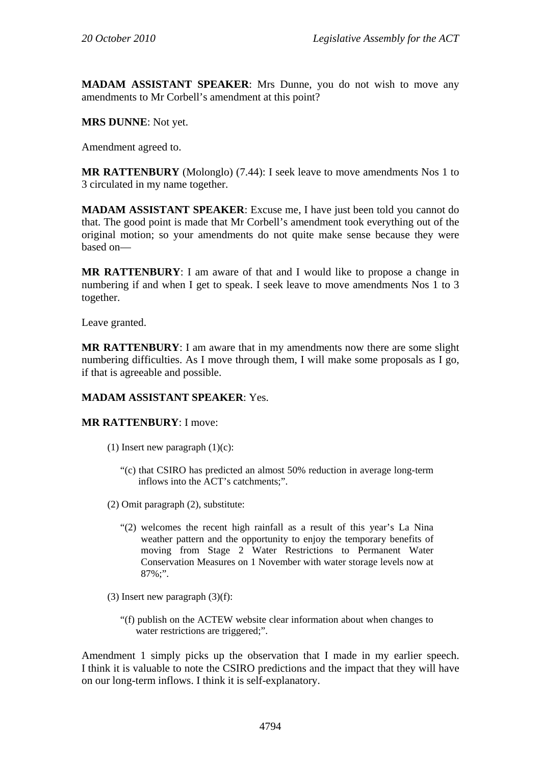**MADAM ASSISTANT SPEAKER**: Mrs Dunne, you do not wish to move any amendments to Mr Corbell's amendment at this point?

**MRS DUNNE**: Not yet.

Amendment agreed to.

**MR RATTENBURY** (Molonglo) (7.44): I seek leave to move amendments Nos 1 to 3 circulated in my name together.

**MADAM ASSISTANT SPEAKER**: Excuse me, I have just been told you cannot do that. The good point is made that Mr Corbell's amendment took everything out of the original motion; so your amendments do not quite make sense because they were based on—

**MR RATTENBURY**: I am aware of that and I would like to propose a change in numbering if and when I get to speak. I seek leave to move amendments Nos 1 to 3 together.

Leave granted.

**MR RATTENBURY**: I am aware that in my amendments now there are some slight numbering difficulties. As I move through them, I will make some proposals as I go, if that is agreeable and possible.

## **MADAM ASSISTANT SPEAKER**: Yes.

### **MR RATTENBURY**: I move:

- (1) Insert new paragraph  $(1)(c)$ :
	- "(c) that CSIRO has predicted an almost 50% reduction in average long-term inflows into the ACT's catchments;".
- (2) Omit paragraph (2), substitute:
	- "(2) welcomes the recent high rainfall as a result of this year's La Nina weather pattern and the opportunity to enjoy the temporary benefits of moving from Stage 2 Water Restrictions to Permanent Water Conservation Measures on 1 November with water storage levels now at  $87\%$ ;".
- (3) Insert new paragraph  $(3)(f)$ :
	- "(f) publish on the ACTEW website clear information about when changes to water restrictions are triggered;".

Amendment 1 simply picks up the observation that I made in my earlier speech. I think it is valuable to note the CSIRO predictions and the impact that they will have on our long-term inflows. I think it is self-explanatory.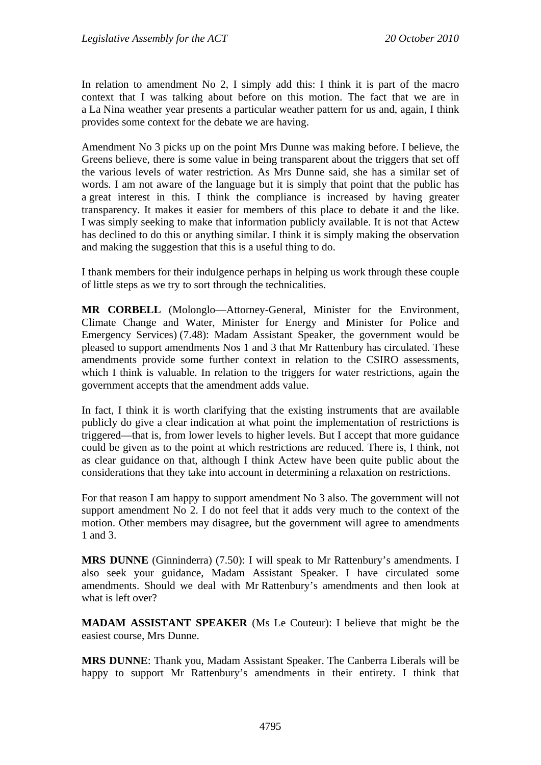In relation to amendment No 2, I simply add this: I think it is part of the macro context that I was talking about before on this motion. The fact that we are in a La Nina weather year presents a particular weather pattern for us and, again, I think provides some context for the debate we are having.

Amendment No 3 picks up on the point Mrs Dunne was making before. I believe, the Greens believe, there is some value in being transparent about the triggers that set off the various levels of water restriction. As Mrs Dunne said, she has a similar set of words. I am not aware of the language but it is simply that point that the public has a great interest in this. I think the compliance is increased by having greater transparency. It makes it easier for members of this place to debate it and the like. I was simply seeking to make that information publicly available. It is not that Actew has declined to do this or anything similar. I think it is simply making the observation and making the suggestion that this is a useful thing to do.

I thank members for their indulgence perhaps in helping us work through these couple of little steps as we try to sort through the technicalities.

**MR CORBELL** (Molonglo—Attorney-General, Minister for the Environment, Climate Change and Water, Minister for Energy and Minister for Police and Emergency Services) (7.48): Madam Assistant Speaker, the government would be pleased to support amendments Nos 1 and 3 that Mr Rattenbury has circulated. These amendments provide some further context in relation to the CSIRO assessments, which I think is valuable. In relation to the triggers for water restrictions, again the government accepts that the amendment adds value.

In fact, I think it is worth clarifying that the existing instruments that are available publicly do give a clear indication at what point the implementation of restrictions is triggered—that is, from lower levels to higher levels. But I accept that more guidance could be given as to the point at which restrictions are reduced. There is, I think, not as clear guidance on that, although I think Actew have been quite public about the considerations that they take into account in determining a relaxation on restrictions.

For that reason I am happy to support amendment No 3 also. The government will not support amendment No 2. I do not feel that it adds very much to the context of the motion. Other members may disagree, but the government will agree to amendments 1 and 3.

**MRS DUNNE** (Ginninderra) (7.50): I will speak to Mr Rattenbury's amendments. I also seek your guidance, Madam Assistant Speaker. I have circulated some amendments. Should we deal with Mr Rattenbury's amendments and then look at what is left over?

**MADAM ASSISTANT SPEAKER** (Ms Le Couteur): I believe that might be the easiest course, Mrs Dunne.

**MRS DUNNE**: Thank you, Madam Assistant Speaker. The Canberra Liberals will be happy to support Mr Rattenbury's amendments in their entirety. I think that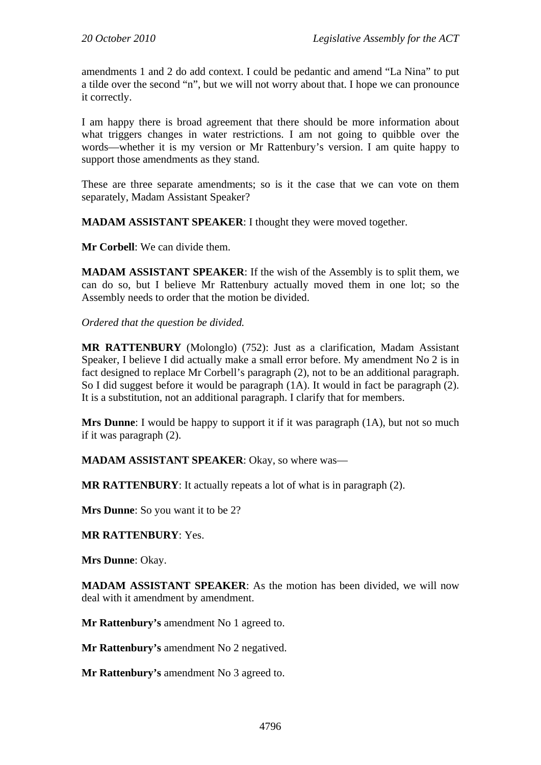amendments 1 and 2 do add context. I could be pedantic and amend "La Nina" to put a tilde over the second "n", but we will not worry about that. I hope we can pronounce it correctly.

I am happy there is broad agreement that there should be more information about what triggers changes in water restrictions. I am not going to quibble over the words—whether it is my version or Mr Rattenbury's version. I am quite happy to support those amendments as they stand.

These are three separate amendments; so is it the case that we can vote on them separately, Madam Assistant Speaker?

**MADAM ASSISTANT SPEAKER**: I thought they were moved together.

**Mr Corbell**: We can divide them.

**MADAM ASSISTANT SPEAKER**: If the wish of the Assembly is to split them, we can do so, but I believe Mr Rattenbury actually moved them in one lot; so the Assembly needs to order that the motion be divided.

*Ordered that the question be divided.*

**MR RATTENBURY** (Molonglo) (752): Just as a clarification, Madam Assistant Speaker, I believe I did actually make a small error before. My amendment No 2 is in fact designed to replace Mr Corbell's paragraph (2), not to be an additional paragraph. So I did suggest before it would be paragraph (1A). It would in fact be paragraph (2). It is a substitution, not an additional paragraph. I clarify that for members.

**Mrs Dunne**: I would be happy to support it if it was paragraph (1A), but not so much if it was paragraph (2).

**MADAM ASSISTANT SPEAKER**: Okay, so where was—

**MR RATTENBURY**: It actually repeats a lot of what is in paragraph (2).

**Mrs Dunne**: So you want it to be 2?

**MR RATTENBURY**: Yes.

**Mrs Dunne**: Okay.

**MADAM ASSISTANT SPEAKER**: As the motion has been divided, we will now deal with it amendment by amendment.

**Mr Rattenbury's** amendment No 1 agreed to.

**Mr Rattenbury's** amendment No 2 negatived.

**Mr Rattenbury's** amendment No 3 agreed to.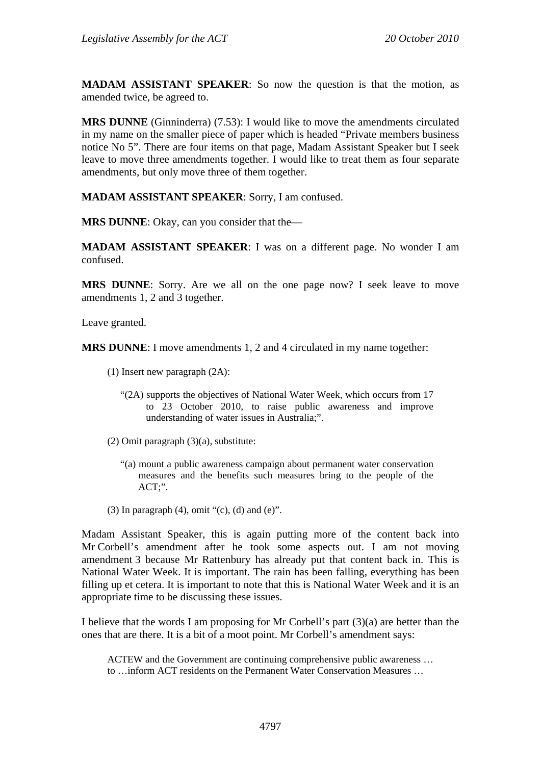**MADAM ASSISTANT SPEAKER**: So now the question is that the motion, as amended twice, be agreed to.

**MRS DUNNE** (Ginninderra) (7.53): I would like to move the amendments circulated in my name on the smaller piece of paper which is headed "Private members business notice No 5". There are four items on that page, Madam Assistant Speaker but I seek leave to move three amendments together. I would like to treat them as four separate amendments, but only move three of them together.

**MADAM ASSISTANT SPEAKER**: Sorry, I am confused.

**MRS DUNNE**: Okay, can you consider that the—

**MADAM ASSISTANT SPEAKER**: I was on a different page. No wonder I am confused.

**MRS DUNNE**: Sorry. Are we all on the one page now? I seek leave to move amendments 1, 2 and 3 together.

Leave granted.

**MRS DUNNE**: I move amendments 1, 2 and 4 circulated in my name together:

- (1) Insert new paragraph (2A):
	- "(2A) supports the objectives of National Water Week, which occurs from 17 to 23 October 2010, to raise public awareness and improve understanding of water issues in Australia;".
- (2) Omit paragraph (3)(a), substitute:
	- "(a) mount a public awareness campaign about permanent water conservation measures and the benefits such measures bring to the people of the ACT;".
- (3) In paragraph  $(4)$ , omit " $(c)$ ,  $(d)$  and  $(e)$ ".

Madam Assistant Speaker, this is again putting more of the content back into Mr Corbell's amendment after he took some aspects out. I am not moving amendment 3 because Mr Rattenbury has already put that content back in. This is National Water Week. It is important. The rain has been falling, everything has been filling up et cetera. It is important to note that this is National Water Week and it is an appropriate time to be discussing these issues.

I believe that the words I am proposing for Mr Corbell's part (3)(a) are better than the ones that are there. It is a bit of a moot point. Mr Corbell's amendment says:

ACTEW and the Government are continuing comprehensive public awareness … to …inform ACT residents on the Permanent Water Conservation Measures …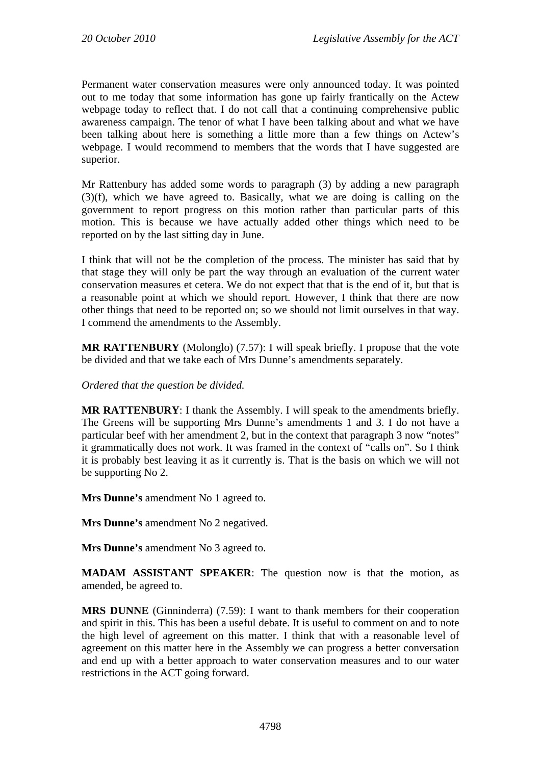Permanent water conservation measures were only announced today. It was pointed out to me today that some information has gone up fairly frantically on the Actew webpage today to reflect that. I do not call that a continuing comprehensive public awareness campaign. The tenor of what I have been talking about and what we have been talking about here is something a little more than a few things on Actew's webpage. I would recommend to members that the words that I have suggested are superior.

Mr Rattenbury has added some words to paragraph (3) by adding a new paragraph (3)(f), which we have agreed to. Basically, what we are doing is calling on the government to report progress on this motion rather than particular parts of this motion. This is because we have actually added other things which need to be reported on by the last sitting day in June.

I think that will not be the completion of the process. The minister has said that by that stage they will only be part the way through an evaluation of the current water conservation measures et cetera. We do not expect that that is the end of it, but that is a reasonable point at which we should report. However, I think that there are now other things that need to be reported on; so we should not limit ourselves in that way. I commend the amendments to the Assembly.

**MR RATTENBURY** (Molonglo) (7.57): I will speak briefly. I propose that the vote be divided and that we take each of Mrs Dunne's amendments separately.

*Ordered that the question be divided.* 

**MR RATTENBURY**: I thank the Assembly. I will speak to the amendments briefly. The Greens will be supporting Mrs Dunne's amendments 1 and 3. I do not have a particular beef with her amendment 2, but in the context that paragraph 3 now "notes" it grammatically does not work. It was framed in the context of "calls on". So I think it is probably best leaving it as it currently is. That is the basis on which we will not be supporting No 2.

**Mrs Dunne's** amendment No 1 agreed to.

**Mrs Dunne's** amendment No 2 negatived.

**Mrs Dunne's** amendment No 3 agreed to.

**MADAM ASSISTANT SPEAKER**: The question now is that the motion, as amended, be agreed to.

**MRS DUNNE** (Ginninderra) (7.59): I want to thank members for their cooperation and spirit in this. This has been a useful debate. It is useful to comment on and to note the high level of agreement on this matter. I think that with a reasonable level of agreement on this matter here in the Assembly we can progress a better conversation and end up with a better approach to water conservation measures and to our water restrictions in the ACT going forward.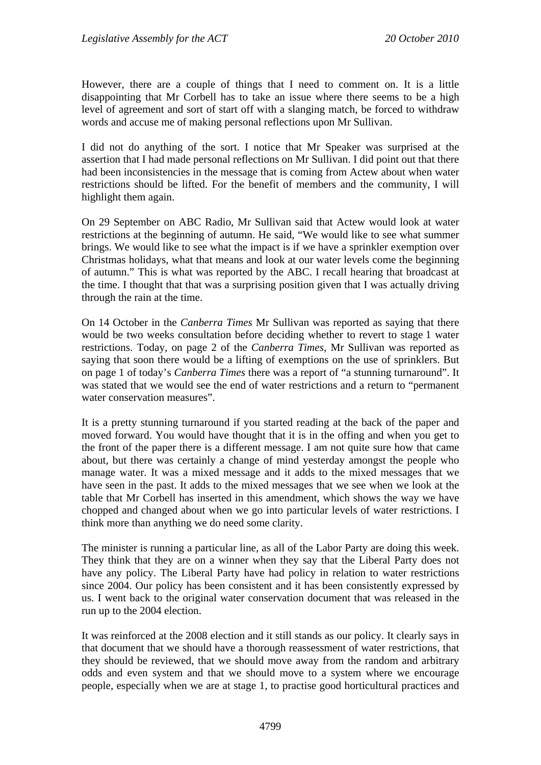However, there are a couple of things that I need to comment on. It is a little disappointing that Mr Corbell has to take an issue where there seems to be a high level of agreement and sort of start off with a slanging match, be forced to withdraw words and accuse me of making personal reflections upon Mr Sullivan.

I did not do anything of the sort. I notice that Mr Speaker was surprised at the assertion that I had made personal reflections on Mr Sullivan. I did point out that there had been inconsistencies in the message that is coming from Actew about when water restrictions should be lifted. For the benefit of members and the community, I will highlight them again.

On 29 September on ABC Radio, Mr Sullivan said that Actew would look at water restrictions at the beginning of autumn. He said, "We would like to see what summer brings. We would like to see what the impact is if we have a sprinkler exemption over Christmas holidays, what that means and look at our water levels come the beginning of autumn." This is what was reported by the ABC. I recall hearing that broadcast at the time. I thought that that was a surprising position given that I was actually driving through the rain at the time.

On 14 October in the *Canberra Times* Mr Sullivan was reported as saying that there would be two weeks consultation before deciding whether to revert to stage 1 water restrictions. Today, on page 2 of the *Canberra Times*, Mr Sullivan was reported as saying that soon there would be a lifting of exemptions on the use of sprinklers. But on page 1 of today's *Canberra Times* there was a report of "a stunning turnaround". It was stated that we would see the end of water restrictions and a return to "permanent water conservation measures".

It is a pretty stunning turnaround if you started reading at the back of the paper and moved forward. You would have thought that it is in the offing and when you get to the front of the paper there is a different message. I am not quite sure how that came about, but there was certainly a change of mind yesterday amongst the people who manage water. It was a mixed message and it adds to the mixed messages that we have seen in the past. It adds to the mixed messages that we see when we look at the table that Mr Corbell has inserted in this amendment, which shows the way we have chopped and changed about when we go into particular levels of water restrictions. I think more than anything we do need some clarity.

The minister is running a particular line, as all of the Labor Party are doing this week. They think that they are on a winner when they say that the Liberal Party does not have any policy. The Liberal Party have had policy in relation to water restrictions since 2004. Our policy has been consistent and it has been consistently expressed by us. I went back to the original water conservation document that was released in the run up to the 2004 election.

It was reinforced at the 2008 election and it still stands as our policy. It clearly says in that document that we should have a thorough reassessment of water restrictions, that they should be reviewed, that we should move away from the random and arbitrary odds and even system and that we should move to a system where we encourage people, especially when we are at stage 1, to practise good horticultural practices and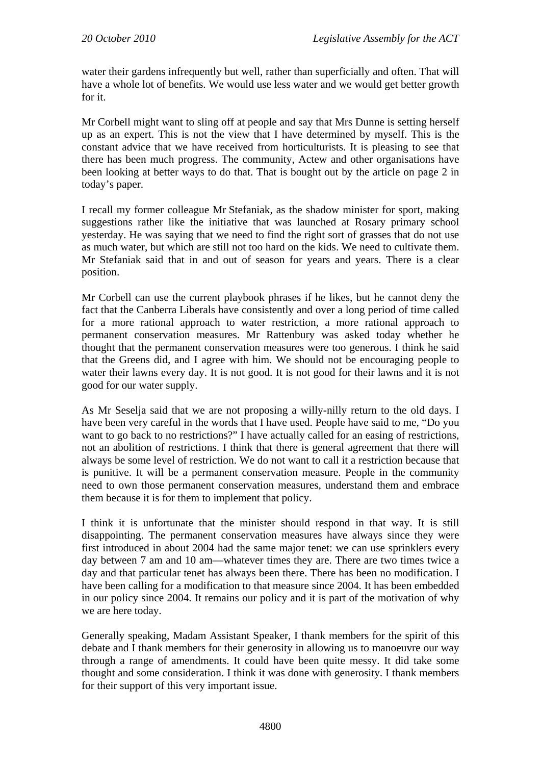water their gardens infrequently but well, rather than superficially and often. That will have a whole lot of benefits. We would use less water and we would get better growth for it.

Mr Corbell might want to sling off at people and say that Mrs Dunne is setting herself up as an expert. This is not the view that I have determined by myself. This is the constant advice that we have received from horticulturists. It is pleasing to see that there has been much progress. The community, Actew and other organisations have been looking at better ways to do that. That is bought out by the article on page 2 in today's paper.

I recall my former colleague Mr Stefaniak, as the shadow minister for sport, making suggestions rather like the initiative that was launched at Rosary primary school yesterday. He was saying that we need to find the right sort of grasses that do not use as much water, but which are still not too hard on the kids. We need to cultivate them. Mr Stefaniak said that in and out of season for years and years. There is a clear position.

Mr Corbell can use the current playbook phrases if he likes, but he cannot deny the fact that the Canberra Liberals have consistently and over a long period of time called for a more rational approach to water restriction, a more rational approach to permanent conservation measures. Mr Rattenbury was asked today whether he thought that the permanent conservation measures were too generous. I think he said that the Greens did, and I agree with him. We should not be encouraging people to water their lawns every day. It is not good. It is not good for their lawns and it is not good for our water supply.

As Mr Seselja said that we are not proposing a willy-nilly return to the old days. I have been very careful in the words that I have used. People have said to me, "Do you want to go back to no restrictions?" I have actually called for an easing of restrictions, not an abolition of restrictions. I think that there is general agreement that there will always be some level of restriction. We do not want to call it a restriction because that is punitive. It will be a permanent conservation measure. People in the community need to own those permanent conservation measures, understand them and embrace them because it is for them to implement that policy.

I think it is unfortunate that the minister should respond in that way. It is still disappointing. The permanent conservation measures have always since they were first introduced in about 2004 had the same major tenet: we can use sprinklers every day between 7 am and 10 am—whatever times they are. There are two times twice a day and that particular tenet has always been there. There has been no modification. I have been calling for a modification to that measure since 2004. It has been embedded in our policy since 2004. It remains our policy and it is part of the motivation of why we are here today.

Generally speaking, Madam Assistant Speaker, I thank members for the spirit of this debate and I thank members for their generosity in allowing us to manoeuvre our way through a range of amendments. It could have been quite messy. It did take some thought and some consideration. I think it was done with generosity. I thank members for their support of this very important issue.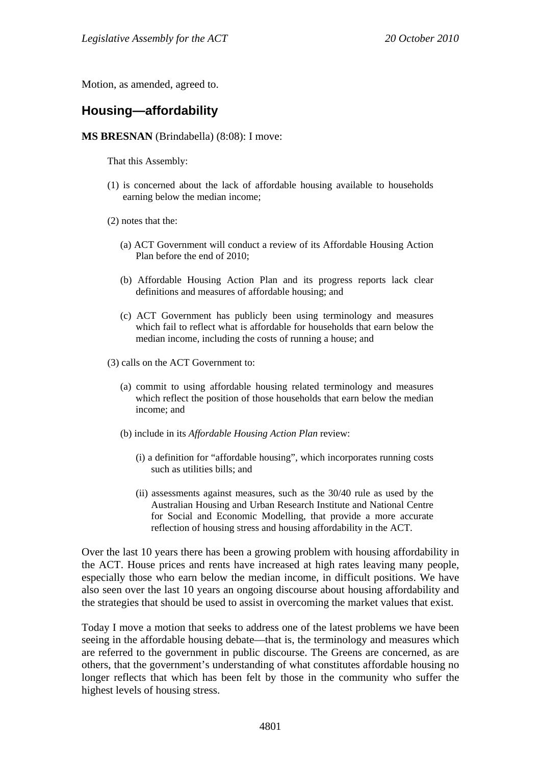Motion, as amended, agreed to.

# **Housing—affordability**

#### **MS BRESNAN** (Brindabella) (8:08): I move:

That this Assembly:

- (1) is concerned about the lack of affordable housing available to households earning below the median income;
- (2) notes that the:
	- (a) ACT Government will conduct a review of its Affordable Housing Action Plan before the end of 2010;
	- (b) Affordable Housing Action Plan and its progress reports lack clear definitions and measures of affordable housing; and
	- (c) ACT Government has publicly been using terminology and measures which fail to reflect what is affordable for households that earn below the median income, including the costs of running a house; and
- (3) calls on the ACT Government to:
	- (a) commit to using affordable housing related terminology and measures which reflect the position of those households that earn below the median income; and
	- (b) include in its *Affordable Housing Action Plan* review:
		- (i) a definition for "affordable housing", which incorporates running costs such as utilities bills; and
		- (ii) assessments against measures, such as the 30/40 rule as used by the Australian Housing and Urban Research Institute and National Centre for Social and Economic Modelling, that provide a more accurate reflection of housing stress and housing affordability in the ACT.

Over the last 10 years there has been a growing problem with housing affordability in the ACT. House prices and rents have increased at high rates leaving many people, especially those who earn below the median income, in difficult positions. We have also seen over the last 10 years an ongoing discourse about housing affordability and the strategies that should be used to assist in overcoming the market values that exist.

Today I move a motion that seeks to address one of the latest problems we have been seeing in the affordable housing debate—that is, the terminology and measures which are referred to the government in public discourse. The Greens are concerned, as are others, that the government's understanding of what constitutes affordable housing no longer reflects that which has been felt by those in the community who suffer the highest levels of housing stress.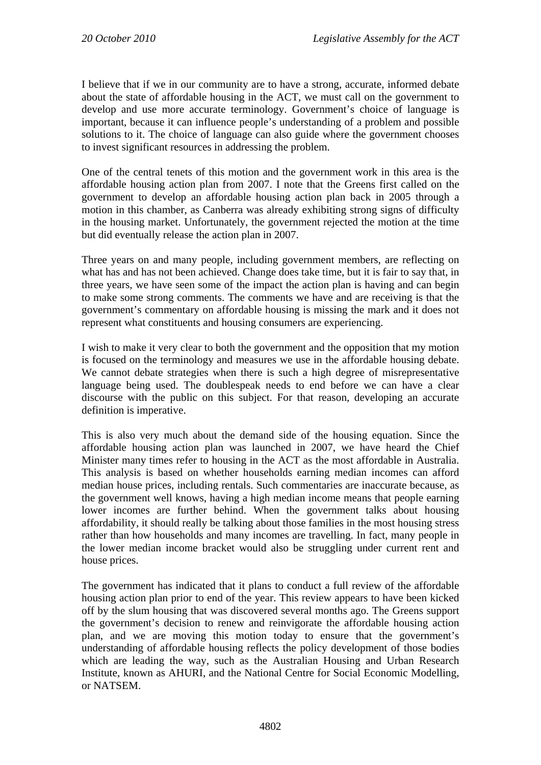I believe that if we in our community are to have a strong, accurate, informed debate about the state of affordable housing in the ACT, we must call on the government to develop and use more accurate terminology. Government's choice of language is important, because it can influence people's understanding of a problem and possible solutions to it. The choice of language can also guide where the government chooses to invest significant resources in addressing the problem.

One of the central tenets of this motion and the government work in this area is the affordable housing action plan from 2007. I note that the Greens first called on the government to develop an affordable housing action plan back in 2005 through a motion in this chamber, as Canberra was already exhibiting strong signs of difficulty in the housing market. Unfortunately, the government rejected the motion at the time but did eventually release the action plan in 2007.

Three years on and many people, including government members, are reflecting on what has and has not been achieved. Change does take time, but it is fair to say that, in three years, we have seen some of the impact the action plan is having and can begin to make some strong comments. The comments we have and are receiving is that the government's commentary on affordable housing is missing the mark and it does not represent what constituents and housing consumers are experiencing.

I wish to make it very clear to both the government and the opposition that my motion is focused on the terminology and measures we use in the affordable housing debate. We cannot debate strategies when there is such a high degree of misrepresentative language being used. The doublespeak needs to end before we can have a clear discourse with the public on this subject. For that reason, developing an accurate definition is imperative.

This is also very much about the demand side of the housing equation. Since the affordable housing action plan was launched in 2007, we have heard the Chief Minister many times refer to housing in the ACT as the most affordable in Australia. This analysis is based on whether households earning median incomes can afford median house prices, including rentals. Such commentaries are inaccurate because, as the government well knows, having a high median income means that people earning lower incomes are further behind. When the government talks about housing affordability, it should really be talking about those families in the most housing stress rather than how households and many incomes are travelling. In fact, many people in the lower median income bracket would also be struggling under current rent and house prices.

The government has indicated that it plans to conduct a full review of the affordable housing action plan prior to end of the year. This review appears to have been kicked off by the slum housing that was discovered several months ago. The Greens support the government's decision to renew and reinvigorate the affordable housing action plan, and we are moving this motion today to ensure that the government's understanding of affordable housing reflects the policy development of those bodies which are leading the way, such as the Australian Housing and Urban Research Institute, known as AHURI, and the National Centre for Social Economic Modelling, or NATSEM.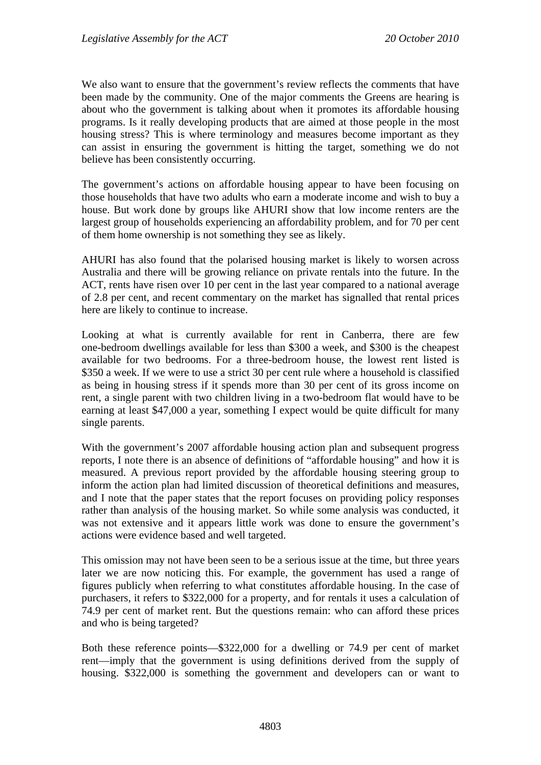We also want to ensure that the government's review reflects the comments that have been made by the community. One of the major comments the Greens are hearing is about who the government is talking about when it promotes its affordable housing programs. Is it really developing products that are aimed at those people in the most housing stress? This is where terminology and measures become important as they can assist in ensuring the government is hitting the target, something we do not believe has been consistently occurring.

The government's actions on affordable housing appear to have been focusing on those households that have two adults who earn a moderate income and wish to buy a house. But work done by groups like AHURI show that low income renters are the largest group of households experiencing an affordability problem, and for 70 per cent of them home ownership is not something they see as likely.

AHURI has also found that the polarised housing market is likely to worsen across Australia and there will be growing reliance on private rentals into the future. In the ACT, rents have risen over 10 per cent in the last year compared to a national average of 2.8 per cent, and recent commentary on the market has signalled that rental prices here are likely to continue to increase.

Looking at what is currently available for rent in Canberra, there are few one-bedroom dwellings available for less than \$300 a week, and \$300 is the cheapest available for two bedrooms. For a three-bedroom house, the lowest rent listed is \$350 a week. If we were to use a strict 30 per cent rule where a household is classified as being in housing stress if it spends more than 30 per cent of its gross income on rent, a single parent with two children living in a two-bedroom flat would have to be earning at least \$47,000 a year, something I expect would be quite difficult for many single parents.

With the government's 2007 affordable housing action plan and subsequent progress reports, I note there is an absence of definitions of "affordable housing" and how it is measured. A previous report provided by the affordable housing steering group to inform the action plan had limited discussion of theoretical definitions and measures, and I note that the paper states that the report focuses on providing policy responses rather than analysis of the housing market. So while some analysis was conducted, it was not extensive and it appears little work was done to ensure the government's actions were evidence based and well targeted.

This omission may not have been seen to be a serious issue at the time, but three years later we are now noticing this. For example, the government has used a range of figures publicly when referring to what constitutes affordable housing. In the case of purchasers, it refers to \$322,000 for a property, and for rentals it uses a calculation of 74.9 per cent of market rent. But the questions remain: who can afford these prices and who is being targeted?

Both these reference points—\$322,000 for a dwelling or 74.9 per cent of market rent—imply that the government is using definitions derived from the supply of housing. \$322,000 is something the government and developers can or want to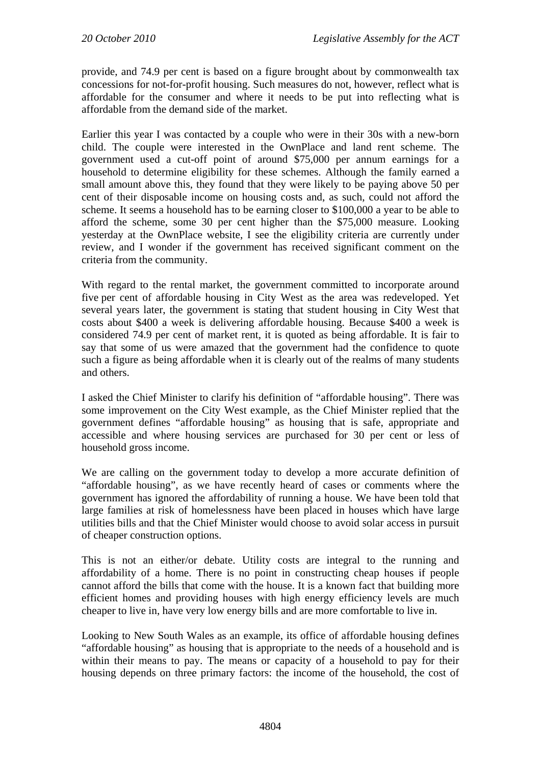provide, and 74.9 per cent is based on a figure brought about by commonwealth tax concessions for not-for-profit housing. Such measures do not, however, reflect what is affordable for the consumer and where it needs to be put into reflecting what is affordable from the demand side of the market.

Earlier this year I was contacted by a couple who were in their 30s with a new-born child. The couple were interested in the OwnPlace and land rent scheme. The government used a cut-off point of around \$75,000 per annum earnings for a household to determine eligibility for these schemes. Although the family earned a small amount above this, they found that they were likely to be paying above 50 per cent of their disposable income on housing costs and, as such, could not afford the scheme. It seems a household has to be earning closer to \$100,000 a year to be able to afford the scheme, some 30 per cent higher than the \$75,000 measure. Looking yesterday at the OwnPlace website, I see the eligibility criteria are currently under review, and I wonder if the government has received significant comment on the criteria from the community.

With regard to the rental market, the government committed to incorporate around five per cent of affordable housing in City West as the area was redeveloped. Yet several years later, the government is stating that student housing in City West that costs about \$400 a week is delivering affordable housing. Because \$400 a week is considered 74.9 per cent of market rent, it is quoted as being affordable. It is fair to say that some of us were amazed that the government had the confidence to quote such a figure as being affordable when it is clearly out of the realms of many students and others.

I asked the Chief Minister to clarify his definition of "affordable housing". There was some improvement on the City West example, as the Chief Minister replied that the government defines "affordable housing" as housing that is safe, appropriate and accessible and where housing services are purchased for 30 per cent or less of household gross income.

We are calling on the government today to develop a more accurate definition of "affordable housing", as we have recently heard of cases or comments where the government has ignored the affordability of running a house. We have been told that large families at risk of homelessness have been placed in houses which have large utilities bills and that the Chief Minister would choose to avoid solar access in pursuit of cheaper construction options.

This is not an either/or debate. Utility costs are integral to the running and affordability of a home. There is no point in constructing cheap houses if people cannot afford the bills that come with the house. It is a known fact that building more efficient homes and providing houses with high energy efficiency levels are much cheaper to live in, have very low energy bills and are more comfortable to live in.

Looking to New South Wales as an example, its office of affordable housing defines "affordable housing" as housing that is appropriate to the needs of a household and is within their means to pay. The means or capacity of a household to pay for their housing depends on three primary factors: the income of the household, the cost of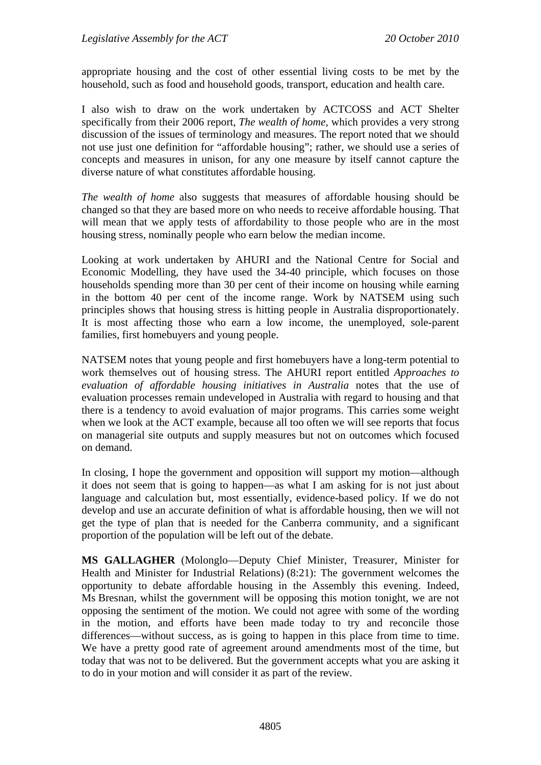appropriate housing and the cost of other essential living costs to be met by the household, such as food and household goods, transport, education and health care.

I also wish to draw on the work undertaken by ACTCOSS and ACT Shelter specifically from their 2006 report, *The wealth of home,* which provides a very strong discussion of the issues of terminology and measures. The report noted that we should not use just one definition for "affordable housing"; rather, we should use a series of concepts and measures in unison, for any one measure by itself cannot capture the diverse nature of what constitutes affordable housing.

*The wealth of home* also suggests that measures of affordable housing should be changed so that they are based more on who needs to receive affordable housing. That will mean that we apply tests of affordability to those people who are in the most housing stress, nominally people who earn below the median income.

Looking at work undertaken by AHURI and the National Centre for Social and Economic Modelling, they have used the 34-40 principle, which focuses on those households spending more than 30 per cent of their income on housing while earning in the bottom 40 per cent of the income range. Work by NATSEM using such principles shows that housing stress is hitting people in Australia disproportionately. It is most affecting those who earn a low income, the unemployed, sole-parent families, first homebuyers and young people.

NATSEM notes that young people and first homebuyers have a long-term potential to work themselves out of housing stress. The AHURI report entitled *Approaches to evaluation of affordable housing initiatives in Australia* notes that the use of evaluation processes remain undeveloped in Australia with regard to housing and that there is a tendency to avoid evaluation of major programs. This carries some weight when we look at the ACT example, because all too often we will see reports that focus on managerial site outputs and supply measures but not on outcomes which focused on demand.

In closing, I hope the government and opposition will support my motion—although it does not seem that is going to happen—as what I am asking for is not just about language and calculation but, most essentially, evidence-based policy. If we do not develop and use an accurate definition of what is affordable housing, then we will not get the type of plan that is needed for the Canberra community, and a significant proportion of the population will be left out of the debate.

**MS GALLAGHER** (Molonglo—Deputy Chief Minister, Treasurer, Minister for Health and Minister for Industrial Relations) (8:21): The government welcomes the opportunity to debate affordable housing in the Assembly this evening. Indeed, Ms Bresnan, whilst the government will be opposing this motion tonight, we are not opposing the sentiment of the motion. We could not agree with some of the wording in the motion, and efforts have been made today to try and reconcile those differences—without success, as is going to happen in this place from time to time. We have a pretty good rate of agreement around amendments most of the time, but today that was not to be delivered. But the government accepts what you are asking it to do in your motion and will consider it as part of the review.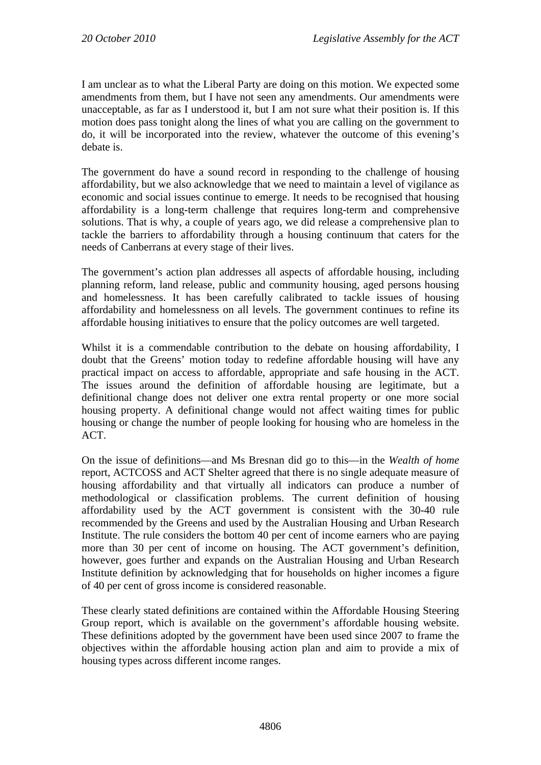I am unclear as to what the Liberal Party are doing on this motion. We expected some amendments from them, but I have not seen any amendments. Our amendments were unacceptable, as far as I understood it, but I am not sure what their position is. If this motion does pass tonight along the lines of what you are calling on the government to do, it will be incorporated into the review, whatever the outcome of this evening's debate is.

The government do have a sound record in responding to the challenge of housing affordability, but we also acknowledge that we need to maintain a level of vigilance as economic and social issues continue to emerge. It needs to be recognised that housing affordability is a long-term challenge that requires long-term and comprehensive solutions. That is why, a couple of years ago, we did release a comprehensive plan to tackle the barriers to affordability through a housing continuum that caters for the needs of Canberrans at every stage of their lives.

The government's action plan addresses all aspects of affordable housing, including planning reform, land release, public and community housing, aged persons housing and homelessness. It has been carefully calibrated to tackle issues of housing affordability and homelessness on all levels. The government continues to refine its affordable housing initiatives to ensure that the policy outcomes are well targeted.

Whilst it is a commendable contribution to the debate on housing affordability, I doubt that the Greens' motion today to redefine affordable housing will have any practical impact on access to affordable, appropriate and safe housing in the ACT. The issues around the definition of affordable housing are legitimate, but a definitional change does not deliver one extra rental property or one more social housing property. A definitional change would not affect waiting times for public housing or change the number of people looking for housing who are homeless in the ACT.

On the issue of definitions—and Ms Bresnan did go to this—in the *Wealth of home*  report, ACTCOSS and ACT Shelter agreed that there is no single adequate measure of housing affordability and that virtually all indicators can produce a number of methodological or classification problems. The current definition of housing affordability used by the ACT government is consistent with the 30-40 rule recommended by the Greens and used by the Australian Housing and Urban Research Institute. The rule considers the bottom 40 per cent of income earners who are paying more than 30 per cent of income on housing. The ACT government's definition, however, goes further and expands on the Australian Housing and Urban Research Institute definition by acknowledging that for households on higher incomes a figure of 40 per cent of gross income is considered reasonable.

These clearly stated definitions are contained within the Affordable Housing Steering Group report, which is available on the government's affordable housing website. These definitions adopted by the government have been used since 2007 to frame the objectives within the affordable housing action plan and aim to provide a mix of housing types across different income ranges.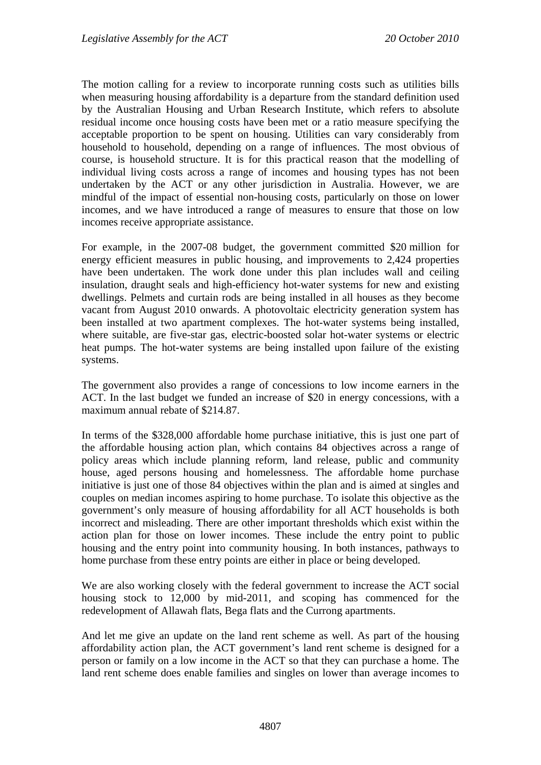The motion calling for a review to incorporate running costs such as utilities bills when measuring housing affordability is a departure from the standard definition used by the Australian Housing and Urban Research Institute, which refers to absolute residual income once housing costs have been met or a ratio measure specifying the acceptable proportion to be spent on housing. Utilities can vary considerably from household to household, depending on a range of influences. The most obvious of course, is household structure. It is for this practical reason that the modelling of individual living costs across a range of incomes and housing types has not been undertaken by the ACT or any other jurisdiction in Australia. However, we are mindful of the impact of essential non-housing costs, particularly on those on lower incomes, and we have introduced a range of measures to ensure that those on low incomes receive appropriate assistance.

For example, in the 2007-08 budget, the government committed \$20 million for energy efficient measures in public housing, and improvements to 2,424 properties have been undertaken. The work done under this plan includes wall and ceiling insulation, draught seals and high-efficiency hot-water systems for new and existing dwellings. Pelmets and curtain rods are being installed in all houses as they become vacant from August 2010 onwards. A photovoltaic electricity generation system has been installed at two apartment complexes. The hot-water systems being installed, where suitable, are five-star gas, electric-boosted solar hot-water systems or electric heat pumps. The hot-water systems are being installed upon failure of the existing systems.

The government also provides a range of concessions to low income earners in the ACT. In the last budget we funded an increase of \$20 in energy concessions, with a maximum annual rebate of \$214.87.

In terms of the \$328,000 affordable home purchase initiative, this is just one part of the affordable housing action plan, which contains 84 objectives across a range of policy areas which include planning reform, land release, public and community house, aged persons housing and homelessness. The affordable home purchase initiative is just one of those 84 objectives within the plan and is aimed at singles and couples on median incomes aspiring to home purchase. To isolate this objective as the government's only measure of housing affordability for all ACT households is both incorrect and misleading. There are other important thresholds which exist within the action plan for those on lower incomes. These include the entry point to public housing and the entry point into community housing. In both instances, pathways to home purchase from these entry points are either in place or being developed.

We are also working closely with the federal government to increase the ACT social housing stock to 12,000 by mid-2011, and scoping has commenced for the redevelopment of Allawah flats, Bega flats and the Currong apartments.

And let me give an update on the land rent scheme as well. As part of the housing affordability action plan, the ACT government's land rent scheme is designed for a person or family on a low income in the ACT so that they can purchase a home. The land rent scheme does enable families and singles on lower than average incomes to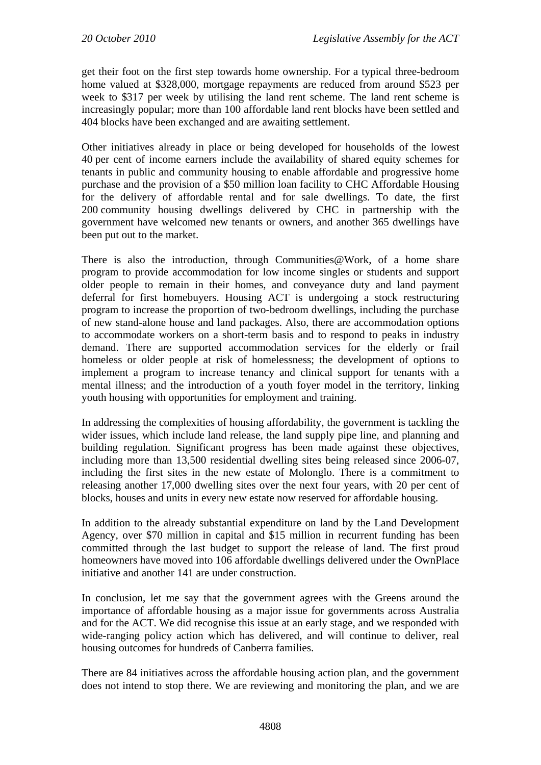get their foot on the first step towards home ownership. For a typical three-bedroom home valued at \$328,000, mortgage repayments are reduced from around \$523 per week to \$317 per week by utilising the land rent scheme. The land rent scheme is increasingly popular; more than 100 affordable land rent blocks have been settled and 404 blocks have been exchanged and are awaiting settlement.

Other initiatives already in place or being developed for households of the lowest 40 per cent of income earners include the availability of shared equity schemes for tenants in public and community housing to enable affordable and progressive home purchase and the provision of a \$50 million loan facility to CHC Affordable Housing for the delivery of affordable rental and for sale dwellings. To date, the first 200 community housing dwellings delivered by CHC in partnership with the government have welcomed new tenants or owners, and another 365 dwellings have been put out to the market.

There is also the introduction, through Communities@Work, of a home share program to provide accommodation for low income singles or students and support older people to remain in their homes, and conveyance duty and land payment deferral for first homebuyers. Housing ACT is undergoing a stock restructuring program to increase the proportion of two-bedroom dwellings, including the purchase of new stand-alone house and land packages. Also, there are accommodation options to accommodate workers on a short-term basis and to respond to peaks in industry demand. There are supported accommodation services for the elderly or frail homeless or older people at risk of homelessness; the development of options to implement a program to increase tenancy and clinical support for tenants with a mental illness; and the introduction of a youth foyer model in the territory, linking youth housing with opportunities for employment and training.

In addressing the complexities of housing affordability, the government is tackling the wider issues, which include land release, the land supply pipe line, and planning and building regulation. Significant progress has been made against these objectives, including more than 13,500 residential dwelling sites being released since 2006-07, including the first sites in the new estate of Molonglo. There is a commitment to releasing another 17,000 dwelling sites over the next four years, with 20 per cent of blocks, houses and units in every new estate now reserved for affordable housing.

In addition to the already substantial expenditure on land by the Land Development Agency, over \$70 million in capital and \$15 million in recurrent funding has been committed through the last budget to support the release of land. The first proud homeowners have moved into 106 affordable dwellings delivered under the OwnPlace initiative and another 141 are under construction.

In conclusion, let me say that the government agrees with the Greens around the importance of affordable housing as a major issue for governments across Australia and for the ACT. We did recognise this issue at an early stage, and we responded with wide-ranging policy action which has delivered, and will continue to deliver, real housing outcomes for hundreds of Canberra families.

There are 84 initiatives across the affordable housing action plan, and the government does not intend to stop there. We are reviewing and monitoring the plan, and we are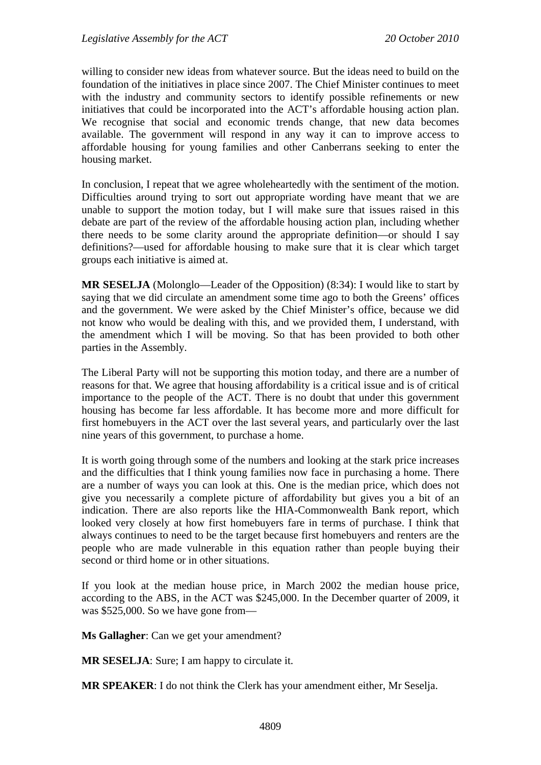willing to consider new ideas from whatever source. But the ideas need to build on the foundation of the initiatives in place since 2007. The Chief Minister continues to meet with the industry and community sectors to identify possible refinements or new initiatives that could be incorporated into the ACT's affordable housing action plan. We recognise that social and economic trends change, that new data becomes available. The government will respond in any way it can to improve access to affordable housing for young families and other Canberrans seeking to enter the housing market.

In conclusion, I repeat that we agree wholeheartedly with the sentiment of the motion. Difficulties around trying to sort out appropriate wording have meant that we are unable to support the motion today, but I will make sure that issues raised in this debate are part of the review of the affordable housing action plan, including whether there needs to be some clarity around the appropriate definition—or should I say definitions?—used for affordable housing to make sure that it is clear which target groups each initiative is aimed at.

**MR SESELJA** (Molonglo—Leader of the Opposition) (8:34): I would like to start by saying that we did circulate an amendment some time ago to both the Greens' offices and the government. We were asked by the Chief Minister's office, because we did not know who would be dealing with this, and we provided them, I understand, with the amendment which I will be moving. So that has been provided to both other parties in the Assembly.

The Liberal Party will not be supporting this motion today, and there are a number of reasons for that. We agree that housing affordability is a critical issue and is of critical importance to the people of the ACT. There is no doubt that under this government housing has become far less affordable. It has become more and more difficult for first homebuyers in the ACT over the last several years, and particularly over the last nine years of this government, to purchase a home.

It is worth going through some of the numbers and looking at the stark price increases and the difficulties that I think young families now face in purchasing a home. There are a number of ways you can look at this. One is the median price, which does not give you necessarily a complete picture of affordability but gives you a bit of an indication. There are also reports like the HIA-Commonwealth Bank report, which looked very closely at how first homebuyers fare in terms of purchase. I think that always continues to need to be the target because first homebuyers and renters are the people who are made vulnerable in this equation rather than people buying their second or third home or in other situations.

If you look at the median house price, in March 2002 the median house price, according to the ABS, in the ACT was \$245,000. In the December quarter of 2009, it was \$525,000. So we have gone from—

**Ms Gallagher**: Can we get your amendment?

**MR SESELJA**: Sure; I am happy to circulate it.

**MR SPEAKER**: I do not think the Clerk has your amendment either, Mr Seselja.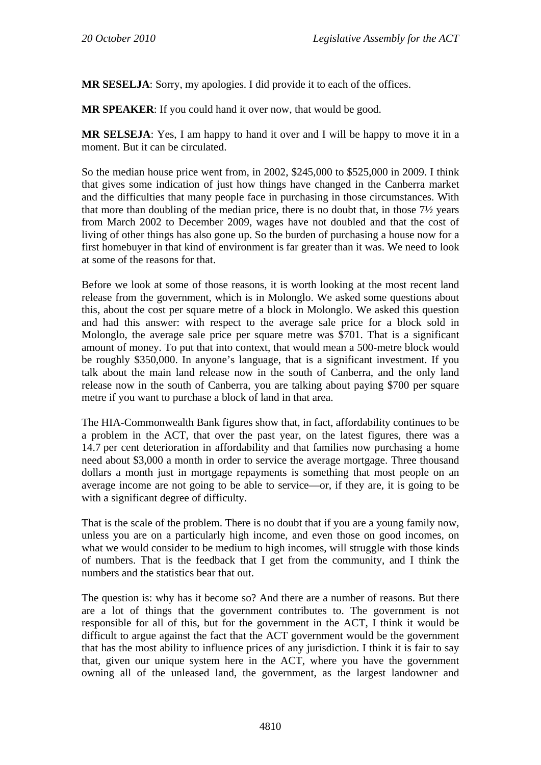**MR SESELJA**: Sorry, my apologies. I did provide it to each of the offices.

**MR SPEAKER**: If you could hand it over now, that would be good.

**MR SELSEJA**: Yes, I am happy to hand it over and I will be happy to move it in a moment. But it can be circulated.

So the median house price went from, in 2002, \$245,000 to \$525,000 in 2009. I think that gives some indication of just how things have changed in the Canberra market and the difficulties that many people face in purchasing in those circumstances. With that more than doubling of the median price, there is no doubt that, in those 7½ years from March 2002 to December 2009, wages have not doubled and that the cost of living of other things has also gone up. So the burden of purchasing a house now for a first homebuyer in that kind of environment is far greater than it was. We need to look at some of the reasons for that.

Before we look at some of those reasons, it is worth looking at the most recent land release from the government, which is in Molonglo. We asked some questions about this, about the cost per square metre of a block in Molonglo. We asked this question and had this answer: with respect to the average sale price for a block sold in Molonglo, the average sale price per square metre was \$701. That is a significant amount of money. To put that into context, that would mean a 500-metre block would be roughly \$350,000. In anyone's language, that is a significant investment. If you talk about the main land release now in the south of Canberra, and the only land release now in the south of Canberra, you are talking about paying \$700 per square metre if you want to purchase a block of land in that area.

The HIA-Commonwealth Bank figures show that, in fact, affordability continues to be a problem in the ACT, that over the past year, on the latest figures, there was a 14.7 per cent deterioration in affordability and that families now purchasing a home need about \$3,000 a month in order to service the average mortgage. Three thousand dollars a month just in mortgage repayments is something that most people on an average income are not going to be able to service—or, if they are, it is going to be with a significant degree of difficulty.

That is the scale of the problem. There is no doubt that if you are a young family now, unless you are on a particularly high income, and even those on good incomes, on what we would consider to be medium to high incomes, will struggle with those kinds of numbers. That is the feedback that I get from the community, and I think the numbers and the statistics bear that out.

The question is: why has it become so? And there are a number of reasons. But there are a lot of things that the government contributes to. The government is not responsible for all of this, but for the government in the ACT, I think it would be difficult to argue against the fact that the ACT government would be the government that has the most ability to influence prices of any jurisdiction. I think it is fair to say that, given our unique system here in the ACT, where you have the government owning all of the unleased land, the government, as the largest landowner and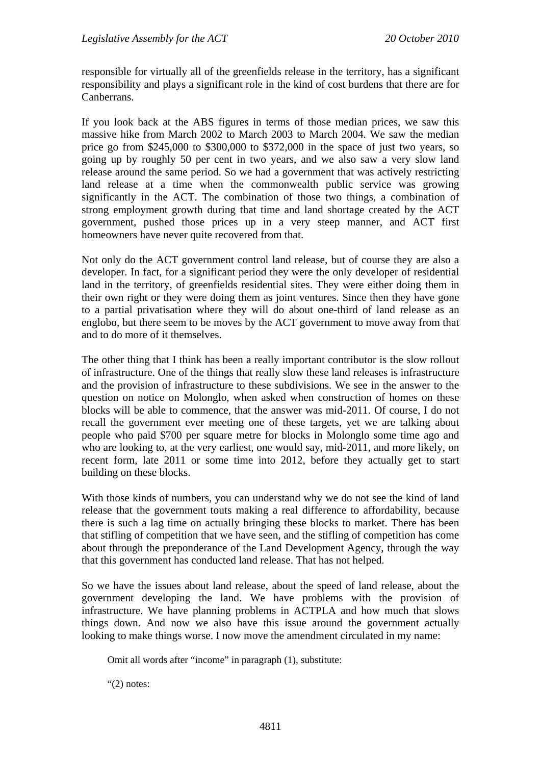responsible for virtually all of the greenfields release in the territory, has a significant responsibility and plays a significant role in the kind of cost burdens that there are for Canberrans.

If you look back at the ABS figures in terms of those median prices, we saw this massive hike from March 2002 to March 2003 to March 2004. We saw the median price go from \$245,000 to \$300,000 to \$372,000 in the space of just two years, so going up by roughly 50 per cent in two years, and we also saw a very slow land release around the same period. So we had a government that was actively restricting land release at a time when the commonwealth public service was growing significantly in the ACT. The combination of those two things, a combination of strong employment growth during that time and land shortage created by the ACT government, pushed those prices up in a very steep manner, and ACT first homeowners have never quite recovered from that.

Not only do the ACT government control land release, but of course they are also a developer. In fact, for a significant period they were the only developer of residential land in the territory, of greenfields residential sites. They were either doing them in their own right or they were doing them as joint ventures. Since then they have gone to a partial privatisation where they will do about one-third of land release as an englobo, but there seem to be moves by the ACT government to move away from that and to do more of it themselves.

The other thing that I think has been a really important contributor is the slow rollout of infrastructure. One of the things that really slow these land releases is infrastructure and the provision of infrastructure to these subdivisions. We see in the answer to the question on notice on Molonglo, when asked when construction of homes on these blocks will be able to commence, that the answer was mid-2011. Of course, I do not recall the government ever meeting one of these targets, yet we are talking about people who paid \$700 per square metre for blocks in Molonglo some time ago and who are looking to, at the very earliest, one would say, mid-2011, and more likely, on recent form, late 2011 or some time into 2012, before they actually get to start building on these blocks.

With those kinds of numbers, you can understand why we do not see the kind of land release that the government touts making a real difference to affordability, because there is such a lag time on actually bringing these blocks to market. There has been that stifling of competition that we have seen, and the stifling of competition has come about through the preponderance of the Land Development Agency, through the way that this government has conducted land release. That has not helped.

So we have the issues about land release, about the speed of land release, about the government developing the land. We have problems with the provision of infrastructure. We have planning problems in ACTPLA and how much that slows things down. And now we also have this issue around the government actually looking to make things worse. I now move the amendment circulated in my name:

Omit all words after "income" in paragraph (1), substitute:

"(2) notes: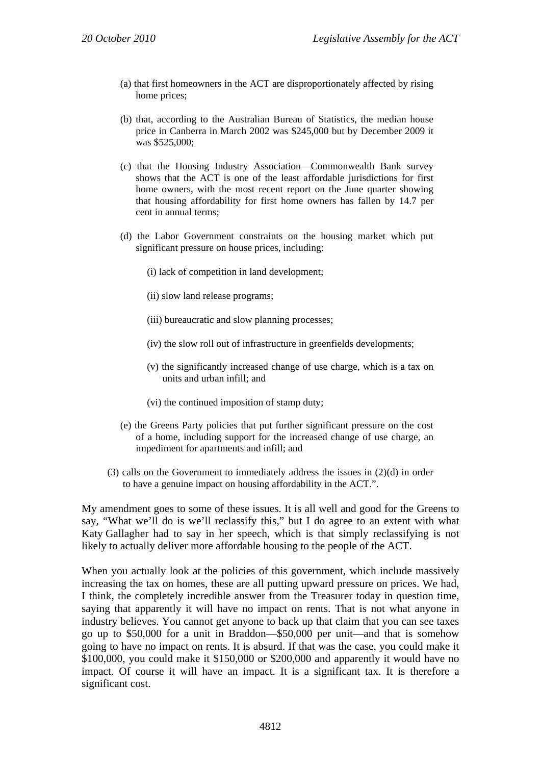- (a) that first homeowners in the ACT are disproportionately affected by rising home prices;
- (b) that, according to the Australian Bureau of Statistics, the median house price in Canberra in March 2002 was \$245,000 but by December 2009 it was \$525,000;
- (c) that the Housing Industry Association—Commonwealth Bank survey shows that the ACT is one of the least affordable jurisdictions for first home owners, with the most recent report on the June quarter showing that housing affordability for first home owners has fallen by 14.7 per cent in annual terms;
- (d) the Labor Government constraints on the housing market which put significant pressure on house prices, including:
	- (i) lack of competition in land development;
	- (ii) slow land release programs;
	- (iii) bureaucratic and slow planning processes;
	- (iv) the slow roll out of infrastructure in greenfields developments;
	- (v) the significantly increased change of use charge, which is a tax on units and urban infill; and
	- (vi) the continued imposition of stamp duty;
- (e) the Greens Party policies that put further significant pressure on the cost of a home, including support for the increased change of use charge, an impediment for apartments and infill; and
- (3) calls on the Government to immediately address the issues in (2)(d) in order to have a genuine impact on housing affordability in the ACT.".

My amendment goes to some of these issues. It is all well and good for the Greens to say, "What we'll do is we'll reclassify this," but I do agree to an extent with what Katy Gallagher had to say in her speech, which is that simply reclassifying is not likely to actually deliver more affordable housing to the people of the ACT.

When you actually look at the policies of this government, which include massively increasing the tax on homes, these are all putting upward pressure on prices. We had, I think, the completely incredible answer from the Treasurer today in question time, saying that apparently it will have no impact on rents. That is not what anyone in industry believes. You cannot get anyone to back up that claim that you can see taxes go up to \$50,000 for a unit in Braddon—\$50,000 per unit—and that is somehow going to have no impact on rents. It is absurd. If that was the case, you could make it \$100,000, you could make it \$150,000 or \$200,000 and apparently it would have no impact. Of course it will have an impact. It is a significant tax. It is therefore a significant cost.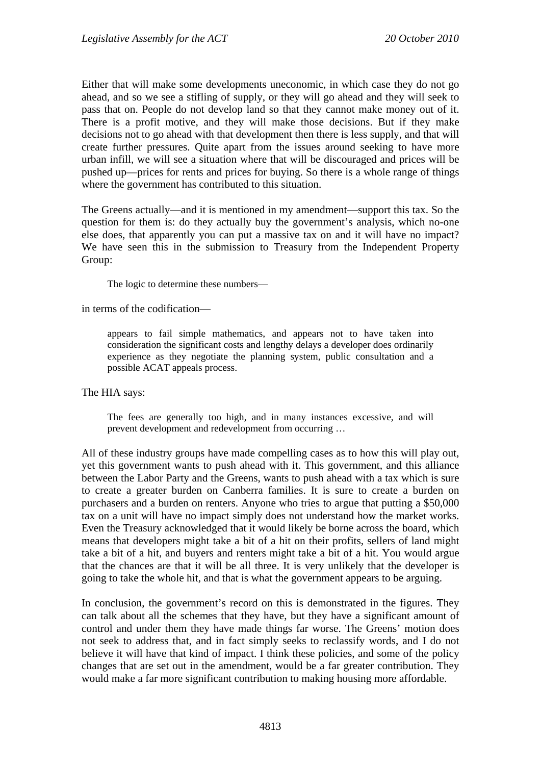Either that will make some developments uneconomic, in which case they do not go ahead, and so we see a stifling of supply, or they will go ahead and they will seek to pass that on. People do not develop land so that they cannot make money out of it. There is a profit motive, and they will make those decisions. But if they make decisions not to go ahead with that development then there is less supply, and that will create further pressures. Quite apart from the issues around seeking to have more urban infill, we will see a situation where that will be discouraged and prices will be pushed up—prices for rents and prices for buying. So there is a whole range of things where the government has contributed to this situation.

The Greens actually—and it is mentioned in my amendment—support this tax. So the question for them is: do they actually buy the government's analysis, which no-one else does, that apparently you can put a massive tax on and it will have no impact? We have seen this in the submission to Treasury from the Independent Property Group:

The logic to determine these numbers—

in terms of the codification—

appears to fail simple mathematics, and appears not to have taken into consideration the significant costs and lengthy delays a developer does ordinarily experience as they negotiate the planning system, public consultation and a possible ACAT appeals process.

The HIA says:

The fees are generally too high, and in many instances excessive, and will prevent development and redevelopment from occurring …

All of these industry groups have made compelling cases as to how this will play out, yet this government wants to push ahead with it. This government, and this alliance between the Labor Party and the Greens, wants to push ahead with a tax which is sure to create a greater burden on Canberra families. It is sure to create a burden on purchasers and a burden on renters. Anyone who tries to argue that putting a \$50,000 tax on a unit will have no impact simply does not understand how the market works. Even the Treasury acknowledged that it would likely be borne across the board, which means that developers might take a bit of a hit on their profits, sellers of land might take a bit of a hit, and buyers and renters might take a bit of a hit. You would argue that the chances are that it will be all three. It is very unlikely that the developer is going to take the whole hit, and that is what the government appears to be arguing.

In conclusion, the government's record on this is demonstrated in the figures. They can talk about all the schemes that they have, but they have a significant amount of control and under them they have made things far worse. The Greens' motion does not seek to address that, and in fact simply seeks to reclassify words, and I do not believe it will have that kind of impact. I think these policies, and some of the policy changes that are set out in the amendment, would be a far greater contribution. They would make a far more significant contribution to making housing more affordable.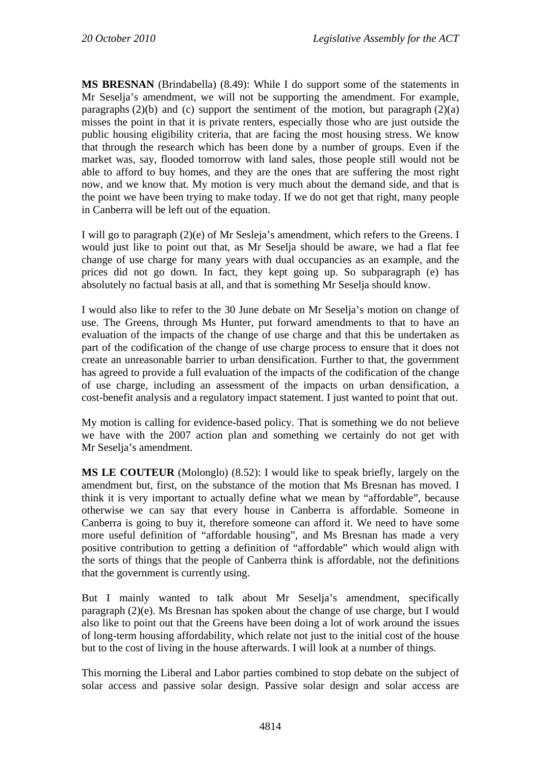**MS BRESNAN** (Brindabella) (8.49): While I do support some of the statements in Mr Seselja's amendment, we will not be supporting the amendment. For example, paragraphs  $(2)(b)$  and  $(c)$  support the sentiment of the motion, but paragraph  $(2)(a)$ misses the point in that it is private renters, especially those who are just outside the public housing eligibility criteria, that are facing the most housing stress. We know that through the research which has been done by a number of groups. Even if the market was, say, flooded tomorrow with land sales, those people still would not be able to afford to buy homes, and they are the ones that are suffering the most right now, and we know that. My motion is very much about the demand side, and that is the point we have been trying to make today. If we do not get that right, many people in Canberra will be left out of the equation.

I will go to paragraph (2)(e) of Mr Sesleja's amendment, which refers to the Greens. I would just like to point out that, as Mr Seselja should be aware, we had a flat fee change of use charge for many years with dual occupancies as an example, and the prices did not go down. In fact, they kept going up. So subparagraph (e) has absolutely no factual basis at all, and that is something Mr Seselja should know.

I would also like to refer to the 30 June debate on Mr Seselja's motion on change of use. The Greens, through Ms Hunter, put forward amendments to that to have an evaluation of the impacts of the change of use charge and that this be undertaken as part of the codification of the change of use charge process to ensure that it does not create an unreasonable barrier to urban densification. Further to that, the government has agreed to provide a full evaluation of the impacts of the codification of the change of use charge, including an assessment of the impacts on urban densification, a cost-benefit analysis and a regulatory impact statement. I just wanted to point that out.

My motion is calling for evidence-based policy. That is something we do not believe we have with the 2007 action plan and something we certainly do not get with Mr Seselja's amendment.

**MS LE COUTEUR** (Molonglo) (8.52): I would like to speak briefly, largely on the amendment but, first, on the substance of the motion that Ms Bresnan has moved. I think it is very important to actually define what we mean by "affordable", because otherwise we can say that every house in Canberra is affordable. Someone in Canberra is going to buy it, therefore someone can afford it. We need to have some more useful definition of "affordable housing", and Ms Bresnan has made a very positive contribution to getting a definition of "affordable" which would align with the sorts of things that the people of Canberra think is affordable, not the definitions that the government is currently using.

But I mainly wanted to talk about Mr Seselja's amendment, specifically paragraph (2)(e). Ms Bresnan has spoken about the change of use charge, but I would also like to point out that the Greens have been doing a lot of work around the issues of long-term housing affordability, which relate not just to the initial cost of the house but to the cost of living in the house afterwards. I will look at a number of things.

This morning the Liberal and Labor parties combined to stop debate on the subject of solar access and passive solar design. Passive solar design and solar access are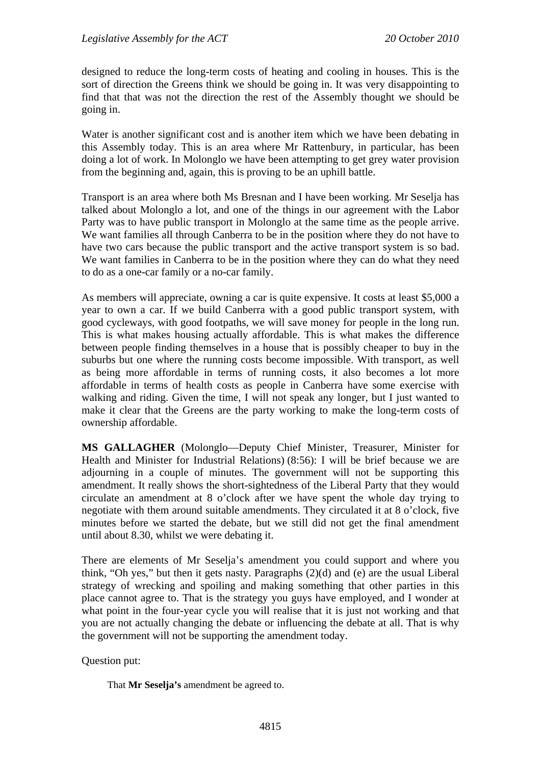designed to reduce the long-term costs of heating and cooling in houses. This is the sort of direction the Greens think we should be going in. It was very disappointing to find that that was not the direction the rest of the Assembly thought we should be going in.

Water is another significant cost and is another item which we have been debating in this Assembly today. This is an area where Mr Rattenbury, in particular, has been doing a lot of work. In Molonglo we have been attempting to get grey water provision from the beginning and, again, this is proving to be an uphill battle.

Transport is an area where both Ms Bresnan and I have been working. Mr Seselja has talked about Molonglo a lot, and one of the things in our agreement with the Labor Party was to have public transport in Molonglo at the same time as the people arrive. We want families all through Canberra to be in the position where they do not have to have two cars because the public transport and the active transport system is so bad. We want families in Canberra to be in the position where they can do what they need to do as a one-car family or a no-car family.

As members will appreciate, owning a car is quite expensive. It costs at least \$5,000 a year to own a car. If we build Canberra with a good public transport system, with good cycleways, with good footpaths, we will save money for people in the long run. This is what makes housing actually affordable. This is what makes the difference between people finding themselves in a house that is possibly cheaper to buy in the suburbs but one where the running costs become impossible. With transport, as well as being more affordable in terms of running costs, it also becomes a lot more affordable in terms of health costs as people in Canberra have some exercise with walking and riding. Given the time, I will not speak any longer, but I just wanted to make it clear that the Greens are the party working to make the long-term costs of ownership affordable.

**MS GALLAGHER** (Molonglo—Deputy Chief Minister, Treasurer, Minister for Health and Minister for Industrial Relations) (8:56): I will be brief because we are adjourning in a couple of minutes. The government will not be supporting this amendment. It really shows the short-sightedness of the Liberal Party that they would circulate an amendment at 8 o'clock after we have spent the whole day trying to negotiate with them around suitable amendments. They circulated it at 8 o'clock, five minutes before we started the debate, but we still did not get the final amendment until about 8.30, whilst we were debating it.

There are elements of Mr Seselja's amendment you could support and where you think, "Oh yes," but then it gets nasty. Paragraphs (2)(d) and (e) are the usual Liberal strategy of wrecking and spoiling and making something that other parties in this place cannot agree to. That is the strategy you guys have employed, and I wonder at what point in the four-year cycle you will realise that it is just not working and that you are not actually changing the debate or influencing the debate at all. That is why the government will not be supporting the amendment today.

Question put:

That **Mr Seselja's** amendment be agreed to.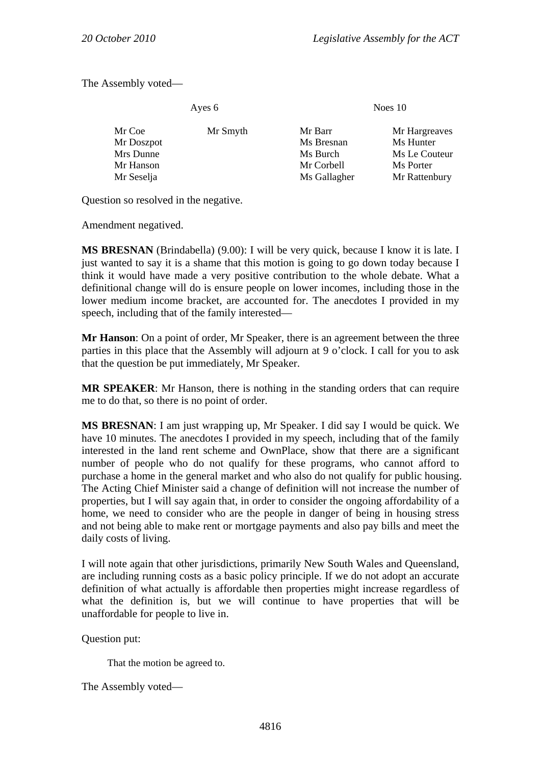The Assembly voted—

| Ayes 6                                                       |          | Noes $10$                                                       |                                                                           |
|--------------------------------------------------------------|----------|-----------------------------------------------------------------|---------------------------------------------------------------------------|
| Mr Coe<br>Mr Doszpot<br>Mrs Dunne<br>Mr Hanson<br>Mr Seselja | Mr Smyth | Mr Barr<br>Ms Bresnan<br>Ms Burch<br>Mr Corbell<br>Ms Gallagher | Mr Hargreaves<br>Ms Hunter<br>Ms Le Couteur<br>Ms Porter<br>Mr Rattenbury |
|                                                              |          |                                                                 |                                                                           |

Question so resolved in the negative.

Amendment negatived.

**MS BRESNAN** (Brindabella) (9.00): I will be very quick, because I know it is late. I just wanted to say it is a shame that this motion is going to go down today because I think it would have made a very positive contribution to the whole debate. What a definitional change will do is ensure people on lower incomes, including those in the lower medium income bracket, are accounted for. The anecdotes I provided in my speech, including that of the family interested—

**Mr Hanson**: On a point of order, Mr Speaker, there is an agreement between the three parties in this place that the Assembly will adjourn at 9 o'clock. I call for you to ask that the question be put immediately, Mr Speaker.

**MR SPEAKER**: Mr Hanson, there is nothing in the standing orders that can require me to do that, so there is no point of order.

**MS BRESNAN**: I am just wrapping up, Mr Speaker. I did say I would be quick. We have 10 minutes. The anecdotes I provided in my speech, including that of the family interested in the land rent scheme and OwnPlace, show that there are a significant number of people who do not qualify for these programs, who cannot afford to purchase a home in the general market and who also do not qualify for public housing. The Acting Chief Minister said a change of definition will not increase the number of properties, but I will say again that, in order to consider the ongoing affordability of a home, we need to consider who are the people in danger of being in housing stress and not being able to make rent or mortgage payments and also pay bills and meet the daily costs of living.

I will note again that other jurisdictions, primarily New South Wales and Queensland, are including running costs as a basic policy principle. If we do not adopt an accurate definition of what actually is affordable then properties might increase regardless of what the definition is, but we will continue to have properties that will be unaffordable for people to live in.

Question put:

That the motion be agreed to.

The Assembly voted—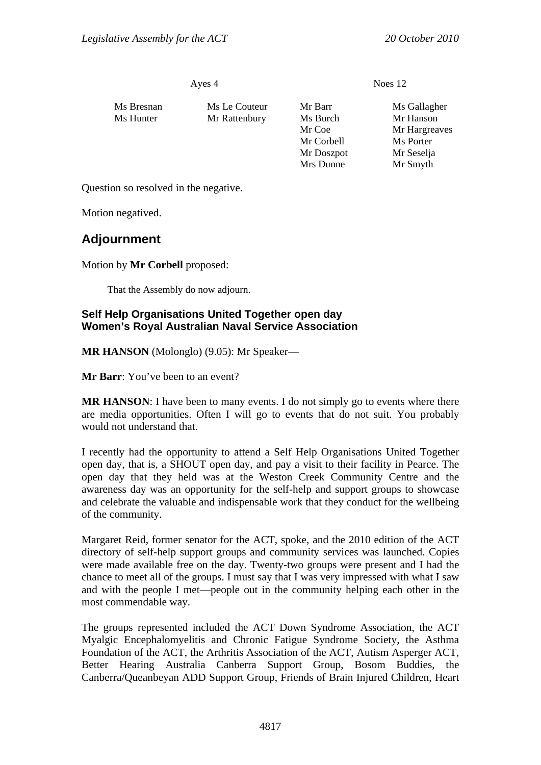Ayes 4 Noes 12

| Ms Bresnan | Ms Le Couteur | Mr Barr    | Ms Gallagher  |
|------------|---------------|------------|---------------|
| Ms Hunter  | Mr Rattenbury | Ms Burch   | Mr Hanson     |
|            |               | Mr Coe     | Mr Hargreaves |
|            |               | Mr Corbell | Ms Porter     |
|            |               | Mr Doszpot | Mr Seselja    |
|            |               | Mrs Dunne  | Mr Smyth      |

Question so resolved in the negative.

Motion negatived.

# **Adjournment**

Motion by **Mr Corbell** proposed:

That the Assembly do now adjourn.

### **Self Help Organisations United Together open day Women's Royal Australian Naval Service Association**

**MR HANSON** (Molonglo) (9.05): Mr Speaker—

**Mr Barr**: You've been to an event?

**MR HANSON**: I have been to many events. I do not simply go to events where there are media opportunities. Often I will go to events that do not suit. You probably would not understand that.

I recently had the opportunity to attend a Self Help Organisations United Together open day, that is, a SHOUT open day, and pay a visit to their facility in Pearce. The open day that they held was at the Weston Creek Community Centre and the awareness day was an opportunity for the self-help and support groups to showcase and celebrate the valuable and indispensable work that they conduct for the wellbeing of the community.

Margaret Reid, former senator for the ACT, spoke, and the 2010 edition of the ACT directory of self-help support groups and community services was launched. Copies were made available free on the day. Twenty-two groups were present and I had the chance to meet all of the groups. I must say that I was very impressed with what I saw and with the people I met—people out in the community helping each other in the most commendable way.

The groups represented included the ACT Down Syndrome Association, the ACT Myalgic Encephalomyelitis and Chronic Fatigue Syndrome Society, the Asthma Foundation of the ACT, the Arthritis Association of the ACT, Autism Asperger ACT, Better Hearing Australia Canberra Support Group, Bosom Buddies, the Canberra/Queanbeyan ADD Support Group, Friends of Brain Injured Children, Heart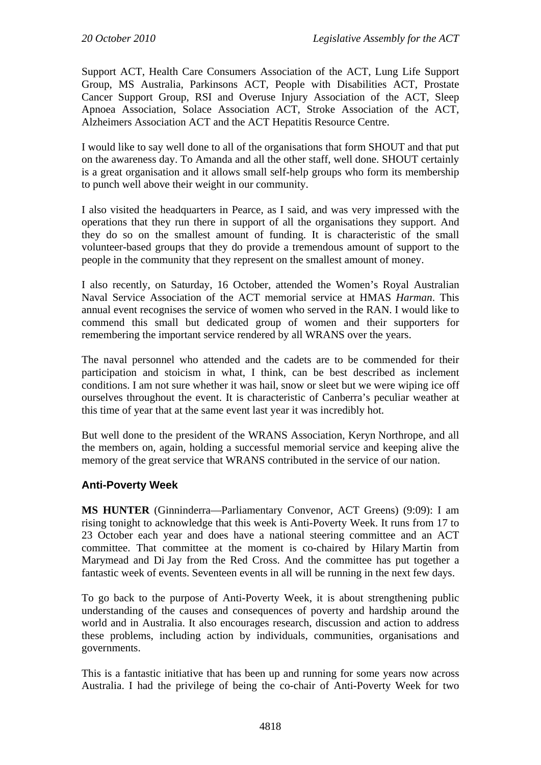Support ACT, Health Care Consumers Association of the ACT, Lung Life Support Group, MS Australia, Parkinsons ACT, People with Disabilities ACT, Prostate Cancer Support Group, RSI and Overuse Injury Association of the ACT, Sleep Apnoea Association, Solace Association ACT, Stroke Association of the ACT, Alzheimers Association ACT and the ACT Hepatitis Resource Centre.

I would like to say well done to all of the organisations that form SHOUT and that put on the awareness day. To Amanda and all the other staff, well done. SHOUT certainly is a great organisation and it allows small self-help groups who form its membership to punch well above their weight in our community.

I also visited the headquarters in Pearce, as I said, and was very impressed with the operations that they run there in support of all the organisations they support. And they do so on the smallest amount of funding. It is characteristic of the small volunteer-based groups that they do provide a tremendous amount of support to the people in the community that they represent on the smallest amount of money.

I also recently, on Saturday, 16 October, attended the Women's Royal Australian Naval Service Association of the ACT memorial service at HMAS *Harman*. This annual event recognises the service of women who served in the RAN. I would like to commend this small but dedicated group of women and their supporters for remembering the important service rendered by all WRANS over the years.

The naval personnel who attended and the cadets are to be commended for their participation and stoicism in what, I think, can be best described as inclement conditions. I am not sure whether it was hail, snow or sleet but we were wiping ice off ourselves throughout the event. It is characteristic of Canberra's peculiar weather at this time of year that at the same event last year it was incredibly hot.

But well done to the president of the WRANS Association, Keryn Northrope, and all the members on, again, holding a successful memorial service and keeping alive the memory of the great service that WRANS contributed in the service of our nation.

#### **Anti-Poverty Week**

**MS HUNTER** (Ginninderra—Parliamentary Convenor, ACT Greens) (9:09): I am rising tonight to acknowledge that this week is Anti-Poverty Week. It runs from 17 to 23 October each year and does have a national steering committee and an ACT committee. That committee at the moment is co-chaired by Hilary Martin from Marymead and Di Jay from the Red Cross. And the committee has put together a fantastic week of events. Seventeen events in all will be running in the next few days.

To go back to the purpose of Anti-Poverty Week, it is about strengthening public understanding of the causes and consequences of poverty and hardship around the world and in Australia. It also encourages research, discussion and action to address these problems, including action by individuals, communities, organisations and governments.

This is a fantastic initiative that has been up and running for some years now across Australia. I had the privilege of being the co-chair of Anti-Poverty Week for two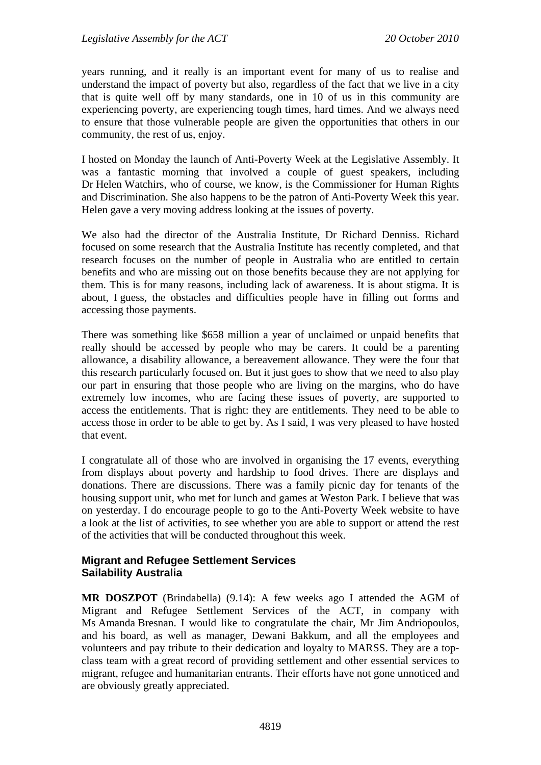years running, and it really is an important event for many of us to realise and understand the impact of poverty but also, regardless of the fact that we live in a city that is quite well off by many standards, one in 10 of us in this community are experiencing poverty, are experiencing tough times, hard times. And we always need to ensure that those vulnerable people are given the opportunities that others in our community, the rest of us, enjoy.

I hosted on Monday the launch of Anti-Poverty Week at the Legislative Assembly. It was a fantastic morning that involved a couple of guest speakers, including Dr Helen Watchirs, who of course, we know, is the Commissioner for Human Rights and Discrimination. She also happens to be the patron of Anti-Poverty Week this year. Helen gave a very moving address looking at the issues of poverty.

We also had the director of the Australia Institute, Dr Richard Denniss. Richard focused on some research that the Australia Institute has recently completed, and that research focuses on the number of people in Australia who are entitled to certain benefits and who are missing out on those benefits because they are not applying for them. This is for many reasons, including lack of awareness. It is about stigma. It is about, I guess, the obstacles and difficulties people have in filling out forms and accessing those payments.

There was something like \$658 million a year of unclaimed or unpaid benefits that really should be accessed by people who may be carers. It could be a parenting allowance, a disability allowance, a bereavement allowance. They were the four that this research particularly focused on. But it just goes to show that we need to also play our part in ensuring that those people who are living on the margins, who do have extremely low incomes, who are facing these issues of poverty, are supported to access the entitlements. That is right: they are entitlements. They need to be able to access those in order to be able to get by. As I said, I was very pleased to have hosted that event.

I congratulate all of those who are involved in organising the 17 events, everything from displays about poverty and hardship to food drives. There are displays and donations. There are discussions. There was a family picnic day for tenants of the housing support unit, who met for lunch and games at Weston Park. I believe that was on yesterday. I do encourage people to go to the Anti-Poverty Week website to have a look at the list of activities, to see whether you are able to support or attend the rest of the activities that will be conducted throughout this week.

#### **Migrant and Refugee Settlement Services Sailability Australia**

**MR DOSZPOT** (Brindabella) (9.14): A few weeks ago I attended the AGM of Migrant and Refugee Settlement Services of the ACT, in company with Ms Amanda Bresnan. I would like to congratulate the chair, Mr Jim Andriopoulos, and his board, as well as manager, Dewani Bakkum, and all the employees and volunteers and pay tribute to their dedication and loyalty to MARSS. They are a topclass team with a great record of providing settlement and other essential services to migrant, refugee and humanitarian entrants. Their efforts have not gone unnoticed and are obviously greatly appreciated.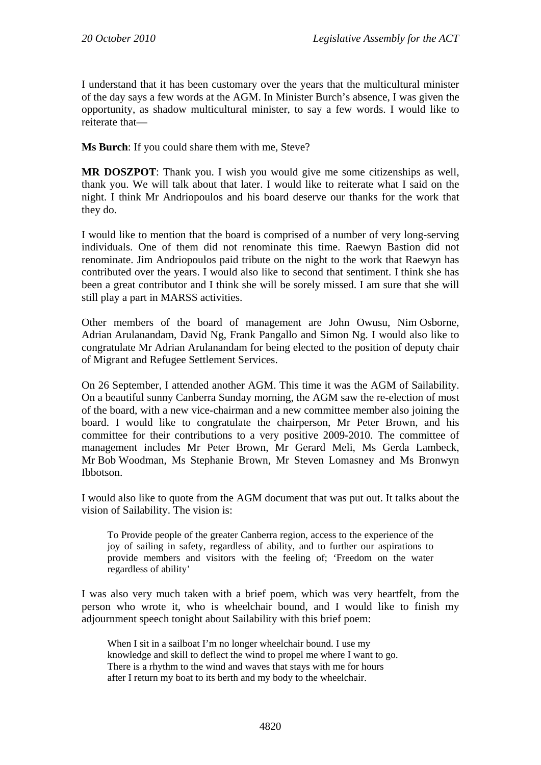I understand that it has been customary over the years that the multicultural minister of the day says a few words at the AGM. In Minister Burch's absence, I was given the opportunity, as shadow multicultural minister, to say a few words. I would like to reiterate that—

**Ms Burch**: If you could share them with me, Steve?

**MR DOSZPOT**: Thank you. I wish you would give me some citizenships as well, thank you. We will talk about that later. I would like to reiterate what I said on the night. I think Mr Andriopoulos and his board deserve our thanks for the work that they do.

I would like to mention that the board is comprised of a number of very long-serving individuals. One of them did not renominate this time. Raewyn Bastion did not renominate. Jim Andriopoulos paid tribute on the night to the work that Raewyn has contributed over the years. I would also like to second that sentiment. I think she has been a great contributor and I think she will be sorely missed. I am sure that she will still play a part in MARSS activities.

Other members of the board of management are John Owusu, Nim Osborne, Adrian Arulanandam, David Ng, Frank Pangallo and Simon Ng. I would also like to congratulate Mr Adrian Arulanandam for being elected to the position of deputy chair of Migrant and Refugee Settlement Services.

On 26 September, I attended another AGM. This time it was the AGM of Sailability. On a beautiful sunny Canberra Sunday morning, the AGM saw the re-election of most of the board, with a new vice-chairman and a new committee member also joining the board. I would like to congratulate the chairperson, Mr Peter Brown, and his committee for their contributions to a very positive 2009-2010. The committee of management includes Mr Peter Brown, Mr Gerard Meli, Ms Gerda Lambeck, Mr Bob Woodman, Ms Stephanie Brown, Mr Steven Lomasney and Ms Bronwyn Ibbotson.

I would also like to quote from the AGM document that was put out. It talks about the vision of Sailability. The vision is:

To Provide people of the greater Canberra region, access to the experience of the joy of sailing in safety, regardless of ability, and to further our aspirations to provide members and visitors with the feeling of; 'Freedom on the water regardless of ability'

I was also very much taken with a brief poem, which was very heartfelt, from the person who wrote it, who is wheelchair bound, and I would like to finish my adjournment speech tonight about Sailability with this brief poem:

When I sit in a sailboat I'm no longer wheelchair bound. I use my knowledge and skill to deflect the wind to propel me where I want to go. There is a rhythm to the wind and waves that stays with me for hours after I return my boat to its berth and my body to the wheelchair.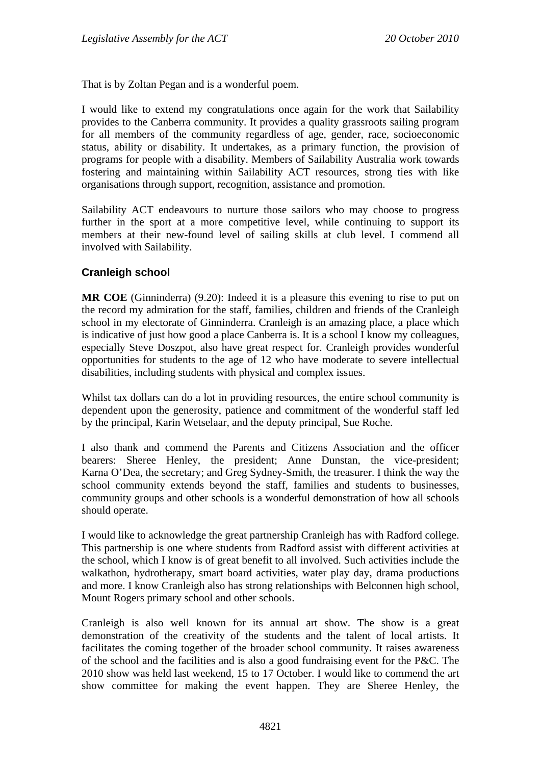That is by Zoltan Pegan and is a wonderful poem.

I would like to extend my congratulations once again for the work that Sailability provides to the Canberra community. It provides a quality grassroots sailing program for all members of the community regardless of age, gender, race, socioeconomic status, ability or disability. It undertakes, as a primary function, the provision of programs for people with a disability. Members of Sailability Australia work towards fostering and maintaining within Sailability ACT resources, strong ties with like organisations through support, recognition, assistance and promotion.

Sailability ACT endeavours to nurture those sailors who may choose to progress further in the sport at a more competitive level, while continuing to support its members at their new-found level of sailing skills at club level. I commend all involved with Sailability.

#### **Cranleigh school**

**MR COE** (Ginninderra) (9.20): Indeed it is a pleasure this evening to rise to put on the record my admiration for the staff, families, children and friends of the Cranleigh school in my electorate of Ginninderra. Cranleigh is an amazing place, a place which is indicative of just how good a place Canberra is. It is a school I know my colleagues, especially Steve Doszpot, also have great respect for. Cranleigh provides wonderful opportunities for students to the age of 12 who have moderate to severe intellectual disabilities, including students with physical and complex issues.

Whilst tax dollars can do a lot in providing resources, the entire school community is dependent upon the generosity, patience and commitment of the wonderful staff led by the principal, Karin Wetselaar, and the deputy principal, Sue Roche.

I also thank and commend the Parents and Citizens Association and the officer bearers: Sheree Henley, the president; Anne Dunstan, the vice-president; Karna O'Dea, the secretary; and Greg Sydney-Smith, the treasurer. I think the way the school community extends beyond the staff, families and students to businesses, community groups and other schools is a wonderful demonstration of how all schools should operate.

I would like to acknowledge the great partnership Cranleigh has with Radford college. This partnership is one where students from Radford assist with different activities at the school, which I know is of great benefit to all involved. Such activities include the walkathon, hydrotherapy, smart board activities, water play day, drama productions and more. I know Cranleigh also has strong relationships with Belconnen high school, Mount Rogers primary school and other schools.

Cranleigh is also well known for its annual art show. The show is a great demonstration of the creativity of the students and the talent of local artists. It facilitates the coming together of the broader school community. It raises awareness of the school and the facilities and is also a good fundraising event for the P&C. The 2010 show was held last weekend, 15 to 17 October. I would like to commend the art show committee for making the event happen. They are Sheree Henley, the